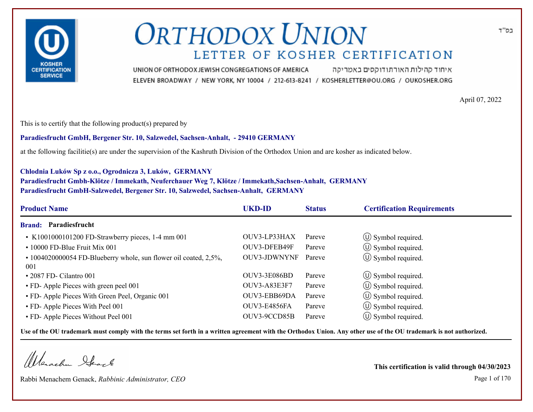

איחוד קהילות האורתודוקסים באמריקה UNION OF ORTHODOX JEWISH CONGREGATIONS OF AMERICA ELEVEN BROADWAY / NEW YORK, NY 10004 / 212-613-8241 / KOSHERLETTER@OU.ORG / OUKOSHER.ORG

April 07, 2022

This is to certify that the following product(s) prepared by

**Paradiesfrucht GmbH, Bergener Str. 10, Salzwedel, Sachsen-Anhalt, - 29410 GERMANY**

at the following facilitie(s) are under the supervision of the Kashruth Division of the Orthodox Union and are kosher as indicated below.

#### **Chlodnia Luków Sp z o.o., Ogrodnicza 3, Luków, GERMANY**

**Paradiesfrucht Gmbh-Klötze / Immekath, Neuferchauer Weg 7, Klötze / Immekath,Sachsen-Anhalt, GERMANY Paradiesfrucht GmbH-Salzwedel, Bergener Str. 10, Salzwedel, Sachsen-Anhalt, GERMANY**

| <b>UKD-ID</b>       | <b>Status</b> | <b>Certification Requirements</b> |
|---------------------|---------------|-----------------------------------|
|                     |               |                                   |
| OUV3-LP33HAX        | Pareve        | $\circ$ Symbol required.          |
| OUV3-DFEB49F        | Pareve        | $\circ$ Symbol required.          |
| <b>OUV3-JDWNYNF</b> | Pareve        | $\circ$ Symbol required.          |
|                     |               |                                   |
|                     |               | $\circ$ Symbol required.          |
| <b>OUV3-A83E3F7</b> | Pareve        | $\circled{1}$ Symbol required.    |
| OUV3-EBB69DA        | Pareve        | $\circled{1}$ Symbol required.    |
| OUV3-E4856FA        | Pareve        | $\circ$ Symbol required.          |
| OUV3-9CCD85B        | Pareve        | $\left(\bigcup$ Symbol required.  |
|                     | OUV3-3E086BD  | Pareve                            |

**Use of the OU trademark must comply with the terms set forth in a written agreement with the Orthodox Union. Any other use of the OU trademark is not authorized.**

Werschn Heart

Rabbi Menachem Genack, *Rabbinic Administrator, CEO* Page 1 of 170

**This certification is valid through 04/30/2023**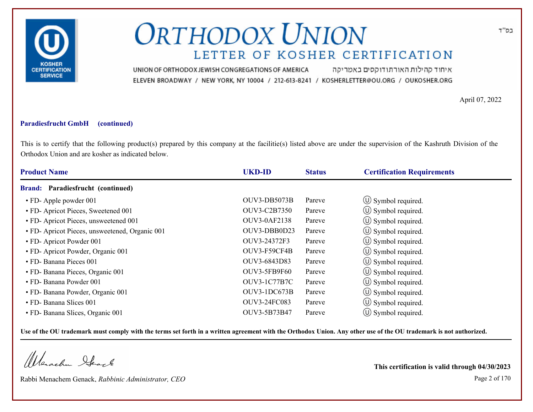

איחוד קהילות האורתודוקסים באמריקה UNION OF ORTHODOX JEWISH CONGREGATIONS OF AMERICA ELEVEN BROADWAY / NEW YORK, NY 10004 / 212-613-8241 / KOSHERLETTER@OU.ORG / OUKOSHER.ORG

April 07, 2022

### **Paradiesfrucht GmbH (continued)**

This is to certify that the following product(s) prepared by this company at the facilitie(s) listed above are under the supervision of the Kashruth Division of the Orthodox Union and are kosher as indicated below.

| <b>Product Name</b>                            | <b>UKD-ID</b>       | <b>Status</b> | <b>Certification Requirements</b> |  |
|------------------------------------------------|---------------------|---------------|-----------------------------------|--|
| <b>Brand:</b> Paradiesfrucht (continued)       |                     |               |                                   |  |
| • FD- Apple powder 001                         | OUV3-DB5073B        | Pareve        | $\circ$ Symbol required.          |  |
| • FD- Apricot Pieces, Sweetened 001            | OUV3-C2B7350        | Pareve        | $\circ$ Symbol required.          |  |
| • FD- Apricot Pieces, unsweetened 001          | <b>OUV3-0AF2138</b> | Pareve        | $\circled{0}$ Symbol required.    |  |
| • FD- Apricot Pieces, unsweetened, Organic 001 | OUV3-DBB0D23        | Pareve        | $\circ$ Symbol required.          |  |
| • FD- Apricot Powder 001                       | OUV3-24372F3        | Pareve        | $\circ$ Symbol required.          |  |
| · FD- Apricot Powder, Organic 001              | OUV3-F59CF4B        | Pareve        | $\circ$ Symbol required.          |  |
| • FD- Banana Pieces 001                        | OUV3-6843D83        | Pareve        | $\circ$ Symbol required.          |  |
| • FD- Banana Pieces, Organic 001               | <b>OUV3-5FB9F60</b> | Pareve        | $\circ$ Symbol required.          |  |
| • FD- Banana Powder 001                        | <b>OUV3-1C77B7C</b> | Pareve        | $\circ$ Symbol required.          |  |
| · FD- Banana Powder, Organic 001               | OUV3-1DC673B        | Pareve        | $\circ$ Symbol required.          |  |
| • FD- Banana Slices 001                        | OUV3-24FC083        | Pareve        | $\circ$ Symbol required.          |  |
| • FD- Banana Slices, Organic 001               | OUV3-5B73B47        | Pareve        | $\circ$ Symbol required.          |  |

**Use of the OU trademark must comply with the terms set forth in a written agreement with the Orthodox Union. Any other use of the OU trademark is not authorized.**

Werschn Stack

Rabbi Menachem Genack, *Rabbinic Administrator, CEO* Page 2 of 170

**This certification is valid through 04/30/2023**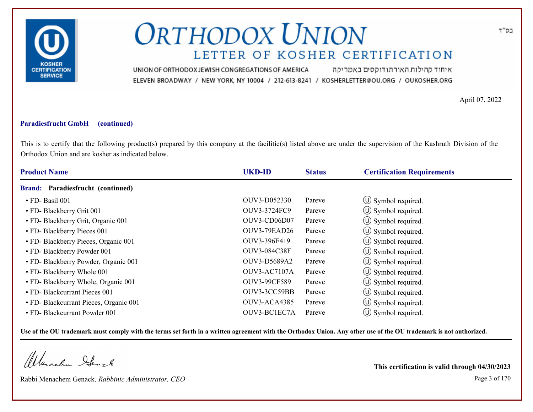

איחוד קהילות האורתודוקסים באמריקה UNION OF ORTHODOX JEWISH CONGREGATIONS OF AMERICA ELEVEN BROADWAY / NEW YORK, NY 10004 / 212-613-8241 / KOSHERLETTER@OU.ORG / OUKOSHER.ORG

April 07, 2022

### **Paradiesfrucht GmbH (continued)**

This is to certify that the following product(s) prepared by this company at the facilitie(s) listed above are under the supervision of the Kashruth Division of the Orthodox Union and are kosher as indicated below.

| <b>Product Name</b> |                                        | <b>UKD-ID</b>       | <b>Status</b> | <b>Certification Requirements</b> |  |
|---------------------|----------------------------------------|---------------------|---------------|-----------------------------------|--|
|                     | Brand: Paradiesfrucht (continued)      |                     |               |                                   |  |
|                     | · FD-Basil 001                         | OUV3-D052330        | Pareve        | $\circled{1}$ Symbol required.    |  |
|                     | • FD- Blackberry Grit 001              | OUV3-3724FC9        | Pareve        | $\circled{1}$ Symbol required.    |  |
|                     | • FD- Blackberry Grit, Organic 001     | OUV3-CD06D07        | Pareve        | $\circled{0}$ Symbol required.    |  |
|                     | • FD- Blackberry Pieces 001            | <b>OUV3-79EAD26</b> | Pareve        | (U) Symbol required.              |  |
|                     | • FD- Blackberry Pieces, Organic 001   | OUV3-396E419        | Pareve        | $\circ$ Symbol required.          |  |
|                     | • FD- Blackberry Powder 001            | OUV3-084C38F        | Pareve        | $\circ$ Symbol required.          |  |
|                     | • FD- Blackberry Powder, Organic 001   | OUV3-D5689A2        | Pareve        | $\circ$ Symbol required.          |  |
|                     | • FD- Blackberry Whole 001             | OUV3-AC7107A        | Pareve        | $\circ$ Symbol required.          |  |
|                     | • FD- Blackberry Whole, Organic 001    | OUV3-99CF589        | Pareve        | $\circ$ Symbol required.          |  |
|                     | • FD- Blackcurrant Pieces 001          | OUV3-3CC59BB        | Pareve        | (U) Symbol required.              |  |
|                     | · FD- Blackcurrant Pieces, Organic 001 | OUV3-ACA4385        | Pareve        | $\circ$ Symbol required.          |  |
|                     | • FD- Blackcurrant Powder 001          | OUV3-BC1EC7A        | Pareve        | $\circ$ Symbol required.          |  |

**Use of the OU trademark must comply with the terms set forth in a written agreement with the Orthodox Union. Any other use of the OU trademark is not authorized.**

Werschn Stack

Rabbi Menachem Genack, *Rabbinic Administrator, CEO* Page 3 of 170

**This certification is valid through 04/30/2023**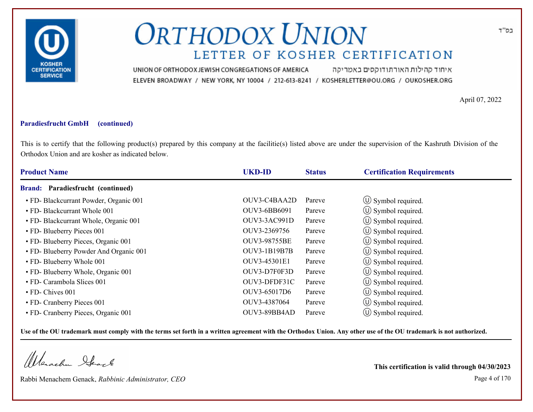

איחוד קהילות האורתודוקסים באמריקה UNION OF ORTHODOX JEWISH CONGREGATIONS OF AMERICA ELEVEN BROADWAY / NEW YORK, NY 10004 / 212-613-8241 / KOSHERLETTER@OU.ORG / OUKOSHER.ORG

April 07, 2022

#### **Paradiesfrucht GmbH (continued)**

This is to certify that the following product(s) prepared by this company at the facilitie(s) listed above are under the supervision of the Kashruth Division of the Orthodox Union and are kosher as indicated below.

| <b>Product Name</b>                    | <b>UKD-ID</b> | <b>Status</b> | <b>Certification Requirements</b> |  |
|----------------------------------------|---------------|---------------|-----------------------------------|--|
| Brand: Paradiesfrucht (continued)      |               |               |                                   |  |
| • FD- Blackcurrant Powder, Organic 001 | OUV3-C4BAA2D  | Pareve        | $\circ$ Symbol required.          |  |
| • FD- Blackcurrant Whole 001           | OUV3-6BB6091  | Pareve        | $\circ$ Symbol required.          |  |
| • FD- Blackcurrant Whole, Organic 001  | OUV3-3AC991D  | Pareve        | $\circled{1}$ Symbol required.    |  |
| • FD- Blueberry Pieces 001             | OUV3-2369756  | Pareve        | $\circ$ Symbol required.          |  |
| • FD- Blueberry Pieces, Organic 001    | OUV3-98755BE  | Pareve        | $\circ$ Symbol required.          |  |
| • FD- Blueberry Powder And Organic 001 | OUV3-1B19B7B  | Pareve        | $\circ$ Symbol required.          |  |
| • FD- Blueberry Whole 001              | OUV3-45301E1  | Pareve        | $\circ$ Symbol required.          |  |
| • FD- Blueberry Whole, Organic 001     | OUV3-D7F0F3D  | Pareve        | $\circ$ Symbol required.          |  |
| • FD- Carambola Slices 001             | OUV3-DFDF31C  | Pareve        | $\circ$ Symbol required.          |  |
| • FD- Chives 001                       | OUV3-65017D6  | Pareve        | $\circ$ Symbol required.          |  |
| • FD- Cranberry Pieces 001             | OUV3-4387064  | Pareve        | $\circ$ Symbol required.          |  |
| • FD- Cranberry Pieces, Organic 001    | OUV3-89BB4AD  | Pareve        | $\circ$ Symbol required.          |  |

**Use of the OU trademark must comply with the terms set forth in a written agreement with the Orthodox Union. Any other use of the OU trademark is not authorized.**

Werschn Stack

Rabbi Menachem Genack, *Rabbinic Administrator, CEO* Page 4 of 170

**This certification is valid through 04/30/2023**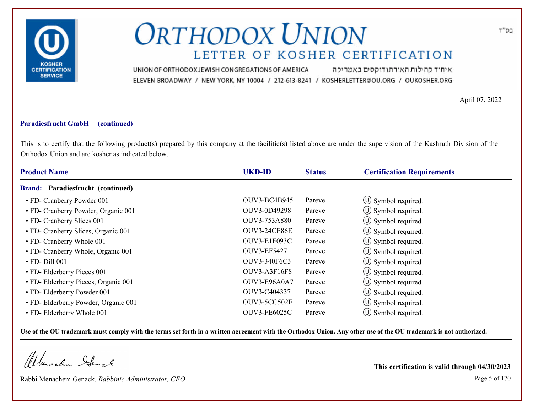

איחוד קהילות האורתודוקסים באמריקה UNION OF ORTHODOX JEWISH CONGREGATIONS OF AMERICA ELEVEN BROADWAY / NEW YORK, NY 10004 / 212-613-8241 / KOSHERLETTER@OU.ORG / OUKOSHER.ORG

April 07, 2022

#### **Paradiesfrucht GmbH (continued)**

This is to certify that the following product(s) prepared by this company at the facilitie(s) listed above are under the supervision of the Kashruth Division of the Orthodox Union and are kosher as indicated below.

| <b>Product Name</b>                      | <b>UKD-ID</b>       | <b>Status</b> | <b>Certification Requirements</b> |  |
|------------------------------------------|---------------------|---------------|-----------------------------------|--|
| <b>Brand:</b> Paradiesfrucht (continued) |                     |               |                                   |  |
| • FD- Cranberry Powder 001               | <b>OUV3-BC4B945</b> | Pareve        | $\circ$ Symbol required.          |  |
| • FD- Cranberry Powder, Organic 001      | OUV3-0D49298        | Pareve        | $\circ$ Symbol required.          |  |
| • FD- Cranberry Slices 001               | OUV3-753A880        | Pareve        | $\circled{1}$ Symbol required.    |  |
| • FD- Cranberry Slices, Organic 001      | <b>OUV3-24CE86E</b> | Pareve        | $\circ$ Symbol required.          |  |
| • FD- Cranberry Whole 001                | OUV3-E1F093C        | Pareve        | $\circ$ Symbol required.          |  |
| • FD- Cranberry Whole, Organic 001       | OUV3-EF54271        | Pareve        | $\circ$ Symbol required.          |  |
| $\cdot$ FD-Dill 001                      | OUV3-340F6C3        | Pareve        | $\circ$ Symbol required.          |  |
| • FD- Elderberry Pieces 001              | OUV3-A3F16F8        | Pareve        | $\circ$ Symbol required.          |  |
| • FD- Elderberry Pieces, Organic 001     | OUV3-E96A0A7        | Pareve        | $\circ$ Symbol required.          |  |
| • FD- Elderberry Powder 001              | OUV3-C404337        | Pareve        | $\circled{1}$ Symbol required.    |  |
| • FD- Elderberry Powder, Organic 001     | OUV3-5CC502E        | Pareve        | $\circ$ Symbol required.          |  |
| • FD- Elderberry Whole 001               | <b>OUV3-FE6025C</b> | Pareve        | $\circ$ Symbol required.          |  |

**Use of the OU trademark must comply with the terms set forth in a written agreement with the Orthodox Union. Any other use of the OU trademark is not authorized.**

Werschn Stack

Rabbi Menachem Genack, *Rabbinic Administrator, CEO* Page 5 of 170

**This certification is valid through 04/30/2023**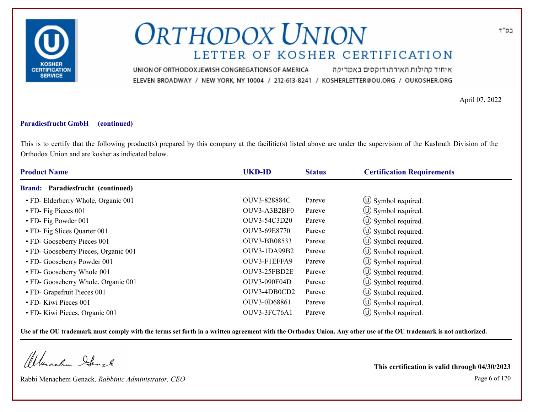

איחוד קהילות האורתודוקסים באמריקה UNION OF ORTHODOX JEWISH CONGREGATIONS OF AMERICA ELEVEN BROADWAY / NEW YORK, NY 10004 / 212-613-8241 / KOSHERLETTER@OU.ORG / OUKOSHER.ORG

April 07, 2022

#### **Paradiesfrucht GmbH (continued)**

This is to certify that the following product(s) prepared by this company at the facilitie(s) listed above are under the supervision of the Kashruth Division of the Orthodox Union and are kosher as indicated below.

| <b>Product Name</b>                      | <b>UKD-ID</b>       | <b>Status</b> | <b>Certification Requirements</b> |  |
|------------------------------------------|---------------------|---------------|-----------------------------------|--|
| <b>Brand:</b> Paradiesfrucht (continued) |                     |               |                                   |  |
| • FD- Elderberry Whole, Organic 001      | OUV3-828884C        | Pareve        | $\circ$ Symbol required.          |  |
| • FD- Fig Pieces 001                     | OUV3-A3B2BF0        | Pareve        | $\circ$ Symbol required.          |  |
| • FD- Fig Powder 001                     | OUV3-54C3D20        | Pareve        | (U) Symbol required.              |  |
| • FD- Fig Slices Quarter 001             | OUV3-69E8770        | Pareve        | $\circ$ Symbol required.          |  |
| • FD- Gooseberry Pieces 001              | OUV3-BB08533        | Pareve        | $\circ$ Symbol required.          |  |
| • FD- Gooseberry Pieces, Organic 001     | OUV3-1DA99B2        | Pareve        | $\circ$ Symbol required.          |  |
| • FD- Gooseberry Powder 001              | OUV3-F1EFFA9        | Pareve        | $\circ$ Symbol required.          |  |
| • FD- Gooseberry Whole 001               | OUV3-25FBD2E        | Pareve        | $\circled{1}$ Symbol required.    |  |
| • FD- Gooseberry Whole, Organic 001      | <b>OUV3-090F04D</b> | Pareve        | $\circ$ Symbol required.          |  |
| • FD- Grapefruit Pieces 001              | OUV3-4DB0CD2        | Pareve        | $\circled{1}$ Symbol required.    |  |
| • FD- Kiwi Pieces 001                    | OUV3-0D68861        | Pareve        | $\circ$ Symbol required.          |  |
| • FD- Kiwi Pieces, Organic 001           | OUV3-3FC76A1        | Pareve        | $\circ$ Symbol required.          |  |

**Use of the OU trademark must comply with the terms set forth in a written agreement with the Orthodox Union. Any other use of the OU trademark is not authorized.**

Werschn Stack

Rabbi Menachem Genack, *Rabbinic Administrator, CEO* Page 6 of 170

**This certification is valid through 04/30/2023**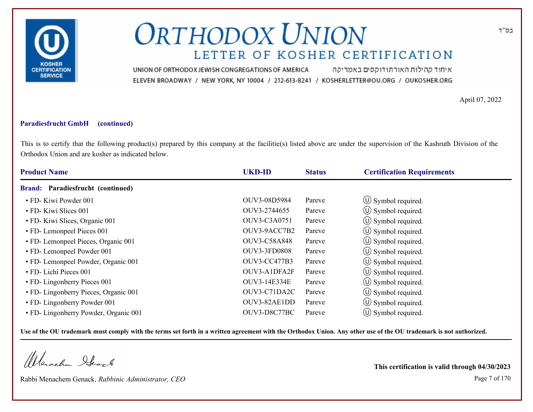

איחוד קהילות האורתודוקסים באמריקה UNION OF ORTHODOX JEWISH CONGREGATIONS OF AMERICA ELEVEN BROADWAY / NEW YORK, NY 10004 / 212-613-8241 / KOSHERLETTER@OU.ORG / OUKOSHER.ORG

April 07, 2022

#### **Paradiesfrucht GmbH (continued)**

This is to certify that the following product(s) prepared by this company at the facilitie(s) listed above are under the supervision of the Kashruth Division of the Orthodox Union and are kosher as indicated below.

| <b>Product Name</b>                   | <b>UKD-ID</b>       | <b>Status</b> | <b>Certification Requirements</b> |  |
|---------------------------------------|---------------------|---------------|-----------------------------------|--|
| Brand: Paradiesfrucht (continued)     |                     |               |                                   |  |
| • FD- Kiwi Powder 001                 | OUV3-08D5984        | Pareve        | $\circled{1}$ Symbol required.    |  |
| • FD- Kiwi Slices 001                 | OUV3-2744655        | Pareve        | $\circ$ Symbol required.          |  |
| • FD- Kiwi Slices, Organic 001        | OUV3-C3A0751        | Pareve        | $\circled{0}$ Symbol required.    |  |
| • FD- Lemonpeel Pieces 001            | OUV3-9ACC7B2        | Pareve        | $\circ$ Symbol required.          |  |
| • FD- Lemonpeel Pieces, Organic 001   | OUV3-C58A848        | Pareve        | $\circ$ Symbol required.          |  |
| • FD- Lemonpeel Powder 001            | <b>OUV3-3FD0808</b> | Pareve        | $\circ$ Symbol required.          |  |
| • FD- Lemonpeel Powder, Organic 001   | <b>OUV3-CC477B3</b> | Pareve        | $\circ$ Symbol required.          |  |
| • FD- Lichi Pieces 001                | OUV3-A1DFA2F        | Pareve        | $\circ$ Symbol required.          |  |
| • FD- Lingonberry Pieces 001          | OUV3-14E334E        | Pareve        | $\circ$ Symbol required.          |  |
| • FD- Lingonberry Pieces, Organic 001 | OUV3-C71DA2C        | Pareve        | $\circ$ Symbol required.          |  |
| • FD- Lingonberry Powder 001          | OUV3-82AE1DD        | Pareve        | $\circ$ Symbol required.          |  |
| • FD- Lingonberry Powder, Organic 001 | OUV3-D8C77BC        | Pareve        | $\circ$ Symbol required.          |  |

**Use of the OU trademark must comply with the terms set forth in a written agreement with the Orthodox Union. Any other use of the OU trademark is not authorized.**

Werachen Stack

Rabbi Menachem Genack, *Rabbinic Administrator, CEO* Page 7 of 170

**This certification is valid through 04/30/2023**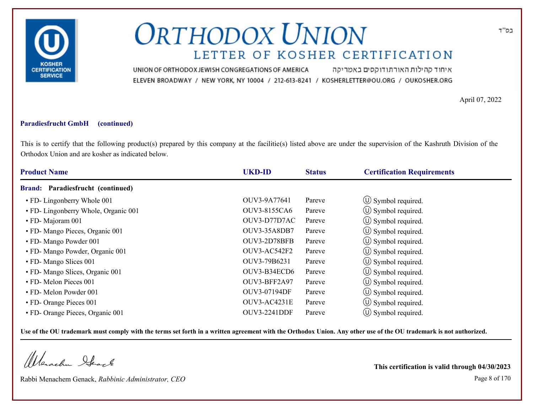

איחוד קהילות האורתודוקסים באמריקה UNION OF ORTHODOX JEWISH CONGREGATIONS OF AMERICA ELEVEN BROADWAY / NEW YORK, NY 10004 / 212-613-8241 / KOSHERLETTER@OU.ORG / OUKOSHER.ORG

April 07, 2022

### **Paradiesfrucht GmbH (continued)**

This is to certify that the following product(s) prepared by this company at the facilitie(s) listed above are under the supervision of the Kashruth Division of the Orthodox Union and are kosher as indicated below.

| <b>Product Name</b>                  | <b>UKD-ID</b>       | <b>Status</b> | <b>Certification Requirements</b> |  |
|--------------------------------------|---------------------|---------------|-----------------------------------|--|
| Brand: Paradiesfrucht (continued)    |                     |               |                                   |  |
| • FD- Lingonberry Whole 001          | OUV3-9A77641        | Pareve        | $\circ$ Symbol required.          |  |
| • FD- Lingonberry Whole, Organic 001 | <b>OUV3-8155CA6</b> | Pareve        | $\circ$ Symbol required.          |  |
| • FD- Majoram 001                    | OUV3-D77D7AC        | Pareve        | $\circled{0}$ Symbol required.    |  |
| • FD- Mango Pieces, Organic 001      | OUV3-35A8DB7        | Pareve        | $\circ$ Symbol required.          |  |
| • FD- Mango Powder 001               | OUV3-2D78BFB        | Pareve        | $\circ$ Symbol required.          |  |
| · FD- Mango Powder, Organic 001      | OUV3-AC542F2        | Pareve        | $\circ$ Symbol required.          |  |
| • FD- Mango Slices 001               | OUV3-79B6231        | Pareve        | $\circ$ Symbol required.          |  |
| • FD- Mango Slices, Organic 001      | OUV3-B34ECD6        | Pareve        | $\circled{1}$ Symbol required.    |  |
| • FD- Melon Pieces 001               | OUV3-BFF2A97        | Pareve        | $\circ$ Symbol required.          |  |
| • FD- Melon Powder 001               | OUV3-07194DF        | Pareve        | $\circ$ Symbol required.          |  |
| • FD- Orange Pieces 001              | OUV3-AC4231E        | Pareve        | $\circ$ Symbol required.          |  |
| • FD- Orange Pieces, Organic 001     | <b>OUV3-2241DDF</b> | Pareve        | $\circ$ Symbol required.          |  |

**Use of the OU trademark must comply with the terms set forth in a written agreement with the Orthodox Union. Any other use of the OU trademark is not authorized.**

Werachen Stack

Rabbi Menachem Genack, *Rabbinic Administrator, CEO* Page 8 of 170

**This certification is valid through 04/30/2023**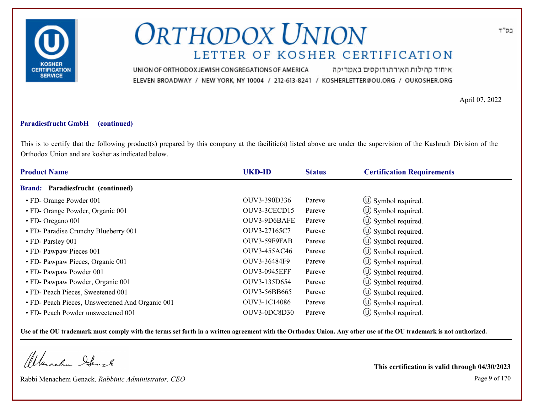

איחוד קהילות האורתודוקסים באמריקה UNION OF ORTHODOX JEWISH CONGREGATIONS OF AMERICA ELEVEN BROADWAY / NEW YORK, NY 10004 / 212-613-8241 / KOSHERLETTER@OU.ORG / OUKOSHER.ORG

April 07, 2022

### **Paradiesfrucht GmbH (continued)**

This is to certify that the following product(s) prepared by this company at the facilitie(s) listed above are under the supervision of the Kashruth Division of the Orthodox Union and are kosher as indicated below.

| <b>Product Name</b>                             | <b>UKD-ID</b>       | <b>Status</b> | <b>Certification Requirements</b> |  |
|-------------------------------------------------|---------------------|---------------|-----------------------------------|--|
| Brand: Paradiesfrucht (continued)               |                     |               |                                   |  |
| • FD- Orange Powder 001                         | OUV3-390D336        | Pareve        | $\circ$ Symbol required.          |  |
| • FD- Orange Powder, Organic 001                | OUV3-3CECD15        | Pareve        | $\circ$ Symbol required.          |  |
| • FD- Oregano 001                               | OUV3-9D6BAFE        | Pareve        | $\circled{1}$ Symbol required.    |  |
| • FD- Paradise Crunchy Blueberry 001            | OUV3-27165C7        | Pareve        | $\circ$ Symbol required.          |  |
| • FD- Parsley 001                               | OUV3-59F9FAB        | Pareve        | $\circ$ Symbol required.          |  |
| • FD- Pawpaw Pieces 001                         | OUV3-455AC46        | Pareve        | $\circ$ Symbol required.          |  |
| • FD- Pawpaw Pieces, Organic 001                | OUV3-36484F9        | Pareve        | $\circ$ Symbol required.          |  |
| • FD- Pawpaw Powder 001                         | <b>OUV3-0945EFF</b> | Pareve        | $\circ$ Symbol required.          |  |
| • FD- Pawpaw Powder, Organic 001                | OUV3-135D654        | Pareve        | $\circ$ Symbol required.          |  |
| • FD- Peach Pieces, Sweetened 001               | OUV3-56BB665        | Pareve        | $\circ$ Symbol required.          |  |
| • FD- Peach Pieces, Unsweetened And Organic 001 | OUV3-1C14086        | Pareve        | $\circ$ Symbol required.          |  |
| • FD- Peach Powder unsweetened 001              | OUV3-0DC8D30        | Pareve        | $\circ$ Symbol required.          |  |

**Use of the OU trademark must comply with the terms set forth in a written agreement with the Orthodox Union. Any other use of the OU trademark is not authorized.**

Werschn Stack

Rabbi Menachem Genack, *Rabbinic Administrator, CEO* Page 9 of 170

**This certification is valid through 04/30/2023**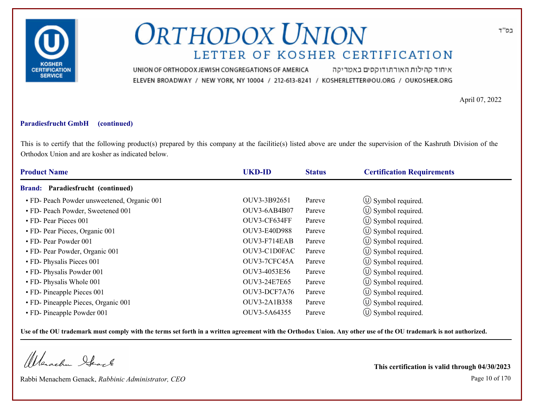

איחוד קהילות האורתודוקסים באמריקה UNION OF ORTHODOX JEWISH CONGREGATIONS OF AMERICA ELEVEN BROADWAY / NEW YORK, NY 10004 / 212-613-8241 / KOSHERLETTER@OU.ORG / OUKOSHER.ORG

April 07, 2022

#### **Paradiesfrucht GmbH (continued)**

This is to certify that the following product(s) prepared by this company at the facilitie(s) listed above are under the supervision of the Kashruth Division of the Orthodox Union and are kosher as indicated below.

| <b>Product Name</b>                         | <b>UKD-ID</b>       | <b>Status</b> | <b>Certification Requirements</b> |  |
|---------------------------------------------|---------------------|---------------|-----------------------------------|--|
| Brand: Paradiesfrucht (continued)           |                     |               |                                   |  |
| • FD- Peach Powder unsweetened, Organic 001 | OUV3-3B92651        | Pareve        | $\circ$ Symbol required.          |  |
| • FD- Peach Powder, Sweetened 001           | OUV3-6AB4B07        | Pareve        | $\circ$ Symbol required.          |  |
| • FD- Pear Pieces 001                       | OUV3-CF634FF        | Pareve        | $\circled{1}$ Symbol required.    |  |
| • FD- Pear Pieces, Organic 001              | <b>OUV3-E40D988</b> | Pareve        | $\circ$ Symbol required.          |  |
| • FD- Pear Powder 001                       | OUV3-F714EAB        | Pareve        | $\circ$ Symbol required.          |  |
| • FD- Pear Powder, Organic 001              | OUV3-C1D0FAC        | Pareve        | $\circ$ Symbol required.          |  |
| • FD- Physalis Pieces 001                   | OUV3-7CFC45A        | Pareve        | $\circ$ Symbol required.          |  |
| • FD- Physalis Powder 001                   | OUV3-4053E56        | Pareve        | $\circ$ Symbol required.          |  |
| • FD- Physalis Whole 001                    | OUV3-24E7E65        | Pareve        | $\circ$ Symbol required.          |  |
| • FD- Pineapple Pieces 001                  | OUV3-DCF7A76        | Pareve        | $\circ$ Symbol required.          |  |
| • FD- Pineapple Pieces, Organic 001         | OUV3-2A1B358        | Pareve        | $\circ$ Symbol required.          |  |
| • FD- Pineapple Powder 001                  | OUV3-5A64355        | Pareve        | $\circ$ Symbol required.          |  |

**Use of the OU trademark must comply with the terms set forth in a written agreement with the Orthodox Union. Any other use of the OU trademark is not authorized.**

Werachen Stack

Rabbi Menachem Genack, *Rabbinic Administrator, CEO* Page 10 of 170

**This certification is valid through 04/30/2023**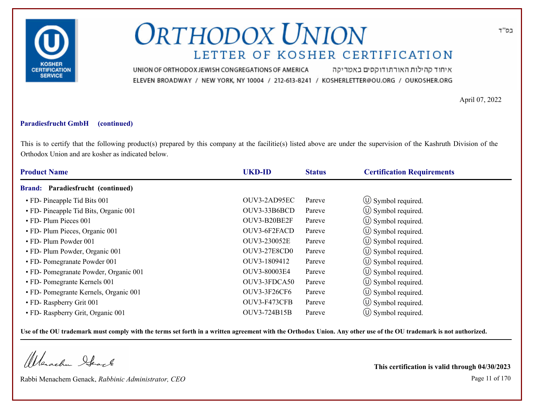

איחוד קהילות האורתודוקסים באמריקה UNION OF ORTHODOX JEWISH CONGREGATIONS OF AMERICA ELEVEN BROADWAY / NEW YORK, NY 10004 / 212-613-8241 / KOSHERLETTER@OU.ORG / OUKOSHER.ORG

April 07, 2022

### **Paradiesfrucht GmbH (continued)**

This is to certify that the following product(s) prepared by this company at the facilitie(s) listed above are under the supervision of the Kashruth Division of the Orthodox Union and are kosher as indicated below.

| <b>Product Name</b>                      | <b>UKD-ID</b>       | <b>Status</b> | <b>Certification Requirements</b> |  |
|------------------------------------------|---------------------|---------------|-----------------------------------|--|
| <b>Brand:</b> Paradiesfrucht (continued) |                     |               |                                   |  |
| • FD- Pineapple Tid Bits 001             | OUV3-2AD95EC        | Pareve        | $\circ$ Symbol required.          |  |
| • FD- Pineapple Tid Bits, Organic 001    | OUV3-33B6BCD        | Pareve        | $\circ$ Symbol required.          |  |
| • FD- Plum Pieces 001                    | OUV3-B20BE2F        | Pareve        | $\circled{1}$ Symbol required.    |  |
| • FD- Plum Pieces, Organic 001           | OUV3-6F2FACD        | Pareve        | $\circ$ Symbol required.          |  |
| • FD- Plum Powder 001                    | OUV3-230052E        | Pareve        | $\circ$ Symbol required.          |  |
| • FD- Plum Powder, Organic 001           | <b>OUV3-27E8CD0</b> | Pareve        | $\circ$ Symbol required.          |  |
| • FD- Pomegranate Powder 001             | OUV3-1809412        | Pareve        | $\circ$ Symbol required.          |  |
| • FD- Pomegranate Powder, Organic 001    | OUV3-80003E4        | Pareve        | $\circ$ Symbol required.          |  |
| • FD- Pomegrante Kernels 001             | OUV3-3FDCA50        | Pareve        | $\circ$ Symbol required.          |  |
| • FD- Pomegrante Kernels, Organic 001    | <b>OUV3-3F26CF6</b> | Pareve        | $\circ$ Symbol required.          |  |
| • FD- Raspberry Grit 001                 | OUV3-F473CFB        | Pareve        | $\circ$ Symbol required.          |  |
| • FD- Raspberry Grit, Organic 001        | OUV3-724B15B        | Pareve        | $\circ$ Symbol required.          |  |

**Use of the OU trademark must comply with the terms set forth in a written agreement with the Orthodox Union. Any other use of the OU trademark is not authorized.**

Werachen Stack

Rabbi Menachem Genack, *Rabbinic Administrator, CEO* Page 11 of 170

**This certification is valid through 04/30/2023**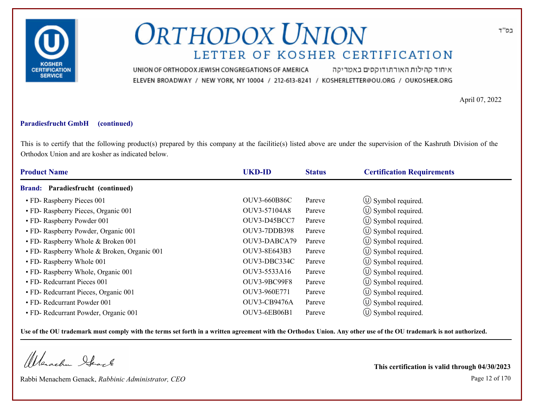

איחוד קהילות האורתודוקסים באמריקה UNION OF ORTHODOX JEWISH CONGREGATIONS OF AMERICA ELEVEN BROADWAY / NEW YORK, NY 10004 / 212-613-8241 / KOSHERLETTER@OU.ORG / OUKOSHER.ORG

April 07, 2022

#### **Paradiesfrucht GmbH (continued)**

This is to certify that the following product(s) prepared by this company at the facilitie(s) listed above are under the supervision of the Kashruth Division of the Orthodox Union and are kosher as indicated below.

| <b>Product Name</b>                         | <b>UKD-ID</b>       | <b>Status</b> | <b>Certification Requirements</b> |  |
|---------------------------------------------|---------------------|---------------|-----------------------------------|--|
| Brand: Paradiesfrucht (continued)           |                     |               |                                   |  |
| • FD- Raspberry Pieces 001                  | <b>OUV3-660B86C</b> | Pareve        | $\circled{1}$ Symbol required.    |  |
| • FD- Raspberry Pieces, Organic 001         | OUV3-57104A8        | Pareve        | $\circ$ Symbol required.          |  |
| • FD- Raspberry Powder 001                  | OUV3-D45BCC7        | Pareve        | $\circled{0}$ Symbol required.    |  |
| • FD- Raspberry Powder, Organic 001         | OUV3-7DDB398        | Pareve        | $\circ$ Symbol required.          |  |
| • FD- Raspberry Whole & Broken 001          | OUV3-DABCA79        | Pareve        | $\circ$ Symbol required.          |  |
| • FD- Raspberry Whole & Broken, Organic 001 | OUV3-8E643B3        | Pareve        | (U) Symbol required.              |  |
| • FD- Raspberry Whole 001                   | OUV3-DBC334C        | Pareve        | $\circ$ Symbol required.          |  |
| • FD- Raspberry Whole, Organic 001          | OUV3-5533A16        | Pareve        | $\circ$ Symbol required.          |  |
| • FD- Redcurrant Pieces 001                 | OUV3-9BC99F8        | Pareve        | $\circ$ Symbol required.          |  |
| • FD- Redcurrant Pieces, Organic 001        | OUV3-960E771        | Pareve        | (U) Symbol required.              |  |
| • FD- Redcurrant Powder 001                 | OUV3-CB9476A        | Pareve        | $\circ$ Symbol required.          |  |
| • FD- Redcurrant Powder, Organic 001        | OUV3-6EB06B1        | Pareve        | $\circ$ Symbol required.          |  |

**Use of the OU trademark must comply with the terms set forth in a written agreement with the Orthodox Union. Any other use of the OU trademark is not authorized.**

Werschn Stack

Rabbi Menachem Genack, *Rabbinic Administrator, CEO* Page 12 of 170

**This certification is valid through 04/30/2023**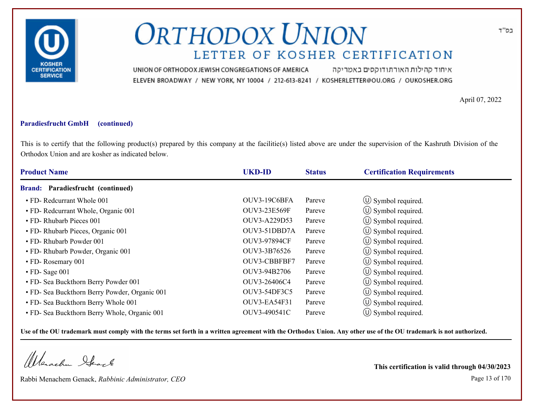

איחוד קהילות האורתודוקסים באמריקה UNION OF ORTHODOX JEWISH CONGREGATIONS OF AMERICA ELEVEN BROADWAY / NEW YORK, NY 10004 / 212-613-8241 / KOSHERLETTER@OU.ORG / OUKOSHER.ORG

April 07, 2022

#### **Paradiesfrucht GmbH (continued)**

This is to certify that the following product(s) prepared by this company at the facilitie(s) listed above are under the supervision of the Kashruth Division of the Orthodox Union and are kosher as indicated below.

| <b>Product Name</b>                           | <b>UKD-ID</b> | <b>Status</b> | <b>Certification Requirements</b> |  |
|-----------------------------------------------|---------------|---------------|-----------------------------------|--|
| Brand: Paradiesfrucht (continued)             |               |               |                                   |  |
| • FD- Redcurrant Whole 001                    | OUV3-19C6BFA  | Pareve        | $\circ$ Symbol required.          |  |
| • FD- Redcurrant Whole, Organic 001           | OUV3-23E569F  | Pareve        | $\circ$ Symbol required.          |  |
| • FD- Rhubarb Pieces 001                      | OUV3-A229D53  | Pareve        | $\circ$ Symbol required.          |  |
| · FD- Rhubarb Pieces, Organic 001             | OUV3-51DBD7A  | Pareve        | $\circ$ Symbol required.          |  |
| • FD- Rhubarb Powder 001                      | OUV3-97894CF  | Pareve        | $\circ$ Symbol required.          |  |
| • FD- Rhubarb Powder, Organic 001             | OUV3-3B76526  | Pareve        | $\circ$ Symbol required.          |  |
| • FD-Rosemary 001                             | OUV3-CBBFBF7  | Pareve        | $\circ$ Symbol required.          |  |
| $\cdot$ FD-Sage 001                           | OUV3-94B2706  | Pareve        | $\circled{1}$ Symbol required.    |  |
| • FD- Sea Buckthorn Berry Powder 001          | OUV3-26406C4  | Pareve        | $\circ$ Symbol required.          |  |
| • FD- Sea Buckthorn Berry Powder, Organic 001 | OUV3-54DF3C5  | Pareve        | $\circ$ Symbol required.          |  |
| • FD- Sea Buckthorn Berry Whole 001           | OUV3-EA54F31  | Pareve        | $\circ$ Symbol required.          |  |
| • FD- Sea Buckthorn Berry Whole, Organic 001  | OUV3-490541C  | Pareve        | $\circ$ Symbol required.          |  |

**Use of the OU trademark must comply with the terms set forth in a written agreement with the Orthodox Union. Any other use of the OU trademark is not authorized.**

Werschn Stack

Rabbi Menachem Genack, *Rabbinic Administrator, CEO* Page 13 of 170

**This certification is valid through 04/30/2023**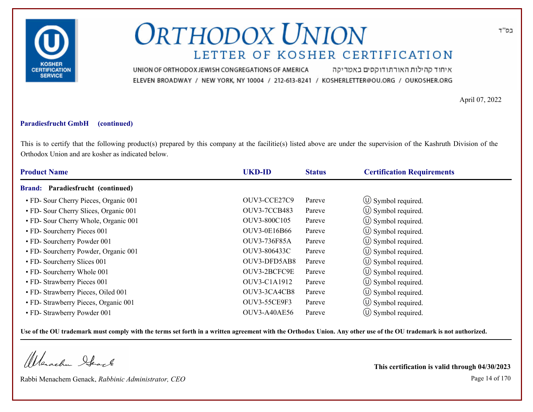

איחוד קהילות האורתודוקסים באמריקה UNION OF ORTHODOX JEWISH CONGREGATIONS OF AMERICA ELEVEN BROADWAY / NEW YORK, NY 10004 / 212-613-8241 / KOSHERLETTER@OU.ORG / OUKOSHER.ORG

April 07, 2022

#### **Paradiesfrucht GmbH (continued)**

This is to certify that the following product(s) prepared by this company at the facilitie(s) listed above are under the supervision of the Kashruth Division of the Orthodox Union and are kosher as indicated below.

| <b>Product Name</b>                      | <b>UKD-ID</b>       | <b>Status</b> | <b>Certification Requirements</b> |  |
|------------------------------------------|---------------------|---------------|-----------------------------------|--|
| <b>Brand:</b> Paradiesfrucht (continued) |                     |               |                                   |  |
| • FD- Sour Cherry Pieces, Organic 001    | OUV3-CCE27C9        | Pareve        | $\circ$ Symbol required.          |  |
| • FD- Sour Cherry Slices, Organic 001    | <b>OUV3-7CCB483</b> | Pareve        | $\circ$ Symbol required.          |  |
| • FD- Sour Cherry Whole, Organic 001     | OUV3-800C105        | Pareve        | $\circled{0}$ Symbol required.    |  |
| • FD- Sourcherry Pieces 001              | OUV3-0E16B66        | Pareve        | $\circ$ Symbol required.          |  |
| • FD- Sourcherry Powder 001              | OUV3-736F85A        | Pareve        | $\circ$ Symbol required.          |  |
| • FD- Sourcherry Powder, Organic 001     | OUV3-806433C        | Pareve        | $\circ$ Symbol required.          |  |
| • FD- Sourcherry Slices 001              | OUV3-DFD5AB8        | Pareve        | $\circ$ Symbol required.          |  |
| • FD- Sourcherry Whole 001               | OUV3-2BCFC9E        | Pareve        | $\circ$ Symbol required.          |  |
| • FD- Strawberry Pieces 001              | OUV3-C1A1912        | Pareve        | $\circ$ Symbol required.          |  |
| • FD- Strawberry Pieces, Oiled 001       | OUV3-3CA4CB8        | Pareve        | $\circ$ Symbol required.          |  |
| • FD- Strawberry Pieces, Organic 001     | <b>OUV3-55CE9F3</b> | Pareve        | $\circ$ Symbol required.          |  |
| • FD- Strawberry Powder 001              | OUV3-A40AE56        | Pareve        | $\circ$ Symbol required.          |  |

**Use of the OU trademark must comply with the terms set forth in a written agreement with the Orthodox Union. Any other use of the OU trademark is not authorized.**

Werschn Stack

Rabbi Menachem Genack, *Rabbinic Administrator, CEO* Page 14 of 170

**This certification is valid through 04/30/2023**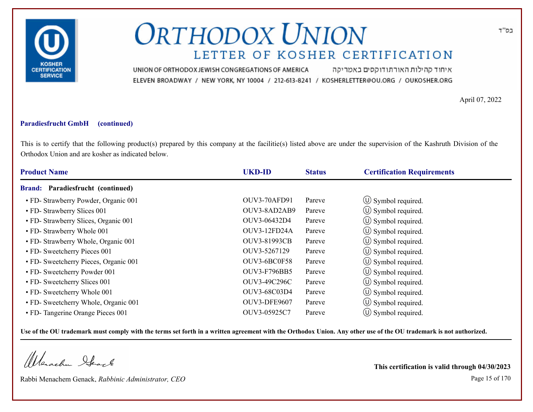

איחוד קהילות האורתודוקסים באמריקה UNION OF ORTHODOX JEWISH CONGREGATIONS OF AMERICA ELEVEN BROADWAY / NEW YORK, NY 10004 / 212-613-8241 / KOSHERLETTER@OU.ORG / OUKOSHER.ORG

April 07, 2022

### **Paradiesfrucht GmbH (continued)**

This is to certify that the following product(s) prepared by this company at the facilitie(s) listed above are under the supervision of the Kashruth Division of the Orthodox Union and are kosher as indicated below.

| <b>Product Name</b>                   | <b>UKD-ID</b>       | <b>Status</b> | <b>Certification Requirements</b> |  |
|---------------------------------------|---------------------|---------------|-----------------------------------|--|
| Brand: Paradiesfrucht (continued)     |                     |               |                                   |  |
| • FD- Strawberry Powder, Organic 001  | <b>OUV3-70AFD91</b> | Pareve        | $\circ$ Symbol required.          |  |
| • FD- Strawberry Slices 001           | OUV3-8AD2AB9        | Pareve        | $\circ$ Symbol required.          |  |
| • FD- Strawberry Slices, Organic 001  | OUV3-06432D4        | Pareve        | $\circled{1}$ Symbol required.    |  |
| • FD- Strawberry Whole 001            | OUV3-12FD24A        | Pareve        | $\circ$ Symbol required.          |  |
| • FD- Strawberry Whole, Organic 001   | <b>OUV3-81993CB</b> | Pareve        | $\circ$ Symbol required.          |  |
| • FD- Sweetcherry Pieces 001          | OUV3-5267129        | Pareve        | $\circ$ Symbol required.          |  |
| • FD- Sweetcherry Pieces, Organic 001 | OUV3-6BC0F58        | Pareve        | $\circ$ Symbol required.          |  |
| • FD- Sweetcherry Powder 001          | <b>OUV3-F796BB5</b> | Pareve        | (U) Symbol required.              |  |
| • FD- Sweetcherry Slices 001          | OUV3-49C296C        | Pareve        | $\circ$ Symbol required.          |  |
| • FD- Sweetcherry Whole 001           | OUV3-68C03D4        | Pareve        | $\circ$ Symbol required.          |  |
| • FD- Sweetcherry Whole, Organic 001  | OUV3-DFE9607        | Pareve        | $\circ$ Symbol required.          |  |
| • FD- Tangerine Orange Pieces 001     | OUV3-05925C7        | Pareve        | $\circ$ Symbol required.          |  |

**Use of the OU trademark must comply with the terms set forth in a written agreement with the Orthodox Union. Any other use of the OU trademark is not authorized.**

Werachen Stack

Rabbi Menachem Genack, *Rabbinic Administrator, CEO* Page 15 of 170

**This certification is valid through 04/30/2023**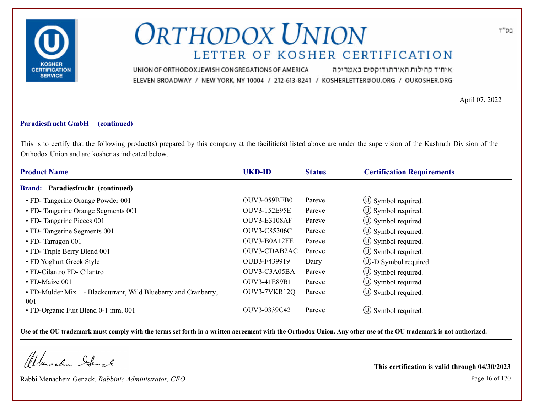

איחוד קהילות האורתודוקסים באמריקה UNION OF ORTHODOX JEWISH CONGREGATIONS OF AMERICA ELEVEN BROADWAY / NEW YORK, NY 10004 / 212-613-8241 / KOSHERLETTER@OU.ORG / OUKOSHER.ORG

April 07, 2022

#### **Paradiesfrucht GmbH (continued)**

This is to certify that the following product(s) prepared by this company at the facilitie(s) listed above are under the supervision of the Kashruth Division of the Orthodox Union and are kosher as indicated below.

| <b>Product Name</b>                                             | <b>UKD-ID</b>       | <b>Status</b> | <b>Certification Requirements</b> |
|-----------------------------------------------------------------|---------------------|---------------|-----------------------------------|
| Brand: Paradiesfrucht (continued)                               |                     |               |                                   |
| • FD- Tangerine Orange Powder 001                               | <b>OUV3-059BEB0</b> | Pareve        | $\circled{1}$ Symbol required.    |
| • FD- Tangerine Orange Segments 001                             | OUV3-152E95E        | Pareve        | $\circ$ Symbol required.          |
| • FD- Tangerine Pieces 001                                      | <b>OUV3-E3108AF</b> | Pareve        | $\circ$ Symbol required.          |
| • FD- Tangerine Segments 001                                    | OUV3-C85306C        | Pareve        | $\circled{0}$ Symbol required.    |
| • FD- Tarragon 001                                              | OUV3-B0A12FE        | Pareve        | $\circ$ Symbol required.          |
| • FD- Triple Berry Blend 001                                    | OUV3-CDAB2AC        | Pareve        | $\circled{0}$ Symbol required.    |
| • FD Yoghurt Greek Style                                        | OUD3-F439919        | Dairy         | $\cup$ -D Symbol required.        |
| • FD-Cilantro FD- Cilantro                                      | OUV3-C3A05BA        | Pareve        | $\circ$ Symbol required.          |
| • FD-Maize 001                                                  | OUV3-41E89B1        | Pareve        | $\circ$ Symbol required.          |
| • FD-Mulder Mix 1 - Blackcurrant, Wild Blueberry and Cranberry, | OUV3-7VKR12Q        | Pareve        | $\circ$ Symbol required.          |
| 001                                                             |                     |               |                                   |
| • FD-Organic Fuit Blend 0-1 mm, 001                             | OUV3-0339C42        | Pareve        | $\circ$ Symbol required.          |

**Use of the OU trademark must comply with the terms set forth in a written agreement with the Orthodox Union. Any other use of the OU trademark is not authorized.**

Werachen Stack

Rabbi Menachem Genack, *Rabbinic Administrator, CEO* Page 16 of 170

**This certification is valid through 04/30/2023**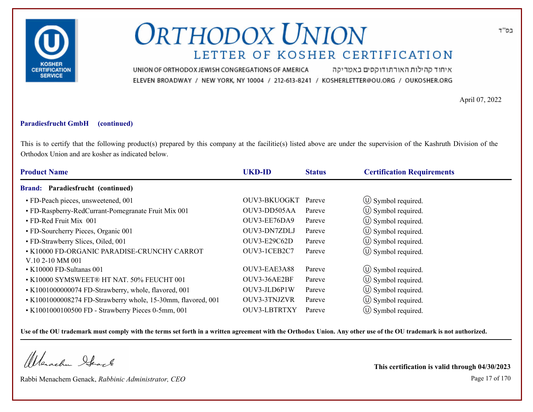

איחוד קהילות האורתודוקסים באמריקה UNION OF ORTHODOX JEWISH CONGREGATIONS OF AMERICA ELEVEN BROADWAY / NEW YORK, NY 10004 / 212-613-8241 / KOSHERLETTER@OU.ORG / OUKOSHER.ORG

April 07, 2022

### **Paradiesfrucht GmbH (continued)**

This is to certify that the following product(s) prepared by this company at the facilitie(s) listed above are under the supervision of the Kashruth Division of the Orthodox Union and are kosher as indicated below.

| <b>Product Name</b>                                             | <b>UKD-ID</b>       | <b>Status</b> | <b>Certification Requirements</b> |
|-----------------------------------------------------------------|---------------------|---------------|-----------------------------------|
| <b>Brand: Paradiesfrucht (continued)</b>                        |                     |               |                                   |
| • FD-Peach pieces, unsweetened, 001                             | OUV3-BKUOGKT        | Pareve        | $\circ$ Symbol required.          |
| • FD-Raspberry-RedCurrant-Pomegranate Fruit Mix 001             | OUV3-DD505AA        | Pareve        | $\circled{1}$ Symbol required.    |
| • FD-Red Fruit Mix 001                                          | OUV3-EE76DA9        | Pareve        | $\circled{1}$ Symbol required.    |
| • FD-Sourcherry Pieces, Organic 001                             | OUV3-DN7ZDLJ        | Pareve        | $\circled{0}$ Symbol required.    |
| • FD-Strawberry Slices, Oiled, 001                              | OUV3-E29C62D        | Pareve        | $\circ$ Symbol required.          |
| • K10000 FD-ORGANIC PARADISE-CRUNCHY CARROT<br>V.10 2-10 MM 001 | OUV3-1CEB2C7        | Pareve        | $\circled{1}$ Symbol required.    |
| • K10000 FD-Sultanas 001                                        | OUV3-EAE3A88        | Pareve        | $\circled{1}$ Symbol required.    |
| • K10000 SYMSWEET® HT NAT. 50% FEUCHT 001                       | OUV3-36AE2BF        | Pareve        | $\circ$ Symbol required.          |
| • K1001000000074 FD-Strawberry, whole, flavored, 001            | OUV3-JLD6P1W        | Pareve        | $\circ$ Symbol required.          |
| • K1001000008274 FD-Strawberry whole, 15-30mm, flavored, 001    | OUV3-3TNJZVR        | Pareve        | $\circ$ Symbol required.          |
| • K1001000100500 FD - Strawberry Pieces 0-5mm, 001              | <b>OUV3-LBTRTXY</b> | Pareve        | $\circ$ Symbol required.          |

**Use of the OU trademark must comply with the terms set forth in a written agreement with the Orthodox Union. Any other use of the OU trademark is not authorized.**

Werachen Stack

Rabbi Menachem Genack, *Rabbinic Administrator, CEO* Page 17 of 170

**This certification is valid through 04/30/2023**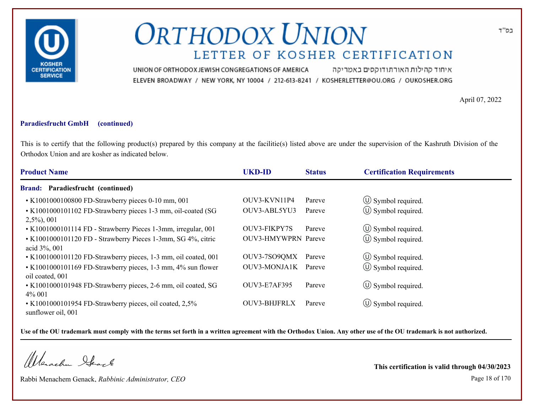

איחוד קהילות האורתודוקסים באמריקה UNION OF ORTHODOX JEWISH CONGREGATIONS OF AMERICA ELEVEN BROADWAY / NEW YORK, NY 10004 / 212-613-8241 / KOSHERLETTER@OU.ORG / OUKOSHER.ORG

April 07, 2022

#### **Paradiesfrucht GmbH (continued)**

This is to certify that the following product(s) prepared by this company at the facilitie(s) listed above are under the supervision of the Kashruth Division of the Orthodox Union and are kosher as indicated below.

| <b>Product Name</b>                                                             | <b>UKD-ID</b>              | <b>Status</b> | <b>Certification Requirements</b> |
|---------------------------------------------------------------------------------|----------------------------|---------------|-----------------------------------|
| <b>Brand: Paradiesfrucht (continued)</b>                                        |                            |               |                                   |
| • K1001000100800 FD-Strawberry pieces 0-10 mm, 001                              | OUV3-KVN11P4               | Pareve        | $\circled{1}$ Symbol required.    |
| • K1001000101102 FD-Strawberry pieces 1-3 mm, oil-coated (SG<br>$2,5\%, 001$    | OUV3-ABL5YU3               | Pareve        | $(\cup)$ Symbol required.         |
| • K1001000101114 FD - Strawberry Pieces 1-3mm, irregular, 001                   | OUV3-FIKPY7S               | Pareve        | $\circled{1}$ Symbol required.    |
| • K1001000101120 FD - Strawberry Pieces 1-3mm, SG 4%, citric<br>acid 3%, 001    | <b>OUV3-HMYWPRN Pareve</b> |               | $\circ$ Symbol required.          |
| • K1001000101120 FD-Strawberry pieces, 1-3 mm, oil coated, 001                  | OUV3-7SO9QMX               | Pareve        | $\circ$ Symbol required.          |
| • K1001000101169 FD-Strawberry pieces, 1-3 mm, 4% sun flower<br>oil coated, 001 | <b>OUV3-MONJA1K</b>        | Pareve        | $(\cup)$ Symbol required.         |
| • K1001000101948 FD-Strawberry pieces, 2-6 mm, oil coated, SG<br>4% 001         | <b>OUV3-E7AF395</b>        | Pareve        | $\circ$ Symbol required.          |
| • K1001000101954 FD-Strawberry pieces, oil coated, 2,5%<br>sunflower oil, 001   | <b>OUV3-BHJFRLX</b>        | Pareve        | $\circ$ Symbol required.          |

**Use of the OU trademark must comply with the terms set forth in a written agreement with the Orthodox Union. Any other use of the OU trademark is not authorized.**

Werachen Ifearle

Rabbi Menachem Genack, *Rabbinic Administrator, CEO* Page 18 of 170

**This certification is valid through 04/30/2023**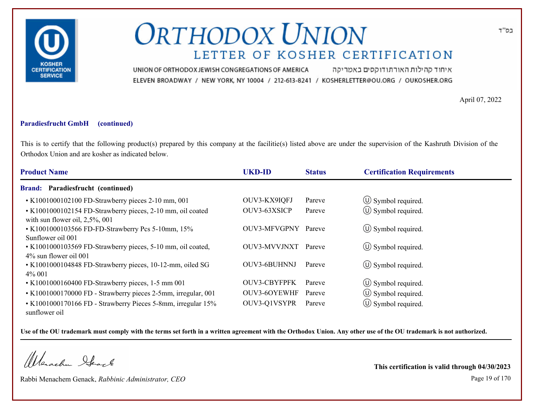

איחוד קהילות האורתודוקסים באמריקה UNION OF ORTHODOX JEWISH CONGREGATIONS OF AMERICA ELEVEN BROADWAY / NEW YORK, NY 10004 / 212-613-8241 / KOSHERLETTER@OU.ORG / OUKOSHER.ORG

April 07, 2022

#### **Paradiesfrucht GmbH (continued)**

This is to certify that the following product(s) prepared by this company at the facilitie(s) listed above are under the supervision of the Kashruth Division of the Orthodox Union and are kosher as indicated below.

| <b>Product Name</b>                                                                              | <b>UKD-ID</b>       | <b>Status</b> | <b>Certification Requirements</b> |  |
|--------------------------------------------------------------------------------------------------|---------------------|---------------|-----------------------------------|--|
| <b>Brand: Paradiesfrucht (continued)</b>                                                         |                     |               |                                   |  |
| • K1001000102100 FD-Strawberry pieces 2-10 mm, 001                                               | OUV3-KX9IQFJ        | Pareve        | $\circ$ Symbol required.          |  |
| • K1001000102154 FD-Strawberry pieces, 2-10 mm, oil coated<br>with sun flower oil, $2,5\%$ , 001 | OUV3-63XSICP        | Pareve        | $\circ$ Symbol required.          |  |
| • K1001000103566 FD-FD-Strawberry Pcs 5-10mm, 15%<br>Sunflower oil 001                           | OUV3-MFVGPNY Pareve |               | $\circ$ Symbol required.          |  |
| • K1001000103569 FD-Strawberry pieces, 5-10 mm, oil coated,<br>$4\%$ sun flower oil 001          | OUV3-MVVJNXT        | Pareve        | $(U)$ Symbol required.            |  |
| • K1001000104848 FD-Strawberry pieces, 10-12-mm, oiled SG<br>$4\%$ 001                           | OUV3-6BUHNNJ        | Pareve        | $\circ$ Symbol required.          |  |
| • K1001000160400 FD-Strawberry pieces, 1-5 mm 001                                                | <b>OUV3-CBYFPFK</b> | Pareve        | $\circled{1}$ Symbol required.    |  |
| • K1001000170000 FD - Strawberry pieces 2-5mm, irregular, 001                                    | OUV3-6OYEWHF        | Pareve        | $\circ$ Symbol required.          |  |
| • K1001000170166 FD - Strawberry Pieces 5-8mm, irregular 15%<br>sunflower oil                    | OUV3-Q1VSYPR        | Pareve        | $\circled{0}$ Symbol required.    |  |

**Use of the OU trademark must comply with the terms set forth in a written agreement with the Orthodox Union. Any other use of the OU trademark is not authorized.**

Werachen Ifearle

Rabbi Menachem Genack, *Rabbinic Administrator, CEO* Page 19 of 170

**This certification is valid through 04/30/2023**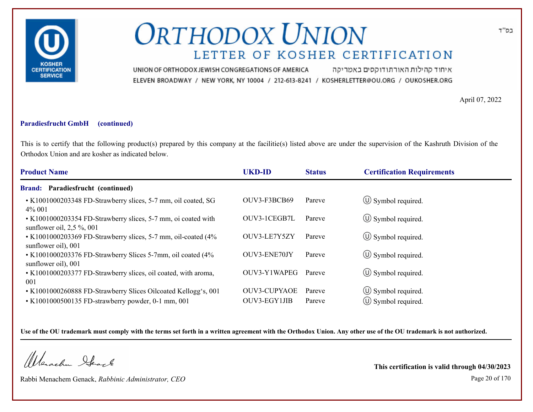

איחוד קהילות האורתודוקסים באמריקה UNION OF ORTHODOX JEWISH CONGREGATIONS OF AMERICA ELEVEN BROADWAY / NEW YORK, NY 10004 / 212-613-8241 / KOSHERLETTER@OU.ORG / OUKOSHER.ORG

April 07, 2022

#### **Paradiesfrucht GmbH (continued)**

This is to certify that the following product(s) prepared by this company at the facilitie(s) listed above are under the supervision of the Kashruth Division of the Orthodox Union and are kosher as indicated below.

| <b>Product Name</b>                                                                           | <b>UKD-ID</b>       | <b>Status</b> | <b>Certification Requirements</b> |
|-----------------------------------------------------------------------------------------------|---------------------|---------------|-----------------------------------|
| <b>Brand: Paradiesfrucht (continued)</b>                                                      |                     |               |                                   |
| • K1001000203348 FD-Strawberry slices, 5-7 mm, oil coated, SG<br>4\% 001                      | OUV3-F3BCB69        | Pareve        | $\circ$ Symbol required.          |
| • K1001000203354 FD-Strawberry slices, 5-7 mm, oi coated with<br>sunflower oil, $2,5\%$ , 001 | OUV3-1CEGB7L        | Pareve        | $\circled{1}$ Symbol required.    |
| • K1001000203369 FD-Strawberry slices, 5-7 mm, oil-coated (4%<br>sunflower oil), 001          | OUV3-LE7Y5ZY        | Pareve        | $\circ$ Symbol required.          |
| • K1001000203376 FD-Strawberry Slices 5-7mm, oil coated (4%<br>sunflower oil), 001            | OUV3-ENE70JY        | Pareve        | $\circ$ Symbol required.          |
| • K1001000203377 FD-Strawberry slices, oil coated, with aroma,<br>001                         | OUV3-Y1WAPEG        | Pareve        | $\circ$ Symbol required.          |
| • K1001000260888 FD-Strawberry Slices Oilcoated Kellogg's, 001                                | <b>OUV3-CUPYAOE</b> | Pareve        | $\circled{1}$ Symbol required.    |
| $\cdot$ K1001000500135 FD-strawberry powder, 0-1 mm, 001                                      | OUV3-EGY1JIB        | Pareve        | $\circ$ Symbol required.          |

**Use of the OU trademark must comply with the terms set forth in a written agreement with the Orthodox Union. Any other use of the OU trademark is not authorized.**

Werachen Stack

Rabbi Menachem Genack, *Rabbinic Administrator, CEO* Page 20 of 170

**This certification is valid through 04/30/2023**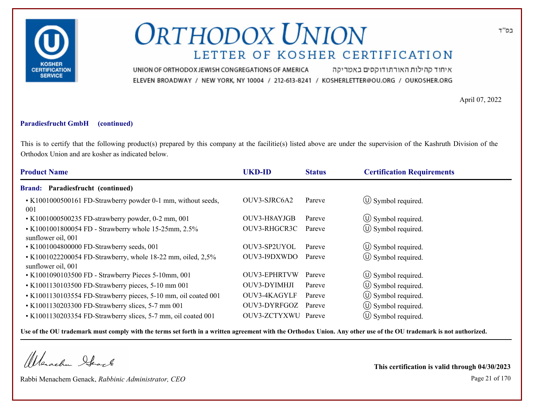

איחוד קהילות האורתודוקסים באמריקה UNION OF ORTHODOX JEWISH CONGREGATIONS OF AMERICA ELEVEN BROADWAY / NEW YORK, NY 10004 / 212-613-8241 / KOSHERLETTER@OU.ORG / OUKOSHER.ORG

April 07, 2022

#### **Paradiesfrucht GmbH (continued)**

This is to certify that the following product(s) prepared by this company at the facilitie(s) listed above are under the supervision of the Kashruth Division of the Orthodox Union and are kosher as indicated below.

| <b>Product Name</b>                                                               | <b>UKD-ID</b>       | <b>Status</b> | <b>Certification Requirements</b> |
|-----------------------------------------------------------------------------------|---------------------|---------------|-----------------------------------|
| <b>Brand: Paradiesfrucht (continued)</b>                                          |                     |               |                                   |
| • K1001000500161 FD-Strawberry powder 0-1 mm, without seeds,<br>001               | OUV3-SJRC6A2        | Pareve        | $\circ$ Symbol required.          |
| • K1001000500235 FD-strawberry powder, 0-2 mm, 001                                | OUV3-H8AYJGB        | Pareve        | $\circled{1}$ Symbol required.    |
| • K1001001800054 FD - Strawberry whole 15-25mm, 2.5%<br>sunflower oil, 001        | OUV3-RHGCR3C        | Pareve        | (U) Symbol required.              |
| • K1001004800000 FD-Strawberry seeds, 001                                         | OUV3-SP2UYOL        | Pareve        | $\circ$ Symbol required.          |
| • K1001022200054 FD-Strawberry, whole 18-22 mm, oiled, 2,5%<br>sunflower oil, 001 | OUV3-19DXWDO        | Pareve        | $\circ$ Symbol required.          |
| • K1001090103500 FD - Strawberry Pieces 5-10mm, 001                               | <b>OUV3-EPHRTVW</b> | Pareve        | $\circ$ Symbol required.          |
| • K1001130103500 FD-Strawberry pieces, 5-10 mm 001                                | OUV3-DYIMHJI        | Pareve        | $\circ$ Symbol required.          |
| • K1001130103554 FD-Strawberry pieces, 5-10 mm, oil coated 001                    | OUV3-4KAGYLF        | Pareve        | $\circled{1}$ Symbol required.    |
| • K1001130203300 FD-Strawberry slices, 5-7 mm 001                                 | OUV3-DYRFGOZ        | Pareve        | $\circled{1}$ Symbol required.    |
| • K1001130203354 FD-Strawberry slices, 5-7 mm, oil coated 001                     | OUV3-ZCTYXWU        | Pareve        | $(U)$ Symbol required.            |
|                                                                                   |                     |               |                                   |

**Use of the OU trademark must comply with the terms set forth in a written agreement with the Orthodox Union. Any other use of the OU trademark is not authorized.**

Werachen Stack

Rabbi Menachem Genack, *Rabbinic Administrator, CEO* Page 21 of 170

**This certification is valid through 04/30/2023**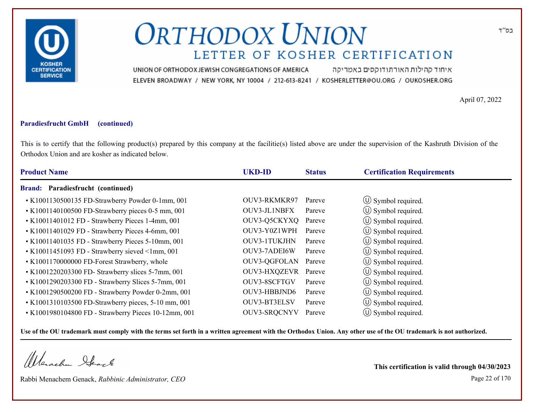

איחוד קהילות האורתודוקסים באמריקה UNION OF ORTHODOX JEWISH CONGREGATIONS OF AMERICA ELEVEN BROADWAY / NEW YORK, NY 10004 / 212-613-8241 / KOSHERLETTER@OU.ORG / OUKOSHER.ORG

April 07, 2022

### **Paradiesfrucht GmbH (continued)**

This is to certify that the following product(s) prepared by this company at the facilitie(s) listed above are under the supervision of the Kashruth Division of the Orthodox Union and are kosher as indicated below.

| <b>Product Name</b>                                   | <b>UKD-ID</b>       | <b>Status</b> | <b>Certification Requirements</b> |  |
|-------------------------------------------------------|---------------------|---------------|-----------------------------------|--|
| Brand: Paradiesfrucht (continued)                     |                     |               |                                   |  |
| • K1001130500135 FD-Strawberry Powder 0-1mm, 001      | OUV3-RKMKR97        | Pareve        | $\circ$ Symbol required.          |  |
| • K1001140100500 FD-Strawberry pieces 0-5 mm, 001     | OUV3-JL1NBFX        | Pareve        | $\circ$ Symbol required.          |  |
| • K10011401012 FD - Strawberry Pieces 1-4mm, 001      | OUV3-Q5CKYXQ        | Pareve        | $\circled{1}$ Symbol required.    |  |
| • K10011401029 FD - Strawberry Pieces 4-6mm, 001      | OUV3-Y0Z1WPH        | Pareve        | $\circ$ Symbol required.          |  |
| • K10011401035 FD - Strawberry Pieces 5-10mm, 001     | OUV3-1TUKJHN        | Pareve        | $\circ$ Symbol required.          |  |
| $\cdot$ K10011451093 FD - Strawberry sieved <1mm, 001 | OUV3-7ADEI6W        | Pareve        | $\circ$ Symbol required.          |  |
| • K1001170000000 FD-Forest Strawberry, whole          | <b>OUV3-QGFOLAN</b> | Pareve        | $\circ$ Symbol required.          |  |
| • K1001220203300 FD- Strawberry slices 5-7mm, 001     | <b>OUV3-HXQZEVR</b> | Pareve        | (U) Symbol required.              |  |
| • K1001290203300 FD - Strawberry Slices 5-7mm, 001    | OUV3-8SCFTGV        | Pareve        | $\circ$ Symbol required.          |  |
| • K1001290500200 FD - Strawberry Powder 0-2mm, 001    | OUV3-HBBJND6        | Pareve        | $\circ$ Symbol required.          |  |
| • K1001310103500 FD-Strawberry pieces, 5-10 mm, 001   | OUV3-BT3ELSV        | Pareve        | $\circ$ Symbol required.          |  |
| • K1001980104800 FD - Strawberry Pieces 10-12mm, 001  | <b>OUV3-SRQCNYV</b> | Pareve        | $\circ$ Symbol required.          |  |

**Use of the OU trademark must comply with the terms set forth in a written agreement with the Orthodox Union. Any other use of the OU trademark is not authorized.**

Werschn Stack

Rabbi Menachem Genack, *Rabbinic Administrator, CEO* Page 22 of 170

**This certification is valid through 04/30/2023**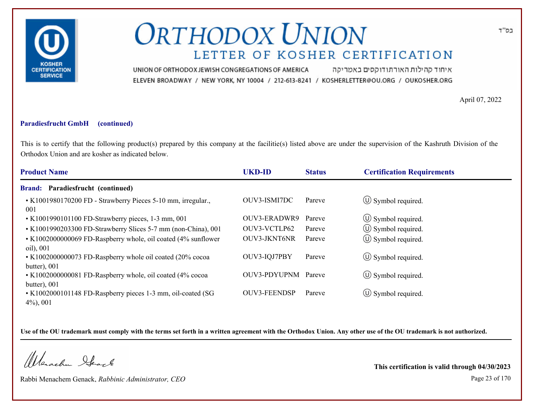

איחוד קהילות האורתודוקסים באמריקה UNION OF ORTHODOX JEWISH CONGREGATIONS OF AMERICA ELEVEN BROADWAY / NEW YORK, NY 10004 / 212-613-8241 / KOSHERLETTER@OU.ORG / OUKOSHER.ORG

April 07, 2022

#### **Paradiesfrucht GmbH (continued)**

This is to certify that the following product(s) prepared by this company at the facilitie(s) listed above are under the supervision of the Kashruth Division of the Orthodox Union and are kosher as indicated below.

| <b>Product Name</b>                                                         | <b>UKD-ID</b>       | <b>Status</b> | <b>Certification Requirements</b> |
|-----------------------------------------------------------------------------|---------------------|---------------|-----------------------------------|
| <b>Brand: Paradiesfrucht (continued)</b>                                    |                     |               |                                   |
| • K1001980170200 FD - Strawberry Pieces 5-10 mm, irregular.,<br>001         | OUV3-ISMI7DC        | Pareve        | $\circ$ Symbol required.          |
| • K1001990101100 FD-Strawberry pieces, 1-3 mm, 001                          | OUV3-ERADWR9        | Pareve        | $\circled{1}$ Symbol required.    |
| • K1001990203300 FD-Strawberry Slices 5-7 mm (non-China), 001               | OUV3-VCTLP62        | Pareve        | $\circ$ Symbol required.          |
| • K1002000000069 FD-Raspberry whole, oil coated (4% sunflower<br>oil), 001  | OUV3-JKNT6NR        | Pareve        | $\circled{1}$ Symbol required.    |
| • K1002000000073 FD-Raspberry whole oil coated (20% cocoa<br>butter), $001$ | OUV3-IQJ7PBY        | Pareve        | $\circ$ Symbol required.          |
| • K1002000000081 FD-Raspberry whole, oil coated (4% cocoa<br>butter), $001$ | OUV3-PDYUPNM Pareve |               | $\circ$ Symbol required.          |
| • K1002000101148 FD-Raspberry pieces 1-3 mm, oil-coated (SG<br>$4\%, 001$   | <b>OUV3-FEENDSP</b> | Pareve        | $\circ$ Symbol required.          |

**Use of the OU trademark must comply with the terms set forth in a written agreement with the Orthodox Union. Any other use of the OU trademark is not authorized.**

Werschn Heark

Rabbi Menachem Genack, *Rabbinic Administrator, CEO* Page 23 of 170

**This certification is valid through 04/30/2023**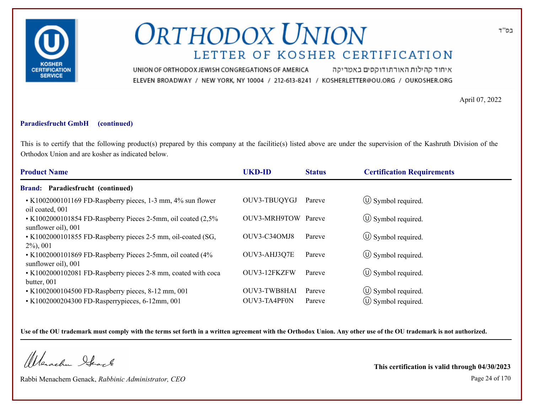

איחוד קהילות האורתודוקסים באמריקה UNION OF ORTHODOX JEWISH CONGREGATIONS OF AMERICA ELEVEN BROADWAY / NEW YORK, NY 10004 / 212-613-8241 / KOSHERLETTER@OU.ORG / OUKOSHER.ORG

April 07, 2022

### **Paradiesfrucht GmbH (continued)**

This is to certify that the following product(s) prepared by this company at the facilitie(s) listed above are under the supervision of the Kashruth Division of the Orthodox Union and are kosher as indicated below.

| <b>Product Name</b>                                                                  | <b>UKD-ID</b>       | <b>Status</b> | <b>Certification Requirements</b> |
|--------------------------------------------------------------------------------------|---------------------|---------------|-----------------------------------|
| <b>Brand: Paradiesfrucht (continued)</b>                                             |                     |               |                                   |
| • K1002000101169 FD-Raspberry pieces, 1-3 mm, 4% sun flower<br>oil coated, 001       | OUV3-TBUQYGJ        | Pareve        | $\circ$ Symbol required.          |
| • K1002000101854 FD-Raspberry Pieces 2-5mm, oil coated (2,5%)<br>sunflower oil), 001 | OUV3-MRH9TOW Pareve |               | $\circ$ Symbol required.          |
| • K1002000101855 FD-Raspberry pieces 2-5 mm, oil-coated (SG,<br>$2\%, 001$           | OUV3-C34OMJ8        | Pareve        | $\circ$ Symbol required.          |
| • K1002000101869 FD-Raspberry Pieces 2-5mm, oil coated (4%<br>sunflower oil), 001    | OUV3-AHJ3Q7E        | Pareve        | $\circ$ Symbol required.          |
| • K1002000102081 FD-Raspberry pieces 2-8 mm, coated with coca<br>butter, 001         | OUV3-12FKZFW        | Pareve        | $\circ$ Symbol required.          |
| • K1002000104500 FD-Raspberry pieces, 8-12 mm, 001                                   | OUV3-TWB8HAI        | Pareve        | $\circ$ Symbol required.          |
| • K1002000204300 FD-Rasperrypieces, 6-12mm, 001                                      | OUV3-TA4PF0N        | Pareve        | $\circ$ Symbol required.          |

**Use of the OU trademark must comply with the terms set forth in a written agreement with the Orthodox Union. Any other use of the OU trademark is not authorized.**

Werschn Stack

Rabbi Menachem Genack, *Rabbinic Administrator, CEO* Page 24 of 170

**This certification is valid through 04/30/2023**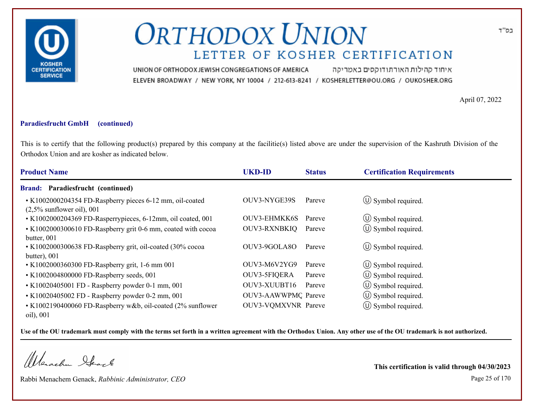

איחוד קהילות האורתודוקסים באמריקה UNION OF ORTHODOX JEWISH CONGREGATIONS OF AMERICA ELEVEN BROADWAY / NEW YORK, NY 10004 / 212-613-8241 / KOSHERLETTER@OU.ORG / OUKOSHER.ORG

April 07, 2022

#### **Paradiesfrucht GmbH (continued)**

This is to certify that the following product(s) prepared by this company at the facilitie(s) listed above are under the supervision of the Kashruth Division of the Orthodox Union and are kosher as indicated below.

| <b>Product Name</b>                                                                      | <b>UKD-ID</b>       | <b>Status</b> | <b>Certification Requirements</b> |
|------------------------------------------------------------------------------------------|---------------------|---------------|-----------------------------------|
| <b>Brand: Paradiesfrucht (continued)</b>                                                 |                     |               |                                   |
| • K1002000204354 FD-Raspberry pieces 6-12 mm, oil-coated<br>$(2,5\%$ sunflower oil), 001 | OUV3-NYGE39S        | Pareve        | $\circled{1}$ Symbol required.    |
| • K1002000204369 FD-Rasperrypieces, 6-12mm, oil coated, 001                              | OUV3-EHMKK6S        | Pareve        | $\circ$ Symbol required.          |
| • K1002000300610 FD-Raspberry grit 0-6 mm, coated with cocoa<br>butter, 001              | <b>OUV3-RXNBKIQ</b> | Pareve        | $\circ$ Symbol required.          |
| • K1002000300638 FD-Raspberry grit, oil-coated (30% cocoa<br>butter), $001$              | OUV3-9GOLA80        | Pareve        | $\left(\bigcup$ Symbol required.  |
| • K1002000360300 FD-Raspberry grit, 1-6 mm 001                                           | OUV3-M6V2YG9        | Pareve        | $\circ$ Symbol required.          |
| • K1002004800000 FD-Raspberry seeds, 001                                                 | OUV3-5FIQERA        | Pareve        | $\circ$ Symbol required.          |
| • K10020405001 FD - Raspberry powder 0-1 mm, 001                                         | OUV3-XUUBT16        | Pareve        | $\circ$ Symbol required.          |
| • K10020405002 FD - Raspberry powder 0-2 mm, 001                                         | OUV3-AAWWPMQ Pareve |               | $\circ$ Symbol required.          |
| • K1002190400060 FD-Raspberry w&b, oil-coated (2% sunflower<br>oil), 001                 | OUV3-VQMXVNR Pareve |               | $\circ$ Symbol required.          |

**Use of the OU trademark must comply with the terms set forth in a written agreement with the Orthodox Union. Any other use of the OU trademark is not authorized.**

Werachen Stack

Rabbi Menachem Genack, *Rabbinic Administrator, CEO* Page 25 of 170

**This certification is valid through 04/30/2023**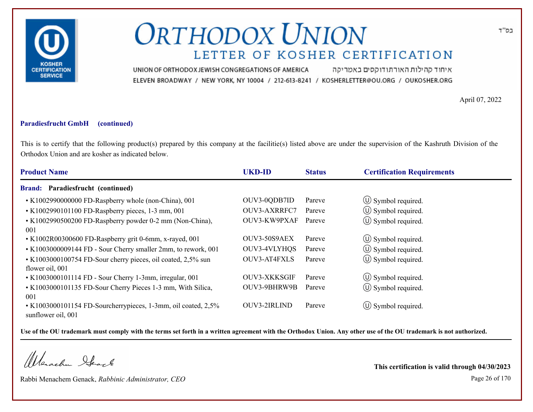

איחוד קהילות האורתודוקסים באמריקה UNION OF ORTHODOX JEWISH CONGREGATIONS OF AMERICA ELEVEN BROADWAY / NEW YORK, NY 10004 / 212-613-8241 / KOSHERLETTER@OU.ORG / OUKOSHER.ORG

April 07, 2022

### **Paradiesfrucht GmbH (continued)**

This is to certify that the following product(s) prepared by this company at the facilitie(s) listed above are under the supervision of the Kashruth Division of the Orthodox Union and are kosher as indicated below.

| <b>Product Name</b>                                                                 | <b>UKD-ID</b> | <b>Status</b> | <b>Certification Requirements</b> |
|-------------------------------------------------------------------------------------|---------------|---------------|-----------------------------------|
| <b>Brand: Paradiesfrucht (continued)</b>                                            |               |               |                                   |
| • K1002990000000 FD-Raspberry whole (non-China), 001                                | OUV3-0QDB7ID  | Pareve        | $\circled{0}$ Symbol required.    |
| • K1002990101100 FD-Raspberry pieces, 1-3 mm, 001                                   | OUV3-AXRRFC7  | Pareve        | $\circ$ Symbol required.          |
| • K1002990500200 FD-Raspberry powder 0-2 mm (Non-China),<br>001                     | OUV3-KW9PXAF  | Pareve        | $\circ$ Symbol required.          |
| • K1002R00300600 FD-Raspberry grit 0-6mm, x-rayed, 001                              | OUV3-50S9AEX  | Pareve        | $\circled{1}$ Symbol required.    |
| • K1003000009144 FD - Sour Cherry smaller 2mm, to rework, 001                       | OUV3-4VLYHQS  | Pareve        | (U) Symbol required.              |
| • K1003000100754 FD-Sour cherry pieces, oil coated, 2,5% sun<br>flower oil, 001     | OUV3-AT4FXLS  | Pareve        | $\circled{0}$ Symbol required.    |
| • K1003000101114 FD - Sour Cherry 1-3mm, irregular, 001                             | OUV3-XKKSGIF  | Pareve        | $\circled{1}$ Symbol required.    |
| • K1003000101135 FD-Sour Cherry Pieces 1-3 mm, With Silica,<br>001                  | OUV3-9BHRW9B  | Pareve        | (U) Symbol required.              |
| • K1003000101154 FD-Sourcherrypieces, 1-3mm, oil coated, 2,5%<br>sunflower oil, 001 | OUV3-2IRLIND  | Pareve        | $\circ$ Symbol required.          |

**Use of the OU trademark must comply with the terms set forth in a written agreement with the Orthodox Union. Any other use of the OU trademark is not authorized.**

Werachen Stack

Rabbi Menachem Genack, *Rabbinic Administrator, CEO* Page 26 of 170

**This certification is valid through 04/30/2023**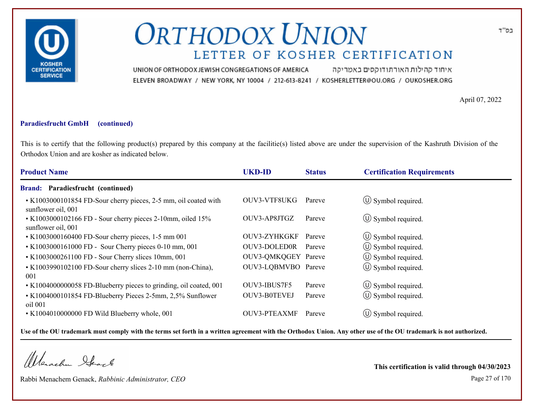

איחוד קהילות האורתודוקסים באמריקה UNION OF ORTHODOX JEWISH CONGREGATIONS OF AMERICA ELEVEN BROADWAY / NEW YORK, NY 10004 / 212-613-8241 / KOSHERLETTER@OU.ORG / OUKOSHER.ORG

April 07, 2022

### **Paradiesfrucht GmbH (continued)**

This is to certify that the following product(s) prepared by this company at the facilitie(s) listed above are under the supervision of the Kashruth Division of the Orthodox Union and are kosher as indicated below.

| <b>Product Name</b>                                                                   | <b>UKD-ID</b>       | <b>Status</b> | <b>Certification Requirements</b> |
|---------------------------------------------------------------------------------------|---------------------|---------------|-----------------------------------|
| <b>Brand: Paradiesfrucht (continued)</b>                                              |                     |               |                                   |
| • K1003000101854 FD-Sour cherry pieces, 2-5 mm, oil coated with<br>sunflower oil, 001 | OUV3-VTF8UKG        | Pareve        | $\circ$ Symbol required.          |
| • K1003000102166 FD - Sour cherry pieces 2-10mm, oiled 15%<br>sunflower oil, 001      | OUV3-AP8JTGZ        | Pareve        | $\circ$ Symbol required.          |
| • K1003000160400 FD-Sour cherry pieces, 1-5 mm 001                                    | OUV3-ZYHKGKF        | Pareve        | $\circ$ Symbol required.          |
| • K1003000161000 FD - Sour Cherry pieces 0-10 mm, 001                                 | OUV3-DOLED0R        | Pareve        | (U) Symbol required.              |
| • K1003000261100 FD - Sour Cherry slices 10mm, 001                                    | OUV3-QMKQGEY Pareve |               | $\circ$ Symbol required.          |
| • K1003990102100 FD-Sour cherry slices 2-10 mm (non-China),<br>001                    | OUV3-LQBMVBO Pareve |               | $\circled{1}$ Symbol required.    |
| • K1004000000058 FD-Blueberry pieces to grinding, oil coated, 001                     | OUV3-IBUS7F5        | Pareve        | $\circled{1}$ Symbol required.    |
| • K1004000101854 FD-Blueberry Pieces 2-5mm, 2,5% Sunflower<br>oil 001                 | <b>OUV3-B0TEVEJ</b> | Pareve        | $\circled{1}$ Symbol required.    |
| • K1004010000000 FD Wild Blueberry whole, 001                                         | <b>OUV3-PTEAXMF</b> | Pareve        | $(U)$ Symbol required.            |

**Use of the OU trademark must comply with the terms set forth in a written agreement with the Orthodox Union. Any other use of the OU trademark is not authorized.**

Werachen Stack

Rabbi Menachem Genack, *Rabbinic Administrator, CEO* Page 27 of 170

**This certification is valid through 04/30/2023**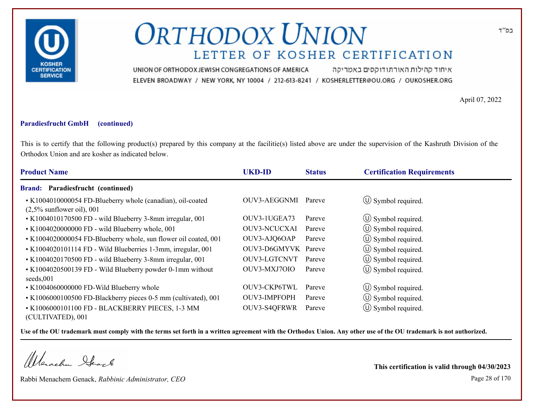

איחוד קהילות האורתודוקסים באמריקה UNION OF ORTHODOX JEWISH CONGREGATIONS OF AMERICA ELEVEN BROADWAY / NEW YORK, NY 10004 / 212-613-8241 / KOSHERLETTER@OU.ORG / OUKOSHER.ORG

April 07, 2022

#### **Paradiesfrucht GmbH (continued)**

This is to certify that the following product(s) prepared by this company at the facilitie(s) listed above are under the supervision of the Kashruth Division of the Orthodox Union and are kosher as indicated below.

| <b>Product Name</b>                                                                        | <b>UKD-ID</b>       | <b>Status</b> | <b>Certification Requirements</b> |
|--------------------------------------------------------------------------------------------|---------------------|---------------|-----------------------------------|
| <b>Brand: Paradiesfrucht (continued)</b>                                                   |                     |               |                                   |
| • K1004010000054 FD-Blueberry whole (canadian), oil-coated<br>$(2,5\%$ sunflower oil), 001 | OUV3-AEGGNMI        | Pareve        | $\circ$ Symbol required.          |
| • K1004010170500 FD - wild Blueberry 3-8mm irregular, 001                                  | OUV3-1UGEA73        | Pareve        | $\circ$ Symbol required.          |
| • K1004020000000 FD - wild Blueberry whole, 001                                            | <b>OUV3-NCUCXAI</b> | Pareve        | $\circ$ Symbol required.          |
| • K1004020000054 FD-Blueberry whole, sun flower oil coated, 001                            | OUV3-AJQ6OAP        | Pareve        | $\circled{1}$ Symbol required.    |
| • K1004020101114 FD - Wild Blueberries 1-3mm, irregular, 001                               | OUV3-D6GMYVK Pareve |               | (U) Symbol required.              |
| • K1004020170500 FD - wild Blueberry 3-8mm irregular, 001                                  | OUV3-LGTCNVT        | Pareve        | $\circled{1}$ Symbol required.    |
| • K1004020500139 FD - Wild Blueberry powder 0-1mm without<br>seeds,001                     | OUV3-MXJ7OIO        | Pareve        | $\circ$ Symbol required.          |
| • K1004060000000 FD-Wild Blueberry whole                                                   | OUV3-CKP6TWL        | Pareve        | $\circled{1}$ Symbol required.    |
| • K1006000100500 FD-Blackberry pieces 0-5 mm (cultivated), 001                             | OUV3-IMPFOPH        | Pareve        | $\left(\bigcup$ Symbol required.  |
| • K1006000101100 FD - BLACKBERRY PIECES, 1-3 MM<br>(CULTIVATED), 001                       | <b>OUV3-S4QFRWR</b> | Pareve        | $\circled{0}$ Symbol required.    |

**Use of the OU trademark must comply with the terms set forth in a written agreement with the Orthodox Union. Any other use of the OU trademark is not authorized.**

Werachen Stack

Rabbi Menachem Genack, *Rabbinic Administrator, CEO* Page 28 of 170

**This certification is valid through 04/30/2023**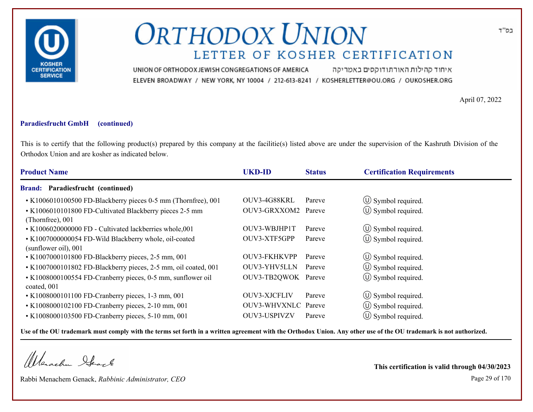

איחוד קהילות האורתודוקסים באמריקה UNION OF ORTHODOX JEWISH CONGREGATIONS OF AMERICA ELEVEN BROADWAY / NEW YORK, NY 10004 / 212-613-8241 / KOSHERLETTER@OU.ORG / OUKOSHER.ORG

April 07, 2022

### **Paradiesfrucht GmbH (continued)**

This is to certify that the following product(s) prepared by this company at the facilitie(s) listed above are under the supervision of the Kashruth Division of the Orthodox Union and are kosher as indicated below.

| <b>Product Name</b>                                                           | <b>UKD-ID</b>       | <b>Status</b> | <b>Certification Requirements</b> |  |
|-------------------------------------------------------------------------------|---------------------|---------------|-----------------------------------|--|
| <b>Brand: Paradiesfrucht (continued)</b>                                      |                     |               |                                   |  |
| • K1006010100500 FD-Blackberry pieces 0-5 mm (Thornfree), 001                 | OUV3-4G88KRL        | Pareve        | $\circled{1}$ Symbol required.    |  |
| • K1006010101800 FD-Cultivated Blackberry pieces 2-5 mm<br>(Thornfree), 001   | OUV3-GRXXOM2 Pareve |               | $\circled{1}$ Symbol required.    |  |
| • K1006020000000 FD - Cultivated lackberries whole,001                        | OUV3-WBJHP1T        | Pareve        | $\circled{1}$ Symbol required.    |  |
| • K1007000000054 FD-Wild Blackberry whole, oil-coated<br>(sunflower oil), 001 | OUV3-XTF5GPP        | Pareve        | $\circled{1}$ Symbol required.    |  |
| • K1007000101800 FD-Blackberry pieces, 2-5 mm, 001                            | <b>OUV3-FKHKVPP</b> | Pareve        | $\circled{1}$ Symbol required.    |  |
| • K1007000101802 FD-Blackberry pieces, 2-5 mm, oil coated, 001                | OUV3-YHV5LLN        | Pareve        | $\circled{1}$ Symbol required.    |  |
| • K1008000100554 FD-Cranberry pieces, 0-5 mm, sunflower oil<br>coated, 001    | OUV3-TB2QWOK Pareve |               | $\circled{0}$ Symbol required.    |  |
| • K1008000101100 FD-Cranberry pieces, 1-3 mm, 001                             | OUV3-XJCFLIV        | Pareve        | $\circled{1}$ Symbol required.    |  |
| • K1008000102100 FD-Cranberry pieces, 2-10 mm, 001                            | OUV3-WHVXNLC Pareve |               | $\circ$ Symbol required.          |  |
| • K1008000103500 FD-Cranberry pieces, 5-10 mm, 001                            | OUV3-USPIVZV        | Pareve        | $(\cup)$ Symbol required.         |  |

**Use of the OU trademark must comply with the terms set forth in a written agreement with the Orthodox Union. Any other use of the OU trademark is not authorized.**

Werschn Stack

Rabbi Menachem Genack, *Rabbinic Administrator, CEO* Page 29 of 170

**This certification is valid through 04/30/2023**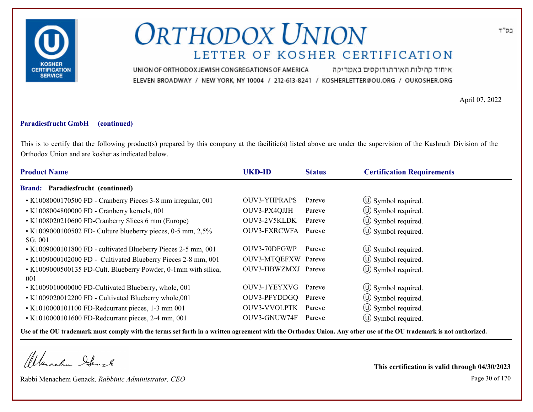

איחוד קהילות האורתודוקסים באמריקה UNION OF ORTHODOX JEWISH CONGREGATIONS OF AMERICA ELEVEN BROADWAY / NEW YORK, NY 10004 / 212-613-8241 / KOSHERLETTER@OU.ORG / OUKOSHER.ORG

April 07, 2022

#### **Paradiesfrucht GmbH (continued)**

This is to certify that the following product(s) prepared by this company at the facilitie(s) listed above are under the supervision of the Kashruth Division of the Orthodox Union and are kosher as indicated below.

| <b>Product Name</b>                                                    | <b>UKD-ID</b>       | <b>Status</b> | <b>Certification Requirements</b> |
|------------------------------------------------------------------------|---------------------|---------------|-----------------------------------|
| <b>Brand: Paradiesfrucht (continued)</b>                               |                     |               |                                   |
| • K1008000170500 FD - Cranberry Pieces 3-8 mm irregular, 001           | OUV3-YHPRAPS        | Pareve        | $\circ$ Symbol required.          |
| • K1008004800000 FD - Cranberry kernels, 001                           | OUV3-PX4QJJH        | Pareve        | $\circled{1}$ Symbol required.    |
| • K1008020210600 FD-Cranberry Slices 6 mm (Europe)                     | OUV3-2V5KLDK        | Pareve        | $\circled{1}$ Symbol required.    |
| • K1009000100502 FD- Culture blueberry pieces, 0-5 mm, 2,5%<br>SG, 001 | OUV3-FXRCWFA        | Pareve        | $\circled{1}$ Symbol required.    |
| • K1009000101800 FD - cultivated Blueberry Pieces 2-5 mm, 001          | OUV3-70DFGWP        | Pareve        | $\circ$ Symbol required.          |
| • K1009000102000 FD - Cultivated Blueberry Pieces 2-8 mm, 001          | OUV3-MTQEFXW Pareve |               | $\circ$ Symbol required.          |
| • K1009000500135 FD-Cult. Blueberry Powder, 0-1mm with silica,<br>001  | OUV3-HBWZMXJ Pareve |               | $\circled{0}$ Symbol required.    |
| • K1009010000000 FD-Cultivated Blueberry, whole, 001                   | OUV3-1YEYXVG        | Pareve        | $\circled{1}$ Symbol required.    |
| • K1009020012200 FD - Cultivated Blueberry whole,001                   | OUV3-PFYDDGQ        | Pareve        | $\circ$ Symbol required.          |
| • K1010000101100 FD-Redcurrant pieces, 1-3 mm 001                      | OUV3-VVOLPTK        | Pareve        | $\circ$ Symbol required.          |
| • K1010000101600 FD-Redcurrant pieces, 2-4 mm, 001                     | OUV3-GNUW74F        | Pareve        | $(U)$ Symbol required.            |

**Use of the OU trademark must comply with the terms set forth in a written agreement with the Orthodox Union. Any other use of the OU trademark is not authorized.**

Werachen Stack

Rabbi Menachem Genack, *Rabbinic Administrator, CEO* Page 30 of 170

**This certification is valid through 04/30/2023**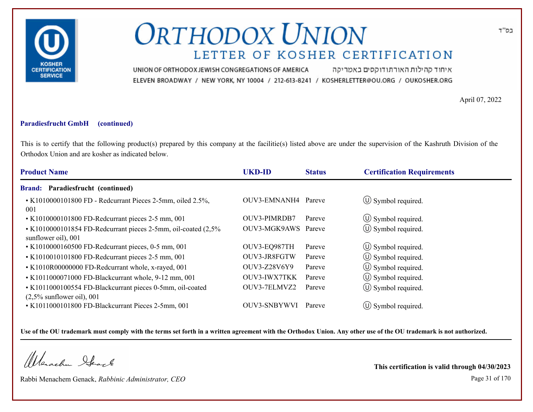

איחוד קהילות האורתודוקסים באמריקה UNION OF ORTHODOX JEWISH CONGREGATIONS OF AMERICA ELEVEN BROADWAY / NEW YORK, NY 10004 / 212-613-8241 / KOSHERLETTER@OU.ORG / OUKOSHER.ORG

April 07, 2022

### **Paradiesfrucht GmbH (continued)**

This is to certify that the following product(s) prepared by this company at the facilitie(s) listed above are under the supervision of the Kashruth Division of the Orthodox Union and are kosher as indicated below.

| <b>Product Name</b>                                                                   | <b>UKD-ID</b>       | <b>Status</b> | <b>Certification Requirements</b> |
|---------------------------------------------------------------------------------------|---------------------|---------------|-----------------------------------|
| <b>Brand: Paradiesfrucht (continued)</b>                                              |                     |               |                                   |
| • K1010000101800 FD - Redcurrant Pieces 2-5mm, oiled 2.5%,<br>001                     | OUV3-EMNANH4 Pareve |               | $\circ$ Symbol required.          |
| • K1010000101800 FD-Redcurrant pieces 2-5 mm, 001                                     | OUV3-PIMRDB7        | Pareve        | $\circled{1}$ Symbol required.    |
| • K1010000101854 FD-Redcurrant pieces 2-5mm, oil-coated (2,5%)<br>sunflower oil), 001 | OUV3-MGK9AWS Pareve |               | $\circled{1}$ Symbol required.    |
| • K1010000160500 FD-Redcurrant pieces, 0-5 mm, 001                                    | OUV3-EQ987TH        | Pareve        | $\circled{0}$ Symbol required.    |
| • K1010010101800 FD-Redcurrant pieces 2-5 mm, 001                                     | OUV3-JR8FGTW        | Pareve        | $\circled{1}$ Symbol required.    |
| • K1010R00000000 FD-Redcurrant whole, x-rayed, 001                                    | OUV3-Z28V6Y9        | Pareve        | $\circled{1}$ Symbol required.    |
| • K1011000071000 FD-Blackcurrant whole, 9-12 mm, 001                                  | OUV3-IWX7TKK        | Pareve        | $\circ$ Symbol required.          |
| • K1011000100554 FD-Blackcurrant pieces 0-5mm, oil-coated                             | OUV3-7ELMVZ2        | Pareve        | $\circled{1}$ Symbol required.    |
| $(2,5\%$ sunflower oil), 001                                                          |                     |               |                                   |
| • K1011000101800 FD-Blackcurrant Pieces 2-5mm, 001                                    | <b>OUV3-SNBYWVI</b> | Pareve        | $(U)$ Symbol required.            |

**Use of the OU trademark must comply with the terms set forth in a written agreement with the Orthodox Union. Any other use of the OU trademark is not authorized.**

Werachen Stack

Rabbi Menachem Genack, *Rabbinic Administrator, CEO* Page 31 of 170

**This certification is valid through 04/30/2023**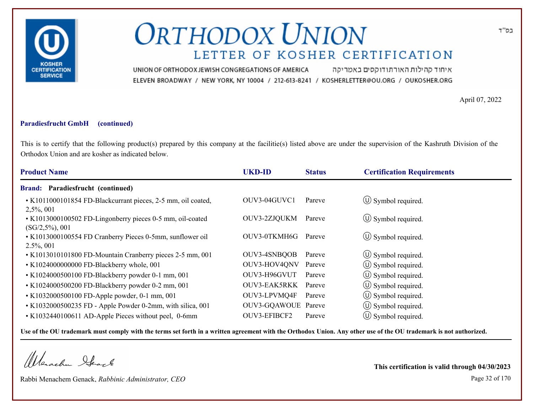

איחוד קהילות האורתודוקסים באמריקה UNION OF ORTHODOX JEWISH CONGREGATIONS OF AMERICA ELEVEN BROADWAY / NEW YORK, NY 10004 / 212-613-8241 / KOSHERLETTER@OU.ORG / OUKOSHER.ORG

April 07, 2022

#### **Paradiesfrucht GmbH (continued)**

This is to certify that the following product(s) prepared by this company at the facilitie(s) listed above are under the supervision of the Kashruth Division of the Orthodox Union and are kosher as indicated below.

| <b>Product Name</b>                                                             | <b>UKD-ID</b>       | <b>Status</b> | <b>Certification Requirements</b> |
|---------------------------------------------------------------------------------|---------------------|---------------|-----------------------------------|
| Brand: Paradiesfrucht (continued)                                               |                     |               |                                   |
| • K1011000101854 FD-Blackcurrant pieces, 2-5 mm, oil coated,<br>$2,5\%, 001$    | OUV3-04GUVC1        | Pareve        | $\circ$ Symbol required.          |
| • K1013000100502 FD-Lingonberry pieces 0-5 mm, oil-coated<br>$(SG/2,5\%)$ , 001 | OUV3-2ZJQUKM        | Pareve        | $\circ$ Symbol required.          |
| • K1013000100554 FD Cranberry Pieces 0-5mm, sunflower oil<br>$2.5\%, 001$       | OUV3-0TKMH6G        | Pareve        | $\circ$ Symbol required.          |
| • K1013010101800 FD-Mountain Cranberry pieces 2-5 mm, 001                       | OUV3-4SNBQOB        | Pareve        | $\circ$ Symbol required.          |
| • K1024000000000 FD-Blackberry whole, 001                                       | OUV3-HOV4QNV        | Pareve        | $\circ$ Symbol required.          |
| • K1024000500100 FD-Blackberry powder 0-1 mm, 001                               | OUV3-H96GVUT        | Pareve        | $\circ$ Symbol required.          |
| • K1024000500200 FD-Blackberry powder 0-2 mm, 001                               | OUV3-EAK5RKK        | Pareve        | $\circ$ Symbol required.          |
| • K1032000500100 FD-Apple powder, 0-1 mm, 001                                   | OUV3-LPVMQ4F        | Pareve        | (U) Symbol required.              |
| • K1032000500235 FD - Apple Powder 0-2mm, with silica, 001                      | OUV3-GQAWOUE Pareve |               | $\circ$ Symbol required.          |
| • K1032440100611 AD-Apple Pieces without peel, 0-6mm                            | OUV3-EFIBCF2        | Pareve        | (U) Symbol required.              |

**Use of the OU trademark must comply with the terms set forth in a written agreement with the Orthodox Union. Any other use of the OU trademark is not authorized.**

Werachen Stack

Rabbi Menachem Genack, *Rabbinic Administrator, CEO* Page 32 of 170

**This certification is valid through 04/30/2023**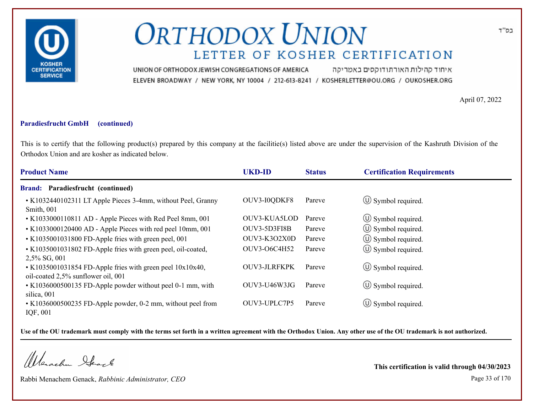

איחוד קהילות האורתודוקסים באמריקה UNION OF ORTHODOX JEWISH CONGREGATIONS OF AMERICA ELEVEN BROADWAY / NEW YORK, NY 10004 / 212-613-8241 / KOSHERLETTER@OU.ORG / OUKOSHER.ORG

April 07, 2022

#### **Paradiesfrucht GmbH (continued)**

This is to certify that the following product(s) prepared by this company at the facilitie(s) listed above are under the supervision of the Kashruth Division of the Orthodox Union and are kosher as indicated below.

| <b>Product Name</b>                                                                             | <b>UKD-ID</b> | <b>Status</b> | <b>Certification Requirements</b> |
|-------------------------------------------------------------------------------------------------|---------------|---------------|-----------------------------------|
| <b>Brand: Paradiesfrucht (continued)</b>                                                        |               |               |                                   |
| • K1032440102311 LT Apple Pieces 3-4mm, without Peel, Granny<br>Smith, 001                      | OUV3-I0QDKF8  | Pareve        | $\circ$ Symbol required.          |
| • K1033000110811 AD - Apple Pieces with Red Peel 8mm, 001                                       | OUV3-KUA5LOD  | Pareve        | $\circled{1}$ Symbol required.    |
| • K1033000120400 AD - Apple Pieces with red peel 10mm, 001                                      | OUV3-5D3FI8B  | Pareve        | $\circled{1}$ Symbol required.    |
| • K1035001031800 FD-Apple fries with green peel, 001                                            | OUV3-K3O2X0D  | Pareve        | $\circ$ Symbol required.          |
| • K1035001031802 FD-Apple fries with green peel, oil-coated,<br>2,5% SG, 001                    | OUV3-O6C4H52  | Pareve        | $\circ$ Symbol required.          |
| • K1035001031854 FD-Apple fries with green peel 10x10x40,<br>oil-coated 2,5% sunflower oil, 001 | OUV3-JLRFKPK  | Pareve        | $\circ$ Symbol required.          |
| • K1036000500135 FD-Apple powder without peel 0-1 mm, with<br>silica, 001                       | OUV3-U46W3JG  | Pareve        | $\circ$ Symbol required.          |
| • K1036000500235 FD-Apple powder, 0-2 mm, without peel from<br>IQF, 001                         | OUV3-UPLC7P5  | Pareve        | $\circ$ Symbol required.          |

**Use of the OU trademark must comply with the terms set forth in a written agreement with the Orthodox Union. Any other use of the OU trademark is not authorized.**

Werschn Heark

Rabbi Menachem Genack, *Rabbinic Administrator, CEO* Page 33 of 170

**This certification is valid through 04/30/2023**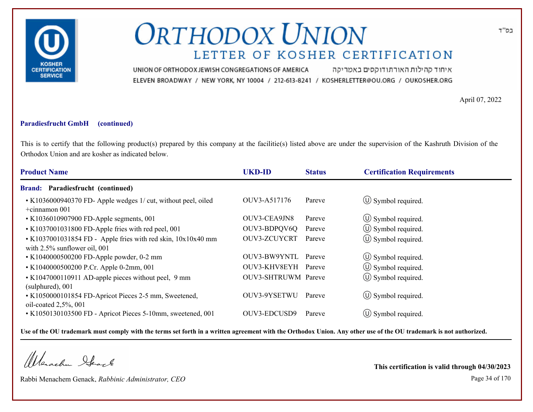

איחוד קהילות האורתודוקסים באמריקה UNION OF ORTHODOX JEWISH CONGREGATIONS OF AMERICA ELEVEN BROADWAY / NEW YORK, NY 10004 / 212-613-8241 / KOSHERLETTER@OU.ORG / OUKOSHER.ORG

April 07, 2022

#### **Paradiesfrucht GmbH (continued)**

This is to certify that the following product(s) prepared by this company at the facilitie(s) listed above are under the supervision of the Kashruth Division of the Orthodox Union and are kosher as indicated below.

| <b>Product Name</b>                                                                                  | <b>UKD-ID</b>       | <b>Status</b> | <b>Certification Requirements</b> |
|------------------------------------------------------------------------------------------------------|---------------------|---------------|-----------------------------------|
| <b>Brand: Paradiesfrucht (continued)</b>                                                             |                     |               |                                   |
| • K1036000940370 FD- Apple wedges 1/ cut, without peel, oiled<br>$+$ cinnamon 001                    | OUV3-A517176        | Pareve        | $\circ$ Symbol required.          |
| • K1036010907900 FD-Apple segments, 001                                                              | OUV3-CEA9JN8        | Pareve        | $\circ$ Symbol required.          |
| • K1037001031800 FD-Apple fries with red peel, 001                                                   | OUV3-BDPQV6Q        | Pareve        | $\circ$ Symbol required.          |
| $\cdot$ K1037001031854 FD - Apple fries with red skin, $10x10x40$ mm<br>with 2.5% sunflower oil, 001 | OUV3-ZCUYCRT        | Pareve        | $\circ$ Symbol required.          |
| • K1040000500200 FD-Apple powder, 0-2 mm                                                             | OUV3-BW9YNTL        | Pareve        | $\circled{1}$ Symbol required.    |
| • K1040000500200 P.Cr. Apple 0-2mm, 001                                                              | OUV3-KHV8EYH Pareve |               | $\circled{1}$ Symbol required.    |
| • K1047000110911 AD-apple pieces without peel, 9 mm<br>(sulphured), 001                              | OUV3-SHTRUWM Pareve |               | $\circ$ Symbol required.          |
| • K1050000101854 FD-Apricot Pieces 2-5 mm, Sweetened,<br>oil-coated $2,5\%$ , 001                    | OUV3-9YSETWU        | Pareve        | $\circled{1}$ Symbol required.    |
| • K1050130103500 FD - Apricot Pieces 5-10mm, sweetened, 001                                          | OUV3-EDCUSD9        | Pareve        | $\circ$ Symbol required.          |

**Use of the OU trademark must comply with the terms set forth in a written agreement with the Orthodox Union. Any other use of the OU trademark is not authorized.**

Werachen Stack

Rabbi Menachem Genack, *Rabbinic Administrator, CEO* Page 34 of 170

**This certification is valid through 04/30/2023**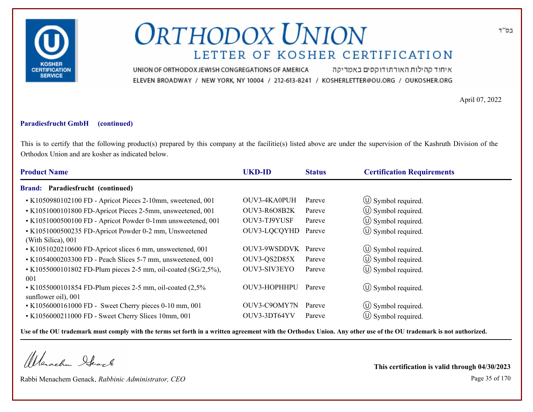

איחוד קהילות האורתודוקסים באמריקה UNION OF ORTHODOX JEWISH CONGREGATIONS OF AMERICA ELEVEN BROADWAY / NEW YORK, NY 10004 / 212-613-8241 / KOSHERLETTER@OU.ORG / OUKOSHER.ORG

April 07, 2022

#### **Paradiesfrucht GmbH (continued)**

This is to certify that the following product(s) prepared by this company at the facilitie(s) listed above are under the supervision of the Kashruth Division of the Orthodox Union and are kosher as indicated below.

| <b>Product Name</b>                                                                | <b>UKD-ID</b> | <b>Status</b> | <b>Certification Requirements</b> |  |
|------------------------------------------------------------------------------------|---------------|---------------|-----------------------------------|--|
| <b>Brand: Paradiesfrucht (continued)</b>                                           |               |               |                                   |  |
| • K1050980102100 FD - Apricot Pieces 2-10mm, sweetened, 001                        | OUV3-4KA0PUH  | Pareve        | $\circled{1}$ Symbol required.    |  |
| • K1051000101800 FD-Apricot Pieces 2-5mm, unsweetened, 001                         | OUV3-R6O8B2K  | Pareve        | $\circled{1}$ Symbol required.    |  |
| • K1051000500100 FD - Apricot Powder 0-1mm unsweetened, 001                        | OUV3-TJ9YUSF  | Pareve        | (U) Symbol required.              |  |
| • K1051000500235 FD-Apricot Powder 0-2 mm, Unsweetened<br>(With Silica), 001       | OUV3-LQCQYHD  | Pareve        | $\circ$ Symbol required.          |  |
| • K1051020210600 FD-Apricot slices 6 mm, unsweetened, 001                          | OUV3-9WSDDVK  | Pareve        | $\circled{1}$ Symbol required.    |  |
| • K1054000203300 FD - Peach Slices 5-7 mm, unsweetened, 001                        | OUV3-QS2D85X  | Pareve        | $\circled{0}$ Symbol required.    |  |
| • K1055000101802 FD-Plum pieces 2-5 mm, oil-coated $(SG/2,5\%)$ ,<br>001           | OUV3-SIV3EYO  | Pareve        | $\circled{0}$ Symbol required.    |  |
| • K1055000101854 FD-Plum pieces 2-5 mm, oil-coated $(2,5\%$<br>sunflower oil), 001 | OUV3-HOPHHPU  | Pareve        | $\circ$ Symbol required.          |  |
| • K1056000161000 FD - Sweet Cherry pieces 0-10 mm, 001                             | OUV3-C9OMY7N  | Pareve        | $\circ$ Symbol required.          |  |
| • K1056000211000 FD - Sweet Cherry Slices 10mm, 001                                | OUV3-3DT64YV  | Pareve        | (U) Symbol required.              |  |

**Use of the OU trademark must comply with the terms set forth in a written agreement with the Orthodox Union. Any other use of the OU trademark is not authorized.**

Werachen Stack

Rabbi Menachem Genack, *Rabbinic Administrator, CEO* Page 35 of 170

**This certification is valid through 04/30/2023**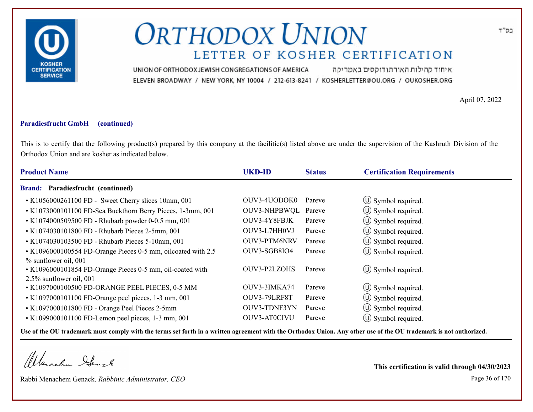

איחוד קהילות האורתודוקסים באמריקה UNION OF ORTHODOX JEWISH CONGREGATIONS OF AMERICA ELEVEN BROADWAY / NEW YORK, NY 10004 / 212-613-8241 / KOSHERLETTER@OU.ORG / OUKOSHER.ORG

April 07, 2022

#### **Paradiesfrucht GmbH (continued)**

This is to certify that the following product(s) prepared by this company at the facilitie(s) listed above are under the supervision of the Kashruth Division of the Orthodox Union and are kosher as indicated below.

| <b>Product Name</b>                                                                                          | <b>UKD-ID</b>       | <b>Status</b> | <b>Certification Requirements</b> |  |
|--------------------------------------------------------------------------------------------------------------|---------------------|---------------|-----------------------------------|--|
| <b>Brand: Paradiesfrucht (continued)</b>                                                                     |                     |               |                                   |  |
| • K1056000261100 FD - Sweet Cherry slices 10mm, 001                                                          | OUV3-4UODOK0        | Pareve        | $\circled{1}$ Symbol required.    |  |
| • K1073000101100 FD-Sea Buckthorn Berry Pieces, 1-3mm, 001                                                   | OUV3-NHPBWQL Pareve |               | $\circled{1}$ Symbol required.    |  |
| • K1074000509500 FD - Rhubarb powder 0-0.5 mm, 001                                                           | OUV3-4Y8FBJK        | Pareve        | $\circled{1}$ Symbol required.    |  |
| • K1074030101800 FD - Rhubarb Pieces 2-5mm, 001                                                              | OUV3-L7HH0VJ        | Pareve        | $\circled{1}$ Symbol required.    |  |
| • K1074030103500 FD - Rhubarb Pieces 5-10mm, 001                                                             | OUV3-PTM6NRV        | Pareve        | $\circ$ Symbol required.          |  |
| • K1096000100554 FD-Orange Pieces 0-5 mm, oilcoated with 2.5                                                 | OUV3-SGB8IO4        | Pareve        | $\circ$ Symbol required.          |  |
| % sunflower oil, 001<br>• K1096000101854 FD-Orange Pieces 0-5 mm, oil-coated with<br>2.5% sunflower oil, 001 | OUV3-P2LZOHS        | Pareve        | $\circ$ Symbol required.          |  |
| • K1097000100500 FD-ORANGE PEEL PIECES, 0-5 MM                                                               | OUV3-3IMKA74        | Pareve        | $\circ$ Symbol required.          |  |
| • K1097000101100 FD-Orange peel pieces, 1-3 mm, 001                                                          | OUV3-79LRF8T        | Pareve        | $\left(\bigcup$ Symbol required.  |  |
| • K1097000101800 FD - Orange Peel Pieces 2-5mm                                                               | OUV3-TDNF3YN        | Pareve        | $\circ$ Symbol required.          |  |
| $\cdot$ K1099000101100 FD-Lemon peel pieces, 1-3 mm, 001                                                     | OUV3-AT0CIVU        | Pareve        | $\circ$ Symbol required.          |  |

**Use of the OU trademark must comply with the terms set forth in a written agreement with the Orthodox Union. Any other use of the OU trademark is not authorized.**

Werachen Stack

Rabbi Menachem Genack, *Rabbinic Administrator, CEO* Page 36 of 170

**This certification is valid through 04/30/2023**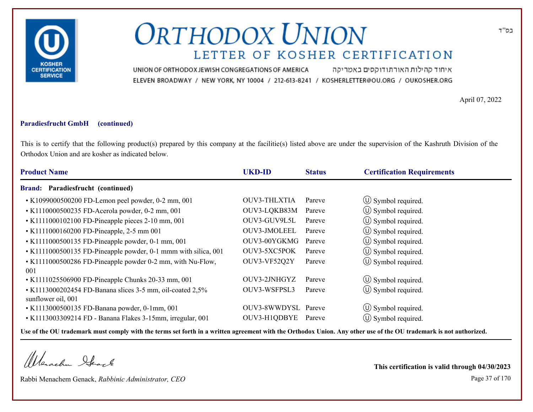

איחוד קהילות האורתודוקסים באמריקה UNION OF ORTHODOX JEWISH CONGREGATIONS OF AMERICA ELEVEN BROADWAY / NEW YORK, NY 10004 / 212-613-8241 / KOSHERLETTER@OU.ORG / OUKOSHER.ORG

April 07, 2022

### **Paradiesfrucht GmbH (continued)**

This is to certify that the following product(s) prepared by this company at the facilitie(s) listed above are under the supervision of the Kashruth Division of the Orthodox Union and are kosher as indicated below.

| Brand: Paradiesfrucht (continued)<br>$\circled{1}$ Symbol required.<br>OUV3-THLXTIA<br>• K1099000500200 FD-Lemon peel powder, 0-2 mm, 001<br>Pareve<br>$\circled{0}$ Symbol required.<br>• K1110000500235 FD-Acerola powder, 0-2 mm, 001<br>OUV3-LQKB83M<br>Pareve |
|--------------------------------------------------------------------------------------------------------------------------------------------------------------------------------------------------------------------------------------------------------------------|
|                                                                                                                                                                                                                                                                    |
|                                                                                                                                                                                                                                                                    |
|                                                                                                                                                                                                                                                                    |
| $\circled{1}$ Symbol required.<br>• K1111000102100 FD-Pineapple pieces 2-10 mm, 001<br>OUV3-GUV9L5L<br>Pareve                                                                                                                                                      |
| $\circ$ Symbol required.<br>OUV3-JMOLEEL<br>• K1111000160200 FD-Pineapple, 2-5 mm 001<br>Pareve                                                                                                                                                                    |
| $\circled{1}$ Symbol required.<br>OUV3-00YGKMG<br>• K1111000500135 FD-Pineapple powder, 0-1 mm, 001<br>Pareve                                                                                                                                                      |
| (U) Symbol required.<br>OUV3-5XC5POK<br>• K1111000500135 FD-Pineapple powder, 0-1 mmm with silica, 001<br>Pareve                                                                                                                                                   |
| $\circled{1}$ Symbol required.<br>• K1111000500286 FD-Pineapple powder 0-2 mm, with Nu-Flow,<br>OUV3-VF52Q2Y<br>Pareve<br>001                                                                                                                                      |
| $\circ$ Symbol required.<br>OUV3-2JNHGYZ<br>• K1111025506900 FD-Pineapple Chunks 20-33 mm, 001<br>Pareve                                                                                                                                                           |
| $\circled{0}$ Symbol required.<br>• K1113000202454 FD-Banana slices 3-5 mm, oil-coated 2,5%<br>OUV3-WSFPSL3<br>Pareve<br>sunflower oil, 001                                                                                                                        |
| OUV3-8WWDYSL Pareve<br>$\circ$ Symbol required.<br>• K1113000500135 FD-Banana powder, 0-1mm, 001                                                                                                                                                                   |
| $\circ$ Symbol required.<br>OUV3-H1QDBYE<br>• K1113003309214 FD - Banana Flakes 3-15mm, irregular, 001<br>Pareve                                                                                                                                                   |

**Use of the OU trademark must comply with the terms set forth in a written agreement with the Orthodox Union. Any other use of the OU trademark is not authorized.**

Werachen Stack

Rabbi Menachem Genack, *Rabbinic Administrator, CEO* Page 37 of 170

**This certification is valid through 04/30/2023**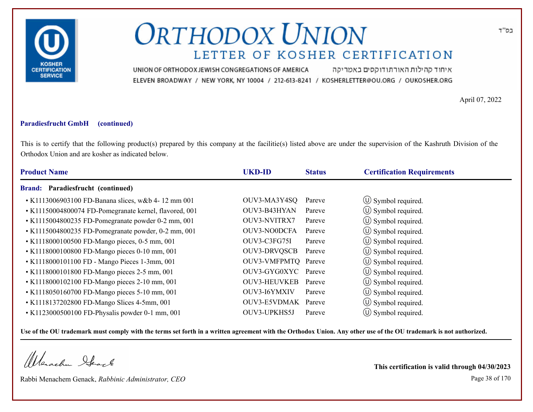

איחוד קהילות האורתודוקסים באמריקה UNION OF ORTHODOX JEWISH CONGREGATIONS OF AMERICA ELEVEN BROADWAY / NEW YORK, NY 10004 / 212-613-8241 / KOSHERLETTER@OU.ORG / OUKOSHER.ORG

April 07, 2022

### **Paradiesfrucht GmbH (continued)**

This is to certify that the following product(s) prepared by this company at the facilitie(s) listed above are under the supervision of the Kashruth Division of the Orthodox Union and are kosher as indicated below.

| <b>Product Name</b>                                    | <b>UKD-ID</b>       | <b>Status</b> | <b>Certification Requirements</b> |  |
|--------------------------------------------------------|---------------------|---------------|-----------------------------------|--|
| Brand: Paradiesfrucht (continued)                      |                     |               |                                   |  |
| • K1113006903100 FD-Banana slices, w&b 4-12 mm 001     | OUV3-MA3Y4SQ        | Pareve        | $\circ$ Symbol required.          |  |
| • K11150004800074 FD-Pomegranate kernel, flavored, 001 | OUV3-B43HYAN        | Pareve        | $\circ$ Symbol required.          |  |
| • K1115004800235 FD-Pomegranate powder 0-2 mm, 001     | OUV3-NVITRX7        | Pareve        | $\circled{1}$ Symbol required.    |  |
| • K1115004800235 FD-Pomegranate powder, 0-2 mm, 001    | <b>OUV3-NO0DCFA</b> | Pareve        | $\circ$ Symbol required.          |  |
| • K1118000100500 FD-Mango pieces, 0-5 mm, 001          | OUV3-C3FG75I        | Pareve        | $\circ$ Symbol required.          |  |
| • K1118000100800 FD-Mango pieces 0-10 mm, 001          | <b>OUV3-DRVQSCB</b> | Pareve        | $\circ$ Symbol required.          |  |
| • K1118000101100 FD - Mango Pieces 1-3mm, 001          | OUV3-VMFPMTQ Pareve |               | $\circ$ Symbol required.          |  |
| • K1118000101800 FD-Mango pieces 2-5 mm, 001           | OUV3-GYG0XYC Pareve |               | (U) Symbol required.              |  |
| • K1118000102100 FD-Mango pieces 2-10 mm, 001          | <b>OUV3-HEUVKEB</b> | Pareve        | $\circled{1}$ Symbol required.    |  |
| • K1118050160700 FD-Mango pieces 5-10 mm, 001          | OUV3-I6YMXIV        | Pareve        | $\circ$ Symbol required.          |  |
| • K1118137202800 FD-Mango Slices 4-5mm, 001            | OUV3-E5VDMAK Pareve |               | $\circ$ Symbol required.          |  |
| • K1123000500100 FD-Physalis powder 0-1 mm, 001        | OUV3-UPKHS5J        | Pareve        | $\circ$ Symbol required.          |  |

**Use of the OU trademark must comply with the terms set forth in a written agreement with the Orthodox Union. Any other use of the OU trademark is not authorized.**

Werschn Stack

Rabbi Menachem Genack, *Rabbinic Administrator, CEO* Page 38 of 170

**This certification is valid through 04/30/2023**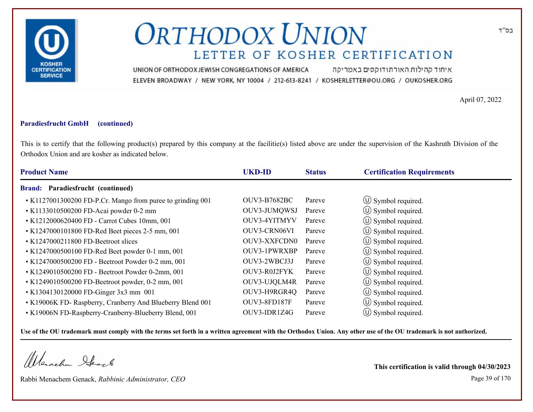

איחוד קהילות האורתודוקסים באמריקה UNION OF ORTHODOX JEWISH CONGREGATIONS OF AMERICA ELEVEN BROADWAY / NEW YORK, NY 10004 / 212-613-8241 / KOSHERLETTER@OU.ORG / OUKOSHER.ORG

April 07, 2022

### **Paradiesfrucht GmbH (continued)**

This is to certify that the following product(s) prepared by this company at the facilitie(s) listed above are under the supervision of the Kashruth Division of the Orthodox Union and are kosher as indicated below.

| <b>Product Name</b>                                        | <b>UKD-ID</b>       | <b>Status</b> | <b>Certification Requirements</b> |
|------------------------------------------------------------|---------------------|---------------|-----------------------------------|
| Paradiesfrucht (continued)<br><b>Brand:</b>                |                     |               |                                   |
| • K1127001300200 FD-P.Cr. Mango from puree to grinding 001 | <b>OUV3-B7682BC</b> | Pareve        | $\circ$ Symbol required.          |
| • K1133010500200 FD-Acai powder 0-2 mm                     | OUV3-JUMQWSJ        | Pareve        | $\circled{1}$ Symbol required.    |
| • K1212000620400 FD - Carrot Cubes 10mm, 001               | OUV3-4YITMYV        | Pareve        | $\circled{1}$ Symbol required.    |
| • K1247000101800 FD-Red Beet pieces 2-5 mm, 001            | OUV3-CRN06VI        | Pareve        | $\circ$ Symbol required.          |
| $\cdot$ K1247000211800 FD-Beetroot slices                  | <b>OUV3-XXFCDN0</b> | Pareve        | $\circ$ Symbol required.          |
| • K1247000500100 FD-Red Beet powder 0-1 mm, 001            | OUV3-1PWRXBP        | Pareve        | $\circ$ Symbol required.          |
| • K1247000500200 FD - Beetroot Powder 0-2 mm, 001          | OUV3-2WBCJ3J        | Pareve        | $\circ$ Symbol required.          |
| • K1249010500200 FD - Beetroot Powder 0-2mm, 001           | OUV3-R0J2FYK        | Pareve        | (U) Symbol required.              |
| • K1249010500200 FD-Beetroot powder, 0-2 mm, 001           | OUV3-UJQLM4R        | Pareve        | $\circled{1}$ Symbol required.    |
| • K1304130120000 FD-Ginger 3x3 mm 001                      | OUV3-H9RGR4Q        | Pareve        | (U) Symbol required.              |
| • K19006K FD- Raspberry, Cranberry And Blueberry Blend 001 | OUV3-8FD187F        | Pareve        | $\circled{1}$ Symbol required.    |
| • K19006N FD-Raspberry-Cranberry-Blueberry Blend, 001      | OUV3-IDR1Z4G        | Pareve        | $\circ$ Symbol required.          |

**Use of the OU trademark must comply with the terms set forth in a written agreement with the Orthodox Union. Any other use of the OU trademark is not authorized.**

Werachen Stack

Rabbi Menachem Genack, *Rabbinic Administrator, CEO* Page 39 of 170

**This certification is valid through 04/30/2023**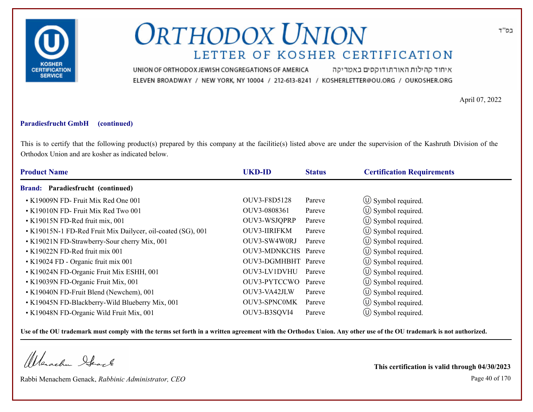

איחוד קהילות האורתודוקסים באמריקה UNION OF ORTHODOX JEWISH CONGREGATIONS OF AMERICA ELEVEN BROADWAY / NEW YORK, NY 10004 / 212-613-8241 / KOSHERLETTER@OU.ORG / OUKOSHER.ORG

April 07, 2022

### **Paradiesfrucht GmbH (continued)**

This is to certify that the following product(s) prepared by this company at the facilitie(s) listed above are under the supervision of the Kashruth Division of the Orthodox Union and are kosher as indicated below.

| <b>Product Name</b>                                         | <b>UKD-ID</b>       | <b>Status</b> | <b>Certification Requirements</b> |
|-------------------------------------------------------------|---------------------|---------------|-----------------------------------|
| Brand: Paradiesfrucht (continued)                           |                     |               |                                   |
| • K19009N FD- Fruit Mix Red One 001                         | OUV3-F8D5128        | Pareve        | (U) Symbol required.              |
| • K19010N FD- Fruit Mix Red Two 001                         | OUV3-0808361        | Pareve        | $\circ$ Symbol required.          |
| • K19015N FD-Red fruit mix, 001                             | OUV3-WSJQPRP        | Pareve        | (U) Symbol required.              |
| • K19015N-1 FD-Red Fruit Mix Dailycer, oil-coated (SG), 001 | <b>OUV3-IIRIFKM</b> | Pareve        | $\circled{1}$ Symbol required.    |
| • K19021N FD-Strawberry-Sour cherry Mix, 001                | OUV3-SW4W0RJ        | Pareve        | $\circ$ Symbol required.          |
| • K19022N FD-Red fruit mix 001                              | OUV3-MDNKCHS Pareve |               | $\circ$ Symbol required.          |
| • K19024 FD - Organic fruit mix 001                         | OUV3-DGMHBHT Pareve |               | $\circ$ Symbol required.          |
| • K19024N FD-Organic Fruit Mix ESHH, 001                    | OUV3-LV1DVHU        | Pareve        | (U) Symbol required.              |
| • K19039N FD-Organic Fruit Mix, 001                         | OUV3-PYTCCWO Pareve |               | $\circ$ Symbol required.          |
| • K19040N FD-Fruit Blend (Newchem), 001                     | OUV3-VA42JLW        | Pareve        | $\circ$ Symbol required.          |
| • K19045N FD-Blackberry-Wild Blueberry Mix, 001             | <b>OUV3-SPNC0MK</b> | Pareve        | $\circ$ Symbol required.          |
| • K19048N FD-Organic Wild Fruit Mix, 001                    | OUV3-B3SQVI4        | Pareve        | $\circ$ Symbol required.          |

**Use of the OU trademark must comply with the terms set forth in a written agreement with the Orthodox Union. Any other use of the OU trademark is not authorized.**

Werschn Stack

Rabbi Menachem Genack, *Rabbinic Administrator, CEO* Page 40 of 170

**This certification is valid through 04/30/2023**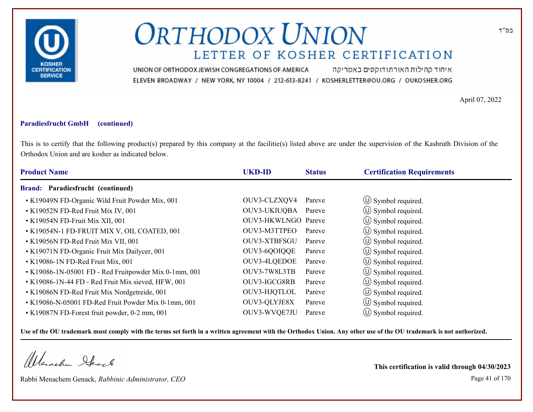

איחוד קהילות האורתודוקסים באמריקה UNION OF ORTHODOX JEWISH CONGREGATIONS OF AMERICA ELEVEN BROADWAY / NEW YORK, NY 10004 / 212-613-8241 / KOSHERLETTER@OU.ORG / OUKOSHER.ORG

April 07, 2022

### **Paradiesfrucht GmbH (continued)**

This is to certify that the following product(s) prepared by this company at the facilitie(s) listed above are under the supervision of the Kashruth Division of the Orthodox Union and are kosher as indicated below.

| <b>Product Name</b>                                   | <b>UKD-ID</b>       | <b>Status</b> | <b>Certification Requirements</b> |  |
|-------------------------------------------------------|---------------------|---------------|-----------------------------------|--|
| Brand: Paradiesfrucht (continued)                     |                     |               |                                   |  |
| • K19049N FD-Organic Wild Fruit Powder Mix, 001       | OUV3-CLZXQV4        | Pareve        | $\circ$ Symbol required.          |  |
| • K19052N FD-Red Fruit Mix IV, 001                    | OUV3-UKIUQBA Pareve |               | $\circ$ Symbol required.          |  |
| • K19054N FD-Fruit Mix XII, 001                       | OUV3-HKWLNGO Pareve |               | $\circled{1}$ Symbol required.    |  |
| • K19054N-1 FD-FRUIT MIX V, OIL COATED, 001           | OUV3-M3TTPEO        | Pareve        | $\circled{1}$ Symbol required.    |  |
| • K19056N FD-Red Fruit Mix VII, 001                   | OUV3-XTBFSGU        | Pareve        | $\circled{1}$ Symbol required.    |  |
| • K19071N FD-Organic Fruit Mix Dailycer, 001          | OUV3-6QOIQQE        | Pareve        | $\circ$ Symbol required.          |  |
| • K19086-1N FD-Red Fruit Mix, 001                     | OUV3-4LQEDOE        | Pareve        | $\circ$ Symbol required.          |  |
| • K19086-1N-05001 FD - Red Fruitpowder Mix 0-1mm, 001 | OUV3-7W8L3TB        | Pareve        | $\circled{1}$ Symbol required.    |  |
| • K19086-1N-44 FD - Red Fruit Mix sieved, HFW, 001    | OUV3-IGCG8RB        | Pareve        | $\circ$ Symbol required.          |  |
| • K19086N FD-Red Fruit Mix Nordgetreide, 001          | OUV3-HJQTLOL        | Pareve        | $\circ$ Symbol required.          |  |
| • K19086-N-05001 FD-Red Fruit Powder Mix 0-1mm, 001   | OUV3-QLYJE8X        | Pareve        | $\circ$ Symbol required.          |  |
| • K19087N FD-Forest fruit powder, 0-2 mm, 001         | OUV3-WVQE7JU        | Pareve        | $\circ$ Symbol required.          |  |

**Use of the OU trademark must comply with the terms set forth in a written agreement with the Orthodox Union. Any other use of the OU trademark is not authorized.**

Werschn Heart

Rabbi Menachem Genack, *Rabbinic Administrator, CEO* Page 41 of 170

**This certification is valid through 04/30/2023**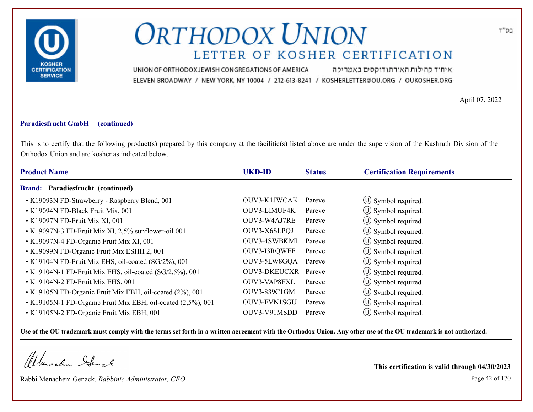

איחוד קהילות האורתודוקסים באמריקה UNION OF ORTHODOX JEWISH CONGREGATIONS OF AMERICA ELEVEN BROADWAY / NEW YORK, NY 10004 / 212-613-8241 / KOSHERLETTER@OU.ORG / OUKOSHER.ORG

April 07, 2022

### **Paradiesfrucht GmbH (continued)**

This is to certify that the following product(s) prepared by this company at the facilitie(s) listed above are under the supervision of the Kashruth Division of the Orthodox Union and are kosher as indicated below.

| <b>Product Name</b>                                          | <b>UKD-ID</b>       | <b>Status</b> | <b>Certification Requirements</b> |
|--------------------------------------------------------------|---------------------|---------------|-----------------------------------|
| Brand: Paradiesfrucht (continued)                            |                     |               |                                   |
| • K19093N FD-Strawberry - Raspberry Blend, 001               | OUV3-K1JWCAK        | Pareve        | $\circled{1}$ Symbol required.    |
| • K19094N FD-Black Fruit Mix, 001                            | OUV3-LIMUF4K        | Pareve        | $\circ$ Symbol required.          |
| • K19097N FD-Fruit Mix XI, 001                               | OUV3-W4AJ7RE        | Pareve        | $\circled{1}$ Symbol required.    |
| • K19097N-3 FD-Fruit Mix XI, 2,5% sunflower-oil 001          | OUV3-X6SLPQJ        | Pareve        | $\circ$ Symbol required.          |
| • K19097N-4 FD-Organic Fruit Mix XI, 001                     | OUV3-4SWBKML Pareve |               | $\circ$ Symbol required.          |
| • K19099N FD-Organic Fruit Mix ESHH 2, 001                   | OUV3-I3RQWEF        | Pareve        | $\circ$ Symbol required.          |
| • K19104N FD-Fruit Mix EHS, oil-coated (SG/2%), 001          | OUV3-5LW8GQA Pareve |               | $\circ$ Symbol required.          |
| • K19104N-1 FD-Fruit Mix EHS, oil-coated (SG/2,5%), 001      | <b>OUV3-DKEUCXR</b> | Pareve        | (U) Symbol required.              |
| • K19104N-2 FD-Fruit Mix EHS, 001                            | OUV3-VAP8FXL        | Pareve        | $\circ$ Symbol required.          |
| • K19105N FD-Organic Fruit Mix EBH, oil-coated (2%), 001     | OUV3-839C1GM        | Pareve        | $\circ$ Symbol required.          |
| • K19105N-1 FD-Organic Fruit Mix EBH, oil-coated (2,5%), 001 | OUV3-FVN1SGU        | Pareve        | $\circ$ Symbol required.          |
| • K19105N-2 FD-Organic Fruit Mix EBH, 001                    | OUV3-V91MSDD        | Pareve        | $(\cup)$ Symbol required.         |

**Use of the OU trademark must comply with the terms set forth in a written agreement with the Orthodox Union. Any other use of the OU trademark is not authorized.**

Werschn Stack

Rabbi Menachem Genack, *Rabbinic Administrator, CEO* Page 42 of 170

**This certification is valid through 04/30/2023**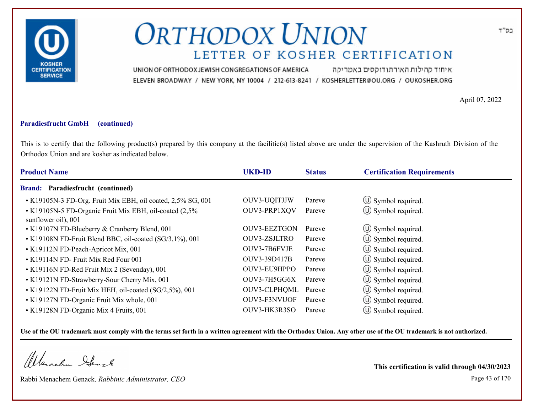

איחוד קהילות האורתודוקסים באמריקה UNION OF ORTHODOX JEWISH CONGREGATIONS OF AMERICA ELEVEN BROADWAY / NEW YORK, NY 10004 / 212-613-8241 / KOSHERLETTER@OU.ORG / OUKOSHER.ORG

April 07, 2022

#### **Paradiesfrucht GmbH (continued)**

This is to certify that the following product(s) prepared by this company at the facilitie(s) listed above are under the supervision of the Kashruth Division of the Orthodox Union and are kosher as indicated below.

| <b>Product Name</b>                                                           | <b>UKD-ID</b>       | <b>Status</b> | <b>Certification Requirements</b> |
|-------------------------------------------------------------------------------|---------------------|---------------|-----------------------------------|
| <b>Brand: Paradiesfrucht (continued)</b>                                      |                     |               |                                   |
| • K19105N-3 FD-Org. Fruit Mix EBH, oil coated, 2,5% SG, 001                   | OUV3-UQITJJW        | Pareve        | $\circ$ Symbol required.          |
| • K19105N-5 FD-Organic Fruit Mix EBH, oil-coated (2,5%<br>sunflower oil), 001 | OUV3-PRP1XQV        | Pareve        | $\circ$ Symbol required.          |
| • K19107N FD-Blueberry & Cranberry Blend, 001                                 | <b>OUV3-EEZTGON</b> | Pareve        | $\circ$ Symbol required.          |
| • K19108N FD-Fruit Blend BBC, oil-coated (SG/3,1%), 001                       | OUV3-ZSJLTRO        | Pareve        | $\circ$ Symbol required.          |
| • K19112N FD-Peach-Apricot Mix, 001                                           | OUV3-7B6FVJE        | Pareve        | $\circ$ Symbol required.          |
| • K19114N FD- Fruit Mix Red Four 001                                          | OUV3-39D417B        | Pareve        | $\circ$ Symbol required.          |
| • K19116N FD-Red Fruit Mix 2 (Sevenday), 001                                  | OUV3-EU9HPPO        | Pareve        | $\circled{1}$ Symbol required.    |
| • K19121N FD-Strawberry-Sour Cherry Mix, 001                                  | OUV3-7H5GG6X        | Pareve        | $\circled{1}$ Symbol required.    |
| • K19122N FD-Fruit Mix HEH, oil-coated (SG/2,5%), 001                         | OUV3-CLPHQML        | Pareve        | $\circ$ Symbol required.          |
| • K19127N FD-Organic Fruit Mix whole, 001                                     | OUV3-F3NVUOF        | Pareve        | $\circ$ Symbol required.          |
| • K19128N FD-Organic Mix 4 Fruits, 001                                        | OUV3-HK3R3SO        | Pareve        | $\circ$ Symbol required.          |

**Use of the OU trademark must comply with the terms set forth in a written agreement with the Orthodox Union. Any other use of the OU trademark is not authorized.**

Werschn Stack

Rabbi Menachem Genack, *Rabbinic Administrator, CEO* Page 43 of 170

**This certification is valid through 04/30/2023**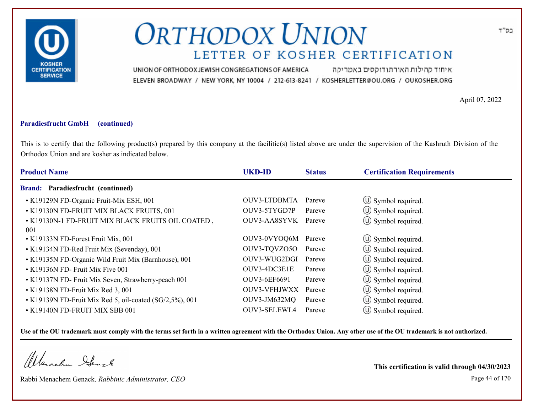

איחוד קהילות האורתודוקסים באמריקה UNION OF ORTHODOX JEWISH CONGREGATIONS OF AMERICA ELEVEN BROADWAY / NEW YORK, NY 10004 / 212-613-8241 / KOSHERLETTER@OU.ORG / OUKOSHER.ORG

April 07, 2022

### **Paradiesfrucht GmbH (continued)**

This is to certify that the following product(s) prepared by this company at the facilitie(s) listed above are under the supervision of the Kashruth Division of the Orthodox Union and are kosher as indicated below.

| <b>Product Name</b>                                      | <b>UKD-ID</b> | <b>Status</b> | <b>Certification Requirements</b> |  |
|----------------------------------------------------------|---------------|---------------|-----------------------------------|--|
| <b>Brand: Paradiesfrucht (continued)</b>                 |               |               |                                   |  |
| • K19129N FD-Organic Fruit-Mix ESH, 001                  | OUV3-LTDBMTA  | Pareve        | $\circ$ Symbol required.          |  |
| • K19130N FD-FRUIT MIX BLACK FRUITS, 001                 | OUV3-5TYGD7P  | Pareve        | $\circled{1}$ Symbol required.    |  |
| • K19130N-1 FD-FRUIT MIX BLACK FRUITS OIL COATED,<br>001 | OUV3-AA8SYVK  | Pareve        | $\circled{1}$ Symbol required.    |  |
| • K19133N FD-Forest Fruit Mix, 001                       | OUV3-0VYOQ6M  | Pareve        | $\circled{1}$ Symbol required.    |  |
| • K19134N FD-Red Fruit Mix (Sevenday), 001               | OUV3-TQVZO5O  | Pareve        | $\circ$ Symbol required.          |  |
| • K19135N FD-Organic Wild Fruit Mix (Barnhouse), 001     | OUV3-WUG2DGI  | Pareve        | $\circled{1}$ Symbol required.    |  |
| $\cdot$ K19136N FD- Fruit Mix Five 001                   | OUV3-4DC3E1E  | Pareve        | $\circled{1}$ Symbol required.    |  |
| • K19137N FD- Fruit Mix Seven, Strawberry-peach 001      | OUV3-6EF6691  | Pareve        | $\circ$ Symbol required.          |  |
| • K19138N FD-Fruit Mix Red 3, 001                        | OUV3-VFHJWXX  | Pareve        | $\circled{1}$ Symbol required.    |  |
| • K19139N FD-Fruit Mix Red 5, oil-coated (SG/2,5%), 001  | OUV3-JM632MQ  | Pareve        | $\circ$ Symbol required.          |  |
| • K19140N FD-FRUIT MIX SBB 001                           | OUV3-SELEWL4  | Pareve        | $\circ$ Symbol required.          |  |

**Use of the OU trademark must comply with the terms set forth in a written agreement with the Orthodox Union. Any other use of the OU trademark is not authorized.**

Werachen Stack

Rabbi Menachem Genack, *Rabbinic Administrator, CEO* Page 44 of 170

**This certification is valid through 04/30/2023**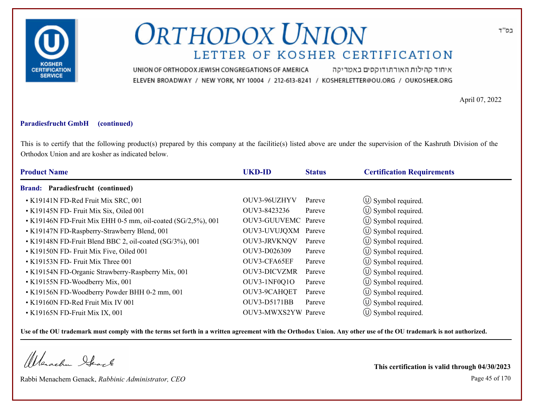

איחוד קהילות האורתודוקסים באמריקה UNION OF ORTHODOX JEWISH CONGREGATIONS OF AMERICA ELEVEN BROADWAY / NEW YORK, NY 10004 / 212-613-8241 / KOSHERLETTER@OU.ORG / OUKOSHER.ORG

April 07, 2022

#### **Paradiesfrucht GmbH (continued)**

This is to certify that the following product(s) prepared by this company at the facilitie(s) listed above are under the supervision of the Kashruth Division of the Orthodox Union and are kosher as indicated below.

| <b>Product Name</b>                                          | <b>UKD-ID</b>       | <b>Status</b> | <b>Certification Requirements</b> |
|--------------------------------------------------------------|---------------------|---------------|-----------------------------------|
| Brand: Paradiesfrucht (continued)                            |                     |               |                                   |
| • K19141N FD-Red Fruit Mix SRC, 001                          | OUV3-96UZHYV        | Pareve        | $\circled{1}$ Symbol required.    |
| • K19145N FD- Fruit Mix Six, Oiled 001                       | OUV3-8423236        | Pareve        | $\circled{1}$ Symbol required.    |
| • K19146N FD-Fruit Mix EHH 0-5 mm, oil-coated (SG/2,5%), 001 | OUV3-GUUVEMC Pareve |               | $\circled{1}$ Symbol required.    |
| • K19147N FD-Raspberry-Strawberry Blend, 001                 | OUV3-UVUJQXM Pareve |               | $\circ$ Symbol required.          |
| • K19148N FD-Fruit Blend BBC 2, oil-coated (SG/3%), 001      | <b>OUV3-JRVKNOV</b> | Pareve        | $\circled{1}$ Symbol required.    |
| • K19150N FD- Fruit Mix Five, Oiled 001                      | OUV3-D026309        | Pareve        | $\circ$ Symbol required.          |
| • K19153N FD- Fruit Mix Three 001                            | OUV3-CFA65EF        | Pareve        | $\circ$ Symbol required.          |
| • K19154N FD-Organic Strawberry-Raspberry Mix, 001           | <b>OUV3-DICVZMR</b> | Pareve        | (U) Symbol required.              |
| • K19155N FD-Woodberry Mix, 001                              | OUV3-1NF0Q1O        | Pareve        | $\circ$ Symbol required.          |
| • K19156N FD-Woodberry Powder BHH 0-2 mm, 001                | OUV3-9CAHQET        | Pareve        | $\circ$ Symbol required.          |
| • K19160N FD-Red Fruit Mix IV 001                            | OUV3-D5171BB        | Pareve        | $\circ$ Symbol required.          |
| • K19165N FD-Fruit Mix IX, 001                               | OUV3-MWXS2YW Pareve |               | $\circ$ Symbol required.          |

**Use of the OU trademark must comply with the terms set forth in a written agreement with the Orthodox Union. Any other use of the OU trademark is not authorized.**

Werschn Stack

Rabbi Menachem Genack, *Rabbinic Administrator, CEO* Page 45 of 170

**This certification is valid through 04/30/2023**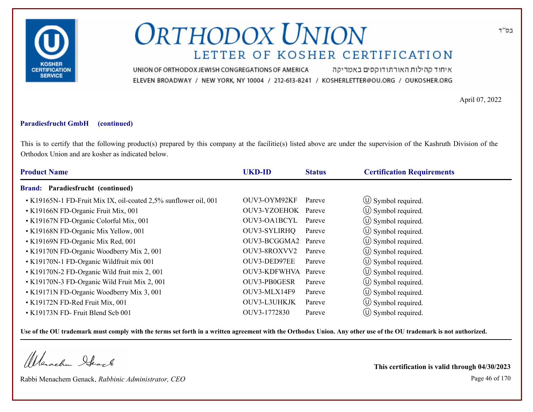

איחוד קהילות האורתודוקסים באמריקה UNION OF ORTHODOX JEWISH CONGREGATIONS OF AMERICA ELEVEN BROADWAY / NEW YORK, NY 10004 / 212-613-8241 / KOSHERLETTER@OU.ORG / OUKOSHER.ORG

April 07, 2022

### **Paradiesfrucht GmbH (continued)**

This is to certify that the following product(s) prepared by this company at the facilitie(s) listed above are under the supervision of the Kashruth Division of the Orthodox Union and are kosher as indicated below.

| <b>Product Name</b>                                             | <b>UKD-ID</b>       | <b>Status</b> | <b>Certification Requirements</b> |
|-----------------------------------------------------------------|---------------------|---------------|-----------------------------------|
| Brand: Paradiesfrucht (continued)                               |                     |               |                                   |
| • K19165N-1 FD-Fruit Mix IX, oil-coated 2,5% sunflower oil, 001 | OUV3-OYM92KF        | Pareve        | $\circ$ Symbol required.          |
| • K19166N FD-Organic Fruit Mix, 001                             | OUV3-YZOEHOK Pareve |               | $\circ$ Symbol required.          |
| • K19167N FD-Organic Colorful Mix, 001                          | OUV3-OA1BCYL Pareve |               | $\circled{0}$ Symbol required.    |
| • K19168N FD-Organic Mix Yellow, 001                            | OUV3-SYLIRHQ        | Pareve        | $\circ$ Symbol required.          |
| • K19169N FD-Organic Mix Red, 001                               | OUV3-BCGGMA2 Pareve |               | $\circ$ Symbol required.          |
| • K19170N FD-Organic Woodberry Mix 2, 001                       | OUV3-8ROXVV2        | Pareve        | $\circ$ Symbol required.          |
| • K19170N-1 FD-Organic Wildfruit mix 001                        | OUV3-DED97EE        | Pareve        | $\circ$ Symbol required.          |
| • K19170N-2 FD-Organic Wild fruit mix 2, 001                    | OUV3-KDFWHVA Pareve |               | (U) Symbol required.              |
| • K19170N-3 FD-Organic Wild Fruit Mix 2, 001                    | OUV3-PB0GESR        | Pareve        | $\circ$ Symbol required.          |
| • K19171N FD-Organic Woodberry Mix 3, 001                       | OUV3-MLX14F9        | Pareve        | $\circ$ Symbol required.          |
| • K19172N FD-Red Fruit Mix, 001                                 | OUV3-L3UHKJK        | Pareve        | $\circ$ Symbol required.          |
| • K19173N FD- Fruit Blend Scb 001                               | OUV3-1772830        | Pareve        | $\circ$ Symbol required.          |

**Use of the OU trademark must comply with the terms set forth in a written agreement with the Orthodox Union. Any other use of the OU trademark is not authorized.**

Werachen Stack

Rabbi Menachem Genack, *Rabbinic Administrator, CEO* Page 46 of 170

**This certification is valid through 04/30/2023**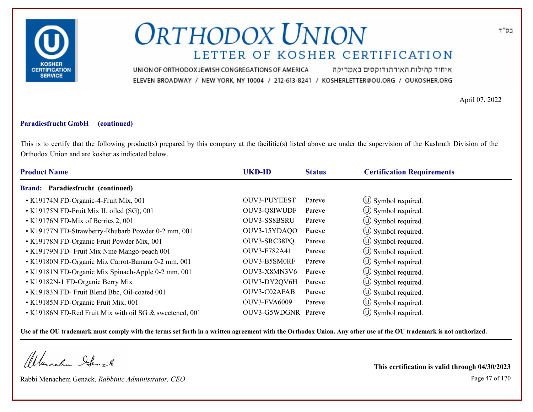

איחוד קהילות האורתודוקסים באמריקה UNION OF ORTHODOX JEWISH CONGREGATIONS OF AMERICA ELEVEN BROADWAY / NEW YORK, NY 10004 / 212-613-8241 / KOSHERLETTER@OU.ORG / OUKOSHER.ORG

April 07, 2022

### **Paradiesfrucht GmbH (continued)**

This is to certify that the following product(s) prepared by this company at the facilitie(s) listed above are under the supervision of the Kashruth Division of the Orthodox Union and are kosher as indicated below.

| <b>Product Name</b>                                     | <b>UKD-ID</b>       | <b>Status</b> | <b>Certification Requirements</b> |  |
|---------------------------------------------------------|---------------------|---------------|-----------------------------------|--|
| Brand: Paradiesfrucht (continued)                       |                     |               |                                   |  |
| • K19174N FD-Organic-4-Fruit Mix, 001                   | OUV3-PUYEEST        | Pareve        | $\circled{1}$ Symbol required.    |  |
| • K19175N FD-Fruit Mix II, oiled (SG), 001              | OUV3-Q8IWUDF        | Pareve        | $\circ$ Symbol required.          |  |
| • K19176N FD-Mix of Berries 2, 001                      | OUV3-SS8BSRU        | Pareve        | $\circ$ Symbol required.          |  |
| • K19177N FD-Strawberry-Rhubarb Powder 0-2 mm, 001      | OUV3-15YDAQO        | Pareve        | $\circ$ Symbol required.          |  |
| • K19178N FD-Organic Fruit Powder Mix, 001              | OUV3-SRC38PQ        | Pareve        | $\circ$ Symbol required.          |  |
| • K19179N FD- Fruit Mix Nine Mango-peach 001            | OUV3-F782A41        | Pareve        | $\circ$ Symbol required.          |  |
| • K19180N FD-Organic Mix Carrot-Banana 0-2 mm, 001      | OUV3-B5SM0RF        | Pareve        | $\circ$ Symbol required.          |  |
| • K19181N FD-Organic Mix Spinach-Apple 0-2 mm, 001      | OUV3-X8MN3V6        | Pareve        | (U) Symbol required.              |  |
| • K19182N-1 FD-Organic Berry Mix                        | OUV3-DY2QV6H        | Pareve        | $\circ$ Symbol required.          |  |
| • K19183N FD- Fruit Blend Bbc, Oil-coated 001           | OUV3-C02AFAB        | Pareve        | $\circ$ Symbol required.          |  |
| • K19185N FD-Organic Fruit Mix, 001                     | <b>OUV3-FVA6009</b> | Pareve        | $\circled{1}$ Symbol required.    |  |
| • K19186N FD-Red Fruit Mix with oil SG & sweetened, 001 | OUV3-G5WDGNR Pareve |               | $\circ$ Symbol required.          |  |

**Use of the OU trademark must comply with the terms set forth in a written agreement with the Orthodox Union. Any other use of the OU trademark is not authorized.**

Werachen Stack

Rabbi Menachem Genack, *Rabbinic Administrator, CEO* Page 47 of 170

**This certification is valid through 04/30/2023**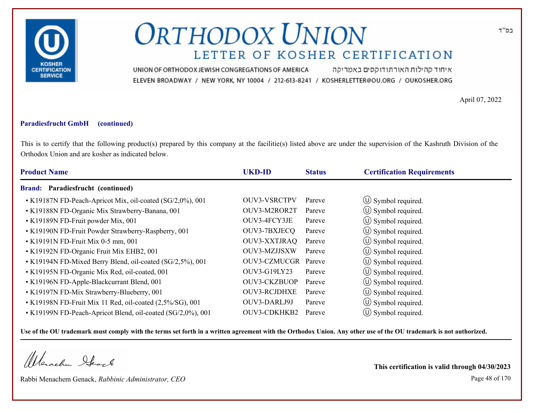

איחוד קהילות האורתודוקסים באמריקה UNION OF ORTHODOX JEWISH CONGREGATIONS OF AMERICA ELEVEN BROADWAY / NEW YORK, NY 10004 / 212-613-8241 / KOSHERLETTER@OU.ORG / OUKOSHER.ORG

April 07, 2022

### **Paradiesfrucht GmbH (continued)**

This is to certify that the following product(s) prepared by this company at the facilitie(s) listed above are under the supervision of the Kashruth Division of the Orthodox Union and are kosher as indicated below.

| <b>Product Name</b>                                         | <b>UKD-ID</b>       | <b>Status</b> | <b>Certification Requirements</b> |
|-------------------------------------------------------------|---------------------|---------------|-----------------------------------|
| Paradiesfrucht (continued)<br><b>Brand:</b>                 |                     |               |                                   |
| • K19187N FD-Peach-Apricot Mix, oil-coated (SG/2,0%), 001   | <b>OUV3-VSRCTPV</b> | Pareve        | $\circ$ Symbol required.          |
| • K19188N FD-Organic Mix Strawberry-Banana, 001             | OUV3-M2ROR2T        | Pareve        | $\circ$ Symbol required.          |
| • K19189N FD-Fruit powder Mix, 001                          | OUV3-4FCY3JE        | Pareve        | $\circled{1}$ Symbol required.    |
| • K19190N FD-Fruit Powder Strawberry-Raspberry, 001         | OUV3-7BXJECQ        | Pareve        | $\circ$ Symbol required.          |
| • K19191N FD-Fruit Mix 0-5 mm, 001                          | <b>OUV3-XXTJRAQ</b> | Pareve        | $\circ$ Symbol required.          |
| • K19192N FD-Organic Fruit Mix EHB2, 001                    | OUV3-MZJJSXW        | Pareve        | $\circ$ Symbol required.          |
| • K19194N FD-Mixed Berry Blend, oil-coated (SG/2,5%), 001   | OUV3-CZMUCGR Pareve |               | $\circ$ Symbol required.          |
| • K19195N FD-Organic Mix Red, oil-coated, 001               | OUV3-G19LY23        | Pareve        | (U) Symbol required.              |
| • K19196N FD-Apple-Blackcurrant Blend, 001                  | <b>OUV3-CKZBUOP</b> | Pareve        | $\circled{1}$ Symbol required.    |
| • K19197N FD-Mix Strawberry-Blueberry, 001                  | <b>OUV3-RCJDHXE</b> | Pareve        | (U) Symbol required.              |
| • K19198N FD-Fruit Mix 11 Red, oil-coated (2,5%/SG), 001    | OUV3-DARLJ9J        | Pareve        | $\circ$ Symbol required.          |
| • K19199N FD-Peach-Apricot Blend, oil-coated (SG/2,0%), 001 | OUV3-CDKHKB2        | Pareve        | $\circ$ Symbol required.          |

**Use of the OU trademark must comply with the terms set forth in a written agreement with the Orthodox Union. Any other use of the OU trademark is not authorized.**

Werschn Heart

Rabbi Menachem Genack, *Rabbinic Administrator, CEO* Page 48 of 170

**This certification is valid through 04/30/2023**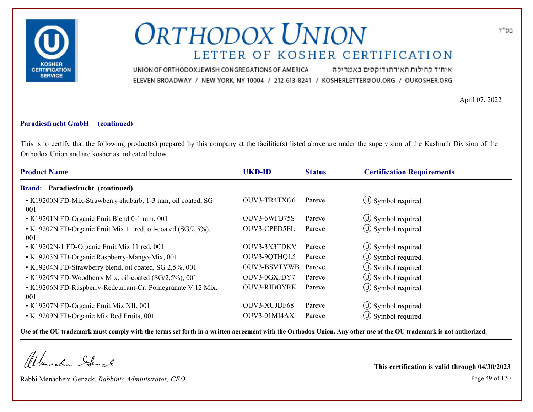

איחוד קהילות האורתודוקסים באמריקה UNION OF ORTHODOX JEWISH CONGREGATIONS OF AMERICA ELEVEN BROADWAY / NEW YORK, NY 10004 / 212-613-8241 / KOSHERLETTER@OU.ORG / OUKOSHER.ORG

April 07, 2022

### **Paradiesfrucht GmbH (continued)**

This is to certify that the following product(s) prepared by this company at the facilitie(s) listed above are under the supervision of the Kashruth Division of the Orthodox Union and are kosher as indicated below.

| <b>Product Name</b>                                                 | <b>UKD-ID</b>       | <b>Status</b> | <b>Certification Requirements</b> |
|---------------------------------------------------------------------|---------------------|---------------|-----------------------------------|
| <b>Brand: Paradiesfrucht (continued)</b>                            |                     |               |                                   |
| • K19200N FD-Mix-Strawberry-rhubarb, 1-3 mm, oil coated, SG<br>001  | OUV3-TR4TXG6        | Pareve        | $\circ$ Symbol required.          |
| • K19201N FD-Organic Fruit Blend 0-1 mm, 001                        | OUV3-6WFB75S        | Pareve        | $\circ$ Symbol required.          |
| • K19202N FD-Organic Fruit Mix 11 red, oil-coated (SG/2,5%),<br>001 | OUV3-CPED5EL        | Pareve        | $\circ$ Symbol required.          |
| • K19202N-1 FD-Organic Fruit Mix 11 red, 001                        | OUV3-3X3TDKV        | Pareve        | (U) Symbol required.              |
| • K19203N FD-Organic Raspberry-Mango-Mix, 001                       | OUV3-9QTHQL5        | Pareve        | $\circ$ Symbol required.          |
| • K19204N FD-Strawberry blend, oil coated, SG 2,5%, 001             | <b>OUV3-BSVTYWB</b> | Pareve        | $\circled{1}$ Symbol required.    |
| • K19205N FD-Woodberry Mix, oil-coated (SG/2,5%), 001               | OUV3-0GXJDY7        | Pareve        | $\circled{1}$ Symbol required.    |
| • K19206N FD-Raspberry-Redcurrant-Cr. Pomegranate V.12 Mix,<br>001  | <b>OUV3-RIBOYRK</b> | Pareve        | $\circled{0}$ Symbol required.    |
| • K19207N FD-Organic Fruit Mix XII, 001                             | OUV3-XUJDF68        | Pareve        | $\circ$ Symbol required.          |
| • K19209N FD-Organic Mix Red Fruits, 001                            | OUV3-01MI4AX        | Pareve        | $(\cup)$ Symbol required.         |

**Use of the OU trademark must comply with the terms set forth in a written agreement with the Orthodox Union. Any other use of the OU trademark is not authorized.**

Werachen Stack

Rabbi Menachem Genack, *Rabbinic Administrator, CEO* Page 49 of 170

**This certification is valid through 04/30/2023**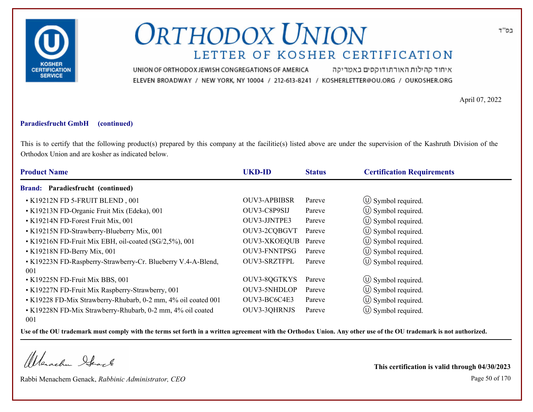

איחוד קהילות האורתודוקסים באמריקה UNION OF ORTHODOX JEWISH CONGREGATIONS OF AMERICA ELEVEN BROADWAY / NEW YORK, NY 10004 / 212-613-8241 / KOSHERLETTER@OU.ORG / OUKOSHER.ORG

April 07, 2022

#### **Paradiesfrucht GmbH (continued)**

This is to certify that the following product(s) prepared by this company at the facilitie(s) listed above are under the supervision of the Kashruth Division of the Orthodox Union and are kosher as indicated below.

| <b>Product Name</b>                                                 | <b>UKD-ID</b>       | <b>Status</b> | <b>Certification Requirements</b> |
|---------------------------------------------------------------------|---------------------|---------------|-----------------------------------|
| Brand: Paradiesfrucht (continued)                                   |                     |               |                                   |
| • K19212N FD 5-FRUIT BLEND, 001                                     | <b>OUV3-APBIBSR</b> | Pareve        | $\circled{1}$ Symbol required.    |
| • K19213N FD-Organic Fruit Mix (Edeka), 001                         | OUV3-C8P9SIJ        | Pareve        | $\circled{1}$ Symbol required.    |
| • K19214N FD-Forest Fruit Mix, 001                                  | OUV3-JJNTPE3        | Pareve        | $\circled{1}$ Symbol required.    |
| • K19215N FD-Strawberry-Blueberry Mix, 001                          | OUV3-2CQBGVT        | Pareve        | (U) Symbol required.              |
| • K19216N FD-Fruit Mix EBH, oil-coated (SG/2,5%), 001               | <b>OUV3-XKOEQUB</b> | Pareve        | $\circled{1}$ Symbol required.    |
| $\cdot$ K19218N FD-Berry Mix, 001                                   | <b>OUV3-FNNTPSG</b> | Pareve        | $\circled{0}$ Symbol required.    |
| • K19223N FD-Raspberry-Strawberry-Cr. Blueberry V.4-A-Blend,<br>001 | <b>OUV3-SRZTFPL</b> | Pareve        | $\circ$ Symbol required.          |
| • K19225N FD-Fruit Mix BBS, 001                                     | OUV3-8QGTKYS        | Pareve        | $\circled{1}$ Symbol required.    |
| • K19227N FD-Fruit Mix Raspberry-Strawberry, 001                    | OUV3-5NHDLOP        | Pareve        | $\circ$ Symbol required.          |
| • K19228 FD-Mix Strawberry-Rhubarb, 0-2 mm, 4% oil coated 001       | OUV3-BC6C4E3        | Pareve        | (U) Symbol required.              |
| • K19228N FD-Mix Strawberry-Rhubarb, 0-2 mm, 4% oil coated<br>001   | OUV3-3QHRNJS        | Pareve        | $\circ$ Symbol required.          |

**Use of the OU trademark must comply with the terms set forth in a written agreement with the Orthodox Union. Any other use of the OU trademark is not authorized.**

Werachen Stack

Rabbi Menachem Genack, *Rabbinic Administrator, CEO* Page 50 of 170

**This certification is valid through 04/30/2023**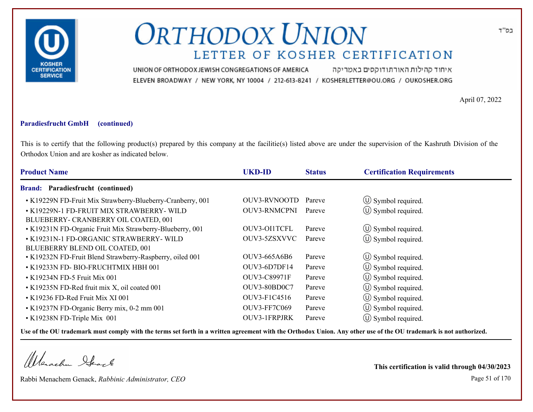

איחוד קהילות האורתודוקסים באמריקה UNION OF ORTHODOX JEWISH CONGREGATIONS OF AMERICA ELEVEN BROADWAY / NEW YORK, NY 10004 / 212-613-8241 / KOSHERLETTER@OU.ORG / OUKOSHER.ORG

April 07, 2022

#### **Paradiesfrucht GmbH (continued)**

This is to certify that the following product(s) prepared by this company at the facilitie(s) listed above are under the supervision of the Kashruth Division of the Orthodox Union and are kosher as indicated below.

| <b>Product Name</b>                                                               | <b>UKD-ID</b>       | <b>Status</b> | <b>Certification Requirements</b> |
|-----------------------------------------------------------------------------------|---------------------|---------------|-----------------------------------|
| <b>Brand: Paradiesfrucht (continued)</b>                                          |                     |               |                                   |
| • K19229N FD-Fruit Mix Strawberry-Blueberry-Cranberry, 001                        | OUV3-RVNOOTD        | Pareve        | $\circled{1}$ Symbol required.    |
| • K19229N-1 FD-FRUIT MIX STRAWBERRY- WILD<br>BLUEBERRY- CRANBERRY OIL COATED, 001 | <b>OUV3-RNMCPNI</b> | Pareve        | (U) Symbol required.              |
| • K19231N FD-Organic Fruit Mix Strawberry-Blueberry, 001                          | OUV3-OI1TCFL        | Pareve        | $\circ$ Symbol required.          |
| • K19231N-1 FD-ORGANIC STRAWBERRY- WILD<br>BLUEBERRY BLEND OIL COATED, 001        | OUV3-5ZSXVVC        | Pareve        | (U) Symbol required.              |
| • K19232N FD-Fruit Blend Strawberry-Raspberry, oiled 001                          | OUV3-665A6B6        | Pareve        | $\circ$ Symbol required.          |
| • K19233N FD- BIO-FRUCHTMIX HBH 001                                               | OUV3-6D7DF14        | Pareve        | $\circled{1}$ Symbol required.    |
| $\cdot$ K19234N FD-5 Fruit Mix 001                                                | OUV3-C89971F        | Pareve        | $\circled{1}$ Symbol required.    |
| • K19235N FD-Red fruit mix X, oil coated 001                                      | OUV3-80BD0C7        | Pareve        | $\circ$ Symbol required.          |
| • K19236 FD-Red Fruit Mix XI 001                                                  | OUV3-F1C4516        | Pareve        | $\circ$ Symbol required.          |
| • K19237N FD-Organic Berry mix, 0-2 mm 001                                        | <b>OUV3-FF7C069</b> | Pareve        | $\circ$ Symbol required.          |
| • K19238N FD-Triple Mix 001                                                       | OUV3-1FRPJRK        | Pareve        | (U) Symbol required.              |

**Use of the OU trademark must comply with the terms set forth in a written agreement with the Orthodox Union. Any other use of the OU trademark is not authorized.**

Werachen Stack

Rabbi Menachem Genack, *Rabbinic Administrator, CEO* Page 51 of 170

**This certification is valid through 04/30/2023**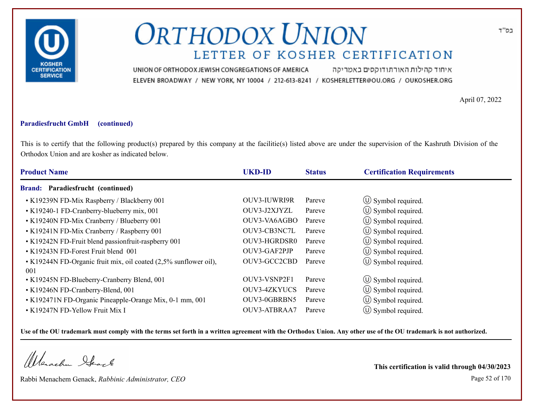

איחוד קהילות האורתודוקסים באמריקה UNION OF ORTHODOX JEWISH CONGREGATIONS OF AMERICA ELEVEN BROADWAY / NEW YORK, NY 10004 / 212-613-8241 / KOSHERLETTER@OU.ORG / OUKOSHER.ORG

April 07, 2022

#### **Paradiesfrucht GmbH (continued)**

This is to certify that the following product(s) prepared by this company at the facilitie(s) listed above are under the supervision of the Kashruth Division of the Orthodox Union and are kosher as indicated below.

| <b>Product Name</b>                                              | <b>UKD-ID</b>       | <b>Status</b> | <b>Certification Requirements</b> |
|------------------------------------------------------------------|---------------------|---------------|-----------------------------------|
| Brand: Paradiesfrucht (continued)                                |                     |               |                                   |
| • K19239N FD-Mix Raspberry / Blackberry 001                      | <b>OUV3-IUWRI9R</b> | Pareve        | $\circ$ Symbol required.          |
| • K19240-1 FD-Cranberry-blueberry mix, 001                       | OUV3-J2XJYZL        | Pareve        | $\circled{1}$ Symbol required.    |
| • K19240N FD-Mix Cranberry / Blueberry 001                       | OUV3-VA6AGBO        | Pareve        | $\circled{1}$ Symbol required.    |
| • K19241N FD-Mix Cranberry / Raspberry 001                       | OUV3-CB3NC7L        | Pareve        | $\circ$ Symbol required.          |
| • K19242N FD-Fruit blend passionfruit-raspberry 001              | OUV3-HGRDSR0        | Pareve        | $\circ$ Symbol required.          |
| • K19243N FD-Forest Fruit blend 001                              | OUV3-GAF2PJP        | Pareve        | $\circled{1}$ Symbol required.    |
| • K19244N FD-Organic fruit mix, oil coated (2,5% sunflower oil), | OUV3-GCC2CBD        | Pareve        | $\circ$ Symbol required.          |
| 001                                                              |                     |               |                                   |
| • K19245N FD-Blueberry-Cranberry Blend, 001                      | OUV3-VSNP2F1        | Pareve        | $\circ$ Symbol required.          |
| • K19246N FD-Cranberry-Blend, 001                                | <b>OUV3-4ZKYUCS</b> | Pareve        | $\circ$ Symbol required.          |
| • K192471N FD-Organic Pineapple-Orange Mix, 0-1 mm, 001          | OUV3-0GBRBN5        | Pareve        | $\circ$ Symbol required.          |
| • K19247N FD-Yellow Fruit Mix I                                  | OUV3-ATBRAA7        | Pareve        | $\circ$ Symbol required.          |

**Use of the OU trademark must comply with the terms set forth in a written agreement with the Orthodox Union. Any other use of the OU trademark is not authorized.**

Werachen Stack

Rabbi Menachem Genack, *Rabbinic Administrator, CEO* Page 52 of 170

**This certification is valid through 04/30/2023**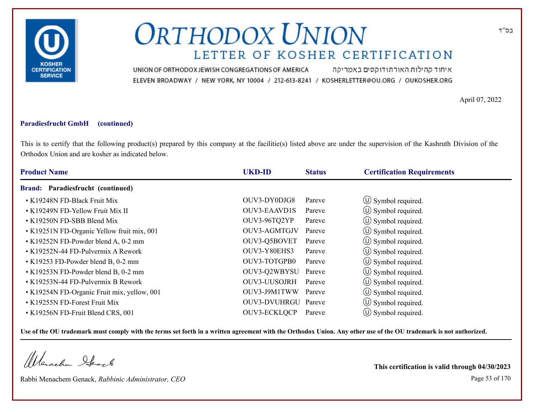

איחוד קהילות האורתודוקסים באמריקה UNION OF ORTHODOX JEWISH CONGREGATIONS OF AMERICA ELEVEN BROADWAY / NEW YORK, NY 10004 / 212-613-8241 / KOSHERLETTER@OU.ORG / OUKOSHER.ORG

April 07, 2022

### **Paradiesfrucht GmbH (continued)**

This is to certify that the following product(s) prepared by this company at the facilitie(s) listed above are under the supervision of the Kashruth Division of the Orthodox Union and are kosher as indicated below.

| <b>Product Name</b>                         | <b>UKD-ID</b>       | <b>Status</b> | <b>Certification Requirements</b> |  |
|---------------------------------------------|---------------------|---------------|-----------------------------------|--|
| Brand: Paradiesfrucht (continued)           |                     |               |                                   |  |
| • K19248N FD-Black Fruit Mix                | OUV3-DY0DJG8        | Pareve        | $\circ$ Symbol required.          |  |
| • K19249N FD-Yellow Fruit Mix II            | <b>OUV3-EAAVD1S</b> | Pareve        | $\circ$ Symbol required.          |  |
| • K19250N FD-SBB Blend Mix                  | OUV3-96TQ2YP        | Pareve        | (U) Symbol required.              |  |
| • K19251N FD-Organic Yellow fruit mix, 001  | OUV3-AGMTGJV        | Pareve        | $\circ$ Symbol required.          |  |
| • K19252N FD-Powder blend A, 0-2 mm         | OUV3-Q5BOVET        | Pareve        | $\circled{1}$ Symbol required.    |  |
| • K19252N-44 FD-Pulvermix A Rework          | OUV3-Y80EHS3        | Pareve        | $\circ$ Symbol required.          |  |
| • K19253 FD-Powder blend B, 0-2 mm          | OUV3-TOTGPB0        | Pareve        | $\circ$ Symbol required.          |  |
| • K19253N FD-Powder blend B, 0-2 mm         | OUV3-Q2WBYSU        | Pareve        | (U) Symbol required.              |  |
| • K19253N-44 FD-Pulvermix B Rework          | OUV3-UUSOJRH        | Pareve        | $\circ$ Symbol required.          |  |
| • K19254N FD-Organic Fruit mix, yellow, 001 | OUV3-J9M1TWW        | Pareve        | (U) Symbol required.              |  |
| • K19255N FD-Forest Fruit Mix               | OUV3-DVUHRGU Pareve |               | $\circled{1}$ Symbol required.    |  |
| • K19256N FD-Fruit Blend CRS, 001           | OUV3-ECKLQCP        | Pareve        | $\circ$ Symbol required.          |  |

**Use of the OU trademark must comply with the terms set forth in a written agreement with the Orthodox Union. Any other use of the OU trademark is not authorized.**

Werschn Stack

Rabbi Menachem Genack, *Rabbinic Administrator, CEO* Page 53 of 170

**This certification is valid through 04/30/2023**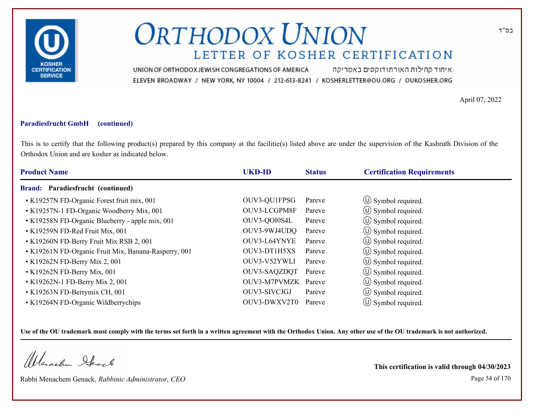

איחוד קהילות האורתודוקסים באמריקה UNION OF ORTHODOX JEWISH CONGREGATIONS OF AMERICA ELEVEN BROADWAY / NEW YORK, NY 10004 / 212-613-8241 / KOSHERLETTER@OU.ORG / OUKOSHER.ORG

April 07, 2022

### **Paradiesfrucht GmbH (continued)**

This is to certify that the following product(s) prepared by this company at the facilitie(s) listed above are under the supervision of the Kashruth Division of the Orthodox Union and are kosher as indicated below.

| <b>Product Name</b>                                  | <b>UKD-ID</b>       | <b>Status</b> | <b>Certification Requirements</b> |  |
|------------------------------------------------------|---------------------|---------------|-----------------------------------|--|
| Brand: Paradiesfrucht (continued)                    |                     |               |                                   |  |
| • K19257N FD-Organic Forest fruit mix, 001           | OUV3-QU1FPSG        | Pareve        | $\circ$ Symbol required.          |  |
| • K19257N-1 FD-Organic Woodberry Mix, 001            | OUV3-LCGPM8F        | Pareve        | $\circ$ Symbol required.          |  |
| • K19258N FD-Organic Blueberry - apple mix, 001      | OUV3-QOI0S4L        | Pareve        | $\circled{1}$ Symbol required.    |  |
| • K19259N FD-Red Fruit Mix, 001                      | OUV3-9WJ4UDQ        | Pareve        | $\circled{1}$ Symbol required.    |  |
| • K19260N FD-Berry Fruit Mix RSB 2, 001              | OUV3-L64YNYE        | Pareve        | $\circled{1}$ Symbol required.    |  |
| • K19261N FD-Organic Fruit Mix, Banana-Rasperry, 001 | OUV3-DT1H5XS        | Pareve        | $\circ$ Symbol required.          |  |
| $\cdot$ K19262N FD-Berry Mix 2, 001                  | OUV3-V52YWLI        | Pareve        | $\circled{1}$ Symbol required.    |  |
| • K19262N FD-Berry Mix, 001                          | OUV3-SAQZDQT        | Pareve        | $\circ$ Symbol required.          |  |
| • K19262N-1 FD-Berry Mix 2, 001                      | OUV3-M7PVMZK Pareve |               | $\circ$ Symbol required.          |  |
| • K19263N FD-Berrymix CH, 001                        | OUV3-SIVCJGJ        | Pareve        | $\circ$ Symbol required.          |  |
| • K19264N FD-Organic Wildberrychips                  | OUV3-DWXV2T0        | Pareve        | $(\cup)$ Symbol required.         |  |

**Use of the OU trademark must comply with the terms set forth in a written agreement with the Orthodox Union. Any other use of the OU trademark is not authorized.**

Werschn Stack

Rabbi Menachem Genack, *Rabbinic Administrator, CEO* Page 54 of 170

**This certification is valid through 04/30/2023**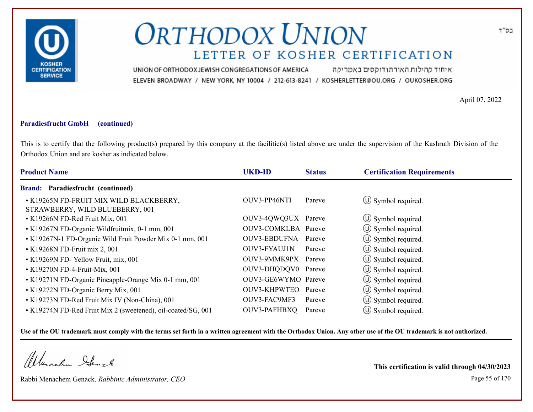

איחוד קהילות האורתודוקסים באמריקה UNION OF ORTHODOX JEWISH CONGREGATIONS OF AMERICA ELEVEN BROADWAY / NEW YORK, NY 10004 / 212-613-8241 / KOSHERLETTER@OU.ORG / OUKOSHER.ORG

April 07, 2022

### **Paradiesfrucht GmbH (continued)**

This is to certify that the following product(s) prepared by this company at the facilitie(s) listed above are under the supervision of the Kashruth Division of the Orthodox Union and are kosher as indicated below.

| <b>Product Name</b>                                                        | <b>UKD-ID</b>       | <b>Status</b> | <b>Certification Requirements</b> |
|----------------------------------------------------------------------------|---------------------|---------------|-----------------------------------|
| Brand: Paradiesfrucht (continued)                                          |                     |               |                                   |
| • K19265N FD-FRUIT MIX WILD BLACKBERRY,<br>STRAWBERRY, WILD BLUEBERRY, 001 | OUV3-PP46NTI        | Pareve        | $\circ$ Symbol required.          |
| • K19266N FD-Red Fruit Mix, 001                                            | OUV3-4QWQ3UX Pareve |               | $\circ$ Symbol required.          |
| • K19267N FD-Organic Wildfruitmix, 0-1 mm, 001                             | OUV3-COMKLBA Pareve |               | $\circ$ Symbol required.          |
| • K19267N-1 FD-Organic Wild Fruit Powder Mix 0-1 mm, 001                   | OUV3-EBDUFNA Pareve |               | $\circled{1}$ Symbol required.    |
| • K19268N FD-Fruit mix 2, 001                                              | <b>OUV3-FYAUJ1N</b> | Pareve        | $\circ$ Symbol required.          |
| • K19269N FD-Yellow Fruit, mix, 001                                        | OUV3-9MMK9PX Pareve |               | $\circled{1}$ Symbol required.    |
| • K19270N FD-4-Fruit-Mix, 001                                              | OUV3-DHQDQV0 Pareve |               | $\circ$ Symbol required.          |
| • K19271N FD-Organic Pineapple-Orange Mix 0-1 mm, 001                      | OUV3-GE6WYMO Pareve |               | $\circ$ Symbol required.          |
| • K19272N FD-Organic Berry Mix, 001                                        | OUV3-KHPWTEO        | Pareve        | (U) Symbol required.              |
| • K19273N FD-Red Fruit Mix IV (Non-China), 001                             | OUV3-FAC9MF3        | Pareve        | $\circ$ Symbol required.          |
| • K19274N FD-Red Fruit Mix 2 (sweetened), oil-coated/SG, 001               | OUV3-PAFHBXQ        | Pareve        | $(U)$ Symbol required.            |

**Use of the OU trademark must comply with the terms set forth in a written agreement with the Orthodox Union. Any other use of the OU trademark is not authorized.**

Werachen Stack

Rabbi Menachem Genack, *Rabbinic Administrator, CEO* Page 55 of 170

**This certification is valid through 04/30/2023**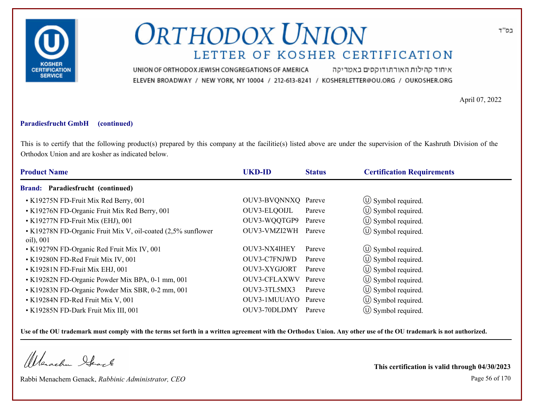

איחוד קהילות האורתודוקסים באמריקה UNION OF ORTHODOX JEWISH CONGREGATIONS OF AMERICA ELEVEN BROADWAY / NEW YORK, NY 10004 / 212-613-8241 / KOSHERLETTER@OU.ORG / OUKOSHER.ORG

April 07, 2022

#### **Paradiesfrucht GmbH (continued)**

This is to certify that the following product(s) prepared by this company at the facilitie(s) listed above are under the supervision of the Kashruth Division of the Orthodox Union and are kosher as indicated below.

| <b>Product Name</b>                                                       | <b>UKD-ID</b>       | <b>Status</b> | <b>Certification Requirements</b> |
|---------------------------------------------------------------------------|---------------------|---------------|-----------------------------------|
| Brand: Paradiesfrucht (continued)                                         |                     |               |                                   |
| • K19275N FD-Fruit Mix Red Berry, 001                                     | OUV3-BVQNNXQ Pareve |               | $\circ$ Symbol required.          |
| • K19276N FD-Organic Fruit Mix Red Berry, 001                             | OUV3-ELQOIJL        | Pareve        | $\circ$ Symbol required.          |
| • K19277N FD-Fruit Mix (EHJ), 001                                         | OUV3-WQQTGP9        | Pareve        | $\circled{1}$ Symbol required.    |
| • K19278N FD-Organic Fruit Mix V, oil-coated (2,5% sunflower<br>oil), 001 | OUV3-VMZI2WH        | Pareve        | $\circled{1}$ Symbol required.    |
| • K19279N FD-Organic Red Fruit Mix IV, 001                                | OUV3-NX4IHEY        | Pareve        | $\circ$ Symbol required.          |
| • K19280N FD-Red Fruit Mix IV, 001                                        | OUV3-C7FNJWD        | Pareve        | $\circ$ Symbol required.          |
| • K19281N FD-Fruit Mix EHJ, 001                                           | OUV3-XYGJORT        | Pareve        | $\circled{1}$ Symbol required.    |
| • K19282N FD-Organic Powder Mix BPA, 0-1 mm, 001                          | OUV3-CFLAXWV Pareve |               | (U) Symbol required.              |
| • K19283N FD-Organic Powder Mix SBR, 0-2 mm, 001                          | OUV3-3TL5MX3        | Pareve        | $\circ$ Symbol required.          |
| • K19284N FD-Red Fruit Mix V, 001                                         | OUV3-1MUUAYO        | Pareve        | $\circ$ Symbol required.          |
| • K19285N FD-Dark Fruit Mix III, 001                                      | OUV3-70DLDMY        | Pareve        | $(U)$ Symbol required.            |

**Use of the OU trademark must comply with the terms set forth in a written agreement with the Orthodox Union. Any other use of the OU trademark is not authorized.**

Werachen Stack

Rabbi Menachem Genack, *Rabbinic Administrator, CEO* Page 56 of 170

**This certification is valid through 04/30/2023**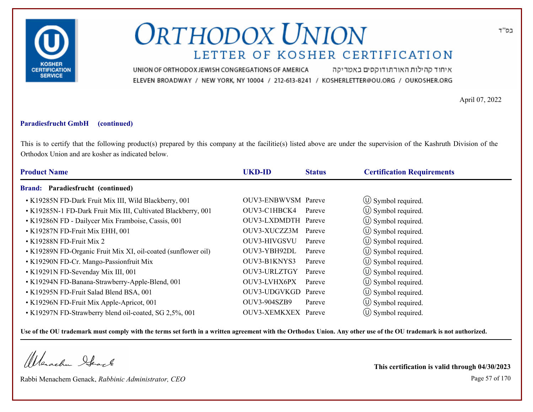

איחוד קהילות האורתודוקסים באמריקה UNION OF ORTHODOX JEWISH CONGREGATIONS OF AMERICA ELEVEN BROADWAY / NEW YORK, NY 10004 / 212-613-8241 / KOSHERLETTER@OU.ORG / OUKOSHER.ORG

April 07, 2022

### **Paradiesfrucht GmbH (continued)**

This is to certify that the following product(s) prepared by this company at the facilitie(s) listed above are under the supervision of the Kashruth Division of the Orthodox Union and are kosher as indicated below.

| <b>Product Name</b>                                           | <b>UKD-ID</b>              | <b>Status</b> | <b>Certification Requirements</b> |
|---------------------------------------------------------------|----------------------------|---------------|-----------------------------------|
| Brand: Paradiesfrucht (continued)                             |                            |               |                                   |
| • K19285N FD-Dark Fruit Mix III, Wild Blackberry, 001         | <b>OUV3-ENBWVSM</b> Pareve |               | $\circ$ Symbol required.          |
| • K19285N-1 FD-Dark Fruit Mix III, Cultivated Blackberry, 001 | OUV3-C1HBCK4               | Pareve        | $\circled{1}$ Symbol required.    |
| • K19286N FD - Dailycer Mix Framboise, Cassis, 001            | OUV3-LXDMDTH Pareve        |               | $\circ$ Symbol required.          |
| • K19287N FD-Fruit Mix EHH, 001                               | OUV3-XUCZZ3M               | Pareve        | $\circ$ Symbol required.          |
| $\cdot$ K19288N FD-Fruit Mix 2                                | OUV3-HIVGSVU               | Pareve        | $\circ$ Symbol required.          |
| • K19289N FD-Organic Fruit Mix XI, oil-coated (sunflower oil) | OUV3-YBH92DL               | Pareve        | (U) Symbol required.              |
| • K19290N FD-Cr. Mango-Passionfruit Mix                       | OUV3-B1KNYS3               | Pareve        | $\circled{1}$ Symbol required.    |
| • K19291N FD-Sevenday Mix III, 001                            | OUV3-URLZTGY               | Pareve        | (U) Symbol required.              |
| • K19294N FD-Banana-Strawberry-Apple-Blend, 001               | OUV3-LVHX6PX               | Pareve        | $\circ$ Symbol required.          |
| • K19295N FD-Fruit Salad Blend BSA, 001                       | OUV3-UDGVKGD Pareve        |               | $\circ$ Symbol required.          |
| • K19296N FD-Fruit Mix Apple-Apricot, 001                     | <b>OUV3-904SZB9</b>        | Pareve        | $\circled{1}$ Symbol required.    |
| • K19297N FD-Strawberry blend oil-coated, SG 2,5%, 001        | OUV3-XEMKXEX Pareve        |               | $\circ$ Symbol required.          |

**Use of the OU trademark must comply with the terms set forth in a written agreement with the Orthodox Union. Any other use of the OU trademark is not authorized.**

Werschn Stack

Rabbi Menachem Genack, *Rabbinic Administrator, CEO* Page 57 of 170

**This certification is valid through 04/30/2023**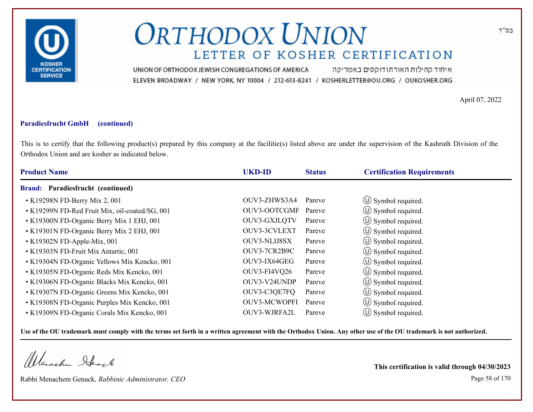

איחוד קהילות האורתודוקסים באמריקה UNION OF ORTHODOX JEWISH CONGREGATIONS OF AMERICA ELEVEN BROADWAY / NEW YORK, NY 10004 / 212-613-8241 / KOSHERLETTER@OU.ORG / OUKOSHER.ORG

April 07, 2022

### **Paradiesfrucht GmbH (continued)**

This is to certify that the following product(s) prepared by this company at the facilitie(s) listed above are under the supervision of the Kashruth Division of the Orthodox Union and are kosher as indicated below.

| <b>Product Name</b>                            | <b>UKD-ID</b>       | <b>Status</b> | <b>Certification Requirements</b> |  |
|------------------------------------------------|---------------------|---------------|-----------------------------------|--|
| Brand: Paradiesfrucht (continued)              |                     |               |                                   |  |
| • K19298N FD-Berry Mix 2, 001                  | OUV3-ZHWS3A4        | Pareve        | $\circled{1}$ Symbol required.    |  |
| • K19299N FD-Red Fruit Mix, oil-coated/SG, 001 | <b>OUV3-OOTCGMF</b> | Pareve        | $\circ$ Symbol required.          |  |
| • K19300N FD-Organic Berry Mix 1 EHJ, 001      | OUV3-GXJLQTV        | Pareve        | $\circled{1}$ Symbol required.    |  |
| • K19301N FD-Organic Berry Mix 2 EHJ, 001      | OUV3-3CVLEXT        | Pareve        | $\circ$ Symbol required.          |  |
| $\cdot$ K19302N FD-Apple-Mix, 001              | <b>OUV3-NLIJ8SX</b> | Pareve        | $\circ$ Symbol required.          |  |
| • K19303N FD-Fruit Mix Antartic, 001           | OUV3-7CR2B9C        | Pareve        | $\circ$ Symbol required.          |  |
| • K19304N FD-Organic Yellows Mix Kencko, 001   | OUV3-IX64GEG        | Pareve        | $\circ$ Symbol required.          |  |
| • K19305N FD-Organic Reds Mix Kencko, 001      | <b>OUV3-FI4VQ26</b> | Pareve        | (U) Symbol required.              |  |
| • K19306N FD-Organic Blacks Mix Kencko, 001    | OUV3-V24UNDP        | Pareve        | $\circ$ Symbol required.          |  |
| • K19307N FD-Organic Greens Mix Kencko, 001    | OUV3-C3QE7FQ        | Pareve        | $\circ$ Symbol required.          |  |
| • K19308N FD-Organic Purples Mix Kencko, 001   | <b>OUV3-MCWOPFI</b> | Pareve        | $\circ$ Symbol required.          |  |
| • K19309N FD-Organic Corals Mix Kencko, 001    | OUV3-WJRFA2L        | Pareve        | $\circ$ Symbol required.          |  |

**Use of the OU trademark must comply with the terms set forth in a written agreement with the Orthodox Union. Any other use of the OU trademark is not authorized.**

Werschn Stack

Rabbi Menachem Genack, *Rabbinic Administrator, CEO* Page 58 of 170

**This certification is valid through 04/30/2023**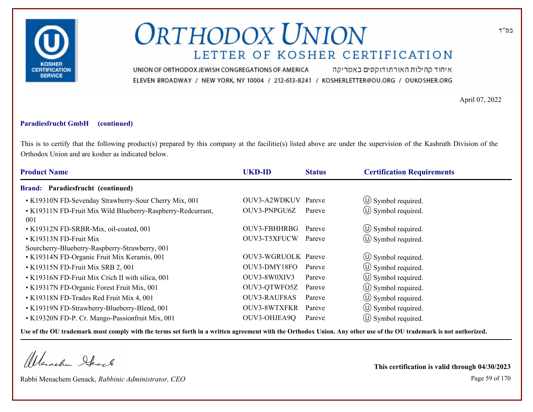

איחוד קהילות האורתודוקסים באמריקה UNION OF ORTHODOX JEWISH CONGREGATIONS OF AMERICA ELEVEN BROADWAY / NEW YORK, NY 10004 / 212-613-8241 / KOSHERLETTER@OU.ORG / OUKOSHER.ORG

April 07, 2022

#### **Paradiesfrucht GmbH (continued)**

This is to certify that the following product(s) prepared by this company at the facilitie(s) listed above are under the supervision of the Kashruth Division of the Orthodox Union and are kosher as indicated below.

| <b>Status</b> | <b>Certification Requirements</b>                                                                                                                                                                                         |
|---------------|---------------------------------------------------------------------------------------------------------------------------------------------------------------------------------------------------------------------------|
|               |                                                                                                                                                                                                                           |
| Pareve        | $\circ$ Symbol required.                                                                                                                                                                                                  |
| Pareve        | $\circled{1}$ Symbol required.                                                                                                                                                                                            |
| Pareve        | $\circled{1}$ Symbol required.                                                                                                                                                                                            |
| Pareve        | $\circled{0}$ Symbol required.                                                                                                                                                                                            |
|               |                                                                                                                                                                                                                           |
|               | $\circled{1}$ Symbol required.                                                                                                                                                                                            |
| Pareve        | $\circled{1}$ Symbol required.                                                                                                                                                                                            |
| Pareve        | $\circled{1}$ Symbol required.                                                                                                                                                                                            |
| Pareve        | $\circled{1}$ Symbol required.                                                                                                                                                                                            |
| Pareve        | (U) Symbol required.                                                                                                                                                                                                      |
| Pareve        | $\circled{1}$ Symbol required.                                                                                                                                                                                            |
| Pareve        | (U) Symbol required.                                                                                                                                                                                                      |
|               | <b>UKD-ID</b><br>OUV3-A2WDKUV<br>OUV3-PNPGU6Z<br>OUV3-FBHHRBG<br>OUV3-T5XFUCW<br><b>OUV3-WGRUOLK</b> Pareve<br>OUV3-DMY18FO<br>OUV3-8W0XIV3<br>OUV3-QTWFO5Z<br><b>OUV3-RAUF8AS</b><br><b>OUV3-8WTXFKR</b><br>OUV3-OHJEA9Q |

**Use of the OU trademark must comply with the terms set forth in a written agreement with the Orthodox Union. Any other use of the OU trademark is not authorized.**

Werachen Stack

Rabbi Menachem Genack, *Rabbinic Administrator, CEO* Page 59 of 170

**This certification is valid through 04/30/2023**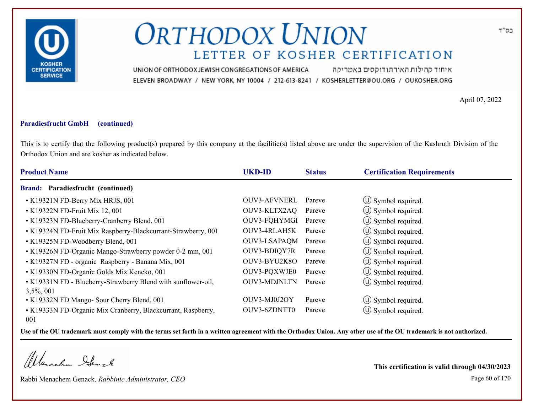

איחוד קהילות האורתודוקסים באמריקה UNION OF ORTHODOX JEWISH CONGREGATIONS OF AMERICA ELEVEN BROADWAY / NEW YORK, NY 10004 / 212-613-8241 / KOSHERLETTER@OU.ORG / OUKOSHER.ORG

April 07, 2022

#### **Paradiesfrucht GmbH (continued)**

This is to certify that the following product(s) prepared by this company at the facilitie(s) listed above are under the supervision of the Kashruth Division of the Orthodox Union and are kosher as indicated below.

| <b>Product Name</b>                                           | <b>UKD-ID</b>       | <b>Status</b> | <b>Certification Requirements</b> |
|---------------------------------------------------------------|---------------------|---------------|-----------------------------------|
| Brand: Paradiesfrucht (continued)                             |                     |               |                                   |
| • K19321N FD-Berry Mix HRJS, 001                              | OUV3-AFVNERL        | Pareve        | $\circ$ Symbol required.          |
| • K19322N FD-Fruit Mix 12, 001                                | OUV3-KLTX2AQ        | Pareve        | $\circ$ Symbol required.          |
| • K19323N FD-Blueberry-Cranberry Blend, 001                   | OUV3-FQHYMGI        | Pareve        | $\circled{1}$ Symbol required.    |
| • K19324N FD-Fruit Mix Raspberry-Blackcurrant-Strawberry, 001 | OUV3-4RLAH5K        | Pareve        | $\circ$ Symbol required.          |
| • K19325N FD-Woodberry Blend, 001                             | <b>OUV3-LSAPAQM</b> | Pareve        | $\circ$ Symbol required.          |
| • K19326N FD-Organic Mango-Strawberry powder 0-2 mm, 001      | OUV3-BDIQY7R        | Pareve        | $\circ$ Symbol required.          |
| • K19327N FD - organic Raspberry - Banana Mix, 001            | OUV3-BYU2K8O        | Pareve        | $\circled{1}$ Symbol required.    |
| • K19330N FD-Organic Golds Mix Kencko, 001                    | OUV3-PQXWJE0        | Pareve        | (U) Symbol required.              |
| • K19331N FD - Blueberry-Strawberry Blend with sunflower-oil, | <b>OUV3-MDJNLTN</b> | Pareve        | $\circ$ Symbol required.          |
| $3,5\%, 001$                                                  |                     |               |                                   |
| • K19332N FD Mango- Sour Cherry Blend, 001                    | OUV3-MJ0J2OY        | Pareve        | $\circ$ Symbol required.          |
| • K19333N FD-Organic Mix Cranberry, Blackcurrant, Raspberry,  | OUV3-6ZDNTT0        | Pareve        | $\circ$ Symbol required.          |
| 001                                                           |                     |               |                                   |

**Use of the OU trademark must comply with the terms set forth in a written agreement with the Orthodox Union. Any other use of the OU trademark is not authorized.**

Werachen Stack

Rabbi Menachem Genack, *Rabbinic Administrator, CEO* Page 60 of 170

**This certification is valid through 04/30/2023**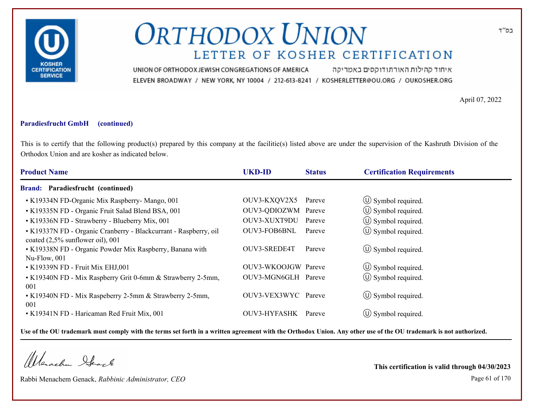

איחוד קהילות האורתודוקסים באמריקה UNION OF ORTHODOX JEWISH CONGREGATIONS OF AMERICA ELEVEN BROADWAY / NEW YORK, NY 10004 / 212-613-8241 / KOSHERLETTER@OU.ORG / OUKOSHER.ORG

April 07, 2022

#### **Paradiesfrucht GmbH (continued)**

This is to certify that the following product(s) prepared by this company at the facilitie(s) listed above are under the supervision of the Kashruth Division of the Orthodox Union and are kosher as indicated below.

| <b>Product Name</b>                                                                                     | <b>UKD-ID</b>       | <b>Status</b> | <b>Certification Requirements</b> |
|---------------------------------------------------------------------------------------------------------|---------------------|---------------|-----------------------------------|
| <b>Brand: Paradiesfrucht (continued)</b>                                                                |                     |               |                                   |
| • K19334N FD-Organic Mix Raspberry- Mango, 001                                                          | OUV3-KXQV2X5        | Pareve        | $\circled{1}$ Symbol required.    |
| • K19335N FD - Organic Fruit Salad Blend BSA, 001                                                       | OUV3-QDIOZWM Pareve |               | $\circ$ Symbol required.          |
| • K19336N FD - Strawberry - Blueberry Mix, 001                                                          | OUV3-XUXT9DU        | Pareve        | (U) Symbol required.              |
| • K19337N FD - Organic Cranberry - Blackcurrant - Raspberry, oil<br>coated $(2,5\%$ sunflower oil), 001 | OUV3-FOB6BNL        | Pareve        | $\circ$ Symbol required.          |
| • K19338N FD - Organic Powder Mix Raspberry, Banana with<br>Nu-Flow, 001                                | OUV3-SREDE4T        | Pareve        | $\circ$ Symbol required.          |
| • K19339N FD - Fruit Mix EHJ,001                                                                        | OUV3-WKOOJGW Pareve |               | $\circ$ Symbol required.          |
| • K19340N FD - Mix Raspberry Grit 0-6mm & Strawberry 2-5mm,<br>001                                      | OUV3-MGN6GLH Pareve |               | $(\cup)$ Symbol required.         |
| • K19340N FD - Mix Raspeberry 2-5mm & Strawberry 2-5mm,<br>001                                          | OUV3-VEX3WYC Pareve |               | $\circled{1}$ Symbol required.    |
| • K19341N FD - Haricaman Red Fruit Mix, 001                                                             | OUV3-HYFASHK        | Pareve        | $(U)$ Symbol required.            |

**Use of the OU trademark must comply with the terms set forth in a written agreement with the Orthodox Union. Any other use of the OU trademark is not authorized.**

Werachen Stack

Rabbi Menachem Genack, *Rabbinic Administrator, CEO* Page 61 of 170

**This certification is valid through 04/30/2023**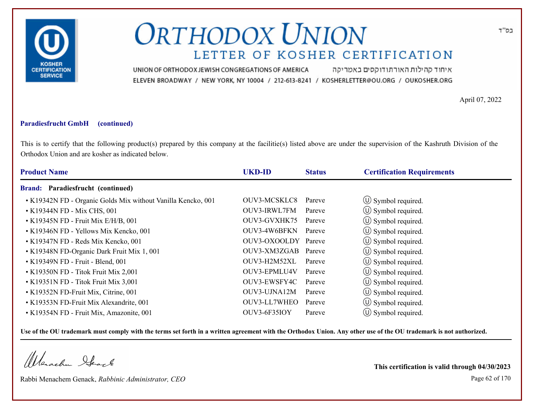

איחוד קהילות האורתודוקסים באמריקה UNION OF ORTHODOX JEWISH CONGREGATIONS OF AMERICA ELEVEN BROADWAY / NEW YORK, NY 10004 / 212-613-8241 / KOSHERLETTER@OU.ORG / OUKOSHER.ORG

April 07, 2022

### **Paradiesfrucht GmbH (continued)**

This is to certify that the following product(s) prepared by this company at the facilitie(s) listed above are under the supervision of the Kashruth Division of the Orthodox Union and are kosher as indicated below.

| <b>Product Name</b>                                          | <b>UKD-ID</b>       | <b>Status</b> | <b>Certification Requirements</b> |
|--------------------------------------------------------------|---------------------|---------------|-----------------------------------|
| Brand: Paradiesfrucht (continued)                            |                     |               |                                   |
| • K19342N FD - Organic Golds Mix without Vanilla Kencko, 001 | OUV3-MCSKLC8        | Pareve        | $\circled{1}$ Symbol required.    |
| • K19344N FD - Mix CHS, 001                                  | OUV3-IRWL7FM        | Pareve        | $\circ$ Symbol required.          |
| • K19345N FD - Fruit Mix E/H/B, 001                          | OUV3-GVXHK75        | Pareve        | $\circled{1}$ Symbol required.    |
| • K19346N FD - Yellows Mix Kencko, 001                       | OUV3-4W6BFKN        | Pareve        | $\circ$ Symbol required.          |
| • K19347N FD - Reds Mix Kencko, 001                          | OUV3-OXOOLDY Pareve |               | $\circ$ Symbol required.          |
| • K19348N FD-Organic Dark Fruit Mix 1, 001                   | OUV3-XM3ZGAB Pareve |               | $\circ$ Symbol required.          |
| • K19349N FD - Fruit - Blend, 001                            | OUV3-H2M52XL        | Pareve        | $\circ$ Symbol required.          |
| • K19350N FD - Titok Fruit Mix 2,001                         | OUV3-EPMLU4V        | Pareve        | (U) Symbol required.              |
| • K19351N FD - Titok Fruit Mix 3,001                         | OUV3-EWSFY4C        | Pareve        | $\circ$ Symbol required.          |
| • K19352N FD-Fruit Mix, Citrine, 001                         | OUV3-UJNA12M        | Pareve        | $\circ$ Symbol required.          |
| • K19353N FD-Fruit Mix Alexandrite, 001                      | OUV3-LL7WHEO        | Pareve        | $\circled{1}$ Symbol required.    |
| • K19354N FD - Fruit Mix, Amazonite, 001                     | OUV3-6F35IOY        | Pareve        | $\circ$ Symbol required.          |

**Use of the OU trademark must comply with the terms set forth in a written agreement with the Orthodox Union. Any other use of the OU trademark is not authorized.**

Werschn Stack

Rabbi Menachem Genack, *Rabbinic Administrator, CEO* Page 62 of 170

**This certification is valid through 04/30/2023**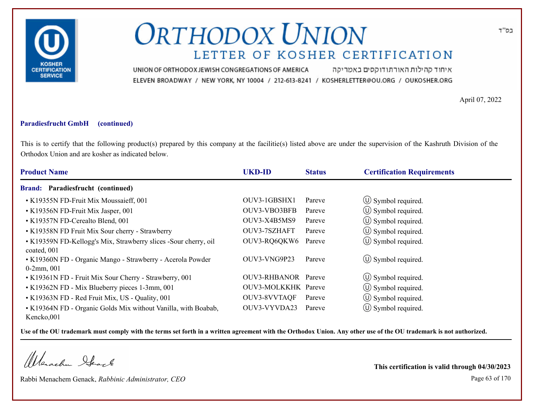

איחוד קהילות האורתודוקסים באמריקה UNION OF ORTHODOX JEWISH CONGREGATIONS OF AMERICA ELEVEN BROADWAY / NEW YORK, NY 10004 / 212-613-8241 / KOSHERLETTER@OU.ORG / OUKOSHER.ORG

April 07, 2022

#### **Paradiesfrucht GmbH (continued)**

This is to certify that the following product(s) prepared by this company at the facilitie(s) listed above are under the supervision of the Kashruth Division of the Orthodox Union and are kosher as indicated below.

| <b>Product Name</b>                                                            | <b>UKD-ID</b>       | <b>Status</b> | <b>Certification Requirements</b> |
|--------------------------------------------------------------------------------|---------------------|---------------|-----------------------------------|
| Brand: Paradiesfrucht (continued)                                              |                     |               |                                   |
| • K19355N FD-Fruit Mix Moussaieff, 001                                         | OUV3-1GBSHX1        | Pareve        | $\circ$ Symbol required.          |
| • K19356N FD-Fruit Mix Jasper, 001                                             | OUV3-VBO3BFB        | Pareve        | $\circ$ Symbol required.          |
| • K19357N FD-Cerealto Blend, 001                                               | OUV3-X4B5MS9        | Pareve        | $\circled{1}$ Symbol required.    |
| • K19358N FD Fruit Mix Sour cherry - Strawberry                                | OUV3-7SZHAFT        | Pareve        | $\circled{1}$ Symbol required.    |
| • K19359N FD-Kellogg's Mix, Strawberry slices -Sour cherry, oil<br>coated, 001 | OUV3-RQ6QKW6        | Pareve        | $\circ$ Symbol required.          |
| • K19360N FD - Organic Mango - Strawberry - Acerola Powder<br>$0-2mm, 001$     | OUV3-VNG9P23        | Pareve        | $\circ$ Symbol required.          |
| • K19361N FD - Fruit Mix Sour Cherry - Strawberry, 001                         | OUV3-RHBANOR Pareve |               | $\circ$ Symbol required.          |
| • K19362N FD - Mix Blueberry pieces 1-3mm, 001                                 | OUV3-MOLKKHK Pareve |               | $\circ$ Symbol required.          |
| • K19363N FD - Red Fruit Mix, US - Quality, 001                                | OUV3-8VVTAQF        | Pareve        | (U) Symbol required.              |
| • K19364N FD - Organic Golds Mix without Vanilla, with Boabab,<br>Kencko.001   | OUV3-VYVDA23        | Pareve        | $\circ$ Symbol required.          |

**Use of the OU trademark must comply with the terms set forth in a written agreement with the Orthodox Union. Any other use of the OU trademark is not authorized.**

Werachen Stack

Rabbi Menachem Genack, *Rabbinic Administrator, CEO* Page 63 of 170

**This certification is valid through 04/30/2023**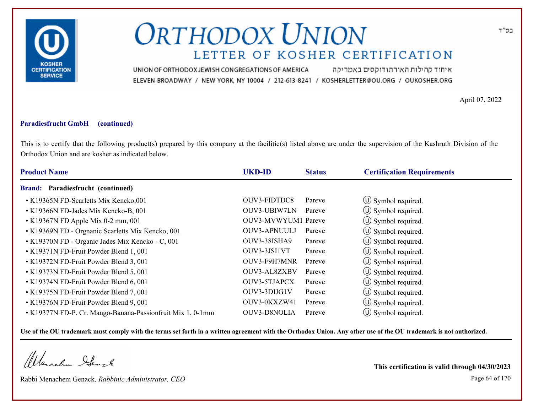

איחוד קהילות האורתודוקסים באמריקה UNION OF ORTHODOX JEWISH CONGREGATIONS OF AMERICA ELEVEN BROADWAY / NEW YORK, NY 10004 / 212-613-8241 / KOSHERLETTER@OU.ORG / OUKOSHER.ORG

April 07, 2022

### **Paradiesfrucht GmbH (continued)**

This is to certify that the following product(s) prepared by this company at the facilitie(s) listed above are under the supervision of the Kashruth Division of the Orthodox Union and are kosher as indicated below.

| <b>Product Name</b>                                        | <b>UKD-ID</b>       | <b>Status</b> | <b>Certification Requirements</b> |
|------------------------------------------------------------|---------------------|---------------|-----------------------------------|
| Paradiesfrucht (continued)<br><b>Brand:</b>                |                     |               |                                   |
| • K19365N FD-Scarletts Mix Kencko,001                      | OUV3-FIDTDC8        | Pareve        | $\circled{1}$ Symbol required.    |
| • K19366N FD-Jades Mix Kencko-B, 001                       | OUV3-UBIW7LN        | Pareve        | $\circ$ Symbol required.          |
| $\cdot$ K19367N FD Apple Mix 0-2 mm, 001                   | OUV3-MVWYUM1 Pareve |               | (U) Symbol required.              |
| • K19369N FD - Orgnanic Scarletts Mix Kencko, 001          | <b>OUV3-APNUULJ</b> | Pareve        | $\circled{1}$ Symbol required.    |
| • K19370N FD - Organic Jades Mix Kencko - C, 001           | OUV3-38ISHA9        | Pareve        | $\circ$ Symbol required.          |
| • K19371N FD-Fruit Powder Blend 1, 001                     | OUV3-3JSI1VT        | Pareve        | $\circ$ Symbol required.          |
| • K19372N FD-Fruit Powder Blend 3, 001                     | OUV3-F9H7MNR        | Pareve        | $\circ$ Symbol required.          |
| • K19373N FD-Fruit Powder Blend 5, 001                     | OUV3-AL8ZXBV        | Pareve        | $\circ$ Symbol required.          |
| • K19374N FD-Fruit Powder Blend 6, 001                     | OUV3-5TJAPCX        | Pareve        | $\circ$ Symbol required.          |
| • K19375N FD-Fruit Powder Blend 7, 001                     | OUV3-3DIJG1V        | Pareve        | $\circ$ Symbol required.          |
| • K19376N FD-Fruit Powder Blend 9, 001                     | OUV3-0KXZW41        | Pareve        | $\circ$ Symbol required.          |
| • K19377N FD-P. Cr. Mango-Banana-Passionfruit Mix 1, 0-1mm | <b>OUV3-D8NOLIA</b> | Pareve        | $\circ$ Symbol required.          |

**Use of the OU trademark must comply with the terms set forth in a written agreement with the Orthodox Union. Any other use of the OU trademark is not authorized.**

Werschn Stack

Rabbi Menachem Genack, *Rabbinic Administrator, CEO* Page 64 of 170

**This certification is valid through 04/30/2023**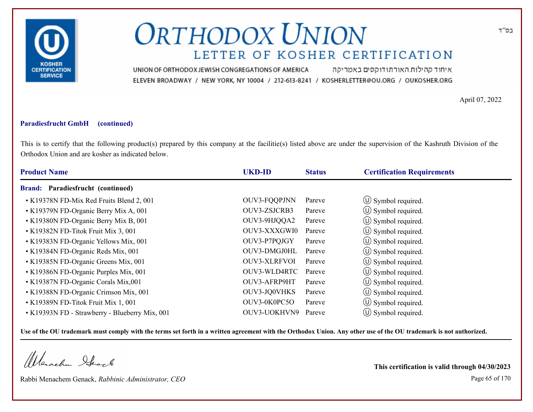

איחוד קהילות האורתודוקסים באמריקה UNION OF ORTHODOX JEWISH CONGREGATIONS OF AMERICA ELEVEN BROADWAY / NEW YORK, NY 10004 / 212-613-8241 / KOSHERLETTER@OU.ORG / OUKOSHER.ORG

April 07, 2022

### **Paradiesfrucht GmbH (continued)**

This is to certify that the following product(s) prepared by this company at the facilitie(s) listed above are under the supervision of the Kashruth Division of the Orthodox Union and are kosher as indicated below.

| <b>Product Name</b>                            | <b>UKD-ID</b>       | <b>Status</b> | <b>Certification Requirements</b> |  |
|------------------------------------------------|---------------------|---------------|-----------------------------------|--|
| <b>Brand:</b> Paradiesfrucht (continued)       |                     |               |                                   |  |
| • K19378N FD-Mix Red Fruits Blend 2, 001       | OUV3-FQQPJNN        | Pareve        | (U) Symbol required.              |  |
| • K19379N FD-Organic Berry Mix A, 001          | OUV3-ZSJCRB3        | Pareve        | $\circ$ Symbol required.          |  |
| • K19380N FD-Organic Berry Mix B, 001          | OUV3-9HJQQA2        | Pareve        | (U) Symbol required.              |  |
| • K19382N FD-Titok Fruit Mix 3, 001            | OUV3-XXXGWI0        | Pareve        | $\circ$ Symbol required.          |  |
| • K19383N FD-Organic Yellows Mix, 001          | OUV3-P7PQJGY        | Pareve        | $\circ$ Symbol required.          |  |
| • K19384N FD-Organic Reds Mix, 001             | OUV3-DMGJ0HL        | Pareve        | $\circ$ Symbol required.          |  |
| • K19385N FD-Organic Greens Mix, 001           | <b>OUV3-XLRFVOI</b> | Pareve        | $\circ$ Symbol required.          |  |
| • K19386N FD-Organic Purples Mix, 001          | OUV3-WLD4RTC        | Pareve        | $\circ$ Symbol required.          |  |
| • K19387N FD-Organic Corals Mix,001            | OUV3-AFRP9HT        | Pareve        | $\circ$ Symbol required.          |  |
| • K19388N FD-Organic Crimson Mix, 001          | OUV3-JQ0VHKS        | Pareve        | $\circ$ Symbol required.          |  |
| • K19389N FD-Titok Fruit Mix 1, 001            | OUV3-0K0PC5O        | Pareve        | $\circ$ Symbol required.          |  |
| • K19393N FD - Strawberry - Blueberry Mix, 001 | OUV3-UOKHVN9        | Pareve        | $\circ$ Symbol required.          |  |

**Use of the OU trademark must comply with the terms set forth in a written agreement with the Orthodox Union. Any other use of the OU trademark is not authorized.**

Werachen Stack

Rabbi Menachem Genack, *Rabbinic Administrator, CEO* Page 65 of 170

**This certification is valid through 04/30/2023**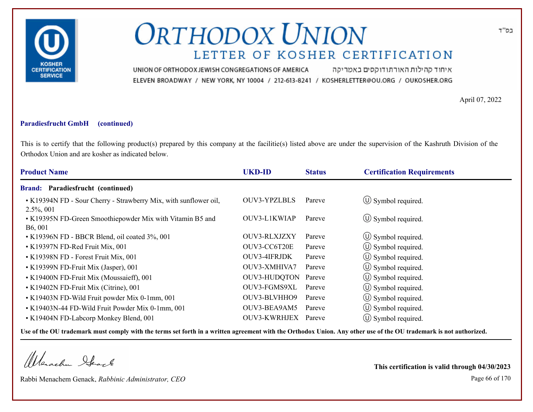

איחוד קהילות האורתודוקסים באמריקה UNION OF ORTHODOX JEWISH CONGREGATIONS OF AMERICA ELEVEN BROADWAY / NEW YORK, NY 10004 / 212-613-8241 / KOSHERLETTER@OU.ORG / OUKOSHER.ORG

April 07, 2022

#### **Paradiesfrucht GmbH (continued)**

This is to certify that the following product(s) prepared by this company at the facilitie(s) listed above are under the supervision of the Kashruth Division of the Orthodox Union and are kosher as indicated below.

| <b>UKD-ID</b>       | <b>Status</b> | <b>Certification Requirements</b>                           |
|---------------------|---------------|-------------------------------------------------------------|
|                     |               |                                                             |
| <b>OUV3-YPZLBLS</b> | Pareve        | $\circ$ Symbol required.                                    |
| OUV3-L1KWIAP        | Pareve        | $\circ$ Symbol required.                                    |
| OUV3-RLXJZXY        | Pareve        | $\circ$ Symbol required.                                    |
| OUV3-CC6T20E        | Pareve        | $\circ$ Symbol required.                                    |
| OUV3-4IFRJDK        | Pareve        | $\circ$ Symbol required.                                    |
| OUV3-XMHIVA7        | Pareve        | $\circ$ Symbol required.                                    |
|                     |               | (U) Symbol required.                                        |
| OUV3-FGMS9XL        |               | $\circled{1}$ Symbol required.                              |
| OUV3-BLVHHO9        |               | (U) Symbol required.                                        |
| OUV3-BEA9AM5        |               | $\circled{1}$ Symbol required.                              |
| OUV3-KWRHJEX        |               | $\circ$ Symbol required.                                    |
|                     |               | OUV3-HUDQTON Pareve<br>Pareve<br>Pareve<br>Pareve<br>Pareve |

**Use of the OU trademark must comply with the terms set forth in a written agreement with the Orthodox Union. Any other use of the OU trademark is not authorized.**

Werachen Stack

Rabbi Menachem Genack, *Rabbinic Administrator, CEO* Page 66 of 170

**This certification is valid through 04/30/2023**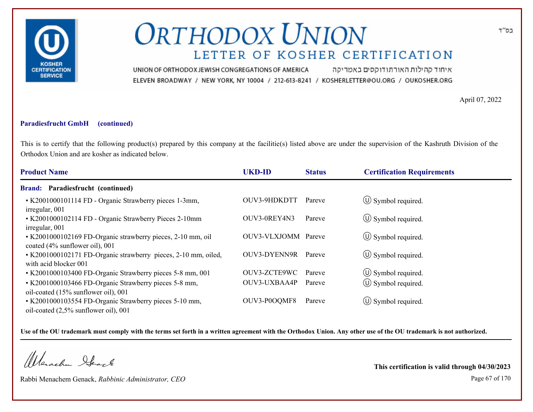

איחוד קהילות האורתודוקסים באמריקה UNION OF ORTHODOX JEWISH CONGREGATIONS OF AMERICA ELEVEN BROADWAY / NEW YORK, NY 10004 / 212-613-8241 / KOSHERLETTER@OU.ORG / OUKOSHER.ORG

April 07, 2022

### **Paradiesfrucht GmbH (continued)**

This is to certify that the following product(s) prepared by this company at the facilitie(s) listed above are under the supervision of the Kashruth Division of the Orthodox Union and are kosher as indicated below.

| <b>Product Name</b>                                                                               | <b>UKD-ID</b>       | <b>Status</b> | <b>Certification Requirements</b> |
|---------------------------------------------------------------------------------------------------|---------------------|---------------|-----------------------------------|
| <b>Brand: Paradiesfrucht (continued)</b>                                                          |                     |               |                                   |
| • K2001000101114 FD - Organic Strawberry pieces 1-3mm,<br>irregular, 001                          | OUV3-9HDKDTT        | Pareve        | $\circ$ Symbol required.          |
| • K2001000102114 FD - Organic Strawberry Pieces 2-10mm<br>irregular, 001                          | OUV3-0REY4N3        | Pareve        | $\circ$ Symbol required.          |
| • K2001000102169 FD-Organic strawberry pieces, 2-10 mm, oil<br>coated (4% sunflower oil), 001     | OUV3-VLXJOMM Pareve |               | $\circ$ Symbol required.          |
| • K2001000102171 FD-Organic strawberry pieces, 2-10 mm, oiled,<br>with acid blocker 001           | OUV3-DYENN9R        | Pareve        | $\circ$ Symbol required.          |
| • K2001000103400 FD-Organic Strawberry pieces 5-8 mm, 001                                         | OUV3-ZCTE9WC        | Pareve        | $\circled{1}$ Symbol required.    |
| • K2001000103466 FD-Organic Strawberry pieces 5-8 mm,<br>oil-coated (15% sunflower oil), 001      | OUV3-UXBAA4P        | Pareve        | $\circ$ Symbol required.          |
| • K2001000103554 FD-Organic Strawberry pieces 5-10 mm,<br>oil-coated $(2.5\%$ sunflower oil), 001 | OUV3-P0OQMF8        | Pareve        | $\circ$ Symbol required.          |

**Use of the OU trademark must comply with the terms set forth in a written agreement with the Orthodox Union. Any other use of the OU trademark is not authorized.**

Werachen Ifearle

Rabbi Menachem Genack, *Rabbinic Administrator, CEO* Page 67 of 170

**This certification is valid through 04/30/2023**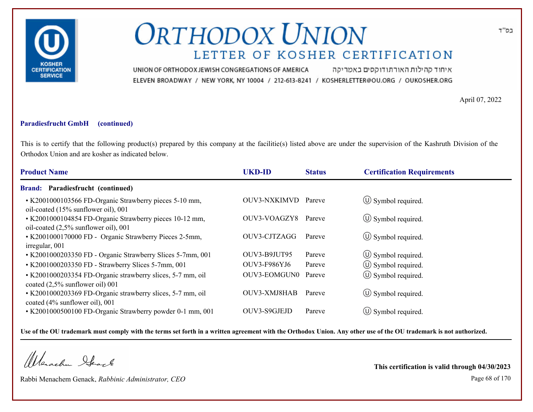

איחוד קהילות האורתודוקסים באמריקה UNION OF ORTHODOX JEWISH CONGREGATIONS OF AMERICA ELEVEN BROADWAY / NEW YORK, NY 10004 / 212-613-8241 / KOSHERLETTER@OU.ORG / OUKOSHER.ORG

April 07, 2022

### **Paradiesfrucht GmbH (continued)**

This is to certify that the following product(s) prepared by this company at the facilitie(s) listed above are under the supervision of the Kashruth Division of the Orthodox Union and are kosher as indicated below.

| <b>Product Name</b>                                                                                | <b>UKD-ID</b> | <b>Status</b> | <b>Certification Requirements</b> |
|----------------------------------------------------------------------------------------------------|---------------|---------------|-----------------------------------|
| <b>Brand: Paradiesfrucht (continued)</b>                                                           |               |               |                                   |
| • K2001000103566 FD-Organic Strawberry pieces 5-10 mm,<br>oil-coated (15% sunflower oil), 001      | OUV3-NXKIMVD  | Pareve        | $\circ$ Symbol required.          |
| • K2001000104854 FD-Organic Strawberry pieces 10-12 mm,<br>oil-coated $(2,5\%$ sunflower oil), 001 | OUV3-VOAGZY8  | Pareve        | $\circled{0}$ Symbol required.    |
| • K2001000170000 FD - Organic Strawberry Pieces 2-5mm,<br>irregular, 001                           | OUV3-CJTZAGG  | Pareve        | $\circ$ Symbol required.          |
| • K2001000203350 FD - Organic Strawberry Slices 5-7mm, 001                                         | OUV3-B9JUT95  | Pareve        | $\circ$ Symbol required.          |
| • K2001000203350 FD - Strawberry Slices 5-7mm, 001                                                 | OUV3-F986YJ6  | Pareve        | $\circled{1}$ Symbol required.    |
| • K2001000203354 FD-Organic strawberry slices, 5-7 mm, oil<br>coated (2,5% sunflower oil) 001      | OUV3-EOMGUN0  | Pareve        | (U) Symbol required.              |
| • K2001000203369 FD-Organic strawberry slices, 5-7 mm, oil<br>coated (4% sunflower oil), 001       | OUV3-XMJ8HAB  | Pareve        | $\circ$ Symbol required.          |
| • K2001000500100 FD-Organic Strawberry powder 0-1 mm, 001                                          | OUV3-S9GJEJD  | Pareve        | $(U)$ Symbol required.            |

**Use of the OU trademark must comply with the terms set forth in a written agreement with the Orthodox Union. Any other use of the OU trademark is not authorized.**

Werachen Stack

Rabbi Menachem Genack, *Rabbinic Administrator, CEO* Page 68 of 170

**This certification is valid through 04/30/2023**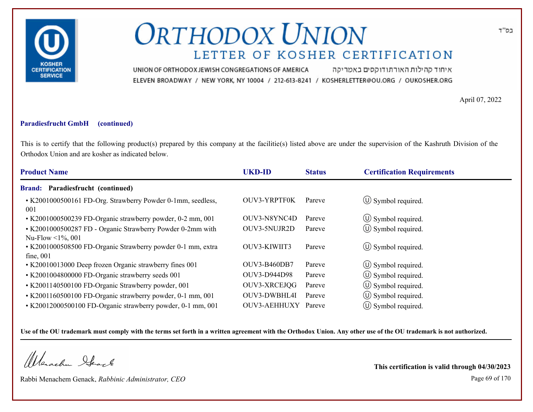

איחוד קהילות האורתודוקסים באמריקה UNION OF ORTHODOX JEWISH CONGREGATIONS OF AMERICA ELEVEN BROADWAY / NEW YORK, NY 10004 / 212-613-8241 / KOSHERLETTER@OU.ORG / OUKOSHER.ORG

April 07, 2022

### **Paradiesfrucht GmbH (continued)**

This is to certify that the following product(s) prepared by this company at the facilitie(s) listed above are under the supervision of the Kashruth Division of the Orthodox Union and are kosher as indicated below.

| <b>Product Name</b>                                                            | <b>UKD-ID</b>       | <b>Status</b> | <b>Certification Requirements</b> |
|--------------------------------------------------------------------------------|---------------------|---------------|-----------------------------------|
| Brand: Paradiesfrucht (continued)                                              |                     |               |                                   |
| • K2001000500161 FD-Org. Strawberry Powder 0-1mm, seedless,<br>001             | <b>OUV3-YRPTF0K</b> | Pareve        | $\circ$ Symbol required.          |
| • K2001000500239 FD-Organic strawberry powder, 0-2 mm, 001                     | OUV3-N8YNC4D        | Pareve        | $\circ$ Symbol required.          |
| • K2001000500287 FD - Organic Strawberry Powder 0-2mm with<br>Nu-Flow <1%, 001 | OUV3-5NUJR2D        | Pareve        | $\circ$ Symbol required.          |
| • K2001000508500 FD-Organic Strawberry powder 0-1 mm, extra<br>fine, 001       | OUV3-KIWIIT3        | Pareve        | (U) Symbol required.              |
| • K20010013000 Deep frozen Organic strawberry fines 001                        | <b>OUV3-B460DB7</b> | Pareve        | $\circ$ Symbol required.          |
| • K2001004800000 FD-Organic strawberry seeds 001                               | OUV3-D944D98        | Pareve        | $\circ$ Symbol required.          |
| • K2001140500100 FD-Organic Strawberry powder, 001                             | OUV3-XRCEJQG        | Pareve        | $(\cup)$ Symbol required.         |
| • K2001160500100 FD-Organic strawberry powder, 0-1 mm, 001                     | OUV3-DWBHL4I        | Pareve        | $\circled{1}$ Symbol required.    |
| • K20012000500100 FD-Organic strawberry powder, 0-1 mm, 001                    | OUV3-AEHHUXY        | Pareve        | $\circ$ Symbol required.          |

**Use of the OU trademark must comply with the terms set forth in a written agreement with the Orthodox Union. Any other use of the OU trademark is not authorized.**

Werachen Stack

Rabbi Menachem Genack, *Rabbinic Administrator, CEO* Page 69 of 170

**This certification is valid through 04/30/2023**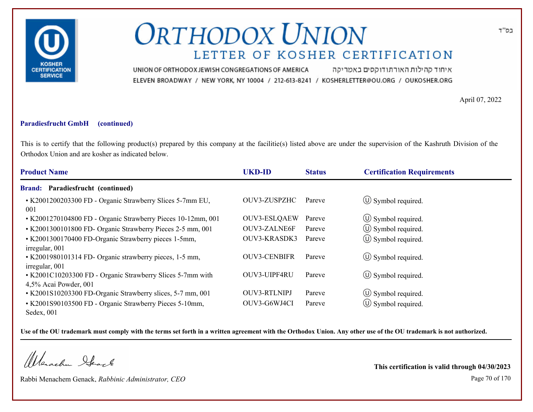

איחוד קהילות האורתודוקסים באמריקה UNION OF ORTHODOX JEWISH CONGREGATIONS OF AMERICA ELEVEN BROADWAY / NEW YORK, NY 10004 / 212-613-8241 / KOSHERLETTER@OU.ORG / OUKOSHER.ORG

April 07, 2022

#### **Paradiesfrucht GmbH (continued)**

This is to certify that the following product(s) prepared by this company at the facilitie(s) listed above are under the supervision of the Kashruth Division of the Orthodox Union and are kosher as indicated below.

| <b>Product Name</b>                                                                 | <b>UKD-ID</b>       | <b>Status</b> | <b>Certification Requirements</b> |
|-------------------------------------------------------------------------------------|---------------------|---------------|-----------------------------------|
| Paradiesfrucht (continued)<br><b>Brand:</b>                                         |                     |               |                                   |
| • K2001200203300 FD - Organic Strawberry Slices 5-7mm EU,<br>001                    | OUV3-ZUSPZHC        | Pareve        | $\circ$ Symbol required.          |
| • K2001270104800 FD - Organic Strawberry Pieces 10-12mm, 001                        | <b>OUV3-ESLQAEW</b> | Pareve        | $\circ$ Symbol required.          |
| • K2001300101800 FD- Organic Strawberry Pieces 2-5 mm, 001                          | <b>OUV3-ZALNE6F</b> | Pareve        | $\circ$ Symbol required.          |
| • K2001300170400 FD-Organic Strawberry pieces 1-5mm,<br>irregular, 001              | OUV3-KRASDK3        | Pareve        | $\circ$ Symbol required.          |
| • K2001980101314 FD- Organic strawberry pieces, 1-5 mm,<br>irregular, 001           | <b>OUV3-CENBIFR</b> | Pareve        | $\circ$ Symbol required.          |
| • K2001C10203300 FD - Organic Strawberry Slices 5-7mm with<br>4,5% Acai Powder, 001 | OUV3-UIPF4RU        | Pareve        | $\circ$ Symbol required.          |
| • K2001S10203300 FD-Organic Strawberry slices, 5-7 mm, 001                          | <b>OUV3-RTLNIPJ</b> | Pareve        | $\circ$ Symbol required.          |
| • K2001S90103500 FD - Organic Strawberry Pieces 5-10mm,<br>Sedex, 001               | OUV3-G6WJ4CI        | Pareve        | $\circ$ Symbol required.          |

**Use of the OU trademark must comply with the terms set forth in a written agreement with the Orthodox Union. Any other use of the OU trademark is not authorized.**

Werachen Stack

Rabbi Menachem Genack, *Rabbinic Administrator, CEO* Page 70 of 170

**This certification is valid through 04/30/2023**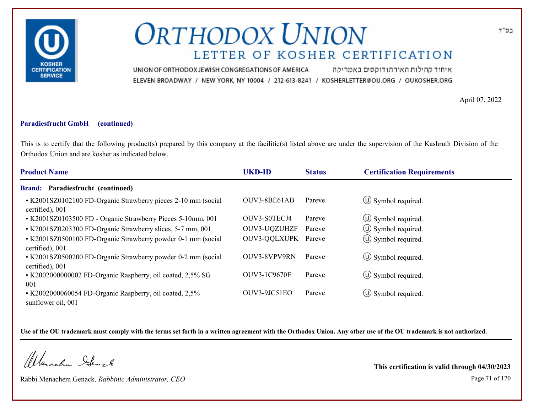

איחוד קהילות האורתודוקסים באמריקה UNION OF ORTHODOX JEWISH CONGREGATIONS OF AMERICA ELEVEN BROADWAY / NEW YORK, NY 10004 / 212-613-8241 / KOSHERLETTER@OU.ORG / OUKOSHER.ORG

April 07, 2022

#### **Paradiesfrucht GmbH (continued)**

This is to certify that the following product(s) prepared by this company at the facilitie(s) listed above are under the supervision of the Kashruth Division of the Orthodox Union and are kosher as indicated below.

| <b>Product Name</b>                                                              | <b>UKD-ID</b>       | <b>Status</b> | <b>Certification Requirements</b> |
|----------------------------------------------------------------------------------|---------------------|---------------|-----------------------------------|
| <b>Brand: Paradiesfrucht (continued)</b>                                         |                     |               |                                   |
| • K2001SZ0102100 FD-Organic Strawberry pieces 2-10 mm (social<br>certified), 001 | OUV3-8BE61AB        | Pareve        | $\circ$ Symbol required.          |
| • K2001SZ0103500 FD - Organic Strawberry Pieces 5-10mm, 001                      | OUV3-S0TECJ4        | Pareve        | $\circled{1}$ Symbol required.    |
| • K2001SZ0203300 FD-Organic Strawberry slices, 5-7 mm, 001                       | OUV3-UQZUHZF        | Pareve        | $\circ$ Symbol required.          |
| • K2001SZ0500100 FD-Organic Strawberry powder 0-1 mm (social<br>certified), 001  | OUV3-QQLXUPK Pareve |               | $\circled{1}$ Symbol required.    |
| • K2001SZ0500200 FD-Organic Strawberry powder 0-2 mm (social<br>certified), 001  | OUV3-8VPV9RN        | Pareve        | $\circled{1}$ Symbol required.    |
| • K2002000000002 FD-Organic Raspberry, oil coated, 2,5% SG<br>001                | <b>OUV3-1C9670E</b> | Pareve        | $\circ$ Symbol required.          |
| • K2002000060054 FD-Organic Raspberry, oil coated, 2,5%<br>sunflower oil, 001    | OUV3-9JC51EO        | Pareve        | $(U)$ Symbol required.            |

**Use of the OU trademark must comply with the terms set forth in a written agreement with the Orthodox Union. Any other use of the OU trademark is not authorized.**

Werachen Ifearle

Rabbi Menachem Genack, *Rabbinic Administrator, CEO* Page 71 of 170

**This certification is valid through 04/30/2023**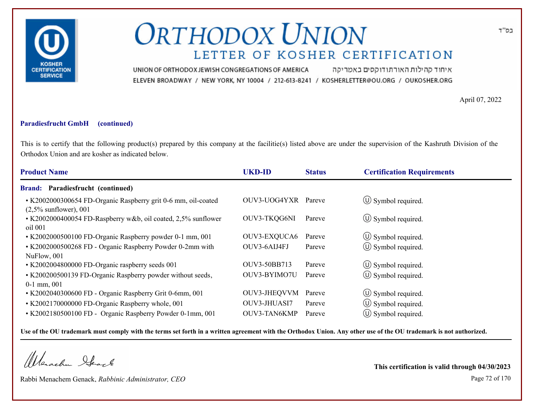

איחוד קהילות האורתודוקסים באמריקה UNION OF ORTHODOX JEWISH CONGREGATIONS OF AMERICA ELEVEN BROADWAY / NEW YORK, NY 10004 / 212-613-8241 / KOSHERLETTER@OU.ORG / OUKOSHER.ORG

April 07, 2022

#### **Paradiesfrucht GmbH (continued)**

This is to certify that the following product(s) prepared by this company at the facilitie(s) listed above are under the supervision of the Kashruth Division of the Orthodox Union and are kosher as indicated below.

| <b>Product Name</b>                                                                       | <b>UKD-ID</b> | <b>Status</b> | <b>Certification Requirements</b> |
|-------------------------------------------------------------------------------------------|---------------|---------------|-----------------------------------|
| <b>Brand: Paradiesfrucht (continued)</b>                                                  |               |               |                                   |
| • K2002000300654 FD-Organic Raspberry grit 0-6 mm, oil-coated<br>$(2,5\%$ sunflower), 001 | OUV3-UOG4YXR  | Pareve        | $\circled{1}$ Symbol required.    |
| • K2002000400054 FD-Raspberry w&b, oil coated, 2,5% sunflower<br>oil 001                  | OUV3-TKQG6NI  | Pareve        | $\circ$ Symbol required.          |
| • K2002000500100 FD-Organic Raspberry powder 0-1 mm, 001                                  | OUV3-EXQUCA6  | Pareve        | $\circ$ Symbol required.          |
| • K2002000500268 FD - Organic Raspberry Powder 0-2mm with<br>NuFlow, 001                  | OUV3-6AIJ4FJ  | Pareve        | $\left(\bigcup$ Symbol required.  |
| • K2002004800000 FD-Organic raspberry seeds 001                                           | OUV3-50BB713  | Pareve        | $\circ$ Symbol required.          |
| • K200200500139 FD-Organic Raspberry powder without seeds,<br>$0-1$ mm, $001$             | OUV3-BYIMO7U  | Pareve        | $\circ$ Symbol required.          |
| • K2002040300600 FD - Organic Raspberry Grit 0-6mm, 001                                   | OUV3-JHEQVVM  | Pareve        | $\circled{1}$ Symbol required.    |
| • K2002170000000 FD-Organic Raspberry whole, 001                                          | OUV3-JHUASI7  | Pareve        | $\circ$ Symbol required.          |
| • K2002180500100 FD - Organic Raspberry Powder 0-1mm, 001                                 | OUV3-TAN6KMP  | Pareve        | $(\cup)$ Symbol required.         |

**Use of the OU trademark must comply with the terms set forth in a written agreement with the Orthodox Union. Any other use of the OU trademark is not authorized.**

Werachen Stack

Rabbi Menachem Genack, *Rabbinic Administrator, CEO* Page 72 of 170

**This certification is valid through 04/30/2023**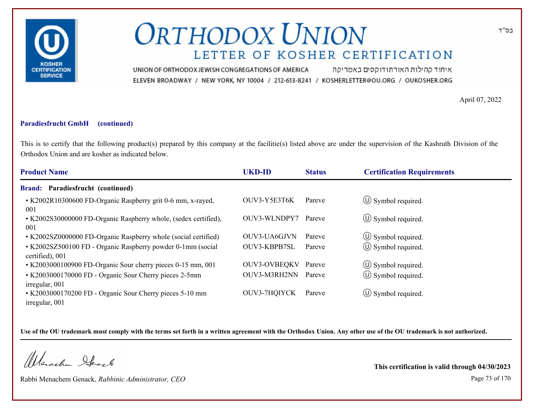

איחוד קהילות האורתודוקסים באמריקה UNION OF ORTHODOX JEWISH CONGREGATIONS OF AMERICA ELEVEN BROADWAY / NEW YORK, NY 10004 / 212-613-8241 / KOSHERLETTER@OU.ORG / OUKOSHER.ORG

April 07, 2022

#### **Paradiesfrucht GmbH (continued)**

This is to certify that the following product(s) prepared by this company at the facilitie(s) listed above are under the supervision of the Kashruth Division of the Orthodox Union and are kosher as indicated below.

| <b>Product Name</b>                                                            | <b>UKD-ID</b>       | <b>Status</b> | <b>Certification Requirements</b> |
|--------------------------------------------------------------------------------|---------------------|---------------|-----------------------------------|
| <b>Brand: Paradiesfrucht (continued)</b>                                       |                     |               |                                   |
| • K2002R10300600 FD-Organic Raspberry grit 0-6 mm, x-rayed,<br>001             | OUV3-Y5E3T6K        | Pareve        | $\circled{1}$ Symbol required.    |
| • K2002S30000000 FD-Organic Raspberry whole, (sedex certified),<br>001         | OUV3-WLNDPY7        | Pareve        | $\circled{1}$ Symbol required.    |
| • K2002SZ0000000 FD-Organic Raspberry whole (social certified)                 | OUV3-UA6GJVN        | Pareve        | $\circ$ Symbol required.          |
| • K2002SZ500100 FD - Organic Raspberry powder 0-1mm (social<br>certified), 001 | OUV3-KBPB7SL        | Pareve        | (U) Symbol required.              |
| • K2003000100900 FD-Organic Sour cherry pieces 0-15 mm, 001                    | <b>OUV3-OVBEQKV</b> | Pareve        | $\circled{1}$ Symbol required.    |
| • K2003000170000 FD - Organic Sour Cherry pieces 2-5mm<br>irregular, 001       | OUV3-M3RH2NN        | Pareve        | $(\cup)$ Symbol required.         |
| • K2003000170200 FD - Organic Sour Cherry pieces 5-10 mm<br>irregular, 001     | OUV3-7HQIYCK        | Pareve        | $\circ$ Symbol required.          |

**Use of the OU trademark must comply with the terms set forth in a written agreement with the Orthodox Union. Any other use of the OU trademark is not authorized.**

Werachen Ifeart

Rabbi Menachem Genack, *Rabbinic Administrator, CEO* Page 73 of 170

**This certification is valid through 04/30/2023**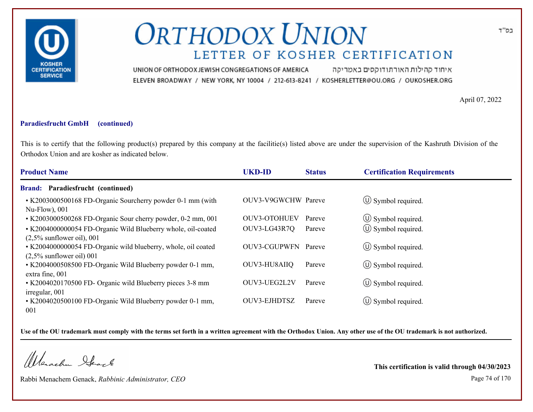

איחוד קהילות האורתודוקסים באמריקה UNION OF ORTHODOX JEWISH CONGREGATIONS OF AMERICA ELEVEN BROADWAY / NEW YORK, NY 10004 / 212-613-8241 / KOSHERLETTER@OU.ORG / OUKOSHER.ORG

April 07, 2022

### **Paradiesfrucht GmbH (continued)**

This is to certify that the following product(s) prepared by this company at the facilitie(s) listed above are under the supervision of the Kashruth Division of the Orthodox Union and are kosher as indicated below.

| <b>Product Name</b>                                                                                                          | <b>UKD-ID</b>       | <b>Status</b> | <b>Certification Requirements</b> |
|------------------------------------------------------------------------------------------------------------------------------|---------------------|---------------|-----------------------------------|
| Brand: Paradiesfrucht (continued)                                                                                            |                     |               |                                   |
| • K2003000500168 FD-Organic Sourcherry powder 0-1 mm (with<br>$Nu$ -Flow), 001                                               | OUV3-V9GWCHW Pareve |               | $\circ$ Symbol required.          |
| • K2003000500268 FD-Organic Sour cherry powder, 0-2 mm, 001                                                                  | <b>OUV3-OTOHUEV</b> | Pareve        | $\circ$ Symbol required.          |
| • K2004000000054 FD-Organic Wild Blueberry whole, oil-coated                                                                 | OUV3-LG43R7Q        | Pareve        | $\circled{1}$ Symbol required.    |
| $(2,5\%$ sunflower oil), 001<br>• K2004000000054 FD-Organic wild blueberry, whole, oil coated<br>$(2,5\%$ sunflower oil) 001 | OUV3-CGUPWFN Pareve |               | $\circ$ Symbol required.          |
| • K2004000508500 FD-Organic Wild Blueberry powder 0-1 mm,<br>extra fine, 001                                                 | OUV3-HU8AIIQ        | Pareve        | $\circ$ Symbol required.          |
| • K2004020170500 FD- Organic wild Blueberry pieces 3-8 mm                                                                    | OUV3-UEG2L2V        | Pareve        | $\circ$ Symbol required.          |
| irregular, 001<br>• K2004020500100 FD-Organic Wild Blueberry powder 0-1 mm,<br>001                                           | <b>OUV3-EJHDTSZ</b> | Pareve        | $\circ$ Symbol required.          |

**Use of the OU trademark must comply with the terms set forth in a written agreement with the Orthodox Union. Any other use of the OU trademark is not authorized.**

Werachen Stack

Rabbi Menachem Genack, *Rabbinic Administrator, CEO* Page 74 of 170

**This certification is valid through 04/30/2023**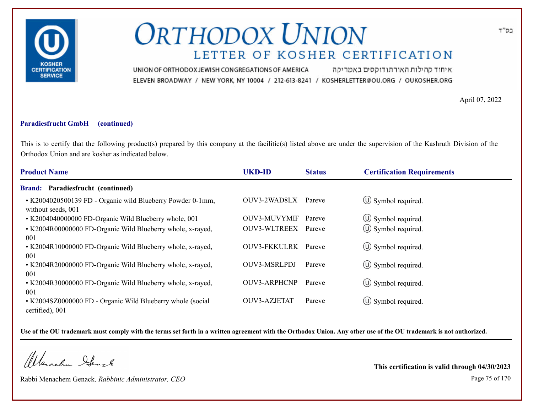

איחוד קהילות האורתודוקסים באמריקה UNION OF ORTHODOX JEWISH CONGREGATIONS OF AMERICA ELEVEN BROADWAY / NEW YORK, NY 10004 / 212-613-8241 / KOSHERLETTER@OU.ORG / OUKOSHER.ORG

April 07, 2022

#### **Paradiesfrucht GmbH (continued)**

This is to certify that the following product(s) prepared by this company at the facilitie(s) listed above are under the supervision of the Kashruth Division of the Orthodox Union and are kosher as indicated below.

| <b>Product Name</b>                                                              | <b>UKD-ID</b>       | <b>Status</b> | <b>Certification Requirements</b> |  |
|----------------------------------------------------------------------------------|---------------------|---------------|-----------------------------------|--|
| <b>Brand: Paradiesfrucht (continued)</b>                                         |                     |               |                                   |  |
| • K2004020500139 FD - Organic wild Blueberry Powder 0-1mm,<br>without seeds, 001 | OUV3-2WAD8LX        | Pareve        | $\circ$ Symbol required.          |  |
| • K2004040000000 FD-Organic Wild Blueberry whole, 001                            | <b>OUV3-MUVYMIF</b> | Pareve        | $\circled{1}$ Symbol required.    |  |
| • K2004R00000000 FD-Organic Wild Blueberry whole, x-rayed,<br>001                | OUV3-WLTREEX        | Pareve        | $(\cup)$ Symbol required.         |  |
| • K2004R10000000 FD-Organic Wild Blueberry whole, x-rayed,<br>001                | <b>OUV3-FKKULRK</b> | Pareve        | $(U)$ Symbol required.            |  |
| • K2004R20000000 FD-Organic Wild Blueberry whole, x-rayed,<br>001                | <b>OUV3-MSRLPDJ</b> | Pareve        | $\circled{1}$ Symbol required.    |  |
| • K2004R30000000 FD-Organic Wild Blueberry whole, x-rayed,<br>001                | <b>OUV3-ARPHCNP</b> | Pareve        | $\circ$ Symbol required.          |  |
| • K2004SZ0000000 FD - Organic Wild Blueberry whole (social<br>certified), 001    | OUV3-AZJETAT        | Pareve        | $(U)$ Symbol required.            |  |

**Use of the OU trademark must comply with the terms set forth in a written agreement with the Orthodox Union. Any other use of the OU trademark is not authorized.**

Werachen Stack

Rabbi Menachem Genack, *Rabbinic Administrator, CEO* Page 75 of 170

**This certification is valid through 04/30/2023**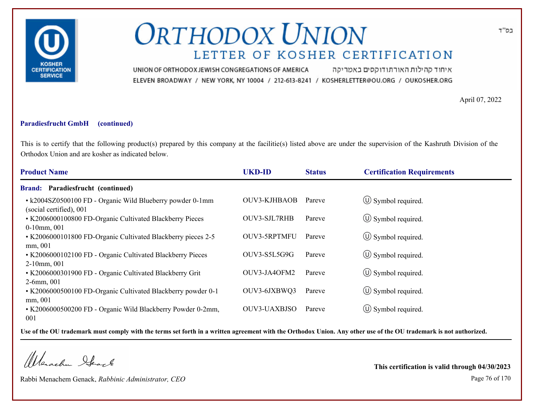

איחוד קהילות האורתודוקסים באמריקה UNION OF ORTHODOX JEWISH CONGREGATIONS OF AMERICA ELEVEN BROADWAY / NEW YORK, NY 10004 / 212-613-8241 / KOSHERLETTER@OU.ORG / OUKOSHER.ORG

April 07, 2022

### **Paradiesfrucht GmbH (continued)**

This is to certify that the following product(s) prepared by this company at the facilitie(s) listed above are under the supervision of the Kashruth Division of the Orthodox Union and are kosher as indicated below.

| <b>Product Name</b>                                                                  | <b>UKD-ID</b>       | <b>Status</b> | <b>Certification Requirements</b> |
|--------------------------------------------------------------------------------------|---------------------|---------------|-----------------------------------|
| <b>Brand: Paradiesfrucht (continued)</b>                                             |                     |               |                                   |
| • k2004SZ0500100 FD - Organic Wild Blueberry powder 0-1mm<br>(social certified), 001 | OUV3-KJHBAOB        | Pareve        | $\circ$ Symbol required.          |
| • K2006000100800 FD-Organic Cultivated Blackberry Pieces<br>$0-10$ mm, $001$         | <b>OUV3-SJL7RHB</b> | Pareve        | $\circled{1}$ Symbol required.    |
| • K2006000101800 FD-Organic Cultivated Blackberry pieces 2-5<br>mm, 001              | OUV3-5RPTMFU        | Pareve        | $\circ$ Symbol required.          |
| • K2006000102100 FD - Organic Cultivated Blackberry Pieces<br>$2-10$ mm, 001         | OUV3-S5L5G9G        | Pareve        | $\circ$ Symbol required.          |
| • K2006000301900 FD - Organic Cultivated Blackberry Grit<br>$2-6$ mm, 001            | OUV3-JA4OFM2        | Pareve        | $\circ$ Symbol required.          |
| • K2006000500100 FD-Organic Cultivated Blackberry powder 0-1<br>mm, 001              | OUV3-6JXBWQ3        | Pareve        | $\circ$ Symbol required.          |
| • K2006000500200 FD - Organic Wild Blackberry Powder 0-2mm,<br>001                   | <b>OUV3-UAXBJSO</b> | Pareve        | $\circ$ Symbol required.          |

**Use of the OU trademark must comply with the terms set forth in a written agreement with the Orthodox Union. Any other use of the OU trademark is not authorized.**

Werachen Ifearle

Rabbi Menachem Genack, *Rabbinic Administrator, CEO* Page 76 of 170

**This certification is valid through 04/30/2023**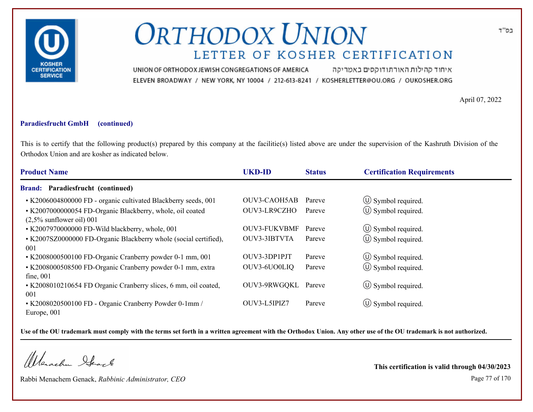

איחוד קהילות האורתודוקסים באמריקה UNION OF ORTHODOX JEWISH CONGREGATIONS OF AMERICA ELEVEN BROADWAY / NEW YORK, NY 10004 / 212-613-8241 / KOSHERLETTER@OU.ORG / OUKOSHER.ORG

April 07, 2022

#### **Paradiesfrucht GmbH (continued)**

This is to certify that the following product(s) prepared by this company at the facilitie(s) listed above are under the supervision of the Kashruth Division of the Orthodox Union and are kosher as indicated below.

| <b>Product Name</b>                                                                      | <b>UKD-ID</b>       | <b>Status</b> | <b>Certification Requirements</b> |  |
|------------------------------------------------------------------------------------------|---------------------|---------------|-----------------------------------|--|
| <b>Brand: Paradiesfrucht (continued)</b>                                                 |                     |               |                                   |  |
| • K2006004800000 FD - organic cultivated Blackberry seeds, 001                           | OUV3-CAOH5AB        | Pareve        | $\circ$ Symbol required.          |  |
| • K2007000000054 FD-Organic Blackberry, whole, oil coated<br>$(2,5\%$ sunflower oil) 001 | OUV3-LR9CZHO        | Pareve        | $\circ$ Symbol required.          |  |
| • K2007970000000 FD-Wild blackberry, whole, 001                                          | <b>OUV3-FUKVBMF</b> | Pareve        | $\circled{1}$ Symbol required.    |  |
| • K2007SZ0000000 FD-Organic Blackberry whole (social certified),<br>001                  | OUV3-3IBTVTA        | Pareve        | (U) Symbol required.              |  |
| • K2008000500100 FD-Organic Cranberry powder 0-1 mm, 001                                 | OUV3-3DP1PJT        | Pareve        | $\circled{1}$ Symbol required.    |  |
| • K2008000508500 FD-Organic Cranberry powder 0-1 mm, extra<br>fine, 001                  | OUV3-6UO0LIQ        | Pareve        | $\circ$ Symbol required.          |  |
| • K2008010210654 FD Organic Cranberry slices, 6 mm, oil coated,<br>001                   | OUV3-9RWGQKL Pareve |               | $\circ$ Symbol required.          |  |
| • K2008020500100 FD - Organic Cranberry Powder 0-1mm /<br>Europe, 001                    | OUV3-L5IPIZ7        | Pareve        | $\circ$ Symbol required.          |  |

**Use of the OU trademark must comply with the terms set forth in a written agreement with the Orthodox Union. Any other use of the OU trademark is not authorized.**

Werachen Ifearle

Rabbi Menachem Genack, *Rabbinic Administrator, CEO* Page 77 of 170

**This certification is valid through 04/30/2023**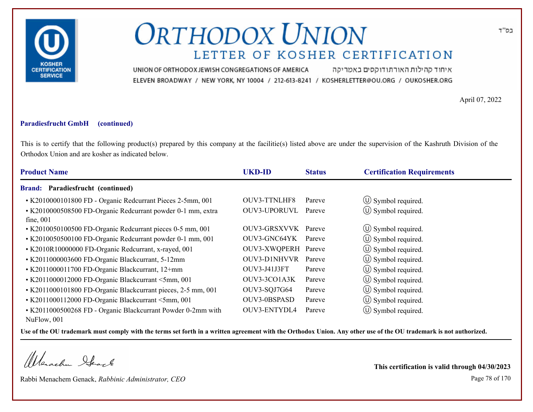

איחוד קהילות האורתודוקסים באמריקה UNION OF ORTHODOX JEWISH CONGREGATIONS OF AMERICA ELEVEN BROADWAY / NEW YORK, NY 10004 / 212-613-8241 / KOSHERLETTER@OU.ORG / OUKOSHER.ORG

April 07, 2022

#### **Paradiesfrucht GmbH (continued)**

This is to certify that the following product(s) prepared by this company at the facilitie(s) listed above are under the supervision of the Kashruth Division of the Orthodox Union and are kosher as indicated below.

| <b>Product Name</b>                                                         | <b>UKD-ID</b>       | <b>Status</b> | <b>Certification Requirements</b> |
|-----------------------------------------------------------------------------|---------------------|---------------|-----------------------------------|
| <b>Brand: Paradiesfrucht (continued)</b>                                    |                     |               |                                   |
| • K2010000101800 FD - Organic Redcurrant Pieces 2-5mm, 001                  | OUV3-TTNLHF8        | Pareve        | $\circ$ Symbol required.          |
| • K2010000508500 FD-Organic Redcurrant powder 0-1 mm, extra<br>fine, 001    | OUV3-UPORUVL        | Pareve        | $\circ$ Symbol required.          |
| • K2010050100500 FD-Organic Redcurrant pieces 0-5 mm, 001                   | OUV3-GRSXVVK Pareve |               | $\circ$ Symbol required.          |
| • K2010050500100 FD-Organic Redcurrant powder 0-1 mm, 001                   | OUV3-GNC64YK        | Pareve        | $\circ$ Symbol required.          |
| • K2010R10000000 FD-Organic Redcurrant, x-rayed, 001                        | OUV3-XWQPERH Pareve |               | $\circ$ Symbol required.          |
| • K2011000003600 FD-Organic Blackcurrant, 5-12mm                            | <b>OUV3-D1NHVVR</b> | Pareve        | $\circ$ Symbol required.          |
| • K2011000011700 FD-Organic Blackcurrant, 12+mm                             | OUV3-J41J3FT        | Pareve        | $\circ$ Symbol required.          |
| • K2011000012000 FD-Organic Blackcurrant <5mm, 001                          | OUV3-3CO1A3K        | Pareve        | (U) Symbol required.              |
| • K2011000101800 FD-Organic Blackcurrant pieces, 2-5 mm, 001                | OUV3-SQJ7G64        | Pareve        | $\circ$ Symbol required.          |
| • K2011000112000 FD-Organic Blackcurrant <5mm, 001                          | OUV3-0BSPASD        | Pareve        | (U) Symbol required.              |
| • K2011000500268 FD - Organic Blackcurrant Powder 0-2mm with<br>NuFlow, 001 | OUV3-ENTYDL4        | Pareve        | $\circ$ Symbol required.          |

**Use of the OU trademark must comply with the terms set forth in a written agreement with the Orthodox Union. Any other use of the OU trademark is not authorized.**

Werachen Stack

Rabbi Menachem Genack, *Rabbinic Administrator, CEO* Page 78 of 170

**This certification is valid through 04/30/2023**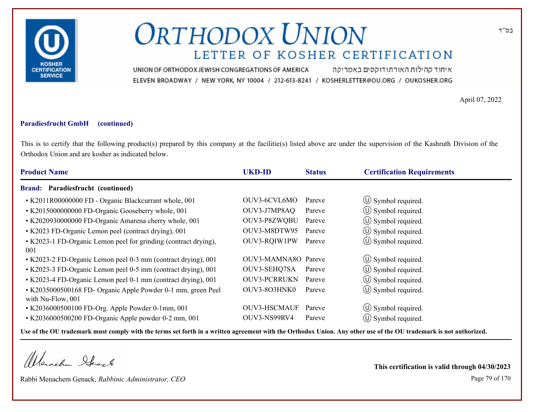

איחוד קהילות האורתודוקסים באמריקה UNION OF ORTHODOX JEWISH CONGREGATIONS OF AMERICA ELEVEN BROADWAY / NEW YORK, NY 10004 / 212-613-8241 / KOSHERLETTER@OU.ORG / OUKOSHER.ORG

April 07, 2022

#### **Paradiesfrucht GmbH (continued)**

This is to certify that the following product(s) prepared by this company at the facilitie(s) listed above are under the supervision of the Kashruth Division of the Orthodox Union and are kosher as indicated below.

| <b>Product Name</b>                                             | <b>UKD-ID</b>       | <b>Status</b> | <b>Certification Requirements</b> |
|-----------------------------------------------------------------|---------------------|---------------|-----------------------------------|
| <b>Brand: Paradiesfrucht (continued)</b>                        |                     |               |                                   |
| • K2011R00000000 FD - Organic Blackcurrant whole, 001           | OUV3-6CVL6MO        | Pareve        | $\circ$ Symbol required.          |
| • K2015000000000 FD-Organic Gooseberry whole, 001               | OUV3-J7MP8AQ        | Pareve        | $\circ$ Symbol required.          |
| • K2020930000000 FD-Organic Amarena cherry whole, 001           | OUV3-P8ZWQBU        | Pareve        | $\circ$ Symbol required.          |
| • K2023 FD-Organic Lemon peel (contract drying), 001            | OUV3-M8DTW95        | Pareve        | $\circled{0}$ Symbol required.    |
| • K2023-1 FD-Organic Lemon peel for grinding (contract drying), | OUV3-RQIW1PW        | Pareve        | $(\cup)$ Symbol required.         |
| 001                                                             |                     |               |                                   |
| • K2023-2 FD-Organic Lemon peel 0-3 mm (contract drying), 001   | OUV3-MAMNA80 Pareve |               | $\circ$ Symbol required.          |
| • K2023-3 FD-Organic Lemon peel 0-5 mm (contract drying), 001   | OUV3-SEHQ7SA        | Pareve        | $\circ$ Symbol required.          |
| • K2023-4 FD-Organic Lemon peel 0-1 mm (contract drying), 001   | <b>OUV3-PCRRUKN</b> | Pareve        | $\circled{1}$ Symbol required.    |
| • K2035000500168 FD- Organic Apple Powder 0-1 mm, green Peel    | OUV3-803HNK0        | Pareve        | $\circ$ Symbol required.          |
| with Nu-Flow, 001                                               |                     |               |                                   |
| • K2036000500100 FD-Org. Apple Powder 0-1mm, 001                | <b>OUV3-HSCMAUF</b> | Pareve        | $\circ$ Symbol required.          |
| • K2036000500200 FD-Organic Apple powder 0-2 mm, 001            | OUV3-NS99RV4        | Pareve        | (U) Symbol required.              |

**Use of the OU trademark must comply with the terms set forth in a written agreement with the Orthodox Union. Any other use of the OU trademark is not authorized.**

Werachen Stack

Rabbi Menachem Genack, *Rabbinic Administrator, CEO* Page 79 of 170

**This certification is valid through 04/30/2023**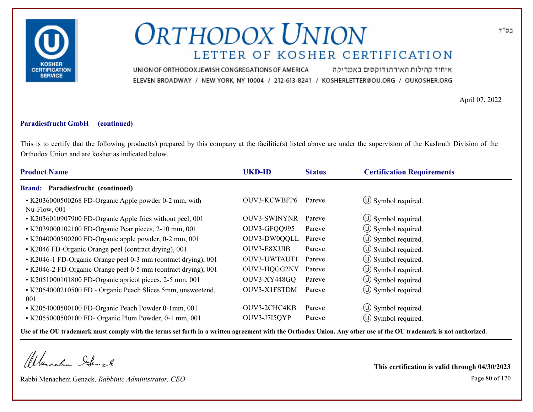

איחוד קהילות האורתודוקסים באמריקה UNION OF ORTHODOX JEWISH CONGREGATIONS OF AMERICA ELEVEN BROADWAY / NEW YORK, NY 10004 / 212-613-8241 / KOSHERLETTER@OU.ORG / OUKOSHER.ORG

April 07, 2022

#### **Paradiesfrucht GmbH (continued)**

This is to certify that the following product(s) prepared by this company at the facilitie(s) listed above are under the supervision of the Kashruth Division of the Orthodox Union and are kosher as indicated below.

| <b>Product Name</b>                                                   | <b>UKD-ID</b> | <b>Status</b> | <b>Certification Requirements</b> |
|-----------------------------------------------------------------------|---------------|---------------|-----------------------------------|
| <b>Brand: Paradiesfrucht (continued)</b>                              |               |               |                                   |
| • K2036000500268 FD-Organic Apple powder 0-2 mm, with<br>Nu-Flow, 001 | OUV3-KCWBFP6  | Pareve        | $\circ$ Symbol required.          |
| • K2036010907900 FD-Organic Apple fries without peel, 001             | OUV3-SWINYNR  | Pareve        | $\circ$ Symbol required.          |
| • K2039000102100 FD-Organic Pear pieces, 2-10 mm, 001                 | OUV3-GFQQ995  | Pareve        | $\circled{1}$ Symbol required.    |
| • K2040000500200 FD-Organic apple powder, 0-2 mm, 001                 | OUV3-DW0QQLL  | Pareve        | $(\cup)$ Symbol required.         |
| • K2046 FD-Organic Orange peel (contract drying), 001                 | OUV3-E8XJJIB  | Pareve        | $\circ$ Symbol required.          |
| • K2046-1 FD-Organic Orange peel 0-3 mm (contract drying), 001        | OUV3-UWTAUT1  | Pareve        | (U) Symbol required.              |
| • K2046-2 FD-Organic Orange peel 0-5 mm (contract drying), 001        | OUV3-HQGG2NY  | Pareve        | $\circ$ Symbol required.          |
| • K2051000101800 FD-Organic apricot pieces, 2-5 mm, 001               | OUV3-XY448GQ  | Pareve        | $\circled{1}$ Symbol required.    |
| • K2054000210500 FD - Organic Peach Slices 5mm, unsweetend,<br>001    | OUV3-X1FSTDM  | Pareve        | $\circ$ Symbol required.          |
| • K2054000500100 FD-Organic Peach Powder 0-1mm, 001                   | OUV3-2CHC4KB  | Pareve        | $\circ$ Symbol required.          |
| • K2055000500100 FD- Organic Plum Powder, 0-1 mm, 001                 | OUV3-J7I5QYP  | Pareve        | $\circ$ Symbol required.          |

**Use of the OU trademark must comply with the terms set forth in a written agreement with the Orthodox Union. Any other use of the OU trademark is not authorized.**

Werachen Stack

Rabbi Menachem Genack, *Rabbinic Administrator, CEO* Page 80 of 170

**This certification is valid through 04/30/2023**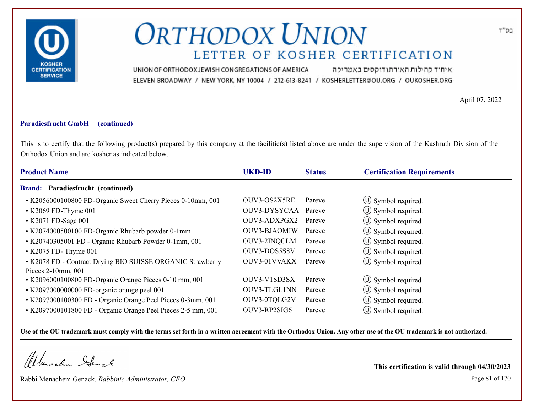

איחוד קהילות האורתודוקסים באמריקה UNION OF ORTHODOX JEWISH CONGREGATIONS OF AMERICA ELEVEN BROADWAY / NEW YORK, NY 10004 / 212-613-8241 / KOSHERLETTER@OU.ORG / OUKOSHER.ORG

April 07, 2022

#### **Paradiesfrucht GmbH (continued)**

This is to certify that the following product(s) prepared by this company at the facilitie(s) listed above are under the supervision of the Kashruth Division of the Orthodox Union and are kosher as indicated below.

| <b>Product Name</b>                                          | <b>UKD-ID</b> | <b>Status</b> | <b>Certification Requirements</b> |
|--------------------------------------------------------------|---------------|---------------|-----------------------------------|
| <b>Brand: Paradiesfrucht (continued)</b>                     |               |               |                                   |
| • K2056000100800 FD-Organic Sweet Cherry Pieces 0-10mm, 001  | OUV3-OS2X5RE  | Pareve        | $\circ$ Symbol required.          |
| • K2069 FD-Thyme 001                                         | OUV3-DYSYCAA  | Pareve        | $\circ$ Symbol required.          |
| • K2071 FD-Sage 001                                          | OUV3-ADXPGX2  | Pareve        | $\circ$ Symbol required.          |
| • K2074000500100 FD-Organic Rhubarb powder 0-1mm             | OUV3-BJAOMIW  | Pareve        | $\circ$ Symbol required.          |
| • K20740305001 FD - Organic Rhubarb Powder 0-1mm, 001        | OUV3-2INQCLM  | Pareve        | $\circled{1}$ Symbol required.    |
| $\cdot$ K2075 FD-Thyme 001                                   | OUV3-DOS5S8V  | Pareve        | $\circ$ Symbol required.          |
| • K2078 FD - Contract Drying BIO SUISSE ORGANIC Strawberry   | OUV3-01VVAKX  | Pareve        | $(\cup)$ Symbol required.         |
| Pieces $2-10$ mm, $001$                                      |               |               |                                   |
| • K2096000100800 FD-Organic Orange Pieces 0-10 mm, 001       | OUV3-V1SD3SX  | Pareve        | $\circled{1}$ Symbol required.    |
| • K2097000000000 FD-organic orange peel 001                  | OUV3-TLGL1NN  | Pareve        | $(\cup)$ Symbol required.         |
| • K2097000100300 FD - Organic Orange Peel Pieces 0-3mm, 001  | OUV3-0TQLG2V  | Pareve        | $\circ$ Symbol required.          |
| • K2097000101800 FD - Organic Orange Peel Pieces 2-5 mm, 001 | OUV3-RP2SIG6  | Pareve        | $\circ$ Symbol required.          |

**Use of the OU trademark must comply with the terms set forth in a written agreement with the Orthodox Union. Any other use of the OU trademark is not authorized.**

Werachen Stack

Rabbi Menachem Genack, *Rabbinic Administrator, CEO* Page 81 of 170

**This certification is valid through 04/30/2023**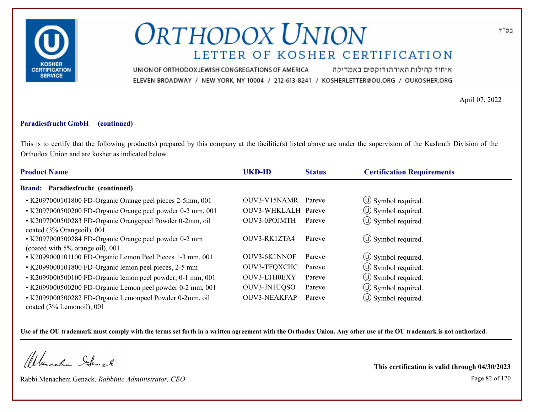

איחוד קהילות האורתודוקסים באמריקה UNION OF ORTHODOX JEWISH CONGREGATIONS OF AMERICA ELEVEN BROADWAY / NEW YORK, NY 10004 / 212-613-8241 / KOSHERLETTER@OU.ORG / OUKOSHER.ORG

April 07, 2022

#### **Paradiesfrucht GmbH (continued)**

This is to certify that the following product(s) prepared by this company at the facilitie(s) listed above are under the supervision of the Kashruth Division of the Orthodox Union and are kosher as indicated below.

| <b>Product Name</b>                                                                       | <b>UKD-ID</b>       | <b>Status</b> | <b>Certification Requirements</b> |
|-------------------------------------------------------------------------------------------|---------------------|---------------|-----------------------------------|
| <b>Brand: Paradiesfrucht (continued)</b>                                                  |                     |               |                                   |
| • K2097000101800 FD-Organic Orange peel pieces 2-5mm, 001                                 | OUV3-V15NAMR        | Pareve        | $\circled{1}$ Symbol required.    |
| • K2097000500200 FD-Organic Orange peel powder 0-2 mm, 001                                | OUV3-WHKLALH Pareve |               | $\circ$ Symbol required.          |
| • K2097000500283 FD-Organic Orangepeel Powder 0-2mm, oil<br>coated (3% Orangeoil), 001    | OUV3-0POJMTH        | Pareve        | $\circled{1}$ Symbol required.    |
| • K2097000500284 FD-Organic Orange peel powder 0-2 mm<br>(coated with 5% orange oil), 001 | OUV3-RK1ZTA4        | Pareve        | $\circ$ Symbol required.          |
| • K2099000101100 FD-Organic Lemon Peel Pieces 1-3 mm, 001                                 | OUV3-6K1NNOF        | Pareve        | $\circ$ Symbol required.          |
| • K2099000101800 FD-Organic lemon peel pieces, 2-5 mm                                     | OUV3-TFQXCHC        | Pareve        | $\circ$ Symbol required.          |
| • K2099000500100 FD-Organic lemon peel powder, 0-1 mm, 001                                | OUV3-LTH0EXY        | Pareve        | $\circled{0}$ Symbol required.    |
| • K2099000500200 FD-Organic Lemon peel powder 0-2 mm, 001                                 | OUV3-JN1UQSO        | Pareve        | $\circ$ Symbol required.          |
| • K2099000500282 FD-Organic Lemonpeel Powder 0-2mm, oil<br>coated (3% Lemonoil), 001      | <b>OUV3-NEAKFAP</b> | Pareve        | $(\cup)$ Symbol required.         |

**Use of the OU trademark must comply with the terms set forth in a written agreement with the Orthodox Union. Any other use of the OU trademark is not authorized.**

Werachen Ifearle

Rabbi Menachem Genack, *Rabbinic Administrator, CEO* Page 82 of 170

**This certification is valid through 04/30/2023**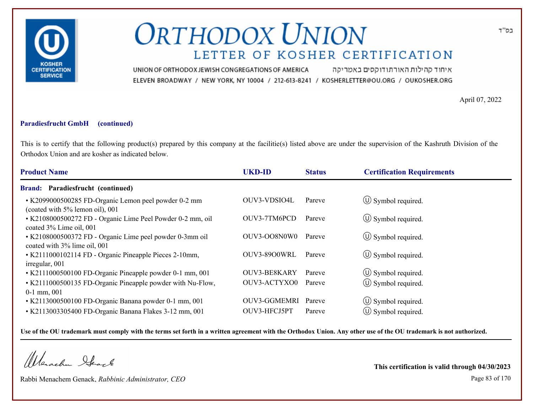

איחוד קהילות האורתודוקסים באמריקה UNION OF ORTHODOX JEWISH CONGREGATIONS OF AMERICA ELEVEN BROADWAY / NEW YORK, NY 10004 / 212-613-8241 / KOSHERLETTER@OU.ORG / OUKOSHER.ORG

April 07, 2022

### **Paradiesfrucht GmbH (continued)**

This is to certify that the following product(s) prepared by this company at the facilitie(s) listed above are under the supervision of the Kashruth Division of the Orthodox Union and are kosher as indicated below.

| <b>Product Name</b>                                                                      | <b>UKD-ID</b>       | <b>Status</b> | <b>Certification Requirements</b> |
|------------------------------------------------------------------------------------------|---------------------|---------------|-----------------------------------|
| <b>Brand: Paradiesfrucht (continued)</b>                                                 |                     |               |                                   |
| • K2099000500285 FD-Organic Lemon peel powder 0-2 mm<br>(coated with 5% lemon oil), 001  | OUV3-VDSIO4L        | Pareve        | $\circ$ Symbol required.          |
| • K2108000500272 FD - Organic Lime Peel Powder 0-2 mm, oil<br>coated 3% Lime oil, 001    | OUV3-7TM6PCD        | Pareve        | $\circ$ Symbol required.          |
| • K2108000500372 FD - Organic Lime peel powder 0-3mm oil<br>coated with 3% lime oil, 001 | OUV3-OO8N0W0        | Pareve        | $\circ$ Symbol required.          |
| • K2111000102114 FD - Organic Pineapple Pieces 2-10mm,<br>irregular, 001                 | OUV3-8900WRL        | Pareve        | $\circ$ Symbol required.          |
| • K2111000500100 FD-Organic Pineapple powder 0-1 mm, 001                                 | OUV3-BE8KARY        | Pareve        | $\circ$ Symbol required.          |
| • K2111000500135 FD-Organic Pineapple powder with Nu-Flow,<br>$0-1$ mm, $001$            | OUV3-ACTYXO0        | Pareve        | $\circ$ Symbol required.          |
| • K2113000500100 FD-Organic Banana powder 0-1 mm, 001                                    | <b>OUV3-GGMEMRI</b> | Pareve        | $\circ$ Symbol required.          |
| • K2113003305400 FD-Organic Banana Flakes 3-12 mm, 001                                   | OUV3-HFCJ5PT        | Pareve        | $(U)$ Symbol required.            |

**Use of the OU trademark must comply with the terms set forth in a written agreement with the Orthodox Union. Any other use of the OU trademark is not authorized.**

Werachen Stack

Rabbi Menachem Genack, *Rabbinic Administrator, CEO* Page 83 of 170

**This certification is valid through 04/30/2023**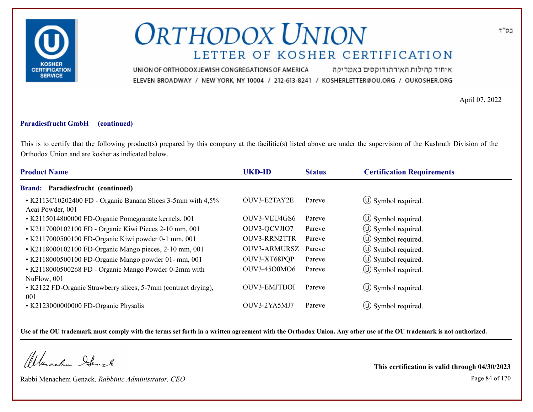

איחוד קהילות האורתודוקסים באמריקה UNION OF ORTHODOX JEWISH CONGREGATIONS OF AMERICA ELEVEN BROADWAY / NEW YORK, NY 10004 / 212-613-8241 / KOSHERLETTER@OU.ORG / OUKOSHER.ORG

April 07, 2022

#### **Paradiesfrucht GmbH (continued)**

This is to certify that the following product(s) prepared by this company at the facilitie(s) listed above are under the supervision of the Kashruth Division of the Orthodox Union and are kosher as indicated below.

| <b>Product Name</b>                                                             | <b>UKD-ID</b>       | <b>Status</b> | <b>Certification Requirements</b> |
|---------------------------------------------------------------------------------|---------------------|---------------|-----------------------------------|
| <b>Brand: Paradiesfrucht (continued)</b>                                        |                     |               |                                   |
| • K2113C10202400 FD - Organic Banana Slices 3-5mm with 4,5%<br>Acai Powder, 001 | OUV3-E2TAY2E        | Pareve        | $\circ$ Symbol required.          |
| • K2115014800000 FD-Organic Pomegranate kernels, 001                            | OUV3-VEU4GS6        | Pareve        | $\circ$ Symbol required.          |
| • K2117000102100 FD - Organic Kiwi Pieces 2-10 mm, 001                          | OUV3-QCVJIO7        | Pareve        | $\circled{1}$ Symbol required.    |
| • K2117000500100 FD-Organic Kiwi powder 0-1 mm, 001                             | OUV3-RRN2TTR        | Pareve        | $\circ$ Symbol required.          |
| • K2118000102100 FD-Organic Mango pieces, 2-10 mm, 001                          | <b>OUV3-ARMURSZ</b> | Pareve        | $\circled{1}$ Symbol required.    |
| • K2118000500100 FD-Organic Mango powder 01- mm, 001                            | OUV3-XT68PQP        | Pareve        | $\circ$ Symbol required.          |
| • K2118000500268 FD - Organic Mango Powder 0-2mm with<br>NuFlow, 001            | OUV3-4500M06        | Pareve        | $\circ$ Symbol required.          |
| • K2122 FD-Organic Strawberry slices, 5-7mm (contract drying),<br>001           | OUV3-EMJTDOI        | Pareve        | $\circ$ Symbol required.          |
| • K2123000000000 FD-Organic Physalis                                            | OUV3-2YA5MJ7        | Pareve        | $\left(\bigcup$ Symbol required.  |

**Use of the OU trademark must comply with the terms set forth in a written agreement with the Orthodox Union. Any other use of the OU trademark is not authorized.**

Werachen Stack

Rabbi Menachem Genack, *Rabbinic Administrator, CEO* Page 84 of 170

**This certification is valid through 04/30/2023**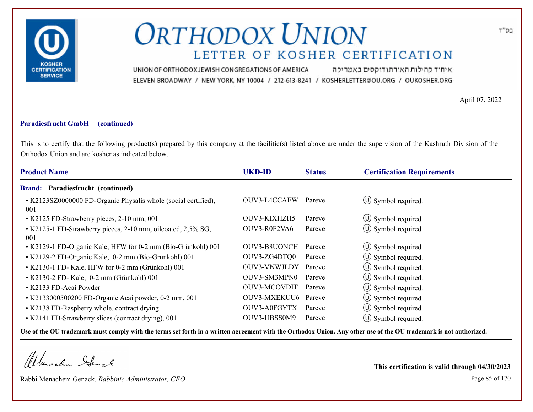

איחוד קהילות האורתודוקסים באמריקה UNION OF ORTHODOX JEWISH CONGREGATIONS OF AMERICA ELEVEN BROADWAY / NEW YORK, NY 10004 / 212-613-8241 / KOSHERLETTER@OU.ORG / OUKOSHER.ORG

April 07, 2022

#### **Paradiesfrucht GmbH (continued)**

This is to certify that the following product(s) prepared by this company at the facilitie(s) listed above are under the supervision of the Kashruth Division of the Orthodox Union and are kosher as indicated below.

| <b>Product Name</b>                                                   | <b>UKD-ID</b>       | <b>Status</b> | <b>Certification Requirements</b> |
|-----------------------------------------------------------------------|---------------------|---------------|-----------------------------------|
| <b>Brand: Paradiesfrucht (continued)</b>                              |                     |               |                                   |
| • K2123SZ0000000 FD-Organic Physalis whole (social certified),<br>001 | OUV3-L4CCAEW        | Pareve        | $\circ$ Symbol required.          |
| • K2125 FD-Strawberry pieces, 2-10 mm, 001                            | OUV3-KIXHZH5        | Pareve        | $\circ$ Symbol required.          |
| • K2125-1 FD-Strawberry pieces, 2-10 mm, oilcoated, 2,5% SG,<br>001   | OUV3-R0F2VA6        | Pareve        | $\circled{0}$ Symbol required.    |
| • K2129-1 FD-Organic Kale, HFW for 0-2 mm (Bio-Grünkohl) 001          | OUV3-B8UONCH        | Pareve        | (U) Symbol required.              |
| • K2129-2 FD-Organic Kale, 0-2 mm (Bio-Grünkohl) 001                  | OUV3-ZG4DTQ0        | Pareve        | $\circ$ Symbol required.          |
| • K2130-1 FD- Kale, HFW for 0-2 mm (Grünkohl) 001                     | OUV3-VNWJLDY        | Pareve        | $\circ$ Symbol required.          |
| • K2130-2 FD- Kale, 0-2 mm (Grünkohl) 001                             | OUV3-SM3MPN0        | Pareve        | $\circled{1}$ Symbol required.    |
| • K2133 FD-Acai Powder                                                | OUV3-MCOVDIT        | Pareve        | $\circled{1}$ Symbol required.    |
| • K2133000500200 FD-Organic Acai powder, 0-2 mm, 001                  | OUV3-MXEKUU6 Pareve |               | $\left(\bigcup$ Symbol required.  |
| • K2138 FD-Raspberry whole, contract drying                           | OUV3-A0FGYTX        | Pareve        | $\circ$ Symbol required.          |
| • K2141 FD-Strawberry slices (contract drying), 001                   | OUV3-UBSS0M9        | Pareve        | (U) Symbol required.              |

**Use of the OU trademark must comply with the terms set forth in a written agreement with the Orthodox Union. Any other use of the OU trademark is not authorized.**

Werachen Stack

Rabbi Menachem Genack, *Rabbinic Administrator, CEO* Page 85 of 170

**This certification is valid through 04/30/2023**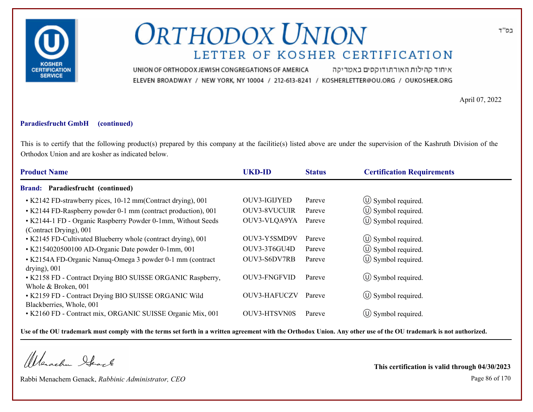

איחוד קהילות האורתודוקסים באמריקה UNION OF ORTHODOX JEWISH CONGREGATIONS OF AMERICA ELEVEN BROADWAY / NEW YORK, NY 10004 / 212-613-8241 / KOSHERLETTER@OU.ORG / OUKOSHER.ORG

April 07, 2022

#### **Paradiesfrucht GmbH (continued)**

This is to certify that the following product(s) prepared by this company at the facilitie(s) listed above are under the supervision of the Kashruth Division of the Orthodox Union and are kosher as indicated below.

| <b>Product Name</b>                                                                    | <b>UKD-ID</b>       | <b>Status</b> | <b>Certification Requirements</b> |
|----------------------------------------------------------------------------------------|---------------------|---------------|-----------------------------------|
| <b>Brand: Paradiesfrucht (continued)</b>                                               |                     |               |                                   |
| • K2142 FD-strawberry pices, 10-12 mm(Contract drying), 001                            | OUV3-IGIJYED        | Pareve        | $\circ$ Symbol required.          |
| • K2144 FD-Raspberry powder 0-1 mm (contract production), 001                          | <b>OUV3-8VUCUIR</b> | Pareve        | $\circled{0}$ Symbol required.    |
| • K2144-1 FD - Organic Raspberry Powder 0-1mm, Without Seeds<br>(Contract Drying), 001 | OUV3-VLQA9YA        | Pareve        | $\circ$ Symbol required.          |
| • K2145 FD-Cultivated Blueberry whole (contract drying), 001                           | OUV3-Y5SMD9V        | Pareve        | $\circ$ Symbol required.          |
| • K2154020500100 AD-Organic Date powder 0-1mm, 001                                     | OUV3-3T6GU4D        | Pareve        | (U) Symbol required.              |
| • K2154A FD-Organic Nanuq-Omega 3 powder 0-1 mm (contract<br>drying), $001$            | OUV3-S6DV7RB        | Pareve        | $\circ$ Symbol required.          |
| • K2158 FD - Contract Drying BIO SUISSE ORGANIC Raspberry,<br>Whole & Broken, 001      | OUV3-FNGFVID        | Pareve        | $\circ$ Symbol required.          |
| • K2159 FD - Contract Drying BIO SUISSE ORGANIC Wild<br>Blackberries, Whole, 001       | OUV3-HAFUCZV        | Pareve        | $\circled{0}$ Symbol required.    |
| • K2160 FD - Contract mix, ORGANIC SUISSE Organic Mix, 001                             | <b>OUV3-HTSVN0S</b> | Pareve        | $(U)$ Symbol required.            |

**Use of the OU trademark must comply with the terms set forth in a written agreement with the Orthodox Union. Any other use of the OU trademark is not authorized.**

Werachen Stack

Rabbi Menachem Genack, *Rabbinic Administrator, CEO* Page 86 of 170

**This certification is valid through 04/30/2023**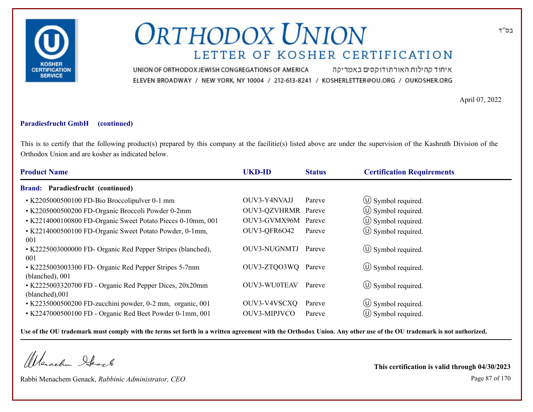

איחוד קהילות האורתודוקסים באמריקה UNION OF ORTHODOX JEWISH CONGREGATIONS OF AMERICA ELEVEN BROADWAY / NEW YORK, NY 10004 / 212-613-8241 / KOSHERLETTER@OU.ORG / OUKOSHER.ORG

April 07, 2022

### **Paradiesfrucht GmbH (continued)**

This is to certify that the following product(s) prepared by this company at the facilitie(s) listed above are under the supervision of the Kashruth Division of the Orthodox Union and are kosher as indicated below.

| <b>Product Name</b>                                                       | <b>UKD-ID</b>       | <b>Status</b> | <b>Certification Requirements</b> |
|---------------------------------------------------------------------------|---------------------|---------------|-----------------------------------|
| <b>Brand: Paradiesfrucht (continued)</b>                                  |                     |               |                                   |
| • K2205000500100 FD-Bio Broccolipulver 0-1 mm                             | OUV3-Y4NVAJJ        | Pareve        | $\circ$ Symbol required.          |
| • K2205000500200 FD-Organic Broccoli Powder 0-2mm                         | OUV3-QZVHRMR Pareve |               | $\circ$ Symbol required.          |
| • K2214000100800 FD-Organic Sweet Potato Pieces 0-10mm, 001               | OUV3-GVMX96M        | Pareve        | $\circled{1}$ Symbol required.    |
| • K2214000500100 FD-Organic Sweet Potato Powder, 0-1mm,<br>001            | OUV3-QFR6O42        | Pareve        | $\circ$ Symbol required.          |
| • K2225003000000 FD- Organic Red Pepper Stripes (blanched),<br>001        | OUV3-NUGNMTJ        | Pareve        | $\circ$ Symbol required.          |
| • K2225003003300 FD- Organic Red Pepper Stripes 5-7mm<br>(blanched), 001  | OUV3-ZTQO3WQ Pareve |               | $\circ$ Symbol required.          |
| • K2225003320700 FD - Organic Red Pepper Dices, 20x20mm<br>(blanched),001 | OUV3-WU0TEAV        | Pareve        | $\circ$ Symbol required.          |
| • K2235000500200 FD-zucchini powder, 0-2 mm, organic, 001                 | OUV3-V4VSCXQ        | Pareve        | $\circ$ Symbol required.          |
| • K2247000500100 FD - Organic Red Beet Powder 0-1mm, 001                  | OUV3-MIPJVCO        | Pareve        | $(U)$ Symbol required.            |

**Use of the OU trademark must comply with the terms set forth in a written agreement with the Orthodox Union. Any other use of the OU trademark is not authorized.**

Werachen Stack

Rabbi Menachem Genack, *Rabbinic Administrator, CEO* Page 87 of 170

**This certification is valid through 04/30/2023**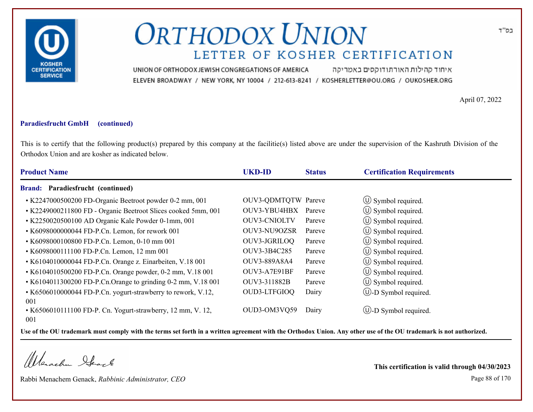

איחוד קהילות האורתודוקסים באמריקה UNION OF ORTHODOX JEWISH CONGREGATIONS OF AMERICA ELEVEN BROADWAY / NEW YORK, NY 10004 / 212-613-8241 / KOSHERLETTER@OU.ORG / OUKOSHER.ORG

April 07, 2022

#### **Paradiesfrucht GmbH (continued)**

This is to certify that the following product(s) prepared by this company at the facilitie(s) listed above are under the supervision of the Kashruth Division of the Orthodox Union and are kosher as indicated below.

| <b>Product Name</b>                                                | <b>UKD-ID</b>              | <b>Status</b> | <b>Certification Requirements</b> |
|--------------------------------------------------------------------|----------------------------|---------------|-----------------------------------|
| <b>Brand: Paradiesfrucht (continued)</b>                           |                            |               |                                   |
| • K2247000500200 FD-Organic Beetroot powder 0-2 mm, 001            | <b>OUV3-QDMTQTW Pareve</b> |               | $\circ$ Symbol required.          |
| • K2249000211800 FD - Organic Beetroot Slices cooked 5mm, 001      | OUV3-YBU4HBX               | Pareve        | $\circ$ Symbol required.          |
| • K2250020500100 AD Organic Kale Powder 0-1mm, 001                 | <b>OUV3-CNIOLTV</b>        | Pareve        | $\circled{0}$ Symbol required.    |
| • K6098000000044 FD-P.Cn. Lemon, for rework 001                    | OUV3-NU9OZSR               | Pareve        | $\circ$ Symbol required.          |
| • K6098000100800 FD-P.Cn. Lemon, 0-10 mm 001                       | OUV3-JGRILOQ               | Pareve        | $\circ$ Symbol required.          |
| • K6098000111100 FD-P.Cn. Lemon, 12 mm 001                         | OUV3-3B4C285               | Pareve        | $\circled{1}$ Symbol required.    |
| • K6104010000044 FD-P.Cn. Orange z. Einarbeiten, V.18 001          | OUV3-889A8A4               | Pareve        | $\circ$ Symbol required.          |
| • K6104010500200 FD-P.Cn. Orange powder, 0-2 mm, V.18 001          | OUV3-A7E91BF               | Pareve        | $\circled{1}$ Symbol required.    |
| • K6104011300200 FD-P.Cn.Orange to grinding 0-2 mm, V.18 001       | OUV3-311882B               | Pareve        | $\circ$ Symbol required.          |
| • K6506010000044 FD-P.Cn. yogurt-strawberry to rework, V.12,       | OUD3-LTFGIOQ               | Dairy         | (U)-D Symbol required.            |
| 001                                                                |                            |               |                                   |
| • K6506010111100 FD-P. Cn. Yogurt-strawberry, 12 mm, V. 12,<br>001 | OUD3-OM3VQ59               | Dairy         | $\cup$ -D Symbol required.        |

**Use of the OU trademark must comply with the terms set forth in a written agreement with the Orthodox Union. Any other use of the OU trademark is not authorized.**

Werachen Stack

Rabbi Menachem Genack, *Rabbinic Administrator, CEO* Page 88 of 170

**This certification is valid through 04/30/2023**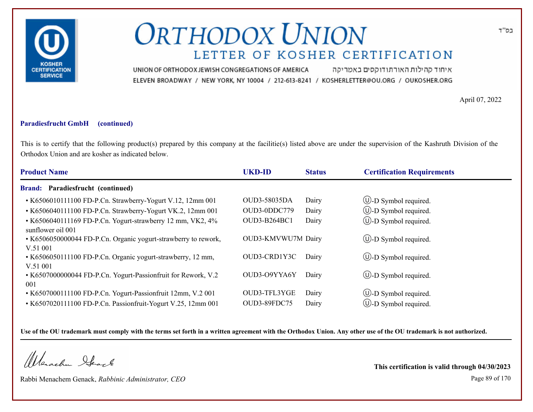

איחוד קהילות האורתודוקסים באמריקה UNION OF ORTHODOX JEWISH CONGREGATIONS OF AMERICA ELEVEN BROADWAY / NEW YORK, NY 10004 / 212-613-8241 / KOSHERLETTER@OU.ORG / OUKOSHER.ORG

April 07, 2022

#### **Paradiesfrucht GmbH (continued)**

This is to certify that the following product(s) prepared by this company at the facilitie(s) listed above are under the supervision of the Kashruth Division of the Orthodox Union and are kosher as indicated below.

| <b>Product Name</b>                                                             | <b>UKD-ID</b>       | <b>Status</b> | <b>Certification Requirements</b> |
|---------------------------------------------------------------------------------|---------------------|---------------|-----------------------------------|
| <b>Brand: Paradiesfrucht (continued)</b>                                        |                     |               |                                   |
| • K6506010111100 FD-P.Cn. Strawberry-Yogurt V.12, 12mm 001                      | <b>OUD3-58035DA</b> | Dairy         | $\circled{1}$ -D Symbol required. |
| • K6506040111100 FD-P.Cn. Strawberry-Yogurt VK.2, 12mm 001                      | OUD3-0DDC779        | Dairy         | $\circled{1}$ -D Symbol required. |
| • K6506040111169 FD-P.Cn. Yogurt-strawberry 12 mm, VK2, 4%<br>sunflower oil 001 | OUD3-B264BC1        | Dairy         | <b>W</b> -D Symbol required.      |
| • K6506050000044 FD-P.Cn. Organic yogurt-strawberry to rework,<br>V.51 001      | OUD3-KMVWU7M Dairy  |               | $\bigcirc$ -D Symbol required.    |
| • K6506050111100 FD-P.Cn. Organic yogurt-strawberry, 12 mm,<br>V.51001          | OUD3-CRD1Y3C        | Dairy         | $\bigcup$ -D Symbol required.     |
| • K6507000000044 FD-P.Cn. Yogurt-Passionfruit for Rework, V.2<br>001            | OUD3-O9YYA6Y        | Dairy         | $\bigcirc$ -D Symbol required.    |
| • K6507000111100 FD-P.Cn. Yogurt-Passionfruit 12mm, V.2 001                     | OUD3-TFL3YGE        | Dairy         | $\circled{1}$ -D Symbol required. |
| • K6507020111100 FD-P.Cn. Passionfruit-Yogurt V.25, 12mm 001                    | OUD3-89FDC75        | Dairy         | $(U)$ -D Symbol required.         |

**Use of the OU trademark must comply with the terms set forth in a written agreement with the Orthodox Union. Any other use of the OU trademark is not authorized.**

Werachen Stack

Rabbi Menachem Genack, *Rabbinic Administrator, CEO* Page 89 of 170

**This certification is valid through 04/30/2023**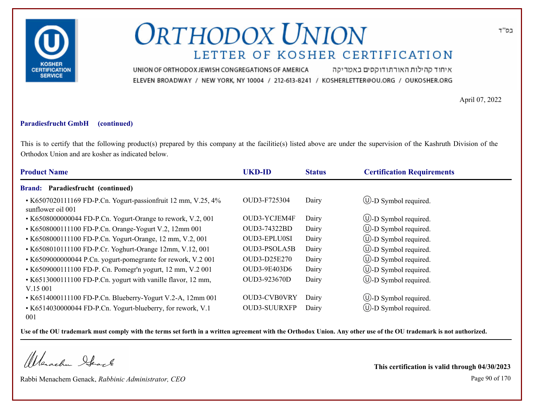

איחוד קהילות האורתודוקסים באמריקה UNION OF ORTHODOX JEWISH CONGREGATIONS OF AMERICA ELEVEN BROADWAY / NEW YORK, NY 10004 / 212-613-8241 / KOSHERLETTER@OU.ORG / OUKOSHER.ORG

April 07, 2022

#### **Paradiesfrucht GmbH (continued)**

This is to certify that the following product(s) prepared by this company at the facilitie(s) listed above are under the supervision of the Kashruth Division of the Orthodox Union and are kosher as indicated below.

| <b>Product Name</b>                                                                | <b>UKD-ID</b>       | <b>Status</b> | <b>Certification Requirements</b> |
|------------------------------------------------------------------------------------|---------------------|---------------|-----------------------------------|
| <b>Brand: Paradiesfrucht (continued)</b>                                           |                     |               |                                   |
| • K6507020111169 FD-P.Cn. Yogurt-passionfruit 12 mm, V.25, 4%<br>sunflower oil 001 | OUD3-F725304        | Dairy         | $\bigcirc$ -D Symbol required.    |
| • K6508000000044 FD-P.Cn. Yogurt-Orange to rework, V.2, 001                        | OUD3-YCJEM4F        | Dairy         | $\circled{1}$ -D Symbol required. |
| • K6508000111100 FD-P.Cn. Orange-Yogurt V.2, 12mm 001                              | OUD3-74322BD        | Dairy         | $\bigcirc$ -D Symbol required.    |
| • K6508000111100 FD-P.Cn. Yogurt-Orange, 12 mm, V.2, 001                           | <b>OUD3-EPLU0SI</b> | Dairy         | $\circled{1}$ -D Symbol required. |
| • K6508010111100 FD-P.Cr. Yoghurt-Orange 12mm, V.12, 001                           | OUD3-PSOLA5B        | Dairy         | $\bigcirc$ -D Symbol required.    |
| • K6509000000044 P.Cn. yogurt-pomegrante for rework, V.2 001                       | <b>OUD3-D25E270</b> | Dairy         | $\circled{1}$ -D Symbol required. |
| • K6509000111100 FD-P. Cn. Pomegr'n yogurt, 12 mm, V.2 001                         | OUD3-9E403D6        | Dairy         | (U)-D Symbol required.            |
| • K6513000111100 FD-P.Cn. yogurt with vanille flavor, 12 mm,<br>V.15001            | OUD3-923670D        | Dairy         | $\circled{1}$ -D Symbol required. |
| • K6514000111100 FD-P.Cn. Blueberry-Yogurt V.2-A, 12mm 001                         | <b>OUD3-CVB0VRY</b> | Dairy         | (U)-D Symbol required.            |
| • K6514030000044 FD-P.Cn. Yogurt-blueberry, for rework, V.1<br>001                 | <b>OUD3-SUURXFP</b> | Dairy         | $\cup$ -D Symbol required.        |

**Use of the OU trademark must comply with the terms set forth in a written agreement with the Orthodox Union. Any other use of the OU trademark is not authorized.**

Werachen Stack

Rabbi Menachem Genack, *Rabbinic Administrator, CEO* Page 90 of 170

**This certification is valid through 04/30/2023**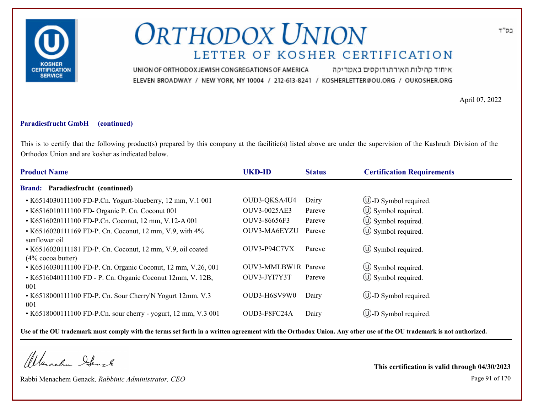

איחוד קהילות האורתודוקסים באמריקה UNION OF ORTHODOX JEWISH CONGREGATIONS OF AMERICA ELEVEN BROADWAY / NEW YORK, NY 10004 / 212-613-8241 / KOSHERLETTER@OU.ORG / OUKOSHER.ORG

April 07, 2022

### **Paradiesfrucht GmbH (continued)**

This is to certify that the following product(s) prepared by this company at the facilitie(s) listed above are under the supervision of the Kashruth Division of the Orthodox Union and are kosher as indicated below.

| <b>Product Name</b>                                                                  | <b>UKD-ID</b>       | <b>Status</b> | <b>Certification Requirements</b> |
|--------------------------------------------------------------------------------------|---------------------|---------------|-----------------------------------|
| <b>Brand: Paradiesfrucht (continued)</b>                                             |                     |               |                                   |
| • K6514030111100 FD-P.Cn. Yogurt-blueberry, 12 mm, V.1 001                           | OUD3-QKSA4U4        | Dairy         | $\bigcup$ -D Symbol required.     |
| • K6516010111100 FD- Organic P. Cn. Coconut 001                                      | OUV3-0025AE3        | Pareve        | $\circ$ Symbol required.          |
| • K6516020111100 FD-P.Cn. Coconut, 12 mm, V.12-A 001                                 | OUV3-86656F3        | Pareve        | $\circled{1}$ Symbol required.    |
| • K6516020111169 FD-P. Cn. Coconut, 12 mm, V.9, with 4%<br>sunflower oil             | OUV3-MA6EYZU        | Pareve        | $\circled{1}$ Symbol required.    |
| • K6516020111181 FD-P. Cn. Coconut, 12 mm, V.9, oil coated<br>$(4\% \csc a)$ butter) | OUV3-P94C7VX        | Pareve        | $\circ$ Symbol required.          |
| • K6516030111100 FD-P. Cn. Organic Coconut, 12 mm, V.26, 001                         | OUV3-MMLBW1R Pareve |               | $\circ$ Symbol required.          |
| • K6516040111100 FD - P. Cn. Organic Coconut 12mm, V. 12B,<br>001                    | OUV3-JYI7Y3T        | Pareve        | $\circ$ Symbol required.          |
| • K6518000111100 FD-P. Cn. Sour Cherry'N Yogurt 12mm, V.3<br>001                     | OUD3-H6SV9W0        | Dairy         | <b>W</b> -D Symbol required.      |
| • K6518000111100 FD-P.Cn. sour cherry - yogurt, 12 mm, V.3 001                       | OUD3-F8FC24A        | Dairy         | $(U)$ -D Symbol required.         |

**Use of the OU trademark must comply with the terms set forth in a written agreement with the Orthodox Union. Any other use of the OU trademark is not authorized.**

Werachen Stack

Rabbi Menachem Genack, *Rabbinic Administrator, CEO* Page 91 of 170

**This certification is valid through 04/30/2023**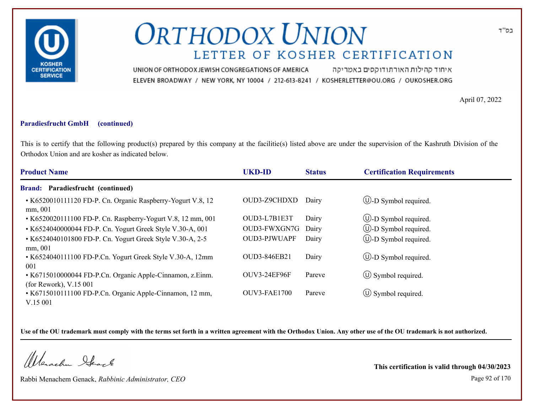

איחוד קהילות האורתודוקסים באמריקה UNION OF ORTHODOX JEWISH CONGREGATIONS OF AMERICA ELEVEN BROADWAY / NEW YORK, NY 10004 / 212-613-8241 / KOSHERLETTER@OU.ORG / OUKOSHER.ORG

April 07, 2022

#### **Paradiesfrucht GmbH (continued)**

This is to certify that the following product(s) prepared by this company at the facilitie(s) listed above are under the supervision of the Kashruth Division of the Orthodox Union and are kosher as indicated below.

| <b>Product Name</b>                                                                  | <b>UKD-ID</b>       | <b>Status</b> | <b>Certification Requirements</b> |
|--------------------------------------------------------------------------------------|---------------------|---------------|-----------------------------------|
| <b>Brand: Paradiesfrucht (continued)</b>                                             |                     |               |                                   |
| • K6520010111120 FD-P. Cn. Organic Raspberry-Yogurt V.8, 12<br>mm, 001               | OUD3-Z9CHDXD        | Dairy         | $\bigcirc$ -D Symbol required.    |
| • K6520020111100 FD-P. Cn. Raspberry-Yogurt V.8, 12 mm, 001                          | OUD3-L7B1E3T        | Dairy         | $\bigcirc$ -D Symbol required.    |
| • K6524040000044 FD-P. Cn. Yogurt Greek Style V.30-A, 001                            | OUD3-FWXGN7G        | Dairy         | $\bigcirc$ -D Symbol required.    |
| • K6524040101800 FD-P. Cn. Yogurt Greek Style V.30-A, 2-5<br>mm, 001                 | <b>OUD3-PJWUAPF</b> | Dairy         | $\bigcup$ -D Symbol required.     |
| • K6524040111100 FD-P.Cn. Yogurt Greek Style V.30-A, 12mm<br>001                     | <b>OUD3-846EB21</b> | Dairy         | $\bigcirc$ -D Symbol required.    |
| • K6715010000044 FD-P.Cn. Organic Apple-Cinnamon, z.Einm.<br>(for Rework), $V.15001$ | OUV3-24EF96F        | Pareve        | $\circ$ Symbol required.          |
| • K6715010111100 FD-P.Cn. Organic Apple-Cinnamon, 12 mm,<br>V.15001                  | <b>OUV3-FAE1700</b> | Pareve        | $\circ$ Symbol required.          |

**Use of the OU trademark must comply with the terms set forth in a written agreement with the Orthodox Union. Any other use of the OU trademark is not authorized.**

Werachen Ifearle

Rabbi Menachem Genack, *Rabbinic Administrator, CEO* Page 92 of 170

**This certification is valid through 04/30/2023**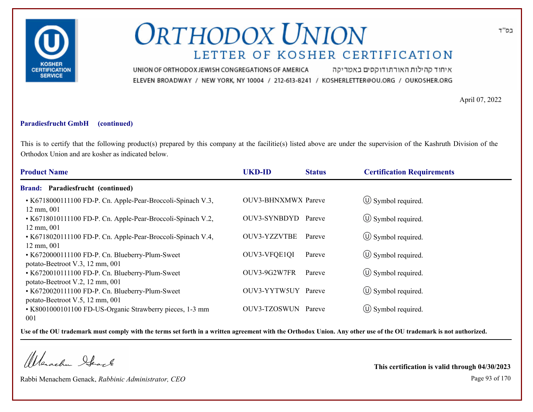

איחוד קהילות האורתודוקסים באמריקה UNION OF ORTHODOX JEWISH CONGREGATIONS OF AMERICA ELEVEN BROADWAY / NEW YORK, NY 10004 / 212-613-8241 / KOSHERLETTER@OU.ORG / OUKOSHER.ORG

April 07, 2022

#### **Paradiesfrucht GmbH (continued)**

This is to certify that the following product(s) prepared by this company at the facilitie(s) listed above are under the supervision of the Kashruth Division of the Orthodox Union and are kosher as indicated below.

| <b>Product Name</b>                                                                 | <b>UKD-ID</b>              | <b>Status</b> | <b>Certification Requirements</b> |  |
|-------------------------------------------------------------------------------------|----------------------------|---------------|-----------------------------------|--|
| Brand: Paradiesfrucht (continued)                                                   |                            |               |                                   |  |
| • K6718000111100 FD-P. Cn. Apple-Pear-Broccoli-Spinach V.3,<br>$12 \text{ mm}, 001$ | <b>OUV3-BHNXMWX</b> Pareve |               | $\circ$ Symbol required.          |  |
| • K6718010111100 FD-P. Cn. Apple-Pear-Broccoli-Spinach V.2,<br>$12 \text{ mm}, 001$ | OUV3-SYNBDYD               | Pareve        | $\circ$ Symbol required.          |  |
| • K6718020111100 FD-P. Cn. Apple-Pear-Broccoli-Spinach V.4,<br>$12 \text{ mm}, 001$ | <b>OUV3-YZZVTBE</b>        | Pareve        | $\circ$ Symbol required.          |  |
| • K6720000111100 FD-P. Cn. Blueberry-Plum-Sweet<br>potato-Beetroot V.3, 12 mm, 001  | OUV3-VFQE1QI               | Pareve        | $\circ$ Symbol required.          |  |
| • K6720010111100 FD-P. Cn. Blueberry-Plum-Sweet<br>potato-Beetroot V.2, 12 mm, 001  | OUV3-9G2W7FR               | Pareve        | $\circ$ Symbol required.          |  |
| • K6720020111100 FD-P. Cn. Blueberry-Plum-Sweet<br>potato-Beetroot V.5, 12 mm, 001  | OUV3-YYTW5UY               | Pareve        | $\circled{1}$ Symbol required.    |  |
| • K8001000101100 FD-US-Organic Strawberry pieces, 1-3 mm<br>001                     | OUV3-TZOSWUN Pareve        |               | $\circ$ Symbol required.          |  |

**Use of the OU trademark must comply with the terms set forth in a written agreement with the Orthodox Union. Any other use of the OU trademark is not authorized.**

Werschn Heark

Rabbi Menachem Genack, *Rabbinic Administrator, CEO* Page 93 of 170

**This certification is valid through 04/30/2023**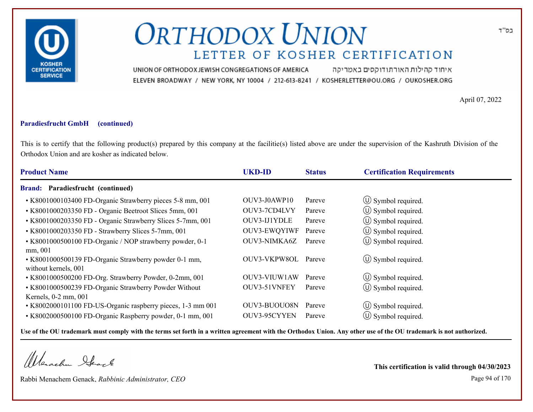

איחוד קהילות האורתודוקסים באמריקה UNION OF ORTHODOX JEWISH CONGREGATIONS OF AMERICA ELEVEN BROADWAY / NEW YORK, NY 10004 / 212-613-8241 / KOSHERLETTER@OU.ORG / OUKOSHER.ORG

April 07, 2022

### **Paradiesfrucht GmbH (continued)**

This is to certify that the following product(s) prepared by this company at the facilitie(s) listed above are under the supervision of the Kashruth Division of the Orthodox Union and are kosher as indicated below.

| <b>Product Name</b>                                                                      | <b>UKD-ID</b>       | <b>Status</b> | <b>Certification Requirements</b> |
|------------------------------------------------------------------------------------------|---------------------|---------------|-----------------------------------|
| <b>Brand: Paradiesfrucht (continued)</b>                                                 |                     |               |                                   |
| • K8001000103400 FD-Organic Strawberry pieces 5-8 mm, 001                                | OUV3-J0AWP10        | Pareve        | $\circ$ Symbol required.          |
| • K8001000203350 FD - Organic Beetroot Slices 5mm, 001                                   | OUV3-7CD4LVY        | Pareve        | $\circled{1}$ Symbol required.    |
| • K8001000203350 FD - Organic Strawberry Slices 5-7mm, 001                               | OUV3-IJ1YDLE        | Pareve        | $\circled{1}$ Symbol required.    |
| • K8001000203350 FD - Strawberry Slices 5-7mm, 001                                       | <b>OUV3-EWQYIWF</b> | Pareve        | $\circled{1}$ Symbol required.    |
| • K8001000500100 FD-Organic / NOP strawberry powder, 0-1                                 | OUV3-NIMKA6Z        | Pareve        | (U) Symbol required.              |
| mm, 001<br>• K8001000500139 FD-Organic Strawberry powder 0-1 mm,<br>without kernels, 001 | OUV3-VKPW8OL        | Pareve        | $\circ$ Symbol required.          |
| • K8001000500200 FD-Org. Strawberry Powder, 0-2mm, 001                                   | OUV3-VIUW1AW        | Pareve        | $\circ$ Symbol required.          |
| • K8001000500239 FD-Organic Strawberry Powder Without<br>Kernels, 0-2 mm, 001            | OUV3-51VNFEY        | Pareve        | $(\cup)$ Symbol required.         |
| • K8002000101100 FD-US-Organic raspberry pieces, 1-3 mm 001                              | OUV3-BUOUO8N        | Pareve        | $\circ$ Symbol required.          |
| • K8002000500100 FD-Organic Raspberry powder, 0-1 mm, 001                                | OUV3-95CYYEN        | Pareve        | $\circ$ Symbol required.          |
|                                                                                          |                     |               |                                   |

**Use of the OU trademark must comply with the terms set forth in a written agreement with the Orthodox Union. Any other use of the OU trademark is not authorized.**

Werachen Stack

Rabbi Menachem Genack, *Rabbinic Administrator, CEO* Page 94 of 170

**This certification is valid through 04/30/2023**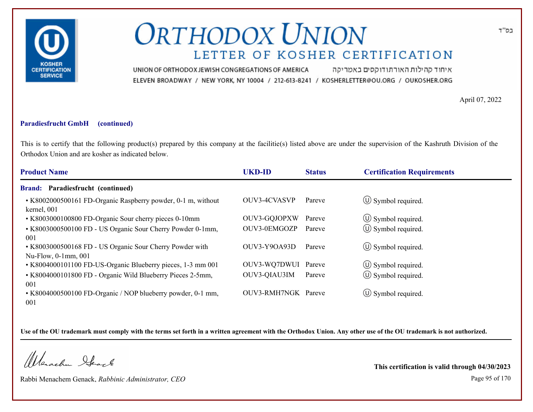

איחוד קהילות האורתודוקסים באמריקה UNION OF ORTHODOX JEWISH CONGREGATIONS OF AMERICA ELEVEN BROADWAY / NEW YORK, NY 10004 / 212-613-8241 / KOSHERLETTER@OU.ORG / OUKOSHER.ORG

April 07, 2022

### **Paradiesfrucht GmbH (continued)**

This is to certify that the following product(s) prepared by this company at the facilitie(s) listed above are under the supervision of the Kashruth Division of the Orthodox Union and are kosher as indicated below.

| <b>Product Name</b>                                                             | <b>UKD-ID</b>       | <b>Status</b> | <b>Certification Requirements</b> |
|---------------------------------------------------------------------------------|---------------------|---------------|-----------------------------------|
| <b>Brand: Paradiesfrucht (continued)</b>                                        |                     |               |                                   |
| • K8002000500161 FD-Organic Raspberry powder, 0-1 m, without<br>kernel, 001     | <b>OUV3-4CVASVP</b> | Pareve        | $\circ$ Symbol required.          |
| • K8003000100800 FD-Organic Sour cherry pieces 0-10mm                           | OUV3-GQJOPXW        | Pareve        | $\circled{1}$ Symbol required.    |
| • K8003000500100 FD - US Organic Sour Cherry Powder 0-1mm,<br>001               | OUV3-0EMGOZP        | Pareve        | $\circled{1}$ Symbol required.    |
| • K8003000500168 FD - US Organic Sour Cherry Powder with<br>Nu-Flow, 0-1mm, 001 | OUV3-Y9OA93D        | Pareve        | $\left(\bigcup$ Symbol required.  |
| • K8004000101100 FD-US-Organic Blueberry pieces, 1-3 mm 001                     | OUV3-WQ7DWUI Pareve |               | $\circ$ Symbol required.          |
| • K8004000101800 FD - Organic Wild Blueberry Pieces 2-5mm,<br>001               | OUV3-QIAU3IM        | Pareve        | $\circled{1}$ Symbol required.    |
| • K8004000500100 FD-Organic / NOP blueberry powder, 0-1 mm,<br>001              | OUV3-RMH7NGK Pareve |               | $\circ$ Symbol required.          |

**Use of the OU trademark must comply with the terms set forth in a written agreement with the Orthodox Union. Any other use of the OU trademark is not authorized.**

Werachen Stack

Rabbi Menachem Genack, *Rabbinic Administrator, CEO* Page 95 of 170

**This certification is valid through 04/30/2023**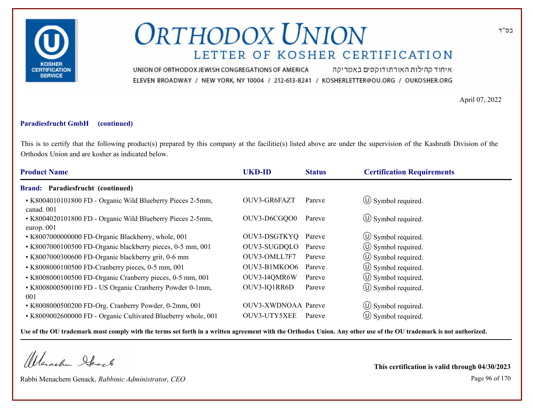

איחוד קהילות האורתודוקסים באמריקה UNION OF ORTHODOX JEWISH CONGREGATIONS OF AMERICA ELEVEN BROADWAY / NEW YORK, NY 10004 / 212-613-8241 / KOSHERLETTER@OU.ORG / OUKOSHER.ORG

April 07, 2022

#### **Paradiesfrucht GmbH (continued)**

This is to certify that the following product(s) prepared by this company at the facilitie(s) listed above are under the supervision of the Kashruth Division of the Orthodox Union and are kosher as indicated below.

| <b>Product Name</b>                                                      | <b>UKD-ID</b>       | <b>Status</b> | <b>Certification Requirements</b> |  |
|--------------------------------------------------------------------------|---------------------|---------------|-----------------------------------|--|
| <b>Brand: Paradiesfrucht (continued)</b>                                 |                     |               |                                   |  |
| • K8004010101800 FD - Organic Wild Blueberry Pieces 2-5mm,<br>canad. 001 | OUV3-GR6FAZT        | Pareve        | $\circ$ Symbol required.          |  |
| • K8004020101800 FD - Organic Wild Blueberry Pieces 2-5mm,<br>europ. 001 | OUV3-D6CGQO0        | Pareve        | $\circ$ Symbol required.          |  |
| • K8007000000000 FD-Organic Blackberry, whole, 001                       | OUV3-DSGTKYQ        | Pareve        | $\circled{1}$ Symbol required.    |  |
| • K8007000100500 FD-Organic blackberry pieces, 0-5 mm, 001               | OUV3-SUGDQLO        | Pareve        | (U) Symbol required.              |  |
| • K8007000300600 FD-Organic blackberry grit, 0-6 mm                      | OUV3-OMLL7F7        | Pareve        | $\circ$ Symbol required.          |  |
| • K8008000100500 FD-Cranberry pieces, 0-5 mm, 001                        | OUV3-B1MKOO6        | Pareve        | $\circ$ Symbol required.          |  |
| • K8008000100500 FD-Organic Cranberry pieces, 0-5 mm, 001                | OUV3-I4QMR6W        | Pareve        | $\circled{0}$ Symbol required.    |  |
| • K8008000500100 FD - US Organic Cranberry Powder 0-1mm,<br>001          | OUV3-IQ1RR6D        | Pareve        | $\circled{0}$ Symbol required.    |  |
| • K8008000500200 FD-Org. Cranberry Powder, 0-2mm, 001                    | OUV3-XWDNOAA Pareve |               | $\circ$ Symbol required.          |  |
| • K8009002600000 FD - Organic Cultivated Blueberry whole, 001            | OUV3-UTY5XEE        | Pareve        | $(\cup)$ Symbol required.         |  |

**Use of the OU trademark must comply with the terms set forth in a written agreement with the Orthodox Union. Any other use of the OU trademark is not authorized.**

Werachen Stack

Rabbi Menachem Genack, *Rabbinic Administrator, CEO* Page 96 of 170

**This certification is valid through 04/30/2023**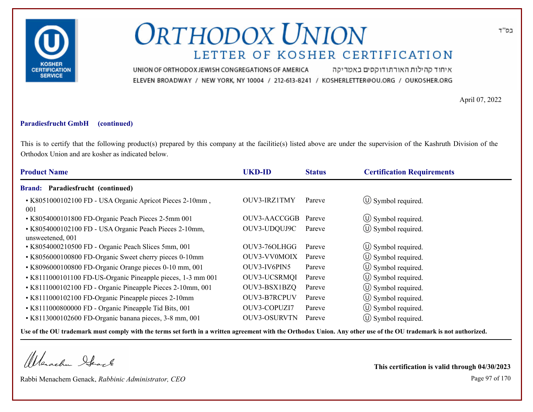

איחוד קהילות האורתודוקסים באמריקה UNION OF ORTHODOX JEWISH CONGREGATIONS OF AMERICA ELEVEN BROADWAY / NEW YORK, NY 10004 / 212-613-8241 / KOSHERLETTER@OU.ORG / OUKOSHER.ORG

April 07, 2022

### **Paradiesfrucht GmbH (continued)**

This is to certify that the following product(s) prepared by this company at the facilitie(s) listed above are under the supervision of the Kashruth Division of the Orthodox Union and are kosher as indicated below.

| <b>Product Name</b>                                                        | <b>UKD-ID</b>       | <b>Status</b> | <b>Certification Requirements</b> |
|----------------------------------------------------------------------------|---------------------|---------------|-----------------------------------|
| <b>Brand: Paradiesfrucht (continued)</b>                                   |                     |               |                                   |
| • K8051000102100 FD - USA Organic Apricot Pieces 2-10mm,<br>001            | OUV3-IRZ1TMY        | Pareve        | $\circ$ Symbol required.          |
| • K8054000101800 FD-Organic Peach Pieces 2-5mm 001                         | OUV3-AACCGGB        | Pareve        | $\circled{1}$ Symbol required.    |
| • K8054000102100 FD - USA Organic Peach Pieces 2-10mm,<br>unsweetened, 001 | OUV3-UDQUJ9C        | Pareve        | $\circ$ Symbol required.          |
| • K8054000210500 FD - Organic Peach Slices 5mm, 001                        | OUV3-76OLHGG        | Pareve        | $\circ$ Symbol required.          |
| • K8056000100800 FD-Organic Sweet cherry pieces 0-10mm                     | OUV3-VV0MOIX        | Pareve        | $\circ$ Symbol required.          |
| • K8096000100800 FD-Organic Orange pieces 0-10 mm, 001                     | OUV3-IV6PIN5        | Pareve        | $\circ$ Symbol required.          |
| • K8111000101100 FD-US-Organic Pineapple pieces, 1-3 mm 001                | <b>OUV3-UCSRMQI</b> | Pareve        | $\circled{0}$ Symbol required.    |
| • K8111000102100 FD - Organic Pineapple Pieces 2-10mm, 001                 | OUV3-BSX1BZQ        | Pareve        | $\circ$ Symbol required.          |
| • K8111000102100 FD-Organic Pineapple pieces 2-10mm                        | OUV3-B7RCPUV        | Pareve        | (U) Symbol required.              |
| • K8111000800000 FD - Organic Pineapple Tid Bits, 001                      | OUV3-COPUZI7        | Pareve        | $\circ$ Symbol required.          |
| • K8113000102600 FD-Organic banana pieces, 3-8 mm, 001                     | <b>OUV3-OSURVTN</b> | Pareve        | $(U)$ Symbol required.            |
|                                                                            |                     |               |                                   |

**Use of the OU trademark must comply with the terms set forth in a written agreement with the Orthodox Union. Any other use of the OU trademark is not authorized.**

Werachen Stack

Rabbi Menachem Genack, *Rabbinic Administrator, CEO* Page 97 of 170

**This certification is valid through 04/30/2023**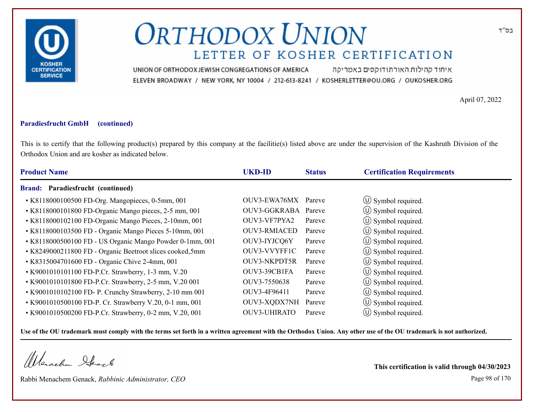

איחוד קהילות האורתודוקסים באמריקה UNION OF ORTHODOX JEWISH CONGREGATIONS OF AMERICA ELEVEN BROADWAY / NEW YORK, NY 10004 / 212-613-8241 / KOSHERLETTER@OU.ORG / OUKOSHER.ORG

April 07, 2022

#### **Paradiesfrucht GmbH (continued)**

This is to certify that the following product(s) prepared by this company at the facilitie(s) listed above are under the supervision of the Kashruth Division of the Orthodox Union and are kosher as indicated below.

| <b>Product Name</b>                                       | <b>UKD-ID</b>       | <b>Status</b> | <b>Certification Requirements</b> |
|-----------------------------------------------------------|---------------------|---------------|-----------------------------------|
| Paradiesfrucht (continued)<br><b>Brand:</b>               |                     |               |                                   |
| • K8118000100500 FD-Org. Mangopieces, 0-5mm, 001          | OUV3-EWA76MX        | Pareve        | $\circ$ Symbol required.          |
| • K8118000101800 FD-Organic Mango pieces, 2-5 mm, 001     | OUV3-GGKRABA Pareve |               | $\circ$ Symbol required.          |
| • K8118000102100 FD-Organic Mango Pieces, 2-10mm, 001     | OUV3-VF7PYA2        | Pareve        | $\circled{1}$ Symbol required.    |
| • K8118000103500 FD - Organic Mango Pieces 5-10mm, 001    | <b>OUV3-RMIACED</b> | Pareve        | $\circ$ Symbol required.          |
| • K8118000500100 FD - US Organic Mango Powder 0-1mm, 001  | OUV3-IYJCQ6Y        | Pareve        | $\circ$ Symbol required.          |
| • K8249000211800 FD - Organic Beetroot slices cooked, 5mm | OUV3-VVYFF1C        | Pareve        | $\circ$ Symbol required.          |
| • K8315004701600 FD - Organic Chive 2-4mm, 001            | OUV3-NKPDT5R        | Pareve        | $\circ$ Symbol required.          |
| • K9001010101100 FD-P.Cr. Strawberry, 1-3 mm, V.20        | OUV3-39CB1FA        | Pareve        | (U) Symbol required.              |
| • K9001010101800 FD-P.Cr. Strawberry, 2-5 mm, V.20 001    | OUV3-7550638        | Pareve        | $\circled{1}$ Symbol required.    |
| • K9001010102100 FD- P. Crunchy Strawberry, 2-10 mm 001   | OUV3-4F96411        | Pareve        | $\circ$ Symbol required.          |
| • K9001010500100 FD-P. Cr. Strawberry V.20, 0-1 mm, 001   | OUV3-XQDX7NH        | Pareve        | $\circ$ Symbol required.          |
| • K9001010500200 FD-P.Cr. Strawberry, 0-2 mm, V.20, 001   | <b>OUV3-UHIRATO</b> | Pareve        | $\circ$ Symbol required.          |

**Use of the OU trademark must comply with the terms set forth in a written agreement with the Orthodox Union. Any other use of the OU trademark is not authorized.**

Werschn Stack

Rabbi Menachem Genack, *Rabbinic Administrator, CEO* Page 98 of 170

**This certification is valid through 04/30/2023**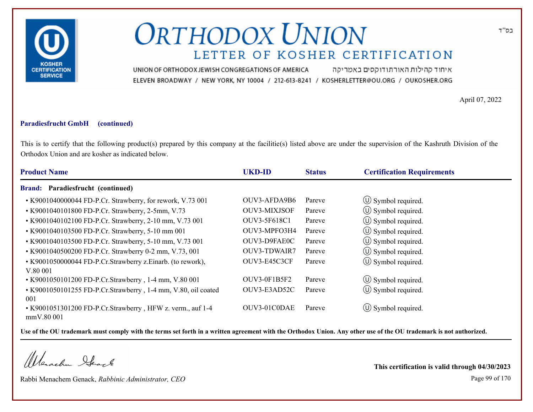

איחוד קהילות האורתודוקסים באמריקה UNION OF ORTHODOX JEWISH CONGREGATIONS OF AMERICA ELEVEN BROADWAY / NEW YORK, NY 10004 / 212-613-8241 / KOSHERLETTER@OU.ORG / OUKOSHER.ORG

April 07, 2022

#### **Paradiesfrucht GmbH (continued)**

This is to certify that the following product(s) prepared by this company at the facilitie(s) listed above are under the supervision of the Kashruth Division of the Orthodox Union and are kosher as indicated below.

| <b>Product Name</b>                                                      | <b>UKD-ID</b>       | <b>Status</b> | <b>Certification Requirements</b> |
|--------------------------------------------------------------------------|---------------------|---------------|-----------------------------------|
| <b>Brand: Paradiesfrucht (continued)</b>                                 |                     |               |                                   |
| • K9001040000044 FD-P.Cr. Strawberry, for rework, V.73 001               | OUV3-AFDA9B6        | Pareve        | $\circled{1}$ Symbol required.    |
| • K9001040101800 FD-P.Cr. Strawberry, 2-5mm, V.73                        | <b>OUV3-MIXJSOF</b> | Pareve        | $\circled{1}$ Symbol required.    |
| • K9001040102100 FD-P.Cr. Strawberry, 2-10 mm, V.73 001                  | OUV3-5F618C1        | Pareve        | (U) Symbol required.              |
| • K9001040103500 FD-P.Cr. Strawberry, 5-10 mm 001                        | OUV3-MPFO3H4        | Pareve        | (U) Symbol required.              |
| • K9001040103500 FD-P.Cr. Strawberry, 5-10 mm, V.73 001                  | OUV3-D9FAE0C        | Pareve        | (U) Symbol required.              |
| • K9001040500200 FD-P.Cr. Strawberry 0-2 mm, V.73, 001                   | OUV3-TDWAIR7        | Pareve        | $\circled{0}$ Symbol required.    |
| • K9001050000044 FD-P.Cr.Strawberry z.Einarb. (to rework),<br>V.80 001   | OUV3-E45C3CF        | Pareve        | $\circled{1}$ Symbol required.    |
| • K9001050101200 FD-P.Cr.Strawberry, 1-4 mm, V.80 001                    | OUV3-0F1B5F2        | Pareve        | $\circled{0}$ Symbol required.    |
| • K9001050101255 FD-P.Cr.Strawberry, 1-4 mm, V.80, oil coated<br>001     | OUV3-E3AD52C        | Pareve        | $\circled{0}$ Symbol required.    |
| • K9001051301200 FD-P.Cr.Strawberry, HFW z. verm., auf 1-4<br>mmV.80 001 | OUV3-01C0DAE        | Pareve        | $\circ$ Symbol required.          |

**Use of the OU trademark must comply with the terms set forth in a written agreement with the Orthodox Union. Any other use of the OU trademark is not authorized.**

Werschn Heark

Rabbi Menachem Genack, *Rabbinic Administrator, CEO* Page 99 of 170

**This certification is valid through 04/30/2023**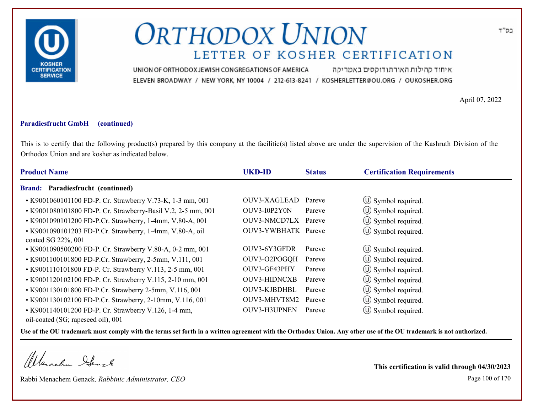

איחוד קהילות האורתודוקסים באמריקה UNION OF ORTHODOX JEWISH CONGREGATIONS OF AMERICA ELEVEN BROADWAY / NEW YORK, NY 10004 / 212-613-8241 / KOSHERLETTER@OU.ORG / OUKOSHER.ORG

April 07, 2022

#### **Paradiesfrucht GmbH (continued)**

This is to certify that the following product(s) prepared by this company at the facilitie(s) listed above are under the supervision of the Kashruth Division of the Orthodox Union and are kosher as indicated below.

| <b>Product Name</b>                                                                        |                                                              | <b>UKD-ID</b>       | <b>Status</b> | <b>Certification Requirements</b> |  |
|--------------------------------------------------------------------------------------------|--------------------------------------------------------------|---------------------|---------------|-----------------------------------|--|
| Brand: Paradiesfrucht (continued)                                                          |                                                              |                     |               |                                   |  |
|                                                                                            | • K9001060101100 FD-P. Cr. Strawberry V.73-K, 1-3 mm, 001    | OUV3-XAGLEAD        | Pareve        | $\circ$ Symbol required.          |  |
|                                                                                            | • K9001080101800 FD-P. Cr. Strawberry-Basil V.2, 2-5 mm, 001 | OUV3-I0P2Y0N        | Pareve        | $\circled{1}$ Symbol required.    |  |
|                                                                                            | • K9001090101200 FD-P.Cr. Strawberry, 1-4mm, V.80-A, 001     | OUV3-NMCD7LX Pareve |               | $\circled{0}$ Symbol required.    |  |
| coated SG 22%, 001                                                                         | • K9001090101203 FD-P.Cr. Strawberry, 1-4mm, V.80-A, oil     | OUV3-YWBHATK Pareve |               | (U) Symbol required.              |  |
|                                                                                            | • K9001090500200 FD-P. Cr. Strawberry V.80-A, 0-2 mm, 001    | OUV3-6Y3GFDR        | Pareve        | $\circ$ Symbol required.          |  |
|                                                                                            | • K9001100101800 FD-P.Cr. Strawberry, 2-5mm, V.111, 001      | OUV3-O2POGQH        | Pareve        | (U) Symbol required.              |  |
|                                                                                            | • K9001110101800 FD-P. Cr. Strawberry V.113, 2-5 mm, 001     | OUV3-GF43PHY        | Pareve        | $\circ$ Symbol required.          |  |
|                                                                                            | • K9001120102100 FD-P. Cr. Strawberry V.115, 2-10 mm, 001    | <b>OUV3-HIDNCXB</b> | Pareve        | $\circ$ Symbol required.          |  |
|                                                                                            | • K9001130101800 FD-P.Cr. Strawberry 2-5mm, V.116, 001       | OUV3-KJBDHBL        | Pareve        | $\circ$ Symbol required.          |  |
|                                                                                            | • K9001130102100 FD-P.Cr. Strawberry, 2-10mm, V.116, 001     | OUV3-MHVT8M2        | Pareve        | $\circ$ Symbol required.          |  |
| • K9001140101200 FD-P. Cr. Strawberry V.126, 1-4 mm,<br>oil-coated (SG; rapeseed oil), 001 |                                                              | OUV3-H3UPNEN        | Pareve        | $\circ$ Symbol required.          |  |

**Use of the OU trademark must comply with the terms set forth in a written agreement with the Orthodox Union. Any other use of the OU trademark is not authorized.**

Werachen Stack

Rabbi Menachem Genack, *Rabbinic Administrator, CEO* Page 100 of 170

**This certification is valid through 04/30/2023**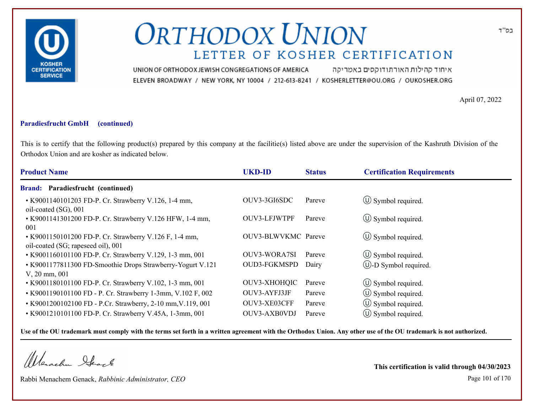

איחוד קהילות האורתודוקסים באמריקה UNION OF ORTHODOX JEWISH CONGREGATIONS OF AMERICA ELEVEN BROADWAY / NEW YORK, NY 10004 / 212-613-8241 / KOSHERLETTER@OU.ORG / OUKOSHER.ORG

April 07, 2022

#### **Paradiesfrucht GmbH (continued)**

This is to certify that the following product(s) prepared by this company at the facilitie(s) listed above are under the supervision of the Kashruth Division of the Orthodox Union and are kosher as indicated below.

| <b>Product Name</b>                                                                          | <b>UKD-ID</b>       | <b>Status</b> | <b>Certification Requirements</b> |
|----------------------------------------------------------------------------------------------|---------------------|---------------|-----------------------------------|
| <b>Brand: Paradiesfrucht (continued)</b>                                                     |                     |               |                                   |
| • K9001140101203 FD-P. Cr. Strawberry V.126, 1-4 mm,<br>oil-coated (SG), 001                 | OUV3-3GI6SDC        | Pareve        | $\circ$ Symbol required.          |
| • K9001141301200 FD-P. Cr. Strawberry V.126 HFW, 1-4 mm,<br>001                              | OUV3-LFJWTPF        | Pareve        | $\circ$ Symbol required.          |
| • K9001150101200 FD-P. Cr. Strawberry V.126 F, 1-4 mm,<br>oil-coated (SG; rapeseed oil), 001 | OUV3-BLWVKMC Pareve |               | $\circ$ Symbol required.          |
| • K9001160101100 FD-P. Cr. Strawberry V.129, 1-3 mm, 001                                     | <b>OUV3-WORA7SI</b> | Pareve        | $\circled{1}$ Symbol required.    |
| • K9001177811300 FD-Smoothie Drops Strawberry-Yogurt V.121<br>$V, 20$ mm, 001                | <b>OUD3-FGKMSPD</b> | Dairy         | (U)-D Symbol required.            |
| • K9001180101100 FD-P. Cr. Strawberry V.102, 1-3 mm, 001                                     | OUV3-XHOHQIC        | Pareve        | $\circ$ Symbol required.          |
| • K9001190101100 FD - P. Cr. Strawberry 1-3mm, V.102 F, 002                                  | OUV3-AYFJ3JF        | Pareve        | $\circ$ Symbol required.          |
| • K9001200102100 FD - P.Cr. Strawberry, 2-10 mm, V.119, 001                                  | OUV3-XE03CFF        | Pareve        | $\circ$ Symbol required.          |
| • K9001210101100 FD-P. Cr. Strawberry V.45A, 1-3mm, 001                                      | OUV3-AXB0VDJ        | Pareve        | $(\cup)$ Symbol required.         |

**Use of the OU trademark must comply with the terms set forth in a written agreement with the Orthodox Union. Any other use of the OU trademark is not authorized.**

Werachen Stack

Rabbi Menachem Genack, *Rabbinic Administrator, CEO* Page 101 of 170

**This certification is valid through 04/30/2023**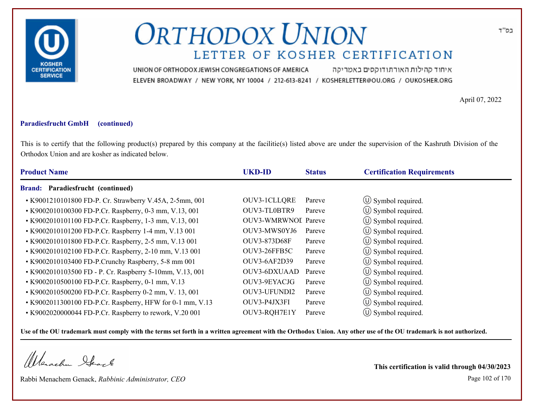

איחוד קהילות האורתודוקסים באמריקה UNION OF ORTHODOX JEWISH CONGREGATIONS OF AMERICA ELEVEN BROADWAY / NEW YORK, NY 10004 / 212-613-8241 / KOSHERLETTER@OU.ORG / OUKOSHER.ORG

April 07, 2022

### **Paradiesfrucht GmbH (continued)**

This is to certify that the following product(s) prepared by this company at the facilitie(s) listed above are under the supervision of the Kashruth Division of the Orthodox Union and are kosher as indicated below.

| <b>Product Name</b>                                       | <b>UKD-ID</b>              | <b>Status</b> | <b>Certification Requirements</b> |
|-----------------------------------------------------------|----------------------------|---------------|-----------------------------------|
| Brand: Paradiesfrucht (continued)                         |                            |               |                                   |
| • K9001210101800 FD-P. Cr. Strawberry V.45A, 2-5mm, 001   | OUV3-1CLLQRE               | Pareve        | $\circ$ Symbol required.          |
| • K9002010100300 FD-P.Cr. Raspberry, 0-3 mm, V.13, 001    | OUV3-TL0BTR9               | Pareve        | $\circ$ Symbol required.          |
| • K9002010101100 FD-P.Cr. Raspberry, 1-3 mm, V.13, 001    | <b>OUV3-WMRWNOL Pareve</b> |               | $\circ$ Symbol required.          |
| • K9002010101200 FD-P.Cr. Raspberry 1-4 mm, V.13 001      | OUV3-MWS0YJ6               | Pareve        | $\circ$ Symbol required.          |
| • K9002010101800 FD-P.Cr. Raspberry, 2-5 mm, V.13 001     | OUV3-873D68F               | Pareve        | $\circ$ Symbol required.          |
| • K9002010102100 FD-P.Cr. Raspberry, 2-10 mm, V.13 001    | OUV3-26FFB5C               | Pareve        | (U) Symbol required.              |
| • K9002010103400 FD-P.Crunchy Raspberry, 5-8 mm 001       | <b>OUV3-6AF2D39</b>        | Pareve        | $\circled{1}$ Symbol required.    |
| • K9002010103500 FD - P. Cr. Raspberry 5-10mm, V.13, 001  | OUV3-6DXUAAD               | Pareve        | $\circ$ Symbol required.          |
| • K9002010500100 FD-P.Cr. Raspberry, 0-1 mm, V.13         | OUV3-9EYACJG               | Pareve        | $\circ$ Symbol required.          |
| • K9002010500200 FD-P.Cr. Raspberry 0-2 mm, V. 13, 001    | OUV3-UFUNDI2               | Pareve        | $\circ$ Symbol required.          |
| • K9002011300100 FD-P.Cr. Raspberry, HFW for 0-1 mm, V.13 | OUV3-P4JX3FI               | Pareve        | $\circ$ Symbol required.          |
| • K9002020000044 FD-P.Cr. Raspberry to rework, V.20 001   | OUV3-RQH7E1Y               | Pareve        | $\circ$ Symbol required.          |

**Use of the OU trademark must comply with the terms set forth in a written agreement with the Orthodox Union. Any other use of the OU trademark is not authorized.**

Werschn Stack

Rabbi Menachem Genack, *Rabbinic Administrator, CEO* Page 102 of 170

**This certification is valid through 04/30/2023**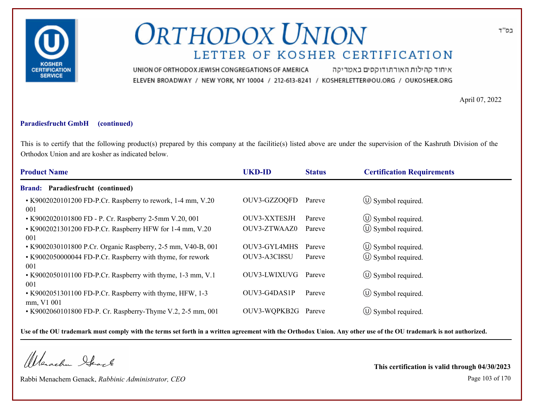

איחוד קהילות האורתודוקסים באמריקה UNION OF ORTHODOX JEWISH CONGREGATIONS OF AMERICA ELEVEN BROADWAY / NEW YORK, NY 10004 / 212-613-8241 / KOSHERLETTER@OU.ORG / OUKOSHER.ORG

April 07, 2022

#### **Paradiesfrucht GmbH (continued)**

This is to certify that the following product(s) prepared by this company at the facilitie(s) listed above are under the supervision of the Kashruth Division of the Orthodox Union and are kosher as indicated below.

| <b>Product Name</b>                                                    | <b>UKD-ID</b>       | <b>Status</b> | <b>Certification Requirements</b> |
|------------------------------------------------------------------------|---------------------|---------------|-----------------------------------|
| <b>Brand: Paradiesfrucht (continued)</b>                               |                     |               |                                   |
| • K9002020101200 FD-P.Cr. Raspberry to rework, 1-4 mm, V.20<br>001     | OUV3-GZZOQFD        | Pareve        | $\circ$ Symbol required.          |
| • K9002020101800 FD - P. Cr. Raspberry 2-5mm V.20, 001                 | OUV3-XXTESJH        | Pareve        | $\circ$ Symbol required.          |
| • K9002021301200 FD-P.Cr. Raspberry HFW for 1-4 mm, V.20<br>001        | OUV3-ZTWAAZ0        | Pareve        | $\circ$ Symbol required.          |
| • K9002030101800 P.Cr. Organic Raspberry, 2-5 mm, V40-B, 001           | <b>OUV3-GYL4MHS</b> | Pareve        | $\left(\bigcup$ Symbol required.  |
| • K9002050000044 FD-P.Cr. Raspberry with thyme, for rework<br>001      | OUV3-A3CI8SU        | Pareve        | $\circled{1}$ Symbol required.    |
| • K9002050101100 FD-P.Cr. Raspberry with thyme, 1-3 mm, V.1<br>001     | OUV3-LWIXUVG        | Pareve        | $\circled{1}$ Symbol required.    |
| • K9002051301100 FD-P.Cr. Raspberry with thyme, HFW, 1-3<br>mm, V1 001 | OUV3-G4DAS1P        | Pareve        | $\circ$ Symbol required.          |
| • K9002060101800 FD-P. Cr. Raspberry-Thyme V.2, 2-5 mm, 001            | OUV3-WQPKB2G Pareve |               | $(U)$ Symbol required.            |

**Use of the OU trademark must comply with the terms set forth in a written agreement with the Orthodox Union. Any other use of the OU trademark is not authorized.**

Werachen Stack

Rabbi Menachem Genack, *Rabbinic Administrator, CEO* Page 103 of 170

**This certification is valid through 04/30/2023**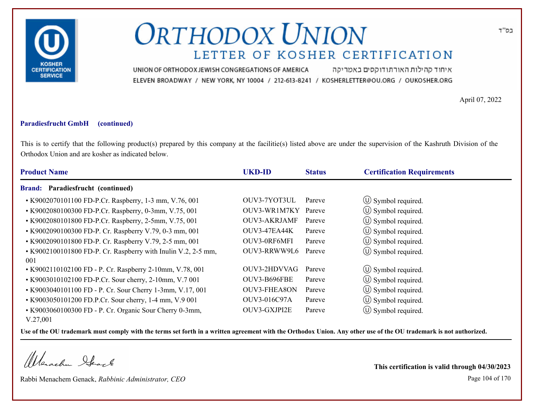

איחוד קהילות האורתודוקסים באמריקה UNION OF ORTHODOX JEWISH CONGREGATIONS OF AMERICA ELEVEN BROADWAY / NEW YORK, NY 10004 / 212-613-8241 / KOSHERLETTER@OU.ORG / OUKOSHER.ORG

April 07, 2022

#### **Paradiesfrucht GmbH (continued)**

This is to certify that the following product(s) prepared by this company at the facilitie(s) listed above are under the supervision of the Kashruth Division of the Orthodox Union and are kosher as indicated below.

| <b>Product Name</b>                                                  | <b>UKD-ID</b>       | <b>Status</b> | <b>Certification Requirements</b> |
|----------------------------------------------------------------------|---------------------|---------------|-----------------------------------|
| Paradiesfrucht (continued)<br><b>Brand:</b>                          |                     |               |                                   |
| • K9002070101100 FD-P.Cr. Raspberry, 1-3 mm, V.76, 001               | OUV3-7YOT3UL        | Pareve        | $\circ$ Symbol required.          |
| • K9002080100300 FD-P.Cr. Raspberry, 0-3mm, V.75, 001                | OUV3-WR1M7KY        | Pareve        | $\circ$ Symbol required.          |
| • K9002080101800 FD-P.Cr. Raspberry, 2-5mm, V.75, 001                | <b>OUV3-AKRJAMF</b> | Pareve        | $\circled{1}$ Symbol required.    |
| • K9002090100300 FD-P. Cr. Raspberry V.79, 0-3 mm, 001               | OUV3-47EA44K        | Pareve        | (U) Symbol required.              |
| • K9002090101800 FD-P. Cr. Raspberry V.79, 2-5 mm, 001               | OUV3-0RF6MFI        | Pareve        | (U) Symbol required.              |
| • K9002100101800 FD-P. Cr. Raspberry with Inulin V.2, 2-5 mm,<br>001 | OUV3-RRWW9L6        | Pareve        | (U) Symbol required.              |
| • K9002110102100 FD - P. Cr. Raspberry 2-10mm, V.78, 001             | OUV3-2HDVVAG        | Pareve        | $\circ$ Symbol required.          |
| • K9003010102100 FD-P.Cr. Sour cherry, 2-10mm, V.7 001               | OUV3-B696FBE        | Pareve        | (U) Symbol required.              |
| • K9003040101100 FD - P. Cr. Sour Cherry 1-3mm, V.17, 001            | <b>OUV3-FHEA8ON</b> | Pareve        | $\circ$ Symbol required.          |
| • K9003050101200 FD.P.Cr. Sour cherry, 1-4 mm, V.9 001               | OUV3-016C97A        | Pareve        | (U) Symbol required.              |
| • K9003060100300 FD - P. Cr. Organic Sour Cherry 0-3mm,<br>V.27,001  | OUV3-GXJPI2E        | Pareve        | $\circled{1}$ Symbol required.    |

**Use of the OU trademark must comply with the terms set forth in a written agreement with the Orthodox Union. Any other use of the OU trademark is not authorized.**

Werschn Heark

Rabbi Menachem Genack, *Rabbinic Administrator, CEO* Page 104 of 170

**This certification is valid through 04/30/2023**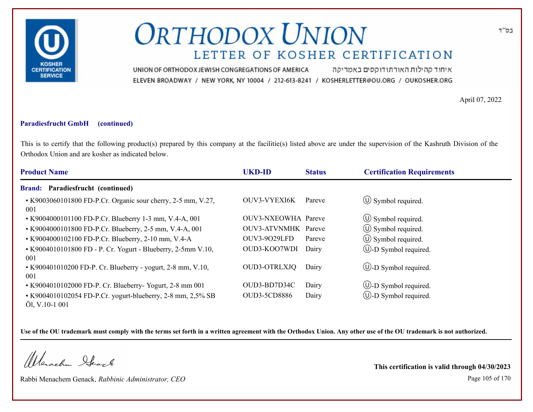

איחוד קהילות האורתודוקסים באמריקה UNION OF ORTHODOX JEWISH CONGREGATIONS OF AMERICA ELEVEN BROADWAY / NEW YORK, NY 10004 / 212-613-8241 / KOSHERLETTER@OU.ORG / OUKOSHER.ORG

April 07, 2022

#### **Paradiesfrucht GmbH (continued)**

This is to certify that the following product(s) prepared by this company at the facilitie(s) listed above are under the supervision of the Kashruth Division of the Orthodox Union and are kosher as indicated below.

| <b>Product Name</b>                                                           | <b>UKD-ID</b>       | <b>Status</b> | <b>Certification Requirements</b> |
|-------------------------------------------------------------------------------|---------------------|---------------|-----------------------------------|
| <b>Brand: Paradiesfrucht (continued)</b>                                      |                     |               |                                   |
| • K9003060101800 FD-P.Cr. Organic sour cherry, 2-5 mm, V.27,<br>001           | OUV3-VYEXI6K        | Pareve        | $\circ$ Symbol required.          |
| • K9004000101100 FD-P.Cr. Blueberry 1-3 mm, V.4-A, 001                        | OUV3-NXEOWHA Pareve |               | $\circ$ Symbol required.          |
| • K9004000101800 FD-P.Cr. Blueberry, 2-5 mm, V.4-A, 001                       | OUV3-ATVNMHK Pareve |               | $\circ$ Symbol required.          |
| • K9004000102100 FD-P.Cr. Blueberry, 2-10 mm, V.4-A                           | <b>OUV3-9029LFD</b> | Pareve        | $\circ$ Symbol required.          |
| • K9004010101800 FD - P. Cr. Yogurt - Blueberry, 2-5mm V.10,<br>001           | OUD3-KOO7WDI        | Dairy         | $\bigcirc$ -D Symbol required.    |
| • K900401010200 FD-P. Cr. Blueberry - yogurt, 2-8 mm, V.10,<br>001            | <b>OUD3-OTRLXJQ</b> | Dairy         | $\bigcirc$ -D Symbol required.    |
| • K9004010102000 FD-P. Cr. Blueberry- Yogurt, 2-8 mm 001                      | OUD3-BD7D34C        | Dairy         | $\circled{1}$ -D Symbol required. |
| • K9004010102054 FD-P.Cr. yogurt-blueberry, 2-8 mm, 2,5% SB<br>Öl, V.10-1 001 | <b>OUD3-5CD8886</b> | Dairy         | $\circled{1}$ -D Symbol required. |

**Use of the OU trademark must comply with the terms set forth in a written agreement with the Orthodox Union. Any other use of the OU trademark is not authorized.**

Werschn Heark

Rabbi Menachem Genack, *Rabbinic Administrator, CEO* Page 105 of 170

**This certification is valid through 04/30/2023**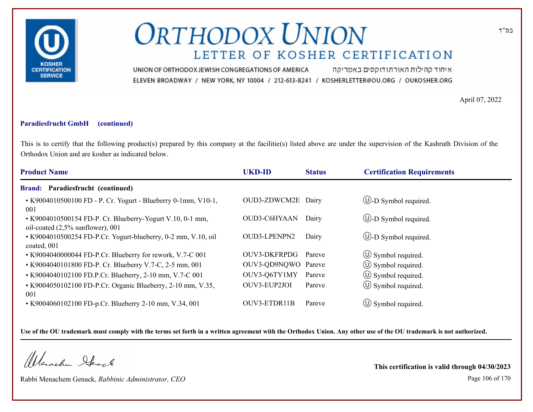

איחוד קהילות האורתודוקסים באמריקה UNION OF ORTHODOX JEWISH CONGREGATIONS OF AMERICA ELEVEN BROADWAY / NEW YORK, NY 10004 / 212-613-8241 / KOSHERLETTER@OU.ORG / OUKOSHER.ORG

April 07, 2022

#### **Paradiesfrucht GmbH (continued)**

This is to certify that the following product(s) prepared by this company at the facilitie(s) listed above are under the supervision of the Kashruth Division of the Orthodox Union and are kosher as indicated below.

| <b>Product Name</b><br><b>UKD-ID</b>                                                             | <b>Status</b>                 | <b>Certification Requirements</b> |
|--------------------------------------------------------------------------------------------------|-------------------------------|-----------------------------------|
| Paradiesfrucht (continued)<br><b>Brand:</b>                                                      |                               |                                   |
| • K9004010500100 FD - P. Cr. Yogurt - Blueberry 0-1mm, V10-1,<br>001                             | OUD3-ZDWCM2E Dairy            | $\bigcup$ -D Symbol required.     |
| • K9004010500154 FD-P. Cr. Blueberry-Yogurt V.10, 0-1 mm,<br>oil-coated $(2,5\%$ sunflower), 001 | <b>OUD3-C6HYAAN</b><br>Dairy  | $\bigcirc$ -D Symbol required.    |
| • K9004010500254 FD-P.Cr. Yogurt-blueberry, 0-2 mm, V.10, oil<br>OUD3-LPENPN2<br>coated, 001     | Dairy                         | $\bigcirc$ -D Symbol required.    |
| • K9004040000044 FD-P.Cr. Blueberry for rework, V.7-C 001                                        | <b>OUV3-DKFRPDG</b><br>Pareve | $\circ$ Symbol required.          |
| • K9004040101800 FD-P. Cr. Blueberry V.7-C, 2-5 mm, 001                                          | OUV3-QD9NQWO Pareve           | $\circ$ Symbol required.          |
| • K9004040102100 FD.P.Cr. Blueberry, 2-10 mm, V.7-C 001                                          | OUV3-Q6TY1MY<br>Pareve        | $\circ$ Symbol required.          |
| • K9004050102100 FD-P.Cr. Organic Blueberry, 2-10 mm, V.35,<br>OUV3-EUP2JOI<br>001               | Pareve                        | $\circ$ Symbol required.          |
| OUV3-ETDR11B<br>• K9004060102100 FD-p.Cr. Blueberry 2-10 mm, V.34, 001                           | Pareve                        | $\circ$ Symbol required.          |

**Use of the OU trademark must comply with the terms set forth in a written agreement with the Orthodox Union. Any other use of the OU trademark is not authorized.**

Werachen Stack

Rabbi Menachem Genack, *Rabbinic Administrator, CEO* Page 106 of 170

**This certification is valid through 04/30/2023**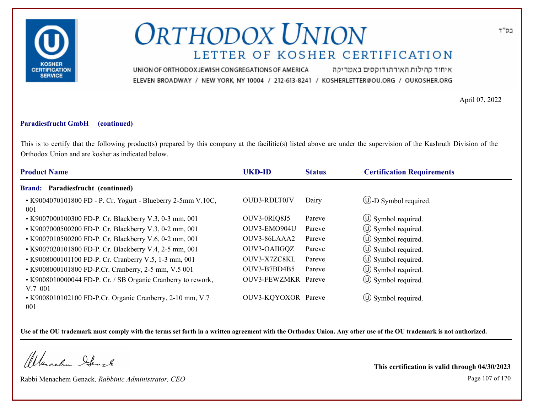

איחוד קהילות האורתודוקסים באמריקה UNION OF ORTHODOX JEWISH CONGREGATIONS OF AMERICA ELEVEN BROADWAY / NEW YORK, NY 10004 / 212-613-8241 / KOSHERLETTER@OU.ORG / OUKOSHER.ORG

April 07, 2022

#### **Paradiesfrucht GmbH (continued)**

This is to certify that the following product(s) prepared by this company at the facilitie(s) listed above are under the supervision of the Kashruth Division of the Orthodox Union and are kosher as indicated below.

| <b>Product Name</b>                                                         | <b>UKD-ID</b>       | <b>Status</b> | <b>Certification Requirements</b> |
|-----------------------------------------------------------------------------|---------------------|---------------|-----------------------------------|
| Paradiesfrucht (continued)<br><b>Brand:</b>                                 |                     |               |                                   |
| • K9004070101800 FD - P. Cr. Yogurt - Blueberry 2-5mm V.10C,<br>001         | <b>OUD3-RDLT0JV</b> | Dairy         | $\bigcirc$ -D Symbol required.    |
| • K9007000100300 FD-P. Cr. Blackberry V.3, 0-3 mm, 001                      | OUV3-0RIQ8J5        | Pareve        | $\circ$ Symbol required.          |
| • K9007000500200 FD-P. Cr. Blackberry V.3, 0-2 mm, 001                      | OUV3-EMO904U        | Pareve        | $\circled{1}$ Symbol required.    |
| • K9007010500200 FD-P. Cr. Blackberry V.6, 0-2 mm, 001                      | OUV3-86LAAA2        | Pareve        | $\circ$ Symbol required.          |
| • K9007020101800 FD-P. Cr. Blackberry V.4, 2-5 mm, 001                      | OUV3-OAIIGQZ        | Pareve        | $\circ$ Symbol required.          |
| • K9008000101100 FD-P. Cr. Cranberry V.5, 1-3 mm, 001                       | OUV3-X7ZC8KL        | Pareve        | $\circled{1}$ Symbol required.    |
| • K9008000101800 FD-P.Cr. Cranberry, 2-5 mm, V.5 001                        | OUV3-B7BD4B5        | Pareve        | $\circled{1}$ Symbol required.    |
| • K9008010000044 FD-P. Cr. / SB Organic Cranberry to rework,                | OUV3-FEWZMKR Pareve |               | $\circled{1}$ Symbol required.    |
| V.7 001<br>• K9008010102100 FD-P.Cr. Organic Cranberry, 2-10 mm, V.7<br>001 | OUV3-KQYOXOR Pareve |               | $\circ$ Symbol required.          |

**Use of the OU trademark must comply with the terms set forth in a written agreement with the Orthodox Union. Any other use of the OU trademark is not authorized.**

Werachen Stack

Rabbi Menachem Genack, *Rabbinic Administrator, CEO* Page 107 of 170

**This certification is valid through 04/30/2023**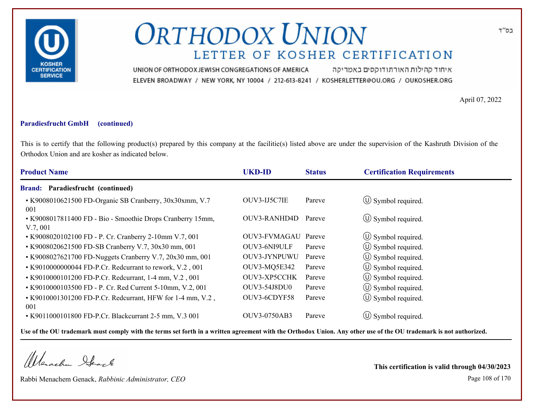

איחוד קהילות האורתודוקסים באמריקה UNION OF ORTHODOX JEWISH CONGREGATIONS OF AMERICA ELEVEN BROADWAY / NEW YORK, NY 10004 / 212-613-8241 / KOSHERLETTER@OU.ORG / OUKOSHER.ORG

April 07, 2022

#### **Paradiesfrucht GmbH (continued)**

This is to certify that the following product(s) prepared by this company at the facilitie(s) listed above are under the supervision of the Kashruth Division of the Orthodox Union and are kosher as indicated below.

| <b>UKD-ID</b><br><b>Product Name</b>                                                  | <b>Status</b> | <b>Certification Requirements</b> |  |
|---------------------------------------------------------------------------------------|---------------|-----------------------------------|--|
| Paradiesfrucht (continued)<br><b>Brand:</b>                                           |               |                                   |  |
| OUV3-IJ5C7IE<br>• K9008010621500 FD-Organic SB Cranberry, 30x30xmm, V.7<br>001        | Pareve        | $\circ$ Symbol required.          |  |
| OUV3-RANHD4D<br>• K9008017811400 FD - Bio - Smoothie Drops Cranberry 15mm,<br>V.7,001 | Pareve        | $\circ$ Symbol required.          |  |
| OUV3-FVMAGAU Pareve<br>• K9008020102100 FD - P. Cr. Cranberry 2-10mm V.7, 001         |               | $\circ$ Symbol required.          |  |
| OUV3-6NI9ULF<br>• K9008020621500 FD-SB Cranberry V.7, 30x30 mm, 001                   | Pareve        | (U) Symbol required.              |  |
| OUV3-JYNPUWU<br>• K9008027621700 FD-Nuggets Cranberry V.7, 20x30 mm, 001              | Pareve        | $\circ$ Symbol required.          |  |
| OUV3-MQ5E342<br>• K9010000000044 FD-P.Cr. Redcurrant to rework, V.2, 001              | Pareve        | (U) Symbol required.              |  |
| OUV3-XP5CCHK<br>• K9010000101200 FD-P.Cr. Redcurrant, 1-4 mm, V.2, 001                | Pareve        | $\circ$ Symbol required.          |  |
| <b>OUV3-54J8DU0</b><br>• K9010000103500 FD - P. Cr. Red Current 5-10mm, V.2, 001      | Pareve        | $\circ$ Symbol required.          |  |
| OUV3-6CDYF58<br>• K9010001301200 FD-P.Cr. Redcurrant, HFW for 1-4 mm, V.2,<br>001     | Pareve        | (U) Symbol required.              |  |
| <b>OUV3-0750AB3</b><br>• K9011000101800 FD-P.Cr. Blackcurrant 2-5 mm, V.3 001         | Pareve        | $(U)$ Symbol required.            |  |

**Use of the OU trademark must comply with the terms set forth in a written agreement with the Orthodox Union. Any other use of the OU trademark is not authorized.**

Werachen Stack

Rabbi Menachem Genack, *Rabbinic Administrator, CEO* Page 108 of 170

**This certification is valid through 04/30/2023**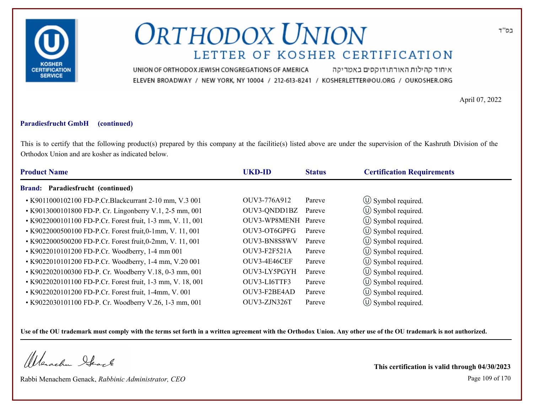

איחוד קהילות האורתודוקסים באמריקה UNION OF ORTHODOX JEWISH CONGREGATIONS OF AMERICA ELEVEN BROADWAY / NEW YORK, NY 10004 / 212-613-8241 / KOSHERLETTER@OU.ORG / OUKOSHER.ORG

April 07, 2022

### **Paradiesfrucht GmbH (continued)**

This is to certify that the following product(s) prepared by this company at the facilitie(s) listed above are under the supervision of the Kashruth Division of the Orthodox Union and are kosher as indicated below.

| <b>Product Name</b>                                        | <b>UKD-ID</b>       | <b>Status</b> | <b>Certification Requirements</b> |  |
|------------------------------------------------------------|---------------------|---------------|-----------------------------------|--|
| Brand: Paradiesfrucht (continued)                          |                     |               |                                   |  |
| • K9011000102100 FD-P.Cr.Blackcurrant 2-10 mm, V.3 001     | OUV3-776A912        | Pareve        | $\circ$ Symbol required.          |  |
| • K9013000101800 FD-P. Cr. Lingonberry V.1, 2-5 mm, 001    | OUV3-QNDD1BZ        | Pareve        | $\circ$ Symbol required.          |  |
| • K9022000101100 FD-P.Cr. Forest fruit, 1-3 mm, V. 11, 001 | OUV3-WP8MENH Pareve |               | $\circled{1}$ Symbol required.    |  |
| • K9022000500100 FD-P.Cr. Forest fruit, 0-1mm, V. 11, 001  | OUV3-OT6GPFG        | Pareve        | $\circled{1}$ Symbol required.    |  |
| • K9022000500200 FD-P.Cr. Forest fruit, 0-2mm, V. 11, 001  | OUV3-BN8S8WV        | Pareve        | $\circled{1}$ Symbol required.    |  |
| • K9022010101200 FD-P.Cr. Woodberry, 1-4 mm 001            | OUV3-F2F521A        | Pareve        | $\circ$ Symbol required.          |  |
| • K9022010101200 FD-P.Cr. Woodberry, 1-4 mm, V.20 001      | OUV3-4E46CEF        | Pareve        | $\circled{1}$ Symbol required.    |  |
| • K9022020100300 FD-P. Cr. Woodberry V.18, 0-3 mm, 001     | OUV3-LY5PGYH        | Pareve        | $\circled{1}$ Symbol required.    |  |
| • K9022020101100 FD-P.Cr. Forest fruit, 1-3 mm, V. 18, 001 | OUV3-LI6TTF3        | Pareve        | $\circled{1}$ Symbol required.    |  |
| • K9022020101200 FD-P.Cr. Forest fruit, 1-4mm, V. 001      | OUV3-F2BE4AD        | Pareve        | $\circ$ Symbol required.          |  |
| • K9022030101100 FD-P. Cr. Woodberry V.26, 1-3 mm, 001     | OUV3-ZJN326T        | Pareve        | $(U)$ Symbol required.            |  |

**Use of the OU trademark must comply with the terms set forth in a written agreement with the Orthodox Union. Any other use of the OU trademark is not authorized.**

Werachen Stack

Rabbi Menachem Genack, *Rabbinic Administrator, CEO* Page 109 of 170

**This certification is valid through 04/30/2023**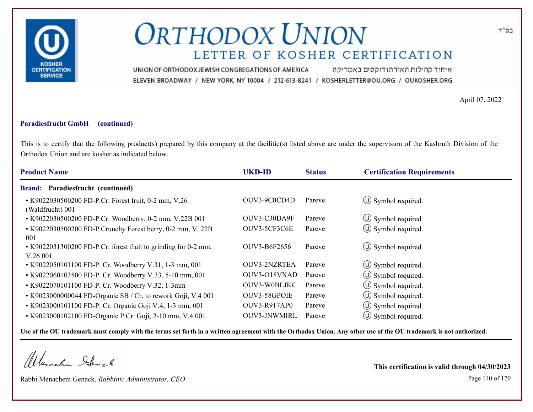

איחוד קהילות האורתודוקסים באמריקה UNION OF ORTHODOX JEWISH CONGREGATIONS OF AMERICA ELEVEN BROADWAY / NEW YORK, NY 10004 / 212-613-8241 / KOSHERLETTER@OU.ORG / OUKOSHER.ORG

April 07, 2022

#### **Paradiesfrucht GmbH (continued)**

This is to certify that the following product(s) prepared by this company at the facilitie(s) listed above are under the supervision of the Kashruth Division of the Orthodox Union and are kosher as indicated below.

| <b>UKD-ID</b>       | <b>Status</b> | <b>Certification Requirements</b> |
|---------------------|---------------|-----------------------------------|
|                     |               |                                   |
| OUV3-9C0CD4D        | Pareve        | $\circ$ Symbol required.          |
| OUV3-C30DA9F        | Pareve        | $\circ$ Symbol required.          |
| OUV3-5CF3C6E        | Pareve        | $\circled{1}$ Symbol required.    |
| OUV3-B6F2656        | Pareve        | $\circ$ Symbol required.          |
| OUV3-2NZRTEA        | Pareve        | $\circ$ Symbol required.          |
| OUV3-O18VXAD        | Pareve        | $\circ$ Symbol required.          |
| OUV3-W0BLJKC        | Pareve        | $\circled{1}$ Symbol required.    |
| OUV3-58GPOIE        | Pareve        | (U) Symbol required.              |
| <b>OUV3-R917AP0</b> | Pareve        | $\circled{1}$ Symbol required.    |
| OUV3-JNWMIRL        | Pareve        | $\circ$ Symbol required.          |
|                     |               |                                   |

**Use of the OU trademark must comply with the terms set forth in a written agreement with the Orthodox Union. Any other use of the OU trademark is not authorized.**

Werachen Stack

Rabbi Menachem Genack, *Rabbinic Administrator, CEO* Page 110 of 170

**This certification is valid through 04/30/2023**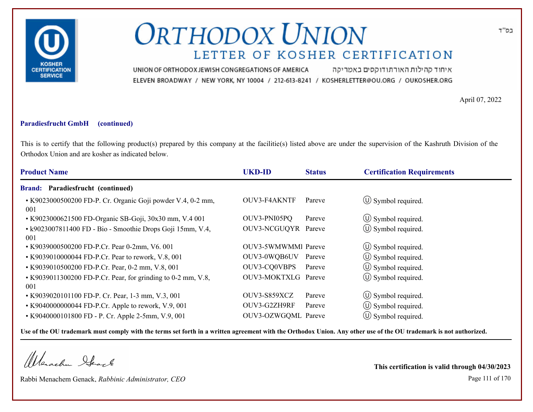

איחוד קהילות האורתודוקסים באמריקה UNION OF ORTHODOX JEWISH CONGREGATIONS OF AMERICA ELEVEN BROADWAY / NEW YORK, NY 10004 / 212-613-8241 / KOSHERLETTER@OU.ORG / OUKOSHER.ORG

April 07, 2022

### **Paradiesfrucht GmbH (continued)**

This is to certify that the following product(s) prepared by this company at the facilitie(s) listed above are under the supervision of the Kashruth Division of the Orthodox Union and are kosher as indicated below.

| <b>Product Name</b>                                                 | <b>UKD-ID</b>       | <b>Status</b> | <b>Certification Requirements</b> |
|---------------------------------------------------------------------|---------------------|---------------|-----------------------------------|
| <b>Brand: Paradiesfrucht (continued)</b>                            |                     |               |                                   |
| • K9023000500200 FD-P. Cr. Organic Goji powder V.4, 0-2 mm,<br>001  | OUV3-F4AKNTF        | Pareve        | $\circ$ Symbol required.          |
| • K9023000621500 FD-Organic SB-Goji, 30x30 mm, V.4 001              | OUV3-PNI05PQ        | Pareve        | $\circled{1}$ Symbol required.    |
| • k9023007811400 FD - Bio - Smoothie Drops Goji 15mm, V.4,<br>001   | OUV3-NCGUQYR Pareve |               | (U) Symbol required.              |
| • K9039000500200 FD-P.Cr. Pear 0-2mm, V6. 001                       | OUV3-5WMWMMI Pareve |               | $\circ$ Symbol required.          |
| • K9039010000044 FD-P.Cr. Pear to rework, V.8, 001                  | OUV3-0WQB6UV        | Pareve        | $\circ$ Symbol required.          |
| • K9039010500200 FD-P.Cr. Pear, 0-2 mm, V.8, 001                    | OUV3-CQ0VBPS        | Pareve        | $\circled{1}$ Symbol required.    |
| • K9039011300200 FD-P.Cr. Pear, for grinding to 0-2 mm, V.8,<br>001 | OUV3-MOKTXLG Pareve |               | $\circled{0}$ Symbol required.    |
| • K9039020101100 FD-P. Cr. Pear, 1-3 mm, V.3, 001                   | OUV3-S859XCZ        | Pareve        | $\circled{1}$ Symbol required.    |
| • K9040000000044 FD-P.Cr. Apple to rework, V.9, 001                 | OUV3-G2ZH9RF        | Pareve        | $\circled{0}$ Symbol required.    |
| • K9040000101800 FD - P. Cr. Apple 2-5mm, V.9, 001                  | OUV3-OZWGQML Pareve |               | $\circ$ Symbol required.          |

**Use of the OU trademark must comply with the terms set forth in a written agreement with the Orthodox Union. Any other use of the OU trademark is not authorized.**

Werschn Stack

Rabbi Menachem Genack, *Rabbinic Administrator, CEO* Page 111 of 170

**This certification is valid through 04/30/2023**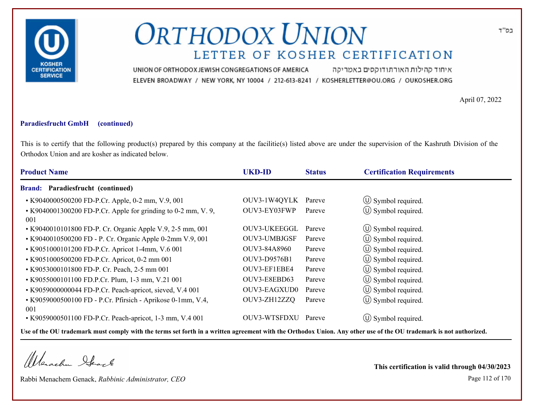

איחוד קהילות האורתודוקסים באמריקה UNION OF ORTHODOX JEWISH CONGREGATIONS OF AMERICA ELEVEN BROADWAY / NEW YORK, NY 10004 / 212-613-8241 / KOSHERLETTER@OU.ORG / OUKOSHER.ORG

April 07, 2022

#### **Paradiesfrucht GmbH (continued)**

This is to certify that the following product(s) prepared by this company at the facilitie(s) listed above are under the supervision of the Kashruth Division of the Orthodox Union and are kosher as indicated below.

| <b>Product Name</b>                                                       | <b>UKD-ID</b> | <b>Status</b> | <b>Certification Requirements</b> |
|---------------------------------------------------------------------------|---------------|---------------|-----------------------------------|
| <b>Brand: Paradiesfrucht (continued)</b>                                  |               |               |                                   |
| • K9040000500200 FD-P.Cr. Apple, 0-2 mm, V.9, 001                         | OUV3-1W4QYLK  | Pareve        | $\circ$ Symbol required.          |
| $\cdot$ K9040001300200 FD-P.Cr. Apple for grinding to 0-2 mm, V.9,<br>001 | OUV3-EY03FWP  | Pareve        | $\circled{1}$ Symbol required.    |
| • K9040010101800 FD-P. Cr. Organic Apple V.9, 2-5 mm, 001                 | OUV3-UKEEGGL  | Pareve        | $\circ$ Symbol required.          |
| • K9040010500200 FD - P. Cr. Organic Apple 0-2mm V.9, 001                 | OUV3-UMBJGSF  | Pareve        | $\circled{0}$ Symbol required.    |
| • K9051000101200 FD-P.Cr. Apricot 1-4mm, V.6 001                          | OUV3-84A8960  | Pareve        | $\circ$ Symbol required.          |
| • K9051000500200 FD-P.Cr. Apricot, 0-2 mm 001                             | OUV3-D9576B1  | Pareve        | (U) Symbol required.              |
| • K9053000101800 FD-P. Cr. Peach, 2-5 mm 001                              | OUV3-EF1EBE4  | Pareve        | (U) Symbol required.              |
| • K9055000101100 FD.P.Cr. Plum, 1-3 mm, V.21 001                          | OUV3-E8EBD63  | Pareve        | $\circled{1}$ Symbol required.    |
| • K9059000000044 FD-P.Cr. Peach-apricot, sieved, V.4 001                  | OUV3-EAGXUD0  | Pareve        | $\circ$ Symbol required.          |
| • K9059000500100 FD - P.Cr. Pfirsich - Aprikose 0-1mm, V.4,<br>001        | OUV3-ZH12ZZQ  | Pareve        | (U) Symbol required.              |
| • K9059000501100 FD-P.Cr. Peach-apricot, 1-3 mm, V.4 001                  | OUV3-WTSFDXU  | Pareve        | $\circ$ Symbol required.          |

**Use of the OU trademark must comply with the terms set forth in a written agreement with the Orthodox Union. Any other use of the OU trademark is not authorized.**

Werachen Stack

Rabbi Menachem Genack, *Rabbinic Administrator, CEO* Page 112 of 170

**This certification is valid through 04/30/2023**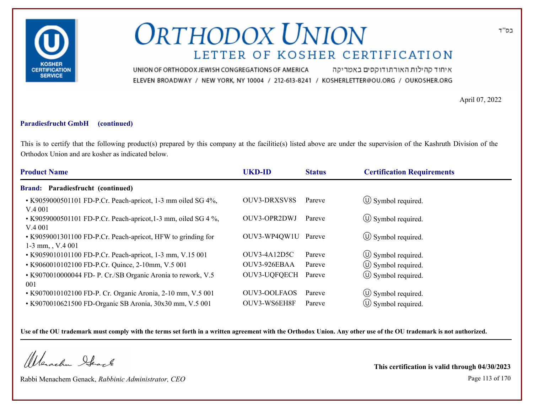

איחוד קהילות האורתודוקסים באמריקה UNION OF ORTHODOX JEWISH CONGREGATIONS OF AMERICA ELEVEN BROADWAY / NEW YORK, NY 10004 / 212-613-8241 / KOSHERLETTER@OU.ORG / OUKOSHER.ORG

April 07, 2022

### **Paradiesfrucht GmbH (continued)**

This is to certify that the following product(s) prepared by this company at the facilitie(s) listed above are under the supervision of the Kashruth Division of the Orthodox Union and are kosher as indicated below.

| <b>Product Name</b>                                                                 | <b>UKD-ID</b>       | <b>Status</b> | <b>Certification Requirements</b> |
|-------------------------------------------------------------------------------------|---------------------|---------------|-----------------------------------|
| <b>Brand: Paradiesfrucht (continued)</b>                                            |                     |               |                                   |
| • K9059000501101 FD-P.Cr. Peach-apricot, 1-3 mm oiled SG 4%,<br>V.4001              | <b>OUV3-DRXSV8S</b> | Pareve        | $\circ$ Symbol required.          |
| $\cdot$ K9059000501101 FD-P.Cr. Peach-apricot, 1-3 mm, oiled SG 4 %,<br>V.4001      | OUV3-OPR2DWJ        | Pareve        | $\circ$ Symbol required.          |
| • K9059001301100 FD-P.Cr. Peach-apricot, HFW to grinding for<br>$1-3$ mm, , V.4 001 | OUV3-WP4QW1U Pareve |               | $\circ$ Symbol required.          |
| • K9059010101100 FD-P.Cr. Peach-apricot, 1-3 mm, V.15 001                           | OUV3-4A12D5C        | Pareve        | $\circled{1}$ Symbol required.    |
| • K9060010102100 FD-P.Cr. Quince, 2-10mm, V.5 001                                   | OUV3-926EBAA        | Pareve        | $\circ$ Symbol required.          |
| • K9070010000044 FD- P. Cr./SB Organic Aronia to rework, V.5<br>001                 | OUV3-UQFQECH        | Pareve        | $\circ$ Symbol required.          |
| • K9070010102100 FD-P. Cr. Organic Aronia, 2-10 mm, V.5 001                         | <b>OUV3-OOLFAOS</b> | Pareve        | $\circ$ Symbol required.          |
| • K9070010621500 FD-Organic SB Aronia, 30x30 mm, V.5 001                            | OUV3-WS6EH8F        | Pareve        | $\circ$ Symbol required.          |

**Use of the OU trademark must comply with the terms set forth in a written agreement with the Orthodox Union. Any other use of the OU trademark is not authorized.**

Werachen Stack

Rabbi Menachem Genack, *Rabbinic Administrator, CEO* Page 113 of 170

**This certification is valid through 04/30/2023**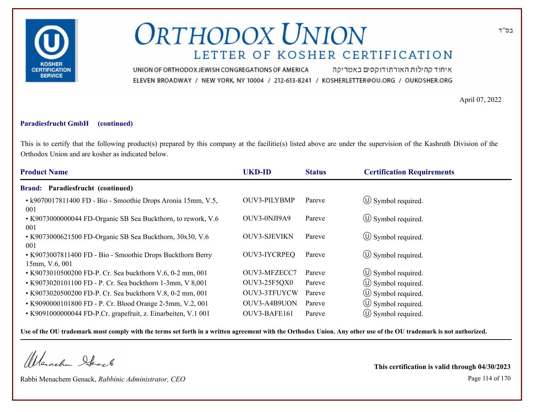

איחוד קהילות האורתודוקסים באמריקה UNION OF ORTHODOX JEWISH CONGREGATIONS OF AMERICA ELEVEN BROADWAY / NEW YORK, NY 10004 / 212-613-8241 / KOSHERLETTER@OU.ORG / OUKOSHER.ORG

April 07, 2022

#### **Paradiesfrucht GmbH (continued)**

This is to certify that the following product(s) prepared by this company at the facilitie(s) listed above are under the supervision of the Kashruth Division of the Orthodox Union and are kosher as indicated below.

| <b>Product Name</b>                                                          | <b>UKD-ID</b>       | <b>Status</b> | <b>Certification Requirements</b> |
|------------------------------------------------------------------------------|---------------------|---------------|-----------------------------------|
| Paradiesfrucht (continued)<br><b>Brand:</b>                                  |                     |               |                                   |
| • k9070017811400 FD - Bio - Smoothie Drops Aronia 15mm, V.5,<br>001          | <b>OUV3-PILYBMP</b> | Pareve        | $\circ$ Symbol required.          |
| • K9073000000044 FD-Organic SB Sea Buckthorn, to rework, V.6<br>001          | OUV3-0NJI9A9        | Pareve        | $\circ$ Symbol required.          |
| • K9073000621500 FD-Organic SB Sea Buckthorn, 30x30, V.6<br>001              | <b>OUV3-SJEVIKN</b> | Pareve        | $\circ$ Symbol required.          |
| • K9073007811400 FD - Bio - Smoothie Drops Buckthorn Berry<br>15mm, V.6, 001 | OUV3-IYCRPEQ        | Pareve        | $\circ$ Symbol required.          |
| • K9073010500200 FD-P. Cr. Sea buckthorn V.6, 0-2 mm, 001                    | OUV3-MFZECC7        | Pareve        | $\circled{1}$ Symbol required.    |
| • K9073020101100 FD - P. Cr. Sea buckthorn 1-3mm, V 8,001                    | <b>OUV3-25F5QX0</b> | Pareve        | $\circled{1}$ Symbol required.    |
| • K9073020500200 FD-P. Cr. Sea buckthorn V.8, 0-2 mm, 001                    | OUV3-3TFUYCW        | Pareve        | $\circ$ Symbol required.          |
| • K9090000101800 FD - P. Cr. Blood Orange 2-5mm, V.2, 001                    | OUV3-A4B9UON        | Pareve        | $\circ$ Symbol required.          |
| • K9091000000044 FD-P.Cr. grapefruit, z. Einarbeiten, V.1 001                | OUV3-BAFE161        | Pareve        | $(U)$ Symbol required.            |

**Use of the OU trademark must comply with the terms set forth in a written agreement with the Orthodox Union. Any other use of the OU trademark is not authorized.**

Werachen Stack

Rabbi Menachem Genack, *Rabbinic Administrator, CEO* Page 114 of 170

**This certification is valid through 04/30/2023**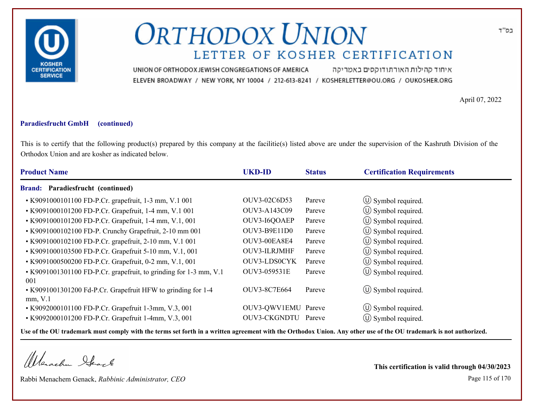

איחוד קהילות האורתודוקסים באמריקה UNION OF ORTHODOX JEWISH CONGREGATIONS OF AMERICA ELEVEN BROADWAY / NEW YORK, NY 10004 / 212-613-8241 / KOSHERLETTER@OU.ORG / OUKOSHER.ORG

April 07, 2022

#### **Paradiesfrucht GmbH (continued)**

This is to certify that the following product(s) prepared by this company at the facilitie(s) listed above are under the supervision of the Kashruth Division of the Orthodox Union and are kosher as indicated below.

| <b>Product Name</b>                                                            | <b>UKD-ID</b>       | <b>Status</b> | <b>Certification Requirements</b> |
|--------------------------------------------------------------------------------|---------------------|---------------|-----------------------------------|
| <b>Brand: Paradiesfrucht (continued)</b>                                       |                     |               |                                   |
| • K9091000101100 FD-P.Cr. grapefruit, 1-3 mm, V.1 001                          | OUV3-02C6D53        | Pareve        | $\circ$ Symbol required.          |
| • K9091000101200 FD-P.Cr. Grapefruit, 1-4 mm, V.1 001                          | OUV3-A143C09        | Pareve        | $\circled{0}$ Symbol required.    |
| • K9091000101200 FD-P.Cr. Grapefruit, 1-4 mm, V.1, 001                         | OUV3-I6QOAEP        | Pareve        | $\circled{1}$ Symbol required.    |
| • K9091000102100 FD-P. Crunchy Grapefruit, 2-10 mm 001                         | OUV3-B9E11D0        | Pareve        | $\circled{1}$ Symbol required.    |
| • K9091000102100 FD-P.Cr. grapefruit, 2-10 mm, V.1 001                         | OUV3-00EA8E4        | Pareve        | $\circ$ Symbol required.          |
| • K9091000103500 FD-P.Cr. Grapefruit 5-10 mm, V.1, 001                         | OUV3-ILRJMHF        | Pareve        | (U) Symbol required.              |
| • K9091000500200 FD-P.Cr. Grapefruit, 0-2 mm, V.1, 001                         | OUV3-LDS0CYK        | Pareve        | $\circled{1}$ Symbol required.    |
| • K9091001301100 FD-P.Cr. grapefruit, to grinding for 1-3 mm, V.1              | OUV3-059531E        | Pareve        | (U) Symbol required.              |
| 001<br>• K9091001301200 Fd-P.Cr. Grapefruit HFW to grinding for 1-4<br>mm, V.1 | OUV3-8C7E664        | Pareve        | $\circ$ Symbol required.          |
| • K9092000101100 FD-P.Cr. Grapefruit 1-3mm, V.3, 001                           | OUV3-QWV1EMU Pareve |               | $\circled{1}$ Symbol required.    |
| • K9092000101200 FD-P.Cr. Grapefruit 1-4mm, V.3, 001                           | <b>OUV3-CKGNDTU</b> | Pareve        | (U) Symbol required.              |

**Use of the OU trademark must comply with the terms set forth in a written agreement with the Orthodox Union. Any other use of the OU trademark is not authorized.**

Werachen Stack

Rabbi Menachem Genack, *Rabbinic Administrator, CEO* Page 115 of 170 **This certification is valid through 04/30/2023**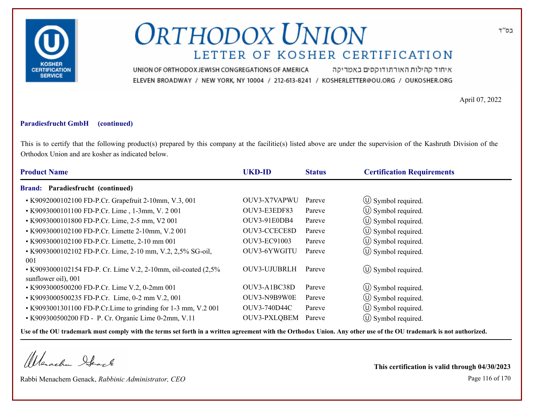

איחוד קהילות האורתודוקסים באמריקה UNION OF ORTHODOX JEWISH CONGREGATIONS OF AMERICA ELEVEN BROADWAY / NEW YORK, NY 10004 / 212-613-8241 / KOSHERLETTER@OU.ORG / OUKOSHER.ORG

April 07, 2022

#### **Paradiesfrucht GmbH (continued)**

This is to certify that the following product(s) prepared by this company at the facilitie(s) listed above are under the supervision of the Kashruth Division of the Orthodox Union and are kosher as indicated below.

| <b>Product Name</b>                                                                  | <b>UKD-ID</b>       | <b>Status</b> | <b>Certification Requirements</b> |  |
|--------------------------------------------------------------------------------------|---------------------|---------------|-----------------------------------|--|
| <b>Brand: Paradiesfrucht (continued)</b>                                             |                     |               |                                   |  |
| • K9092000102100 FD-P.Cr. Grapefruit 2-10mm, V.3, 001                                | OUV3-X7VAPWU        | Pareve        | $\circ$ Symbol required.          |  |
| • K9093000101100 FD-P.Cr. Lime, 1-3mm, V. 2001                                       | OUV3-E3EDF83        | Pareve        | $\circ$ Symbol required.          |  |
| • K9093000101800 FD-P.Cr. Lime, 2-5 mm, V2 001                                       | OUV3-91E0DB4        | Pareve        | $\circled{1}$ Symbol required.    |  |
| • K9093000102100 FD-P.Cr. Limette 2-10mm, V.2 001                                    | OUV3-CCECE8D        | Pareve        | $\circled{1}$ Symbol required.    |  |
| • K9093000102100 FD-P.Cr. Limette, 2-10 mm 001                                       | OUV3-EC91003        | Pareve        | $\circ$ Symbol required.          |  |
| • K9093000102102 FD-P.Cr. Lime, 2-10 mm, V.2, 2,5% SG-oil,<br>001                    | OUV3-6YWGITU        | Pareve        | $\circ$ Symbol required.          |  |
| • K9093000102154 FD-P. Cr. Lime V.2, 2-10mm, oil-coated (2,5%<br>sunflower oil), 001 | OUV3-UJUBRLH        | Pareve        | $\circ$ Symbol required.          |  |
| • K9093000500200 FD-P.Cr. Lime V.2, 0-2mm 001                                        | OUV3-A1BC38D        | Pareve        | $\circ$ Symbol required.          |  |
| • K9093000500235 FD-P.Cr. Lime, 0-2 mm V.2, 001                                      | OUV3-N9B9W0E        | Pareve        | $\left(\bigcup$ Symbol required.  |  |
| • K9093001301100 FD-P.Cr.Lime to grinding for 1-3 mm, V.2 001                        | OUV3-740D44C        | Pareve        | $\circled{1}$ Symbol required.    |  |
| • K909300500200 FD - P. Cr. Organic Lime 0-2mm, V.11                                 | <b>OUV3-PXLQBEM</b> | Pareve        | $\circ$ Symbol required.          |  |

**Use of the OU trademark must comply with the terms set forth in a written agreement with the Orthodox Union. Any other use of the OU trademark is not authorized.**

Werachen Stack

Rabbi Menachem Genack, *Rabbinic Administrator, CEO* Page 116 of 170

**This certification is valid through 04/30/2023**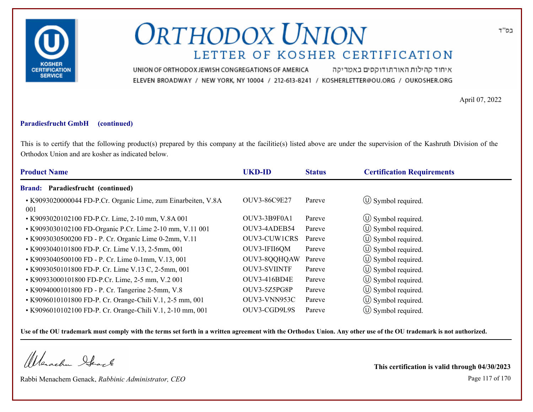

איחוד קהילות האורתודוקסים באמריקה UNION OF ORTHODOX JEWISH CONGREGATIONS OF AMERICA ELEVEN BROADWAY / NEW YORK, NY 10004 / 212-613-8241 / KOSHERLETTER@OU.ORG / OUKOSHER.ORG

April 07, 2022

### **Paradiesfrucht GmbH (continued)**

This is to certify that the following product(s) prepared by this company at the facilitie(s) listed above are under the supervision of the Kashruth Division of the Orthodox Union and are kosher as indicated below.

| <b>Product Name</b>                                                  | <b>UKD-ID</b>       | <b>Status</b> | <b>Certification Requirements</b> |
|----------------------------------------------------------------------|---------------------|---------------|-----------------------------------|
| Paradiesfrucht (continued)<br><b>Brand:</b>                          |                     |               |                                   |
| • K9093020000044 FD-P.Cr. Organic Lime, zum Einarbeiten, V.8A<br>001 | OUV3-86C9E27        | Pareve        | $\circ$ Symbol required.          |
| • K9093020102100 FD-P.Cr. Lime, 2-10 mm, V.8A 001                    | OUV3-3B9F0A1        | Pareve        | $\circ$ Symbol required.          |
| • K9093030102100 FD-Organic P.Cr. Lime 2-10 mm, V.11 001             | OUV3-4ADEB54        | Pareve        | $\circ$ Symbol required.          |
| • K9093030500200 FD - P. Cr. Organic Lime 0-2mm, V.11                | OUV3-CUW1CRS        | Pareve        | $\circ$ Symbol required.          |
| • K9093040101800 FD-P. Cr. Lime V.13, 2-5mm, 001                     | OUV3-IFII6QM        | Pareve        | $\circ$ Symbol required.          |
| • K9093040500100 FD - P. Cr. Lime 0-1mm, V.13, 001                   | OUV3-8QQHQAW        | Pareve        | $\circled{1}$ Symbol required.    |
| • K9093050101800 FD-P. Cr. Lime V.13 C, 2-5mm, 001                   | <b>OUV3-SVIINTF</b> | Pareve        | $\circ$ Symbol required.          |
| • K90933000101800 FD-P.Cr. Lime, 2-5 mm, V.2 001                     | <b>OUV3-416BD4E</b> | Pareve        | $\circ$ Symbol required.          |
| • K9094000101800 FD - P. Cr. Tangerine 2-5mm, V.8                    | OUV3-5Z5PG8P        | Pareve        | (U) Symbol required.              |
| • K9096010101800 FD-P. Cr. Orange-Chili V.1, 2-5 mm, 001             | OUV3-VNN953C        | Pareve        | $\circ$ Symbol required.          |
| • K9096010102100 FD-P. Cr. Orange-Chili V.1, 2-10 mm, 001            | OUV3-CGD9L9S        | Pareve        | $\circ$ Symbol required.          |

**Use of the OU trademark must comply with the terms set forth in a written agreement with the Orthodox Union. Any other use of the OU trademark is not authorized.**

Werachen Stack

Rabbi Menachem Genack, *Rabbinic Administrator, CEO* Page 117 of 170

**This certification is valid through 04/30/2023**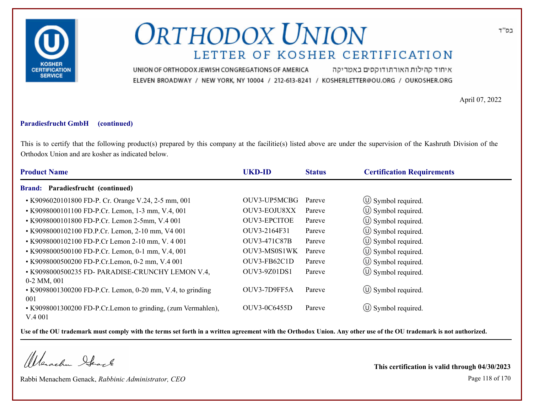

איחוד קהילות האורתודוקסים באמריקה UNION OF ORTHODOX JEWISH CONGREGATIONS OF AMERICA ELEVEN BROADWAY / NEW YORK, NY 10004 / 212-613-8241 / KOSHERLETTER@OU.ORG / OUKOSHER.ORG

April 07, 2022

#### **Paradiesfrucht GmbH (continued)**

This is to certify that the following product(s) prepared by this company at the facilitie(s) listed above are under the supervision of the Kashruth Division of the Orthodox Union and are kosher as indicated below.

| <b>Product Name</b>                                          | <b>UKD-ID</b>       | <b>Status</b> | <b>Certification Requirements</b> |
|--------------------------------------------------------------|---------------------|---------------|-----------------------------------|
| Paradiesfrucht (continued)<br><b>Brand:</b>                  |                     |               |                                   |
| • K9096020101800 FD-P. Cr. Orange V.24, 2-5 mm, 001          | OUV3-UP5MCBG        | Pareve        | $\circled{1}$ Symbol required.    |
| • K9098000101100 FD-P.Cr. Lemon, 1-3 mm, V.4, 001            | OUV3-EOJU8XX        | Pareve        | $\circled{1}$ Symbol required.    |
| • K9098000101800 FD-P.Cr. Lemon 2-5mm, V.4 001               | <b>OUV3-EPCITOE</b> | Pareve        | ① Symbol required.                |
| • K9098000102100 FD.P.Cr. Lemon, 2-10 mm, V4 001             | OUV3-2164F31        | Pareve        | $\circled{0}$ Symbol required.    |
| • K9098000102100 FD-P.Cr Lemon 2-10 mm, V. 4 001             | <b>OUV3-471C87B</b> | Pareve        | (U) Symbol required.              |
| • K9098000500100 FD-P.Cr. Lemon, 0-1 mm, V.4, 001            | OUV3-MS0S1WK        | Pareve        | $\circled{1}$ Symbol required.    |
| • K9098000500200 FD-P.Cr.Lemon, 0-2 mm, V.4 001              | OUV3-FB62C1D        | Pareve        | $\circled{0}$ Symbol required.    |
| • K9098000500235 FD- PARADISE-CRUNCHY LEMON V.4,             | OUV3-9Z01DS1        | Pareve        | $\circled{1}$ Symbol required.    |
| $0-2$ MM, $001$                                              |                     |               |                                   |
| • K9098001300200 FD-P.Cr. Lemon, 0-20 mm, V.4, to grinding   | OUV3-7D9FF5A        | Pareve        | $\circled{1}$ Symbol required.    |
| 001                                                          |                     |               |                                   |
| • K9098001300200 FD-P.Cr.Lemon to grinding, (zum Vermahlen), | OUV3-0C6455D        | Pareve        | $\circ$ Symbol required.          |
| V.4 001                                                      |                     |               |                                   |

**Use of the OU trademark must comply with the terms set forth in a written agreement with the Orthodox Union. Any other use of the OU trademark is not authorized.**

Werachen Ifearle

Rabbi Menachem Genack, *Rabbinic Administrator, CEO* Page 118 of 170

**This certification is valid through 04/30/2023**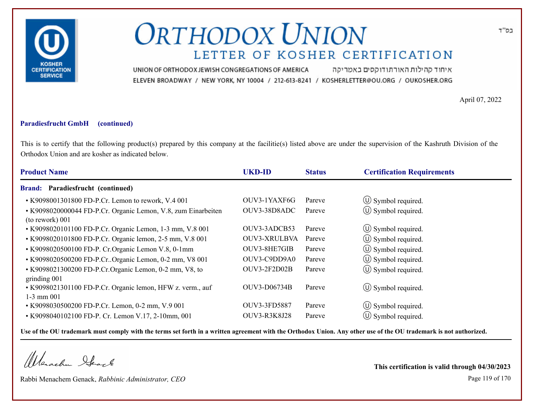

איחוד קהילות האורתודוקסים באמריקה UNION OF ORTHODOX JEWISH CONGREGATIONS OF AMERICA ELEVEN BROADWAY / NEW YORK, NY 10004 / 212-613-8241 / KOSHERLETTER@OU.ORG / OUKOSHER.ORG

April 07, 2022

#### **Paradiesfrucht GmbH (continued)**

This is to certify that the following product(s) prepared by this company at the facilitie(s) listed above are under the supervision of the Kashruth Division of the Orthodox Union and are kosher as indicated below.

| <b>Product Name</b>                                                                    | <b>UKD-ID</b>       | <b>Status</b> | <b>Certification Requirements</b> |
|----------------------------------------------------------------------------------------|---------------------|---------------|-----------------------------------|
| <b>Brand: Paradiesfrucht (continued)</b>                                               |                     |               |                                   |
| • K9098001301800 FD-P.Cr. Lemon to rework, V.4 001                                     | OUV3-1YAXF6G        | Pareve        | $\circ$ Symbol required.          |
| • K9098020000044 FD-P.Cr. Organic Lemon, V.8, zum Einarbeiten<br>$($ to rework $)$ 001 | OUV3-38D8ADC        | Pareve        | $\circ$ Symbol required.          |
| • K9098020101100 FD-P.Cr. Organic Lemon, 1-3 mm, V.8 001                               | OUV3-3ADCB53        | Pareve        | $\circ$ Symbol required.          |
| • K9098020101800 FD-P.Cr. Organic lemon, 2-5 mm, V.8 001                               | <b>OUV3-XRULBVA</b> | Pareve        | $\circled{1}$ Symbol required.    |
| • K9098020500100 FD-P. Cr. Organic Lemon V.8, 0-1mm                                    | OUV3-8HE7GIB        | Pareve        | (U) Symbol required.              |
| • K9098020500200 FD-P.Cr. Organic Lemon, 0-2 mm, V8 001                                | OUV3-C9DD9A0        | Pareve        | $\circled{1}$ Symbol required.    |
| • K9098021300200 FD-P.Cr.Organic Lemon, 0-2 mm, V8, to<br>grinding 001                 | OUV3-2F2D02B        | Pareve        | $\circ$ Symbol required.          |
| • K9098021301100 FD-P.Cr. Organic lemon, HFW z. verm., auf<br>$1-3$ mm $001$           | OUV3-D06734B        | Pareve        | $\circ$ Symbol required.          |
| • K9098030500200 FD-P.Cr. Lemon, 0-2 mm, V.9 001                                       | OUV3-3FD5887        | Pareve        | $\circ$ Symbol required.          |
| • K9098040102100 FD-P. Cr. Lemon V.17, 2-10mm, 001                                     | <b>OUV3-R3K8J28</b> | Pareve        | $\circ$ Symbol required.          |

**Use of the OU trademark must comply with the terms set forth in a written agreement with the Orthodox Union. Any other use of the OU trademark is not authorized.**

Werachen Stack

Rabbi Menachem Genack, *Rabbinic Administrator, CEO* Page 119 of 170

**This certification is valid through 04/30/2023**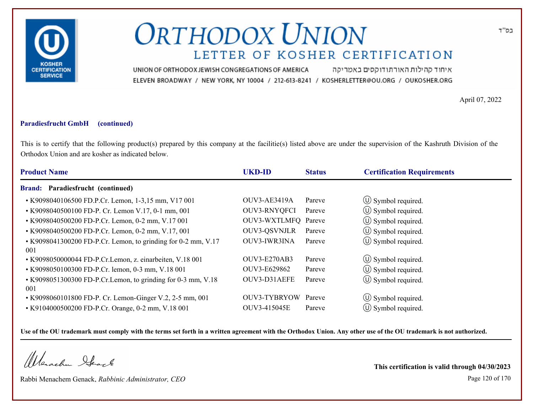

איחוד קהילות האורתודוקסים באמריקה UNION OF ORTHODOX JEWISH CONGREGATIONS OF AMERICA ELEVEN BROADWAY / NEW YORK, NY 10004 / 212-613-8241 / KOSHERLETTER@OU.ORG / OUKOSHER.ORG

April 07, 2022

### **Paradiesfrucht GmbH (continued)**

This is to certify that the following product(s) prepared by this company at the facilitie(s) listed above are under the supervision of the Kashruth Division of the Orthodox Union and are kosher as indicated below.

| <b>Product Name</b>                                                  | <b>UKD-ID</b>       | <b>Status</b> | <b>Certification Requirements</b> |
|----------------------------------------------------------------------|---------------------|---------------|-----------------------------------|
| <b>Brand: Paradiesfrucht (continued)</b>                             |                     |               |                                   |
| • K9098040106500 FD.P.Cr. Lemon, 1-3,15 mm, V17 001                  | OUV3-AE3419A        | Pareve        | $\circled{1}$ Symbol required.    |
| • K9098040500100 FD-P. Cr. Lemon V.17, 0-1 mm, 001                   | OUV3-RNYQFCI        | Pareve        | $\circled{1}$ Symbol required.    |
| • K9098040500200 FD-P.Cr. Lemon, 0-2 mm, V.17 001                    | OUV3-WXTLMFQ Pareve |               | $\circ$ Symbol required.          |
| • K9098040500200 FD-P.Cr. Lemon, 0-2 mm, V.17, 001                   | <b>OUV3-QSVNJLR</b> | Pareve        | $\circled{1}$ Symbol required.    |
| • K9098041300200 FD-P.Cr. Lemon, to grinding for 0-2 mm, V.17<br>001 | OUV3-IWR3INA        | Pareve        | $\circled{1}$ Symbol required.    |
| • K9098050000044 FD-P.Cr.Lemon, z. einarbeiten, V.18 001             | <b>OUV3-E270AB3</b> | Pareve        | $\circled{1}$ Symbol required.    |
| • K9098050100300 FD-P.Cr. lemon, 0-3 mm, V.18 001                    | OUV3-E629862        | Pareve        | $\circled{1}$ Symbol required.    |
| • K9098051300300 FD-P.Cr.Lemon, to grinding for 0-3 mm, V.18<br>001  | OUV3-D31AEFE        | Pareve        | $\circ$ Symbol required.          |
| • K9098060101800 FD-P. Cr. Lemon-Ginger V.2, 2-5 mm, 001             | OUV3-TYBRYOW        | Pareve        | $\circ$ Symbol required.          |
| • K9104000500200 FD-P.Cr. Orange, 0-2 mm, V.18 001                   | OUV3-415045E        | Pareve        | $\circ$ Symbol required.          |

**Use of the OU trademark must comply with the terms set forth in a written agreement with the Orthodox Union. Any other use of the OU trademark is not authorized.**

Werachen Stack

Rabbi Menachem Genack, *Rabbinic Administrator, CEO* Page 120 of 170

**This certification is valid through 04/30/2023**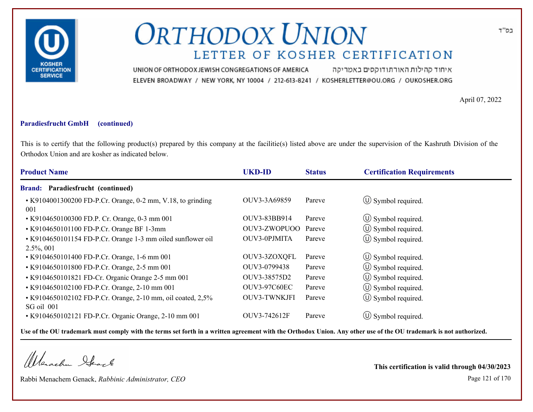

איחוד קהילות האורתודוקסים באמריקה UNION OF ORTHODOX JEWISH CONGREGATIONS OF AMERICA ELEVEN BROADWAY / NEW YORK, NY 10004 / 212-613-8241 / KOSHERLETTER@OU.ORG / OUKOSHER.ORG

April 07, 2022

#### **Paradiesfrucht GmbH (continued)**

This is to certify that the following product(s) prepared by this company at the facilitie(s) listed above are under the supervision of the Kashruth Division of the Orthodox Union and are kosher as indicated below.

| <b>Product Name</b><br><b>UKD-ID</b><br><b>Certification Requirements</b><br><b>Status</b>                                                   |  |
|----------------------------------------------------------------------------------------------------------------------------------------------|--|
| <b>Brand: Paradiesfrucht (continued)</b>                                                                                                     |  |
| $\circled{0}$ Symbol required.<br>OUV3-3A69859<br>Pareve<br>• K9104001300200 FD-P.Cr. Orange, 0-2 mm, V.18, to grinding<br>001               |  |
| $\circ$ Symbol required.<br>OUV3-83BB914<br>• K9104650100300 FD.P. Cr. Orange, 0-3 mm 001<br>Pareve                                          |  |
| $\circled{0}$ Symbol required.<br>OUV3-ZWOPUOO<br>• K9104650101100 FD-P.Cr. Orange BF 1-3mm<br>Pareve                                        |  |
| $\circ$ Symbol required.<br>• K9104650101154 FD-P.Cr. Orange 1-3 mm oiled sunflower oil<br>OUV3-0PJMITA<br>Pareve<br>$2.5\%, 001$            |  |
| $\circled{1}$ Symbol required.<br>OUV3-3ZOXQFL<br>Pareve<br>• K9104650101400 FD-P.Cr. Orange, 1-6 mm 001                                     |  |
| (U) Symbol required.<br>OUV3-0799438<br>• K9104650101800 FD-P.Cr. Orange, 2-5 mm 001<br>Pareve                                               |  |
| $\circled{1}$ Symbol required.<br>OUV3-38575D2<br>• K9104650101821 FD-Cr. Organic Orange 2-5 mm 001<br>Pareve                                |  |
| (U) Symbol required.<br>• K9104650102100 FD-P.Cr. Orange, 2-10 mm 001<br><b>OUV3-97C60EC</b><br>Pareve                                       |  |
| $\circled{0}$ Symbol required.<br>• K9104650102102 FD-P.Cr. Orange, 2-10 mm, oil coated, 2,5%<br><b>OUV3-TWNKJFI</b><br>Pareve<br>SG oil 001 |  |
| $\circ$ Symbol required.<br>OUV3-742612F<br>• K9104650102121 FD-P.Cr. Organic Orange, 2-10 mm 001<br>Pareve                                  |  |

**Use of the OU trademark must comply with the terms set forth in a written agreement with the Orthodox Union. Any other use of the OU trademark is not authorized.**

Werachen Stack

Rabbi Menachem Genack, *Rabbinic Administrator, CEO* Page 121 of 170

**This certification is valid through 04/30/2023**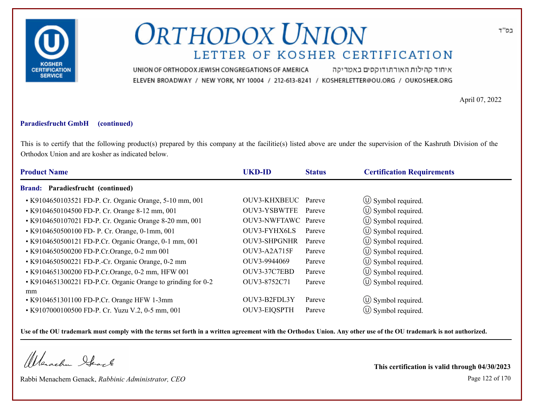

איחוד קהילות האורתודוקסים באמריקה UNION OF ORTHODOX JEWISH CONGREGATIONS OF AMERICA ELEVEN BROADWAY / NEW YORK, NY 10004 / 212-613-8241 / KOSHERLETTER@OU.ORG / OUKOSHER.ORG

April 07, 2022

### **Paradiesfrucht GmbH (continued)**

This is to certify that the following product(s) prepared by this company at the facilitie(s) listed above are under the supervision of the Kashruth Division of the Orthodox Union and are kosher as indicated below.

| <b>Product Name</b>                                          | <b>UKD-ID</b>       | <b>Status</b> | <b>Certification Requirements</b> |
|--------------------------------------------------------------|---------------------|---------------|-----------------------------------|
| Brand: Paradiesfrucht (continued)                            |                     |               |                                   |
| • K9104650103521 FD-P. Cr. Organic Orange, 5-10 mm, 001      | OUV3-KHXBEUC Pareve |               | $\circled{1}$ Symbol required.    |
| • K9104650104500 FD-P. Cr. Orange 8-12 mm, 001               | <b>OUV3-YSBWTFE</b> | Pareve        | $\circ$ Symbol required.          |
| • K9104650107021 FD-P. Cr. Organic Orange 8-20 mm, 001       | OUV3-NWFTAWC Pareve |               | $\circled{0}$ Symbol required.    |
| • K9104650500100 FD- P. Cr. Orange, 0-1mm, 001               | OUV3-FYHX6LS        | Pareve        | $\circled{1}$ Symbol required.    |
| • K9104650500121 FD-P.Cr. Organic Orange, 0-1 mm, 001        | OUV3-SHPGNHR        | Pareve        | $\circled{1}$ Symbol required.    |
| • K9104650500200 FD-P.Cr.Orange, 0-2 mm 001                  | OUV3-A2A715F        | Pareve        | $\circled{1}$ Symbol required.    |
| • K9104650500221 FD-P.-Cr. Organic Orange, 0-2 mm            | OUV3-9944069        | Pareve        | (U) Symbol required.              |
| • K9104651300200 FD-P.Cr.Orange, 0-2 mm, HFW 001             | OUV3-37C7EBD        | Pareve        | $\circ$ Symbol required.          |
| • K9104651300221 FD-P.Cr. Organic Orange to grinding for 0-2 | OUV3-8752C71        | Pareve        | (U) Symbol required.              |
| mm                                                           |                     |               |                                   |
| • K9104651301100 FD-P.Cr. Orange HFW 1-3mm                   | OUV3-B2FDL3Y        | Pareve        | $\circ$ Symbol required.          |
| • K9107000100500 FD-P. Cr. Yuzu V.2, 0-5 mm, 001             | OUV3-EIQSPTH        | Pareve        | $(U)$ Symbol required.            |

**Use of the OU trademark must comply with the terms set forth in a written agreement with the Orthodox Union. Any other use of the OU trademark is not authorized.**

Werachen Stack

Rabbi Menachem Genack, *Rabbinic Administrator, CEO* Page 122 of 170

**This certification is valid through 04/30/2023**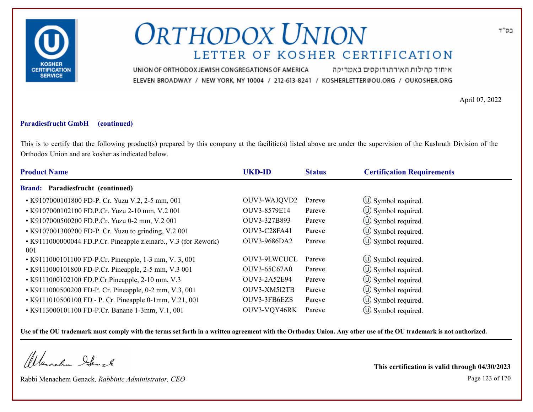

איחוד קהילות האורתודוקסים באמריקה UNION OF ORTHODOX JEWISH CONGREGATIONS OF AMERICA ELEVEN BROADWAY / NEW YORK, NY 10004 / 212-613-8241 / KOSHERLETTER@OU.ORG / OUKOSHER.ORG

April 07, 2022

### **Paradiesfrucht GmbH (continued)**

This is to certify that the following product(s) prepared by this company at the facilitie(s) listed above are under the supervision of the Kashruth Division of the Orthodox Union and are kosher as indicated below.

| <b>Product Name</b>                                                    | <b>UKD-ID</b>       | <b>Status</b> | <b>Certification Requirements</b> |  |
|------------------------------------------------------------------------|---------------------|---------------|-----------------------------------|--|
| Paradiesfrucht (continued)<br><b>Brand:</b>                            |                     |               |                                   |  |
| • K9107000101800 FD-P. Cr. Yuzu V.2, 2-5 mm, 001                       | OUV3-WAJQVD2        | Pareve        | $\circled{1}$ Symbol required.    |  |
| • K9107000102100 FD.P.Cr. Yuzu 2-10 mm, V.2 001                        | OUV3-8579E14        | Pareve        | $\circ$ Symbol required.          |  |
| • K9107000500200 FD.P.Cr. Yuzu 0-2 mm, V.2 001                         | OUV3-327B893        | Pareve        | $\circled{1}$ Symbol required.    |  |
| • K9107001300200 FD-P. Cr. Yuzu to grinding, V.2 001                   | OUV3-C28FA41        | Pareve        | $\circled{0}$ Symbol required.    |  |
| • K9111000000044 FD.P.Cr. Pineapple z.einarb., V.3 (for Rework)<br>001 | <b>OUV3-9686DA2</b> | Pareve        | $\circ$ Symbol required.          |  |
| • K9111000101100 FD-P.Cr. Pineapple, 1-3 mm, V. 3, 001                 | OUV3-9LWCUCL        | Pareve        | $\circled{1}$ Symbol required.    |  |
| • K9111000101800 FD-P.Cr. Pineapple, 2-5 mm, V.3 001                   | <b>OUV3-65C67A0</b> | Pareve        | $\circ$ Symbol required.          |  |
| • K9111000102100 FD.P.Cr.Pineapple, 2-10 mm, V.3                       | OUV3-2A52E94        | Pareve        | (U) Symbol required.              |  |
| • K9111000500200 FD-P. Cr. Pineapple, 0-2 mm, V.3, 001                 | OUV3-XM5I2TB        | Pareve        | $\circ$ Symbol required.          |  |
| • K9111010500100 FD - P. Cr. Pineapple 0-1mm, V.21, 001                | OUV3-3FB6EZS        | Pareve        | $\circled{1}$ Symbol required.    |  |
| • K9113000101100 FD-P.Cr. Banane 1-3mm, V.1, 001                       | OUV3-VQY46RK        | Pareve        | $(U)$ Symbol required.            |  |

**Use of the OU trademark must comply with the terms set forth in a written agreement with the Orthodox Union. Any other use of the OU trademark is not authorized.**

Werachen Stack

Rabbi Menachem Genack, *Rabbinic Administrator, CEO* Page 123 of 170

**This certification is valid through 04/30/2023**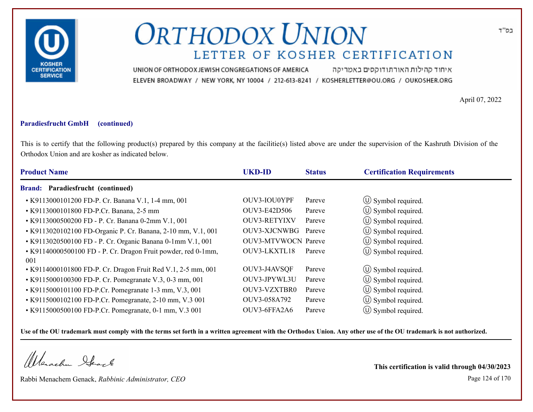

איחוד קהילות האורתודוקסים באמריקה UNION OF ORTHODOX JEWISH CONGREGATIONS OF AMERICA ELEVEN BROADWAY / NEW YORK, NY 10004 / 212-613-8241 / KOSHERLETTER@OU.ORG / OUKOSHER.ORG

April 07, 2022

### **Paradiesfrucht GmbH (continued)**

This is to certify that the following product(s) prepared by this company at the facilitie(s) listed above are under the supervision of the Kashruth Division of the Orthodox Union and are kosher as indicated below.

| <b>Product Name</b>                                                  | <b>UKD-ID</b>              | <b>Status</b> | <b>Certification Requirements</b> |
|----------------------------------------------------------------------|----------------------------|---------------|-----------------------------------|
| Brand: Paradiesfrucht (continued)                                    |                            |               |                                   |
| • K9113000101200 FD-P. Cr. Banana V.1, 1-4 mm, 001                   | OUV3-IOU0YPF               | Pareve        | $\circ$ Symbol required.          |
| • K9113000101800 FD-P.Cr. Banana, 2-5 mm                             | OUV3-E42D506               | Pareve        | (U) Symbol required.              |
| • K9113000500200 FD - P. Cr. Banana 0-2mm V.1, 001                   | <b>OUV3-RETYIXV</b>        | Pareve        | $\circ$ Symbol required.          |
| • K9113020102100 FD-Organic P. Cr. Banana, 2-10 mm, V.1, 001         | OUV3-XJCNWBG               | Pareve        | $\circled{1}$ Symbol required.    |
| • K9113020500100 FD - P. Cr. Organic Banana 0-1mm V.1, 001           | <b>OUV3-MTVWOCN Pareve</b> |               | $\circled{1}$ Symbol required.    |
| • K91140000500100 FD - P. Cr. Dragon Fruit powder, red 0-1mm,<br>001 | OUV3-LKXTL18               | Pareve        | $\circled{1}$ Symbol required.    |
| • K9114000101800 FD-P. Cr. Dragon Fruit Red V.1, 2-5 mm, 001         | OUV3-J4AVSQF               | Pareve        | $\circ$ Symbol required.          |
| • K9115000100300 FD-P. Cr. Pomegranate V.3, 0-3 mm, 001              | OUV3-JPYWL3U               | Pareve        | $\circ$ Symbol required.          |
| • K9115000101100 FD-P.Cr. Pomegranate 1-3 mm, V.3, 001               | OUV3-VZXTBR0               | Pareve        | $\circ$ Symbol required.          |
| • K9115000102100 FD-P.Cr. Pomegranate, 2-10 mm, V.3 001              | OUV3-058A792               | Pareve        | $\circ$ Symbol required.          |
| • K9115000500100 FD-P.Cr. Pomegranate, 0-1 mm, V.3 001               | OUV3-6FFA2A6               | Pareve        | $(U)$ Symbol required.            |

**Use of the OU trademark must comply with the terms set forth in a written agreement with the Orthodox Union. Any other use of the OU trademark is not authorized.**

Werschn Stack

Rabbi Menachem Genack, *Rabbinic Administrator, CEO* Page 124 of 170

**This certification is valid through 04/30/2023**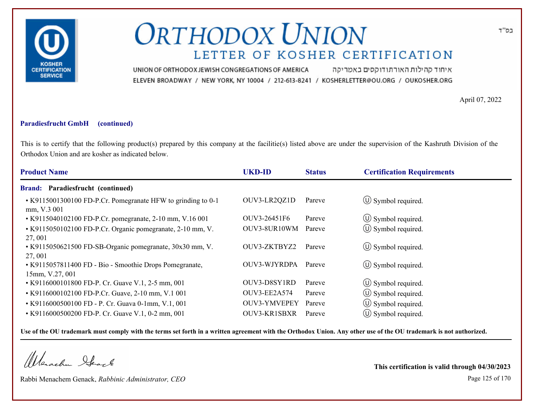

איחוד קהילות האורתודוקסים באמריקה UNION OF ORTHODOX JEWISH CONGREGATIONS OF AMERICA ELEVEN BROADWAY / NEW YORK, NY 10004 / 212-613-8241 / KOSHERLETTER@OU.ORG / OUKOSHER.ORG

April 07, 2022

#### **Paradiesfrucht GmbH (continued)**

This is to certify that the following product(s) prepared by this company at the facilitie(s) listed above are under the supervision of the Kashruth Division of the Orthodox Union and are kosher as indicated below.

| <b>Product Name</b>                                                         | <b>UKD-ID</b>       | <b>Status</b> | <b>Certification Requirements</b> |
|-----------------------------------------------------------------------------|---------------------|---------------|-----------------------------------|
| <b>Brand: Paradiesfrucht (continued)</b>                                    |                     |               |                                   |
| • K9115001300100 FD-P.Cr. Pomegranate HFW to grinding to 0-1<br>mm, V.3 001 | OUV3-LR2QZ1D        | Pareve        | $\circ$ Symbol required.          |
| • K9115040102100 FD-P.Cr. pomegranate, 2-10 mm, V.16 001                    | OUV3-26451F6        | Pareve        | $\circ$ Symbol required.          |
| • K9115050102100 FD-P.Cr. Organic pomegranate, 2-10 mm, V.<br>27,001        | OUV3-8UR10WM        | Pareve        | $\circ$ Symbol required.          |
| • K9115050621500 FD-SB-Organic pomegranate, 30x30 mm, V.<br>27,001          | OUV3-ZKTBYZ2        | Pareve        | $\circ$ Symbol required.          |
| • K9115057811400 FD - Bio - Smoothie Drops Pomegranate,<br>15mm, V.27, 001  | OUV3-WJYRDPA        | Pareve        | $\circ$ Symbol required.          |
| • K9116000101800 FD-P. Cr. Guave V.1, 2-5 mm, 001                           | OUV3-D8SY1RD        | Pareve        | $\circ$ Symbol required.          |
| • K9116000102100 FD-P.Cr. Guave, 2-10 mm, V.1 001                           | OUV3-EE2A574        | Pareve        | $\circ$ Symbol required.          |
| • K9116000500100 FD - P. Cr. Guava 0-1mm, V.1, 001                          | OUV3-YMVEPEY        | Pareve        | $\circ$ Symbol required.          |
| • K9116000500200 FD-P. Cr. Guave V.1, 0-2 mm, 001                           | <b>OUV3-KR1SBXR</b> | Pareve        | $(\cup)$ Symbol required.         |

**Use of the OU trademark must comply with the terms set forth in a written agreement with the Orthodox Union. Any other use of the OU trademark is not authorized.**

Werachen Stack

Rabbi Menachem Genack, *Rabbinic Administrator, CEO* Page 125 of 170

**This certification is valid through 04/30/2023**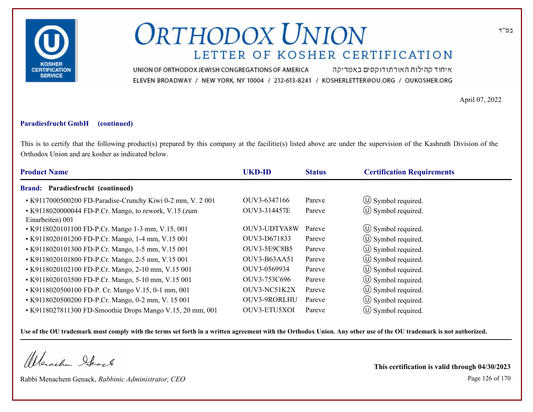

איחוד קהילות האורתודוקסים באמריקה UNION OF ORTHODOX JEWISH CONGREGATIONS OF AMERICA ELEVEN BROADWAY / NEW YORK, NY 10004 / 212-613-8241 / KOSHERLETTER@OU.ORG / OUKOSHER.ORG

April 07, 2022

### **Paradiesfrucht GmbH (continued)**

This is to certify that the following product(s) prepared by this company at the facilitie(s) listed above are under the supervision of the Kashruth Division of the Orthodox Union and are kosher as indicated below.

| <b>Product Name</b>                                                       | <b>UKD-ID</b>       | <b>Status</b> | <b>Certification Requirements</b> |  |
|---------------------------------------------------------------------------|---------------------|---------------|-----------------------------------|--|
| Paradiesfrucht (continued)<br><b>Brand:</b>                               |                     |               |                                   |  |
| • K9117000500200 FD-Paradise-Crunchy Kiwi 0-2 mm, V. 2001                 | OUV3-6347166        | Pareve        | $\circ$ Symbol required.          |  |
| • K9118020000044 FD-P.Cr. Mango, to rework, V.15 (zum<br>Einarbeiten) 001 | OUV3-314457E        | Pareve        | $\circled{1}$ Symbol required.    |  |
| • K9118020101100 FD-P.Cr. Mango 1-3 mm, V.15, 001                         | OUV3-UDTYA8W        | Pareve        | $\circ$ Symbol required.          |  |
| • K9118020101200 FD-P.Cr. Mango, 1-4 mm, V.15 001                         | OUV3-D671833        | Pareve        | $\circled{1}$ Symbol required.    |  |
| • K9118020101300 FD-P.Cr. Mango, 1-5 mm, V.15 001                         | <b>OUV3-5E9C8B5</b> | Pareve        | $\circ$ Symbol required.          |  |
| • K9118020101800 FD-P.Cr. Mango, 2-5 mm, V.15 001                         | OUV3-B63AA51        | Pareve        | $\circled{1}$ Symbol required.    |  |
| • K9118020102100 FD-P.Cr. Mango, 2-10 mm, V.15 001                        | OUV3-0569934        | Pareve        | $\circ$ Symbol required.          |  |
| • K9118020103500 FD-P.Cr. Mango, 5-10 mm, V.15 001                        | OUV3-753C696        | Pareve        | $\circ$ Symbol required.          |  |
| • K9118020500100 FD-P. Cr. Mango V.15, 0-1 mm, 001                        | OUV3-NC51K2X        | Pareve        | (U) Symbol required.              |  |
| • K9118020500200 FD-P.Cr. Mango, 0-2 mm, V. 15 001                        | OUV3-9RORLHU        | Pareve        | $\circled{1}$ Symbol required.    |  |
| • K9118027811300 FD-Smoothie Drops Mango V.15, 20 mm, 001                 | OUV3-ETU5XOI        | Pareve        | $(U)$ Symbol required.            |  |

**Use of the OU trademark must comply with the terms set forth in a written agreement with the Orthodox Union. Any other use of the OU trademark is not authorized.**

Werschn Stack

Rabbi Menachem Genack, *Rabbinic Administrator, CEO* Page 126 of 170

**This certification is valid through 04/30/2023**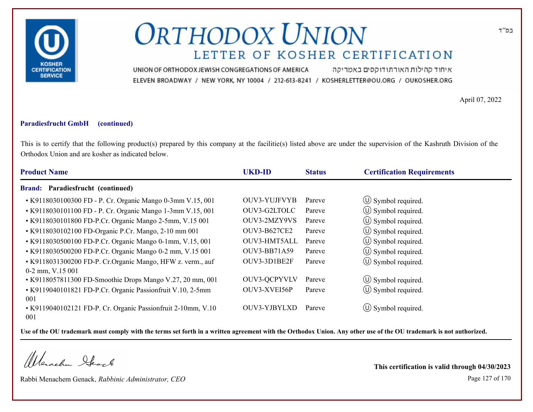

איחוד קהילות האורתודוקסים באמריקה UNION OF ORTHODOX JEWISH CONGREGATIONS OF AMERICA ELEVEN BROADWAY / NEW YORK, NY 10004 / 212-613-8241 / KOSHERLETTER@OU.ORG / OUKOSHER.ORG

April 07, 2022

### **Paradiesfrucht GmbH (continued)**

This is to certify that the following product(s) prepared by this company at the facilitie(s) listed above are under the supervision of the Kashruth Division of the Orthodox Union and are kosher as indicated below.

| <b>Product Name</b>                                                               | <b>UKD-ID</b>       | <b>Status</b> | <b>Certification Requirements</b> |
|-----------------------------------------------------------------------------------|---------------------|---------------|-----------------------------------|
| <b>Brand: Paradiesfrucht (continued)</b>                                          |                     |               |                                   |
| • K9118030100300 FD - P. Cr. Organic Mango 0-3mm V.15, 001                        | <b>OUV3-YUJFVYB</b> | Pareve        | $\circled{1}$ Symbol required.    |
| • K9118030101100 FD - P. Cr. Organic Mango 1-3mm V.15, 001                        | OUV3-G2LTOLC        | Pareve        | $\circled{1}$ Symbol required.    |
| • K9118030101800 FD-P.Cr. Organic Mango 2-5mm, V.15 001                           | OUV3-2MZY9VS        | Pareve        | (U) Symbol required.              |
| • K9118030102100 FD-Organic P.Cr. Mango, 2-10 mm 001                              | <b>OUV3-B627CE2</b> | Pareve        | $\circ$ Symbol required.          |
| • K9118030500100 FD-P.Cr. Organic Mango 0-1mm, V.15, 001                          | OUV3-HMT5ALL        | Pareve        | (U) Symbol required.              |
| • K9118030500200 FD-P.Cr. Organic Mango 0-2 mm, V.15 001                          | <b>OUV3-BB71A59</b> | Pareve        | $\circled{1}$ Symbol required.    |
| • K9118031300200 FD-P. Cr. Organic Mango, HFW z. verm., auf<br>$0-2$ mm, V.15 001 | OUV3-3D1BE2F        | Pareve        | $\circ$ Symbol required.          |
| • K9118057811300 FD-Smoothie Drops Mango V.27, 20 mm, 001                         | OUV3-QCPYVLV        | Pareve        | $\circ$ Symbol required.          |
| • K9119040101821 FD-P.Cr. Organic Passionfruit V.10, 2-5mm                        | OUV3-XVEI56P        | Pareve        | (U) Symbol required.              |
| 001                                                                               |                     |               |                                   |
| • K9119040102121 FD-P. Cr. Organic Passionfruit 2-10mm, V.10<br>001               | OUV3-YJBYLXD        | Pareve        | $\circ$ Symbol required.          |

**Use of the OU trademark must comply with the terms set forth in a written agreement with the Orthodox Union. Any other use of the OU trademark is not authorized.**

Werachen Stack

Rabbi Menachem Genack, *Rabbinic Administrator, CEO* Page 127 of 170

**This certification is valid through 04/30/2023**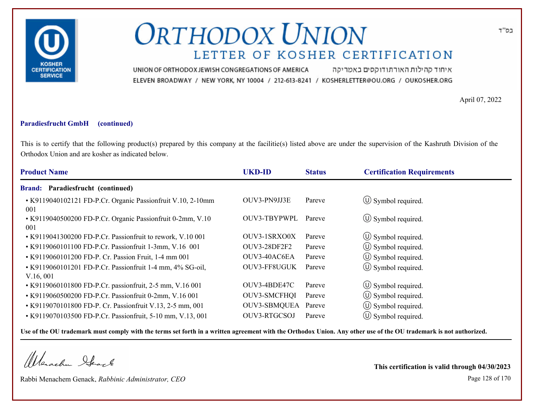

איחוד קהילות האורתודוקסים באמריקה UNION OF ORTHODOX JEWISH CONGREGATIONS OF AMERICA ELEVEN BROADWAY / NEW YORK, NY 10004 / 212-613-8241 / KOSHERLETTER@OU.ORG / OUKOSHER.ORG

April 07, 2022

#### **Paradiesfrucht GmbH (continued)**

This is to certify that the following product(s) prepared by this company at the facilitie(s) listed above are under the supervision of the Kashruth Division of the Orthodox Union and are kosher as indicated below.

| <b>Product Name</b>                                                   | <b>UKD-ID</b>       | <b>Status</b> | <b>Certification Requirements</b> |
|-----------------------------------------------------------------------|---------------------|---------------|-----------------------------------|
| Paradiesfrucht (continued)<br><b>Brand:</b>                           |                     |               |                                   |
| • K9119040102121 FD-P.Cr. Organic Passionfruit V.10, 2-10mm<br>001    | OUV3-PN9JJ3E        | Pareve        | $\circ$ Symbol required.          |
| • K9119040500200 FD-P.Cr. Organic Passionfruit 0-2mm, V.10<br>001     | OUV3-TBYPWPL        | Pareve        | $\circ$ Symbol required.          |
| • K9119041300200 FD-P.Cr. Passionfruit to rework, V.10 001            | OUV3-1SRXO0X        | Pareve        | $\circ$ Symbol required.          |
| • K9119060101100 FD-P.Cr. Passionfruit 1-3mm, V.16 001                | OUV3-28DF2F2        | Pareve        | $\circ$ Symbol required.          |
| • K9119060101200 FD-P. Cr. Passion Fruit, 1-4 mm 001                  | OUV3-40AC6EA        | Pareve        | $\circ$ Symbol required.          |
| • K9119060101201 FD-P.Cr. Passionfruit 1-4 mm, 4% SG-oil,<br>V.16,001 | OUV3-FF8UGUK        | Pareve        | $\circ$ Symbol required.          |
| • K9119060101800 FD-P.Cr. passionfruit, 2-5 mm, V.16 001              | OUV3-4BDE47C        | Pareve        | $\circled{1}$ Symbol required.    |
| • K9119060500200 FD-P.Cr. Passionfruit 0-2mm, V.16 001                | <b>OUV3-SMCFHQI</b> | Pareve        | (U) Symbol required.              |
| • K9119070101800 FD-P. Cr. Passionfruit V.13, 2-5 mm, 001             | OUV3-SBMQUEA        | Pareve        | $\circ$ Symbol required.          |
| • K9119070103500 FD-P.Cr. Passionfruit, 5-10 mm, V.13, 001            | OUV3-RTGCSOJ        | Pareve        | $\circ$ Symbol required.          |

**Use of the OU trademark must comply with the terms set forth in a written agreement with the Orthodox Union. Any other use of the OU trademark is not authorized.**

Werachen Stack

Rabbi Menachem Genack, *Rabbinic Administrator, CEO* Page 128 of 170

**This certification is valid through 04/30/2023**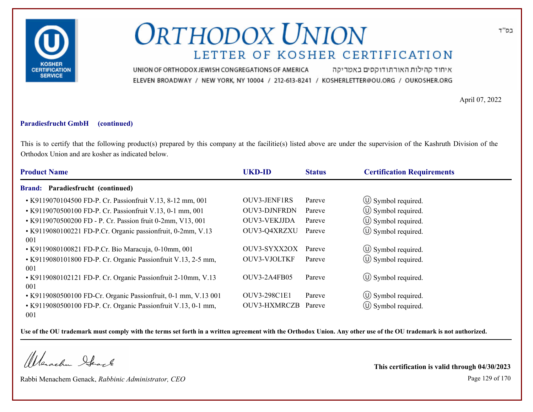

איחוד קהילות האורתודוקסים באמריקה UNION OF ORTHODOX JEWISH CONGREGATIONS OF AMERICA ELEVEN BROADWAY / NEW YORK, NY 10004 / 212-613-8241 / KOSHERLETTER@OU.ORG / OUKOSHER.ORG

April 07, 2022

#### **Paradiesfrucht GmbH (continued)**

This is to certify that the following product(s) prepared by this company at the facilitie(s) listed above are under the supervision of the Kashruth Division of the Orthodox Union and are kosher as indicated below.

| <b>Product Name</b>                                                  | <b>UKD-ID</b>       | <b>Status</b> | <b>Certification Requirements</b> |
|----------------------------------------------------------------------|---------------------|---------------|-----------------------------------|
| <b>Brand: Paradiesfrucht (continued)</b>                             |                     |               |                                   |
| • K9119070104500 FD-P. Cr. Passionfruit V.13, 8-12 mm, 001           | <b>OUV3-JENF1RS</b> | Pareve        | $\circled{1}$ Symbol required.    |
| • K9119070500100 FD-P. Cr. Passionfruit V.13, 0-1 mm, 001            | <b>OUV3-DJNFRDN</b> | Pareve        | $\circled{1}$ Symbol required.    |
| • K9119070500200 FD - P. Cr. Passion fruit 0-2mm, V13, 001           | OUV3-VEKJJDA        | Pareve        | $\circled{1}$ Symbol required.    |
| • K9119080100221 FD-P.Cr. Organic passionfruit, 0-2mm, V.13<br>001   | OUV3-Q4XRZXU        | Pareve        | $\circled{1}$ Symbol required.    |
| • K9119080100821 FD-P.Cr. Bio Maracuja, 0-10mm, 001                  | OUV3-SYXX2OX        | Pareve        | $\circled{1}$ Symbol required.    |
| • K9119080101800 FD-P. Cr. Organic Passionfruit V.13, 2-5 mm,<br>001 | OUV3-VJOLTKF        | Pareve        | (U) Symbol required.              |
| • K9119080102121 FD-P. Cr. Organic Passionfruit 2-10mm, V.13<br>001  | OUV3-2A4FB05        | Pareve        | $\circ$ Symbol required.          |
| • K9119080500100 FD-Cr. Organic Passionfruit, 0-1 mm, V.13 001       | <b>OUV3-298C1E1</b> | Pareve        | $\circled{1}$ Symbol required.    |
| • K9119080500100 FD-P. Cr. Organic Passionfruit V.13, 0-1 mm,<br>001 | <b>OUV3-HXMRCZB</b> | Pareve        | $\circ$ Symbol required.          |

**Use of the OU trademark must comply with the terms set forth in a written agreement with the Orthodox Union. Any other use of the OU trademark is not authorized.**

Werachen Stack

Rabbi Menachem Genack, *Rabbinic Administrator, CEO* Page 129 of 170

**This certification is valid through 04/30/2023**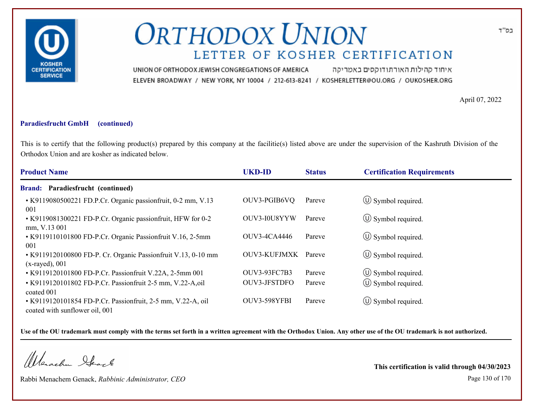

איחוד קהילות האורתודוקסים באמריקה UNION OF ORTHODOX JEWISH CONGREGATIONS OF AMERICA ELEVEN BROADWAY / NEW YORK, NY 10004 / 212-613-8241 / KOSHERLETTER@OU.ORG / OUKOSHER.ORG

April 07, 2022

#### **Paradiesfrucht GmbH (continued)**

This is to certify that the following product(s) prepared by this company at the facilitie(s) listed above are under the supervision of the Kashruth Division of the Orthodox Union and are kosher as indicated below.

| <b>Product Name</b>                                                                           | <b>UKD-ID</b>       | <b>Status</b> | <b>Certification Requirements</b> |
|-----------------------------------------------------------------------------------------------|---------------------|---------------|-----------------------------------|
| Paradiesfrucht (continued)<br><b>Brand:</b>                                                   |                     |               |                                   |
| • K9119080500221 FD.P.Cr. Organic passionfruit, 0-2 mm, V.13<br>001                           | OUV3-PGIB6VQ        | Pareve        | $\circ$ Symbol required.          |
| • K9119081300221 FD-P.Cr. Organic passionfruit, HFW for 0-2<br>mm, V.13 001                   | OUV3-I0U8YYW        | Pareve        | $\circ$ Symbol required.          |
| • K9119110101800 FD-P.Cr. Organic Passionfruit V.16, 2-5mm<br>001                             | OUV3-4CA4446        | Pareve        | $\circ$ Symbol required.          |
| • K9119120100800 FD-P. Cr. Organic Passionfruit V.13, 0-10 mm<br>$(x$ -rayed), 001            | <b>OUV3-KUFJMXK</b> | Pareve        | $\circ$ Symbol required.          |
| • K9119120101800 FD-P.Cr. Passionfruit V.22A, 2-5mm 001                                       | <b>OUV3-93FC7B3</b> | Pareve        | $\circled{1}$ Symbol required.    |
| • K9119120101802 FD-P.Cr. Passionfruit 2-5 mm, V.22-A,oil<br>coated 001                       | OUV3-JFSTDFO        | Pareve        | $\circled{1}$ Symbol required.    |
| • K9119120101854 FD-P.Cr. Passionfruit, 2-5 mm, V.22-A, oil<br>coated with sunflower oil, 001 | OUV3-598YFBI        | Pareve        | $\circ$ Symbol required.          |

**Use of the OU trademark must comply with the terms set forth in a written agreement with the Orthodox Union. Any other use of the OU trademark is not authorized.**

Werschn Heark

Rabbi Menachem Genack, *Rabbinic Administrator, CEO* Page 130 of 170

**This certification is valid through 04/30/2023**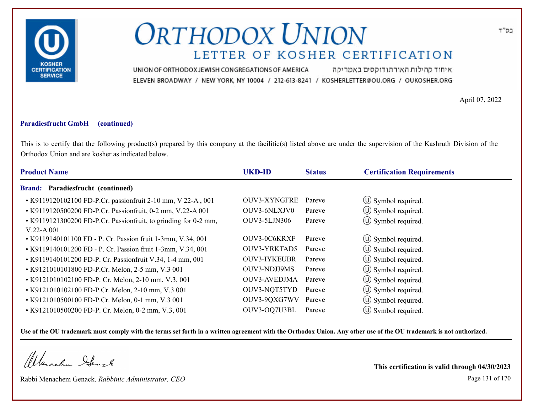

איחוד קהילות האורתודוקסים באמריקה UNION OF ORTHODOX JEWISH CONGREGATIONS OF AMERICA ELEVEN BROADWAY / NEW YORK, NY 10004 / 212-613-8241 / KOSHERLETTER@OU.ORG / OUKOSHER.ORG

April 07, 2022

### **Paradiesfrucht GmbH (continued)**

This is to certify that the following product(s) prepared by this company at the facilitie(s) listed above are under the supervision of the Kashruth Division of the Orthodox Union and are kosher as indicated below.

| <b>Product Name</b>                                             | <b>UKD-ID</b>       | <b>Status</b> | <b>Certification Requirements</b> |  |
|-----------------------------------------------------------------|---------------------|---------------|-----------------------------------|--|
| Paradiesfrucht (continued)<br><b>Brand:</b>                     |                     |               |                                   |  |
| • K9119120102100 FD-P.Cr. passionfruit 2-10 mm, V 22-A, 001     | <b>OUV3-XYNGFRE</b> | Pareve        | $\circ$ Symbol required.          |  |
| • K9119120500200 FD-P.Cr. Passionfruit, 0-2 mm, V.22-A 001      | OUV3-6NLXJV0        | Pareve        | $\circled{1}$ Symbol required.    |  |
| • K9119121300200 FD-P.Cr. Passionfruit, to grinding for 0-2 mm, | OUV3-5LJN306        | Pareve        | $\circ$ Symbol required.          |  |
| $V.22-A.001$                                                    |                     |               |                                   |  |
| • K9119140101100 FD - P. Cr. Passion fruit 1-3mm, V.34, 001     | OUV3-0C6KRXF        | Pareve        | $\circ$ Symbol required.          |  |
| • K9119140101200 FD - P. Cr. Passion fruit 1-3mm, V.34, 001     | OUV3-YRKTAD5        | Pareve        | $\circled{0}$ Symbol required.    |  |
| • K9119140101200 FD-P. Cr. Passionfruit V.34, 1-4 mm, 001       | <b>OUV3-IYKEUBR</b> | Pareve        | $\circled{1}$ Symbol required.    |  |
| • K9121010101800 FD-P.Cr. Melon, 2-5 mm, V.3 001                | <b>OUV3-NDJJ9MS</b> | Pareve        | $\circ$ Symbol required.          |  |
| • K9121010102100 FD-P. Cr. Melon, 2-10 mm, V.3, 001             | <b>OUV3-AVEDJMA</b> | Pareve        | $\circ$ Symbol required.          |  |
| • K9121010102100 FD-P.Cr. Melon, 2-10 mm, V.3 001               | OUV3-NQT5TYD        | Pareve        | $\circ$ Symbol required.          |  |
| • K9121010500100 FD-P.Cr. Melon, 0-1 mm, V.3 001                | OUV3-9QXG7WV        | Pareve        | $\circ$ Symbol required.          |  |
| • K9121010500200 FD-P. Cr. Melon, 0-2 mm, V.3, 001              | OUV3-OQ7U3BL        | Pareve        | $(U)$ Symbol required.            |  |

**Use of the OU trademark must comply with the terms set forth in a written agreement with the Orthodox Union. Any other use of the OU trademark is not authorized.**

Werachen Stack

Rabbi Menachem Genack, *Rabbinic Administrator, CEO* Page 131 of 170

**This certification is valid through 04/30/2023**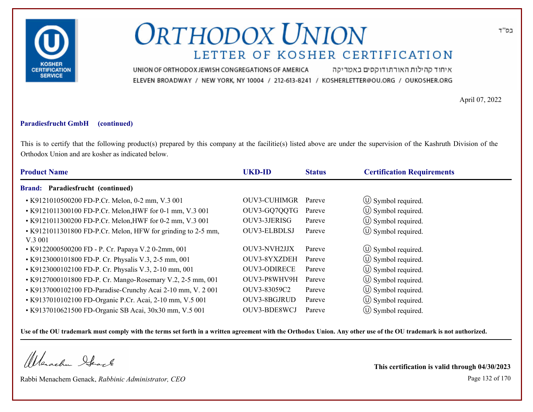

איחוד קהילות האורתודוקסים באמריקה UNION OF ORTHODOX JEWISH CONGREGATIONS OF AMERICA ELEVEN BROADWAY / NEW YORK, NY 10004 / 212-613-8241 / KOSHERLETTER@OU.ORG / OUKOSHER.ORG

April 07, 2022

#### **Paradiesfrucht GmbH (continued)**

This is to certify that the following product(s) prepared by this company at the facilitie(s) listed above are under the supervision of the Kashruth Division of the Orthodox Union and are kosher as indicated below.

| <b>Product Name</b>                                           | <b>UKD-ID</b>       | <b>Status</b> | <b>Certification Requirements</b> |
|---------------------------------------------------------------|---------------------|---------------|-----------------------------------|
| <b>Brand: Paradiesfrucht (continued)</b>                      |                     |               |                                   |
| • K9121010500200 FD-P.Cr. Melon, 0-2 mm, V.3 001              | <b>OUV3-CUHIMGR</b> | Pareve        | $\circled{1}$ Symbol required.    |
| • K9121011300100 FD-P.Cr. Melon, HWF for 0-1 mm, V.3 001      | OUV3-GQ7QQTG        | Pareve        | (U) Symbol required.              |
| • K9121011300200 FD-P.Cr. Melon, HWF for 0-2 mm, V.3 001      | OUV3-3JERISG        | Pareve        | $\circ$ Symbol required.          |
| • K9121011301800 FD-P.Cr. Melon, HFW for grinding to 2-5 mm,  | OUV3-ELBDLSJ        | Pareve        | $\circ$ Symbol required.          |
| V.3 001<br>• K9122000500200 FD - P. Cr. Papaya V.2 0-2mm, 001 | OUV3-NVH2JJX        | Pareve        | $\circ$ Symbol required.          |
| • K9123000101800 FD-P. Cr. Physalis V.3, 2-5 mm, 001          | OUV3-8YXZDEH        | Pareve        | $\circ$ Symbol required.          |
| • K9123000102100 FD-P. Cr. Physalis V.3, 2-10 mm, 001         | <b>OUV3-ODIRECE</b> | Pareve        | $\circ$ Symbol required.          |
| • K9127000101800 FD-P. Cr. Mango-Rosemary V.2, 2-5 mm, 001    | OUV3-P8WHV9H        | Pareve        | $\circ$ Symbol required.          |
| • K9137000102100 FD-Paradise-Crunchy Acai 2-10 mm, V. 2001    | OUV3-83059C2        | Pareve        | $\circ$ Symbol required.          |
| • K9137010102100 FD-Organic P.Cr. Acai, 2-10 mm, V.5 001      | OUV3-8BGJRUD        | Pareve        | $\circ$ Symbol required.          |
| • K9137010621500 FD-Organic SB Acai, 30x30 mm, V.5 001        | OUV3-BDE8WCJ        | Pareve        | $(U)$ Symbol required.            |

**Use of the OU trademark must comply with the terms set forth in a written agreement with the Orthodox Union. Any other use of the OU trademark is not authorized.**

Werschn Stack

Rabbi Menachem Genack, *Rabbinic Administrator, CEO* Page 132 of 170

**This certification is valid through 04/30/2023**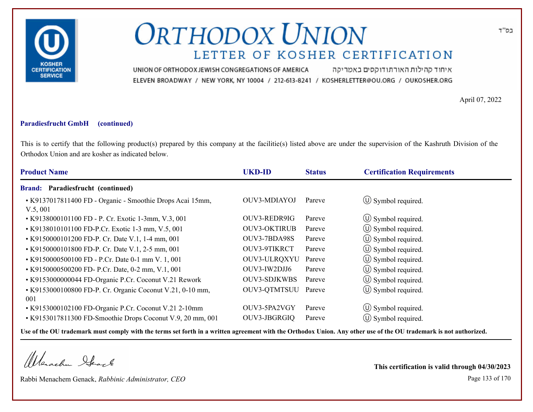

איחוד קהילות האורתודוקסים באמריקה UNION OF ORTHODOX JEWISH CONGREGATIONS OF AMERICA ELEVEN BROADWAY / NEW YORK, NY 10004 / 212-613-8241 / KOSHERLETTER@OU.ORG / OUKOSHER.ORG

April 07, 2022

#### **Paradiesfrucht GmbH (continued)**

This is to certify that the following product(s) prepared by this company at the facilitie(s) listed above are under the supervision of the Kashruth Division of the Orthodox Union and are kosher as indicated below.

| <b>Product Name</b>                                                  | <b>UKD-ID</b>       | <b>Status</b> | <b>Certification Requirements</b> |
|----------------------------------------------------------------------|---------------------|---------------|-----------------------------------|
| <b>Brand: Paradiesfrucht (continued)</b>                             |                     |               |                                   |
| • K9137017811400 FD - Organic - Smoothie Drops Acai 15mm,<br>V.5,001 | OUV3-MDIAYOJ        | Pareve        | $\circ$ Symbol required.          |
| • K9138000101100 FD - P. Cr. Exotic 1-3mm, V.3, 001                  | OUV3-REDR9IG        | Pareve        | $\circled{1}$ Symbol required.    |
| • K9138010101100 FD-P.Cr. Exotic 1-3 mm, V.5, 001                    | <b>OUV3-OKTIRUB</b> | Pareve        | $\circ$ Symbol required.          |
| • K9150000101200 FD-P. Cr. Date V.1, 1-4 mm, 001                     | OUV3-7BDA98S        | Pareve        | $\circ$ Symbol required.          |
| • K9150000101800 FD-P. Cr. Date V.1, 2-5 mm, 001                     | OUV3-9TIKRCT        | Pareve        | $\circ$ Symbol required.          |
| • K9150000500100 FD - P.Cr. Date 0-1 mm V. 1, 001                    | OUV3-ULRQXYU        | Pareve        | $\circ$ Symbol required.          |
| • K9150000500200 FD- P.Cr. Date, 0-2 mm, V.1, 001                    | OUV3-IW2DJJ6        | Pareve        | $\circled{1}$ Symbol required.    |
| • K9153000000044 FD-Organic P.Cr. Coconut V.21 Rework                | <b>OUV3-SDJKWBS</b> | Pareve        | (U) Symbol required.              |
| • K9153000100800 FD-P. Cr. Organic Coconut V.21, 0-10 mm,<br>001     | OUV3-QTMTSUU Pareve |               | $\circled{1}$ Symbol required.    |
| • K9153000102100 FD-Organic P.Cr. Coconut V.21 2-10mm                | OUV3-5PA2VGY        | Pareve        | $\circ$ Symbol required.          |
| • K9153017811300 FD-Smoothie Drops Coconut V.9, 20 mm, 001           | OUV3-JBGRGIQ        | Pareve        | $\circ$ Symbol required.          |

**Use of the OU trademark must comply with the terms set forth in a written agreement with the Orthodox Union. Any other use of the OU trademark is not authorized.**

Werachen Stack

Rabbi Menachem Genack, *Rabbinic Administrator, CEO* Page 133 of 170

**This certification is valid through 04/30/2023**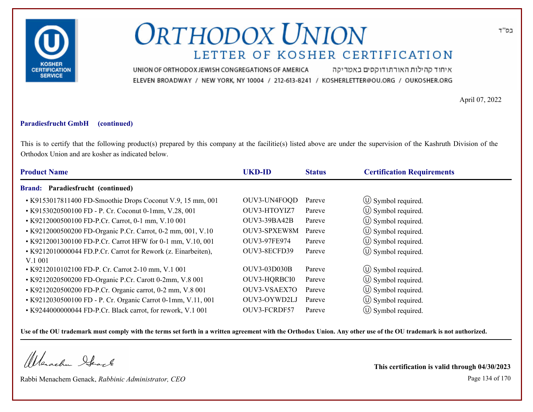

איחוד קהילות האורתודוקסים באמריקה UNION OF ORTHODOX JEWISH CONGREGATIONS OF AMERICA ELEVEN BROADWAY / NEW YORK, NY 10004 / 212-613-8241 / KOSHERLETTER@OU.ORG / OUKOSHER.ORG

April 07, 2022

### **Paradiesfrucht GmbH (continued)**

This is to certify that the following product(s) prepared by this company at the facilitie(s) listed above are under the supervision of the Kashruth Division of the Orthodox Union and are kosher as indicated below.

| <b>Product Name</b>                                                      | <b>UKD-ID</b>       | <b>Status</b> | <b>Certification Requirements</b> |
|--------------------------------------------------------------------------|---------------------|---------------|-----------------------------------|
| <b>Brand: Paradiesfrucht (continued)</b>                                 |                     |               |                                   |
| • K9153017811400 FD-Smoothie Drops Coconut V.9, 15 mm, 001               | OUV3-UN4FOQD        | Pareve        | $\circ$ Symbol required.          |
| • K9153020500100 FD - P. Cr. Coconut 0-1mm, V.28, 001                    | OUV3-HTOYIZ7        | Pareve        | $\circled{1}$ Symbol required.    |
| • K9212000500100 FD-P.Cr. Carrot, 0-1 mm, V.10 001                       | OUV3-39BA42B        | Pareve        | $\circ$ Symbol required.          |
| • K9212000500200 FD-Organic P.Cr. Carrot, 0-2 mm, 001, V.10              | OUV3-SPXEW8M        | Pareve        | $\circled{1}$ Symbol required.    |
| • K9212001300100 FD-P.Cr. Carrot HFW for 0-1 mm, V.10, 001               | OUV3-97FE974        | Pareve        | $\circled{1}$ Symbol required.    |
| • K9212010000044 FD.P.Cr. Carrot for Rework (z. Einarbeiten),<br>V.1 001 | OUV3-8ECFD39        | Pareve        | $\circ$ Symbol required.          |
| • K9212010102100 FD-P. Cr. Carrot 2-10 mm, V.1 001                       | <b>OUV3-03D030B</b> | Pareve        | $\circ$ Symbol required.          |
| • K9212020500200 FD-Organic P.Cr. Carott 0-2mm, V.8 001                  | OUV3-HQRBCI0        | Pareve        | $\circ$ Symbol required.          |
| • K9212020500200 FD-P.Cr. Organic carrot, 0-2 mm, V.8 001                | OUV3-VSAEX7O        | Pareve        | (U) Symbol required.              |
| • K9212030500100 FD - P. Cr. Organic Carrot 0-1mm, V.11, 001             | OUV3-OYWD2LJ        | Pareve        | $\circ$ Symbol required.          |
| • K9244000000044 FD-P.Cr. Black carrot, for rework, V.1 001              | OUV3-FCRDF57        | Pareve        | $(U)$ Symbol required.            |

**Use of the OU trademark must comply with the terms set forth in a written agreement with the Orthodox Union. Any other use of the OU trademark is not authorized.**

Werachen Stack

Rabbi Menachem Genack, *Rabbinic Administrator, CEO* Page 134 of 170

**This certification is valid through 04/30/2023**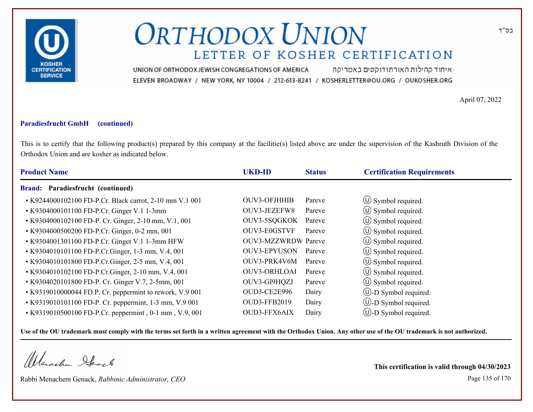

איחוד קהילות האורתודוקסים באמריקה UNION OF ORTHODOX JEWISH CONGREGATIONS OF AMERICA ELEVEN BROADWAY / NEW YORK, NY 10004 / 212-613-8241 / KOSHERLETTER@OU.ORG / OUKOSHER.ORG

April 07, 2022

#### **Paradiesfrucht GmbH (continued)**

This is to certify that the following product(s) prepared by this company at the facilitie(s) listed above are under the supervision of the Kashruth Division of the Orthodox Union and are kosher as indicated below.

| <b>Product Name</b>                                      | <b>UKD-ID</b>              | <b>Status</b> | <b>Certification Requirements</b> |  |
|----------------------------------------------------------|----------------------------|---------------|-----------------------------------|--|
| Paradiesfrucht (continued)<br><b>Brand:</b>              |                            |               |                                   |  |
| • K9244000102100 FD-P.Cr. Black carrot, 2-10 mm V.1 001  | <b>OUV3-OFJHHIB</b>        | Pareve        | $\circ$ Symbol required.          |  |
| • K9304000101100 FD-P.Cr. Ginger V.1 1-3mm               | OUV3-JEZEFW8               | Pareve        | $\circ$ Symbol required.          |  |
| • K9304000102100 FD-P. Cr. Ginger, 2-10 mm, V.1, 001     | OUV3-5SQGKOK               | Pareve        | $\circled{1}$ Symbol required.    |  |
| • K9304000500200 FD-P.Cr. Ginger, 0-2 mm, 001            | OUV3-E0GSTVF               | Pareve        | $\circ$ Symbol required.          |  |
| • K9304001301100 FD-P.Cr. Ginger V.1 1-3mm HFW           | <b>OUV3-MZZWRDW</b> Pareve |               | $\circ$ Symbol required.          |  |
| • K9304010101100 FD-P.Cr.Ginger, 1-3 mm, V.4, 001        | <b>OUV3-EPYUSON</b>        | Pareve        | $\circ$ Symbol required.          |  |
| • K9304010101800 FD-P.Cr.Ginger, 2-5 mm, V.4, 001        | OUV3-PRK4V6M               | Pareve        | $\circled{1}$ Symbol required.    |  |
| • K9304010102100 FD-P.Cr.Ginger, 2-10 mm, V.4, 001       | <b>OUV3-ORHLOAI</b>        | Pareve        | $\circ$ Symbol required.          |  |
| • K9304020101800 FD-P. Cr. Ginger V.7, 2-5mm, 001        | OUV3-GI9HQZJ               | Pareve        | $\circ$ Symbol required.          |  |
| • K9319010000044 FD.P. Cr. peppermint to rework, V.9 001 | OUD3-CE2E996               | Dairy         | $\cup$ -D Symbol required.        |  |
| • K9319010101100 FD-P. Cr. peppermint, 1-3 mm, V.9 001   | <b>OUD3-FFB2019</b>        | Dairy         | $\cup$ -D Symbol required.        |  |
| • K9319010500100 FD-P.Cr. peppermint, 0-1 mm, V.9, 001   | OUD3-FFX6AIX               | Dairy         | $(U)$ -D Symbol required.         |  |

**Use of the OU trademark must comply with the terms set forth in a written agreement with the Orthodox Union. Any other use of the OU trademark is not authorized.**

Werschn Stack

Rabbi Menachem Genack, *Rabbinic Administrator, CEO* Page 135 of 170

**This certification is valid through 04/30/2023**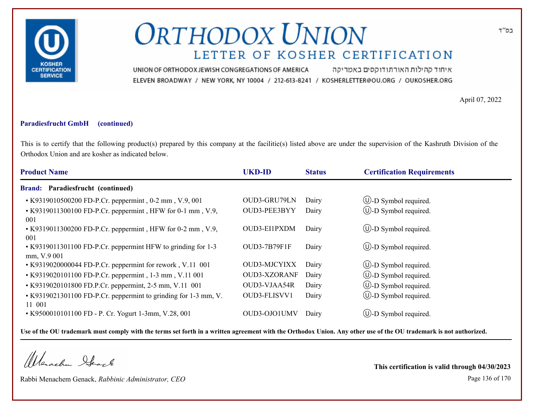

איחוד קהילות האורתודוקסים באמריקה UNION OF ORTHODOX JEWISH CONGREGATIONS OF AMERICA ELEVEN BROADWAY / NEW YORK, NY 10004 / 212-613-8241 / KOSHERLETTER@OU.ORG / OUKOSHER.ORG

April 07, 2022

#### **Paradiesfrucht GmbH (continued)**

This is to certify that the following product(s) prepared by this company at the facilitie(s) listed above are under the supervision of the Kashruth Division of the Orthodox Union and are kosher as indicated below.

| <b>Product Name</b>                                                         | <b>UKD-ID</b>       | <b>Status</b> | <b>Certification Requirements</b> |
|-----------------------------------------------------------------------------|---------------------|---------------|-----------------------------------|
| <b>Brand: Paradiesfrucht (continued)</b>                                    |                     |               |                                   |
| • K9319010500200 FD-P.Cr. peppermint, 0-2 mm, V.9, 001                      | OUD3-GRU79LN        | Dairy         | $\circled{1}$ -D Symbol required. |
| • K9319011300100 FD-P.Cr. peppermint, HFW for 0-1 mm, V.9,<br>001           | OUD3-PEE3BYY        | Dairy         | $\bigcup$ -D Symbol required.     |
| • K9319011300200 FD-P.Cr. peppermint, HFW for 0-2 mm, V.9,<br>001           | OUD3-EI1PXDM        | Dairy         | $\circled{1}$ -D Symbol required. |
| • K9319011301100 FD-P.Cr. peppermint HFW to grinding for 1-3<br>mm, V.9 001 | OUD3-7B79F1F        | Dairy         | $\bigcup$ -D Symbol required.     |
| • K9319020000044 FD-P.Cr. peppermint for rework, V.11 001                   | <b>OUD3-MJCYIXX</b> | Dairy         | $\circled{1}$ -D Symbol required. |
| • K9319020101100 FD-P.Cr. peppermint, 1-3 mm, V.11 001                      | <b>OUD3-XZORANF</b> | Dairy         | $\bigcirc$ -D Symbol required.    |
| • K9319020101800 FD.P.Cr. peppermint, 2-5 mm, V.11 001                      | OUD3-VJAA54R        | Dairy         | $\bigcirc$ -D Symbol required.    |
| • K9319021301100 FD-P.Cr. peppermint to grinding for 1-3 mm, V.<br>11 001   | OUD3-FLISVV1        | Dairy         | $\circled{1}$ -D Symbol required. |
| • K9500010101100 FD - P. Cr. Yogurt 1-3mm, V.28, 001                        | OUD3-OJO1UMV        | Dairy         | $(U)$ -D Symbol required.         |

**Use of the OU trademark must comply with the terms set forth in a written agreement with the Orthodox Union. Any other use of the OU trademark is not authorized.**

Werachen Stack

Rabbi Menachem Genack, *Rabbinic Administrator, CEO* Page 136 of 170

**This certification is valid through 04/30/2023**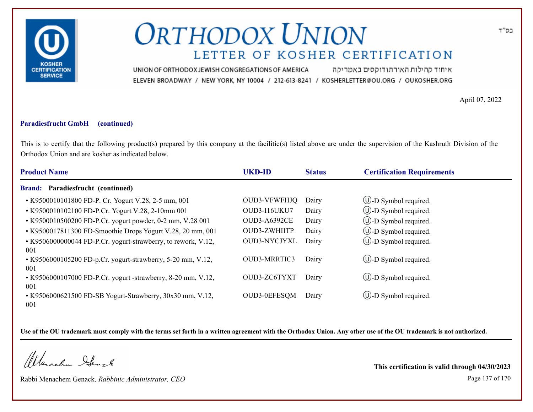

איחוד קהילות האורתודוקסים באמריקה UNION OF ORTHODOX JEWISH CONGREGATIONS OF AMERICA ELEVEN BROADWAY / NEW YORK, NY 10004 / 212-613-8241 / KOSHERLETTER@OU.ORG / OUKOSHER.ORG

April 07, 2022

#### **Paradiesfrucht GmbH (continued)**

This is to certify that the following product(s) prepared by this company at the facilitie(s) listed above are under the supervision of the Kashruth Division of the Orthodox Union and are kosher as indicated below.

| <b>Product Name</b>                                                  | <b>UKD-ID</b>       | <b>Status</b> | <b>Certification Requirements</b> |
|----------------------------------------------------------------------|---------------------|---------------|-----------------------------------|
| <b>Brand: Paradiesfrucht (continued)</b>                             |                     |               |                                   |
| • K9500010101800 FD-P. Cr. Yogurt V.28, 2-5 mm, 001                  | <b>OUD3-VFWFHJQ</b> | Dairy         | $\circled{1}$ -D Symbol required. |
| • K9500010102100 FD-P.Cr. Yogurt V.28, 2-10mm 001                    | OUD3-I16UKU7        | Dairy         | $\circled{1}$ -D Symbol required. |
| • K9500010500200 FD-P.Cr. yogurt powder, 0-2 mm, V.28 001            | <b>OUD3-A6392CE</b> | Dairy         | <b>W</b> -D Symbol required.      |
| • K9500017811300 FD-Smoothie Drops Yogurt V.28, 20 mm, 001           | <b>OUD3-ZWHIITP</b> | Dairy         | <b>W</b> -D Symbol required.      |
| • K9506000000044 FD-P.Cr. yogurt-strawberry, to rework, V.12,<br>001 | OUD3-NYCJYXL        | Dairy         | $\bigcirc$ -D Symbol required.    |
| • K9506000105200 FD-p.Cr. yogurt-strawberry, 5-20 mm, V.12,<br>001   | <b>OUD3-MRRTIC3</b> | Dairy         | $\circled{1}$ -D Symbol required. |
| • K9506000107000 FD-P.Cr. yogurt -strawberry, 8-20 mm, V.12,<br>001  | OUD3-ZC6TYXT        | Dairy         | $\bigcirc$ -D Symbol required.    |
| • K9506000621500 FD-SB Yogurt-Strawberry, 30x30 mm, V.12,<br>001     | OUD3-0EFESQM        | Dairy         | $\bigcirc$ -D Symbol required.    |

**Use of the OU trademark must comply with the terms set forth in a written agreement with the Orthodox Union. Any other use of the OU trademark is not authorized.**

Werachen Stack

Rabbi Menachem Genack, *Rabbinic Administrator, CEO* Page 137 of 170

**This certification is valid through 04/30/2023**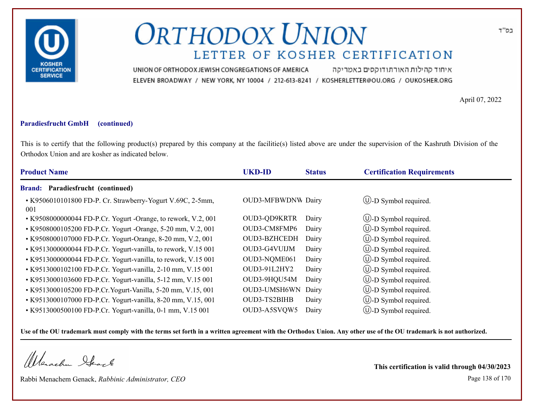

איחוד קהילות האורתודוקסים באמריקה UNION OF ORTHODOX JEWISH CONGREGATIONS OF AMERICA ELEVEN BROADWAY / NEW YORK, NY 10004 / 212-613-8241 / KOSHERLETTER@OU.ORG / OUKOSHER.ORG

April 07, 2022

#### **Paradiesfrucht GmbH (continued)**

This is to certify that the following product(s) prepared by this company at the facilitie(s) listed above are under the supervision of the Kashruth Division of the Orthodox Union and are kosher as indicated below.

| <b>Product Name</b>                                               | <b>UKD-ID</b>             | <b>Status</b> | <b>Certification Requirements</b> |
|-------------------------------------------------------------------|---------------------------|---------------|-----------------------------------|
| Brand: Paradiesfrucht (continued)                                 |                           |               |                                   |
| • K9506010101800 FD-P. Cr. Strawberry-Yogurt V.69C, 2-5mm,<br>001 | <b>OUD3-MFBWDNW Dairy</b> |               | $\cup$ -D Symbol required.        |
| • K9508000000044 FD-P.Cr. Yogurt -Orange, to rework, V.2, 001     | OUD3-QD9KRTR              | Dairy         | $\bigcirc$ -D Symbol required.    |
| • K9508000105200 FD-P.Cr. Yogurt -Orange, 5-20 mm, V.2, 001       | OUD3-CM8FMP6              | Dairy         | $\bigcup$ -D Symbol required.     |
| • K9508000107000 FD-P.Cr. Yogurt-Orange, 8-20 mm, V.2, 001        | OUD3-BZHCEDH              | Dairy         | $\bigcirc$ -D Symbol required.    |
| • K9513000000044 FD-P.Cr. Yogurt-vanilla, to rework, V.15 001     | OUD3-G4VUIJM              | Dairy         | $\bigcirc$ -D Symbol required.    |
| • K9513000000044 FD-P.Cr. Yogurt-vanilla, to rework, V.15 001     | OUD3-NQME061              | Dairy         | $\cup$ -D Symbol required.        |
| • K9513000102100 FD-P.Cr. Yogurt-vanilla, 2-10 mm, V.15 001       | OUD3-91L2HY2              | Dairy         | $\cup$ -D Symbol required.        |
| • K9513000103600 FD-P.Cr. Yogurt-vanilla, 5-12 mm, V.15 001       | OUD3-9HQU54M              | Dairy         | $\bigcirc$ -D Symbol required.    |
| • K9513000105200 FD-P.Cr. Yogurt-Vanilla, 5-20 mm, V.15, 001      | OUD3-UMSH6WN              | Dairy         | $\cup$ -D Symbol required.        |
| • K9513000107000 FD-P.Cr. Yogurt-vanilla, 8-20 mm, V.15, 001      | OUD3-TS2BIHB              | Dairy         | $\cup$ -D Symbol required.        |
| • K9513000500100 FD-P.Cr. Yogurt-vanilla, 0-1 mm, V.15 001        | OUD3-A5SVQW5              | Dairy         | $\cup$ -D Symbol required.        |

**Use of the OU trademark must comply with the terms set forth in a written agreement with the Orthodox Union. Any other use of the OU trademark is not authorized.**

Werachen Stack

Rabbi Menachem Genack, *Rabbinic Administrator, CEO* Page 138 of 170

**This certification is valid through 04/30/2023**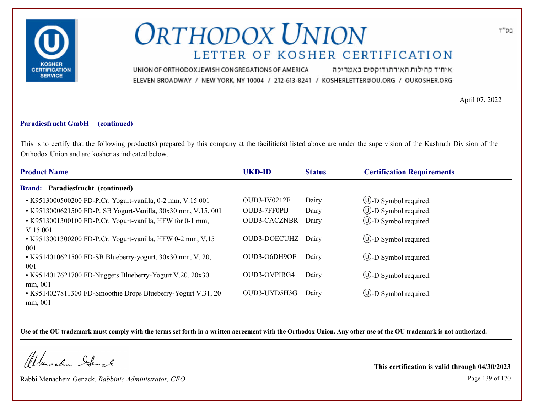

איחוד קהילות האורתודוקסים באמריקה UNION OF ORTHODOX JEWISH CONGREGATIONS OF AMERICA ELEVEN BROADWAY / NEW YORK, NY 10004 / 212-613-8241 / KOSHERLETTER@OU.ORG / OUKOSHER.ORG

April 07, 2022

#### **Paradiesfrucht GmbH (continued)**

This is to certify that the following product(s) prepared by this company at the facilitie(s) listed above are under the supervision of the Kashruth Division of the Orthodox Union and are kosher as indicated below.

| <b>Product Name</b>                                                     | <b>UKD-ID</b>       | <b>Status</b> | <b>Certification Requirements</b> |
|-------------------------------------------------------------------------|---------------------|---------------|-----------------------------------|
| <b>Brand: Paradiesfrucht (continued)</b>                                |                     |               |                                   |
| • K9513000500200 FD-P.Cr. Yogurt-vanilla, 0-2 mm, V.15 001              | OUD3-IV0212F        | Dairy         | $\circled{1}$ -D Symbol required. |
| • K9513000621500 FD-P. SB Yogurt-Vanilla, 30x30 mm, V.15, 001           | OUD3-7FF0PIJ        | Dairy         | $\circled{1}$ -D Symbol required. |
| • K9513001300100 FD-P.Cr. Yogurt-vanilla, HFW for 0-1 mm,<br>V.15 001   | <b>OUD3-CACZNBR</b> | Dairy         | $\circled{1}$ -D Symbol required. |
| • K9513001300200 FD-P.Cr. Yogurt-vanilla, HFW 0-2 mm, V.15<br>001       | <b>OUD3-DOECUHZ</b> | Dairy         | $\bigcirc$ -D Symbol required.    |
| • K9514010621500 FD-SB Blueberry-yogurt, 30x30 mm, V. 20,<br>001        | OUD3-O6DH9OE        | Dairy         | $\circled{1}$ -D Symbol required. |
| • K9514017621700 FD-Nuggets Blueberry-Yogurt V.20, 20x30<br>mm, 001     | <b>OUD3-OVPIRG4</b> | Dairy         | $\bigcirc$ -D Symbol required.    |
| • K9514027811300 FD-Smoothie Drops Blueberry-Yogurt V.31, 20<br>mm, 001 | OUD3-UYD5H3G        | Dairy         | $\bigcup$ -D Symbol required.     |

**Use of the OU trademark must comply with the terms set forth in a written agreement with the Orthodox Union. Any other use of the OU trademark is not authorized.**

Werachen Stack

Rabbi Menachem Genack, *Rabbinic Administrator, CEO* Page 139 of 170

**This certification is valid through 04/30/2023**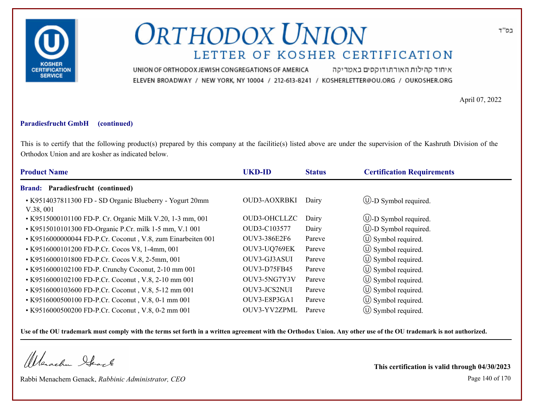

איחוד קהילות האורתודוקסים באמריקה UNION OF ORTHODOX JEWISH CONGREGATIONS OF AMERICA ELEVEN BROADWAY / NEW YORK, NY 10004 / 212-613-8241 / KOSHERLETTER@OU.ORG / OUKOSHER.ORG

April 07, 2022

### **Paradiesfrucht GmbH (continued)**

This is to certify that the following product(s) prepared by this company at the facilitie(s) listed above are under the supervision of the Kashruth Division of the Orthodox Union and are kosher as indicated below.

| <b>Product Name</b>                                                  | <b>UKD-ID</b>       | <b>Status</b> | <b>Certification Requirements</b> |
|----------------------------------------------------------------------|---------------------|---------------|-----------------------------------|
| Brand: Paradiesfrucht (continued)                                    |                     |               |                                   |
| • K9514037811300 FD - SD Organic Blueberry - Yogurt 20mm<br>V.38,001 | OUD3-AOXRBKI        | Dairy         | $\bigcirc$ -D Symbol required.    |
| • K9515000101100 FD-P. Cr. Organic Milk V.20, 1-3 mm, 001            | OUD3-OHCLLZC        | Dairy         | $\circled{1}$ -D Symbol required. |
| • K9515010101300 FD-Organic P.Cr. milk 1-5 mm, V.1 001               | OUD3-C103577        | Dairy         | $\bigcirc$ -D Symbol required.    |
| • K9516000000044 FD-P.Cr. Coconut, V.8, zum Einarbeiten 001          | OUV3-386E2F6        | Pareve        | $\circled{1}$ Symbol required.    |
| • K9516000101200 FD-P.Cr. Cocos V8, 1-4mm, 001                       | OUV3-UQ769EK        | Pareve        | $\circ$ Symbol required.          |
| • K9516000101800 FD-P.Cr. Cocos V.8, 2-5mm, 001                      | OUV3-GJ3ASUI        | Pareve        | $\circ$ Symbol required.          |
| • K9516000102100 FD-P. Crunchy Coconut, 2-10 mm 001                  | <b>OUV3-D75FB45</b> | Pareve        | $\circ$ Symbol required.          |
| • K9516000102100 FD-P.Cr. Coconut, V.8, 2-10 mm 001                  | OUV3-5NG7Y3V        | Pareve        | $\circ$ Symbol required.          |
| • K9516000103600 FD-P.Cr. Coconut, V.8, 5-12 mm 001                  | OUV3-JCS2NUI        | Pareve        | $\circ$ Symbol required.          |
| • K9516000500100 FD-P.Cr. Coconut, V.8, 0-1 mm 001                   | OUV3-E8P3GA1        | Pareve        | $\circ$ Symbol required.          |
| • K9516000500200 FD-P.Cr. Coconut, V.8, 0-2 mm 001                   | OUV3-YV2ZPML        | Pareve        | $\circ$ Symbol required.          |

**Use of the OU trademark must comply with the terms set forth in a written agreement with the Orthodox Union. Any other use of the OU trademark is not authorized.**

Werachen Stack

Rabbi Menachem Genack, *Rabbinic Administrator, CEO* Page 140 of 170

**This certification is valid through 04/30/2023**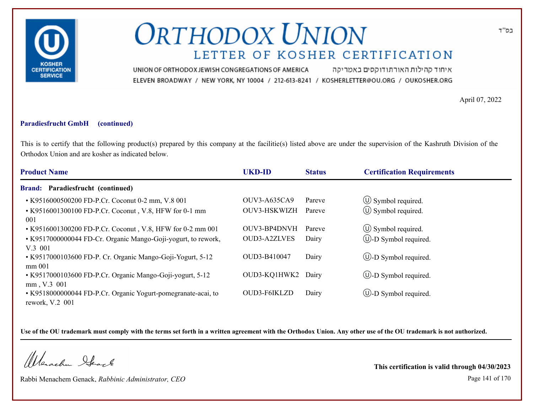

איחוד קהילות האורתודוקסים באמריקה UNION OF ORTHODOX JEWISH CONGREGATIONS OF AMERICA ELEVEN BROADWAY / NEW YORK, NY 10004 / 212-613-8241 / KOSHERLETTER@OU.ORG / OUKOSHER.ORG

April 07, 2022

#### **Paradiesfrucht GmbH (continued)**

This is to certify that the following product(s) prepared by this company at the facilitie(s) listed above are under the supervision of the Kashruth Division of the Orthodox Union and are kosher as indicated below.

| <b>Product Name</b>                                                              | <b>UKD-ID</b>       | <b>Status</b> | <b>Certification Requirements</b> |
|----------------------------------------------------------------------------------|---------------------|---------------|-----------------------------------|
| <b>Brand: Paradiesfrucht (continued)</b>                                         |                     |               |                                   |
| • K9516000500200 FD-P.Cr. Coconut 0-2 mm, V.8 001                                | <b>OUV3-A635CA9</b> | Pareve        | $\circ$ Symbol required.          |
| • K9516001300100 FD-P.Cr. Coconut, V.8, HFW for 0-1 mm<br>001                    | OUV3-HSKWIZH        | Pareve        | $\circ$ Symbol required.          |
| • K9516001300200 FD-P.Cr. Coconut, V.8, HFW for 0-2 mm 001                       | OUV3-BP4DNVH        | Pareve        | $\circ$ Symbol required.          |
| • K9517000000044 FD-Cr. Organic Mango-Goji-yogurt, to rework,<br>$V.3$ 001       | OUD3-A2ZLVES        | Dairy         | $\bigcirc$ -D Symbol required.    |
| • K9517000103600 FD-P. Cr. Organic Mango-Goji-Yogurt, 5-12<br>mm 001             | OUD3-B410047        | Dairy         | $\bigcirc$ -D Symbol required.    |
| • K9517000103600 FD-P.Cr. Organic Mango-Goji-yogurt, 5-12<br>mm, V.3 001         | OUD3-KQ1HWK2        | Dairy         | $\bigcirc$ -D Symbol required.    |
| • K9518000000044 FD-P.Cr. Organic Yogurt-pomegranate-acai, to<br>rework, V.2 001 | OUD3-F6IKLZD        | Dairy         | $\bigcup$ -D Symbol required.     |

**Use of the OU trademark must comply with the terms set forth in a written agreement with the Orthodox Union. Any other use of the OU trademark is not authorized.**

Werachen Ifearle

Rabbi Menachem Genack, *Rabbinic Administrator, CEO* Page 141 of 170

**This certification is valid through 04/30/2023**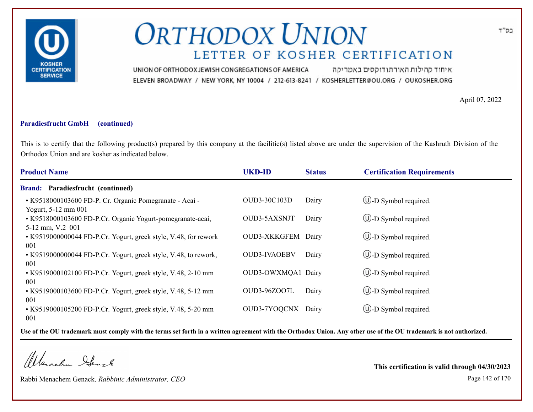

איחוד קהילות האורתודוקסים באמריקה UNION OF ORTHODOX JEWISH CONGREGATIONS OF AMERICA ELEVEN BROADWAY / NEW YORK, NY 10004 / 212-613-8241 / KOSHERLETTER@OU.ORG / OUKOSHER.ORG

April 07, 2022

### **Paradiesfrucht GmbH (continued)**

This is to certify that the following product(s) prepared by this company at the facilitie(s) listed above are under the supervision of the Kashruth Division of the Orthodox Union and are kosher as indicated below.

| <b>Product Name</b>                                                            | <b>UKD-ID</b>       | <b>Status</b> | <b>Certification Requirements</b> |
|--------------------------------------------------------------------------------|---------------------|---------------|-----------------------------------|
| Brand: Paradiesfrucht (continued)                                              |                     |               |                                   |
| • K9518000103600 FD-P. Cr. Organic Pomegranate - Acai -<br>Yogurt, 5-12 mm 001 | OUD3-30C103D        | Dairy         | $(U)$ -D Symbol required.         |
| • K9518000103600 FD-P.Cr. Organic Yogurt-pomegranate-acai,<br>5-12 mm, V.2 001 | OUD3-5AXSNJT        | Dairy         | $\cup$ -D Symbol required.        |
| • K9519000000044 FD-P.Cr. Yogurt, greek style, V.48, for rework<br>001         | OUD3-XKKGFEM Dairy  |               | $\cup$ -D Symbol required.        |
| • K9519000000044 FD-P.Cr. Yogurt, greek style, V.48, to rework,<br>001         | <b>OUD3-IVAOEBV</b> | Dairy         | $\bigcup$ -D Symbol required.     |
| • K9519000102100 FD-P.Cr. Yogurt, greek style, V.48, 2-10 mm<br>001            | OUD3-OWXMQA1 Dairy  |               | $\cup$ -D Symbol required.        |
| • K9519000103600 FD-P.Cr. Yogurt, greek style, V.48, 5-12 mm<br>001            | OUD3-96ZOO7L        | Dairy         | $\bigcup$ -D Symbol required.     |
| • K9519000105200 FD-P.Cr. Yogurt, greek style, V.48, 5-20 mm<br>001            | OUD3-7YOQCNX        | Dairy         | $\cup$ -D Symbol required.        |

**Use of the OU trademark must comply with the terms set forth in a written agreement with the Orthodox Union. Any other use of the OU trademark is not authorized.**

Werachen Stack

Rabbi Menachem Genack, *Rabbinic Administrator, CEO* Page 142 of 170

**This certification is valid through 04/30/2023**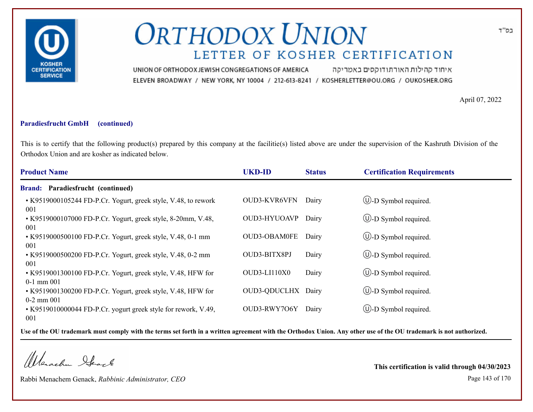

איחוד קהילות האורתודוקסים באמריקה UNION OF ORTHODOX JEWISH CONGREGATIONS OF AMERICA ELEVEN BROADWAY / NEW YORK, NY 10004 / 212-613-8241 / KOSHERLETTER@OU.ORG / OUKOSHER.ORG

April 07, 2022

#### **Paradiesfrucht GmbH (continued)**

This is to certify that the following product(s) prepared by this company at the facilitie(s) listed above are under the supervision of the Kashruth Division of the Orthodox Union and are kosher as indicated below.

| <b>Product Name</b>                                                            | <b>UKD-ID</b>       | <b>Status</b> | <b>Certification Requirements</b> |
|--------------------------------------------------------------------------------|---------------------|---------------|-----------------------------------|
| Paradiesfrucht (continued)<br><b>Brand:</b>                                    |                     |               |                                   |
| • K9519000105244 FD-P.Cr. Yogurt, greek style, V.48, to rework<br>001          | OUD3-KVR6VFN        | Dairy         | $\circled{1}$ -D Symbol required. |
| • K9519000107000 FD-P.Cr. Yogurt, greek style, 8-20mm, V.48,<br>001            | OUD3-HYUOAVP        | Dairy         | $\bigcup$ -D Symbol required.     |
| • K9519000500100 FD-P.Cr. Yogurt, greek style, V.48, 0-1 mm<br>001             | <b>OUD3-OBAM0FE</b> | Dairy         | (U)-D Symbol required.            |
| • K9519000500200 FD-P.Cr. Yogurt, greek style, V.48, 0-2 mm<br>001             | OUD3-BITX8PJ        | Dairy         | $\cup$ -D Symbol required.        |
| • K9519001300100 FD-P.Cr. Yogurt, greek style, V.48, HFW for<br>$0-1$ mm $001$ | $OUD3-LI110X0$      | Dairy         | $\bigcirc$ -D Symbol required.    |
| • K9519001300200 FD-P.Cr. Yogurt, greek style, V.48, HFW for<br>$0-2$ mm $001$ | <b>OUD3-QDUCLHX</b> | Dairy         | $\circled{1}$ -D Symbol required. |
| • K9519010000044 FD-P.Cr. yogurt greek style for rework, V.49,<br>001          | OUD3-RWY7O6Y        | Dairy         | $\cup$ -D Symbol required.        |

**Use of the OU trademark must comply with the terms set forth in a written agreement with the Orthodox Union. Any other use of the OU trademark is not authorized.**

Werachen Stack

Rabbi Menachem Genack, *Rabbinic Administrator, CEO* Page 143 of 170

**This certification is valid through 04/30/2023**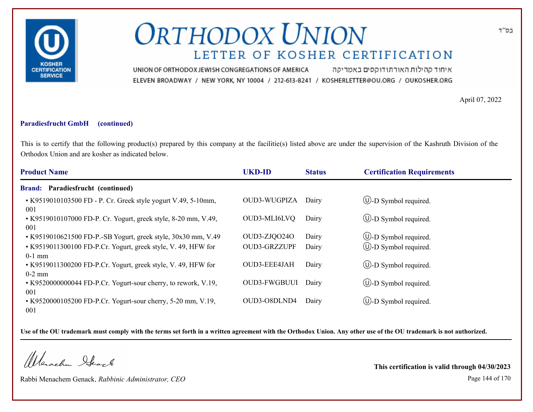

איחוד קהילות האורתודוקסים באמריקה UNION OF ORTHODOX JEWISH CONGREGATIONS OF AMERICA ELEVEN BROADWAY / NEW YORK, NY 10004 / 212-613-8241 / KOSHERLETTER@OU.ORG / OUKOSHER.ORG

April 07, 2022

#### **Paradiesfrucht GmbH (continued)**

This is to certify that the following product(s) prepared by this company at the facilitie(s) listed above are under the supervision of the Kashruth Division of the Orthodox Union and are kosher as indicated below.

| <b>Product Name</b>                                                       | <b>UKD-ID</b>       | <b>Status</b> | <b>Certification Requirements</b> |
|---------------------------------------------------------------------------|---------------------|---------------|-----------------------------------|
| <b>Brand: Paradiesfrucht (continued)</b>                                  |                     |               |                                   |
| • K9519010103500 FD - P. Cr. Greek style yogurt V.49, 5-10mm,<br>001      | <b>OUD3-WUGPIZA</b> | Dairy         | $\bigcirc$ -D Symbol required.    |
| • K9519010107000 FD-P. Cr. Yogurt, greek style, 8-20 mm, V.49,<br>001     | OUD3-MLI6LVQ        | Dairy         | $\bigcirc$ -D Symbol required.    |
| • K9519010621500 FD-P.-SB Yogurt, greek style, 30x30 mm, V.49             | OUD3-ZJQO24O        | Dairy         | <b>W</b> -D Symbol required.      |
| • K9519011300100 FD-P.Cr. Yogurt, greek style, V. 49, HFW for<br>$0-1$ mm | <b>OUD3-GRZZUPF</b> | Dairy         | (U)-D Symbol required.            |
| • K9519011300200 FD-P.Cr. Yogurt, greek style, V. 49, HFW for<br>$0-2$ mm | OUD3-EEE4JAH        | Dairy         | $\circled{1}$ -D Symbol required. |
| • K9520000000044 FD-P.Cr. Yogurt-sour cherry, to rework, V.19,<br>001     | <b>OUD3-FWGBUUI</b> | Dairy         | $\bigcirc$ -D Symbol required.    |
| • K9520000105200 FD-P.Cr. Yogurt-sour cherry, 5-20 mm, V.19,<br>001       | OUD3-O8DLND4        | Dairy         | $\cup$ -D Symbol required.        |

**Use of the OU trademark must comply with the terms set forth in a written agreement with the Orthodox Union. Any other use of the OU trademark is not authorized.**

Werachen Stack

Rabbi Menachem Genack, *Rabbinic Administrator, CEO* Page 144 of 170

**This certification is valid through 04/30/2023**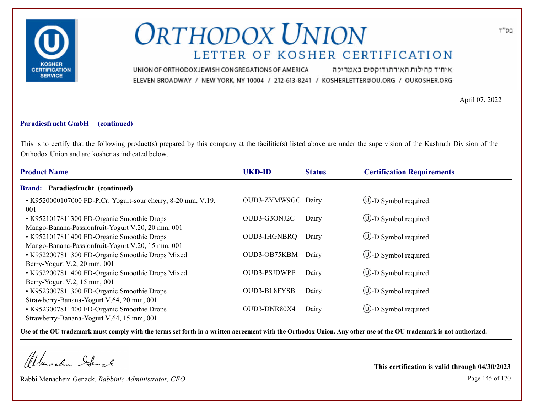

איחוד קהילות האורתודוקסים באמריקה UNION OF ORTHODOX JEWISH CONGREGATIONS OF AMERICA ELEVEN BROADWAY / NEW YORK, NY 10004 / 212-613-8241 / KOSHERLETTER@OU.ORG / OUKOSHER.ORG

April 07, 2022

### **Paradiesfrucht GmbH (continued)**

This is to certify that the following product(s) prepared by this company at the facilitie(s) listed above are under the supervision of the Kashruth Division of the Orthodox Union and are kosher as indicated below.

| <b>Product Name</b>                                                 | <b>UKD-ID</b>       | <b>Status</b> | <b>Certification Requirements</b> |
|---------------------------------------------------------------------|---------------------|---------------|-----------------------------------|
| <b>Brand: Paradiesfrucht (continued)</b>                            |                     |               |                                   |
| • K9520000107000 FD-P.Cr. Yogurt-sour cherry, 8-20 mm, V.19,<br>001 | OUD3-ZYMW9GC Dairy  |               | $\bigcup$ -D Symbol required.     |
| • K9521017811300 FD-Organic Smoothie Drops                          | OUD3-G3ONJ2C        | Dairy         | $\bigcirc$ -D Symbol required.    |
| Mango-Banana-Passionfruit-Yogurt V.20, 20 mm, 001                   |                     |               |                                   |
| • K9521017811400 FD-Organic Smoothie Drops                          | OUD3-IHGNBRQ        | Dairy         | $\circled{1}$ -D Symbol required. |
| Mango-Banana-Passionfruit-Yogurt V.20, 15 mm, 001                   |                     |               |                                   |
| • K9522007811300 FD-Organic Smoothie Drops Mixed                    | OUD3-OB75KBM        | Dairy         | $\bigcirc$ -D Symbol required.    |
| Berry-Yogurt V.2, $20 \text{ mm}$ , $001$                           |                     |               |                                   |
| • K9522007811400 FD-Organic Smoothie Drops Mixed                    | <b>OUD3-PSJDWPE</b> | Dairy         | $\bigcirc$ -D Symbol required.    |
| Berry-Yogurt V.2, $15 \text{ mm}$ , $001$                           |                     |               |                                   |
| • K9523007811300 FD-Organic Smoothie Drops                          | OUD3-BL8FYSB        | Dairy         | $\bigcirc$ -D Symbol required.    |
| Strawberry-Banana-Yogurt V.64, 20 mm, 001                           |                     |               |                                   |
| • K9523007811400 FD-Organic Smoothie Drops                          | OUD3-DNR80X4        | Dairy         | $\cup$ -D Symbol required.        |
| Strawberry-Banana-Yogurt V.64, 15 mm, 001                           |                     |               |                                   |

**Use of the OU trademark must comply with the terms set forth in a written agreement with the Orthodox Union. Any other use of the OU trademark is not authorized.**

Werachen Stack

Rabbi Menachem Genack, *Rabbinic Administrator, CEO* Page 145 of 170

**This certification is valid through 04/30/2023**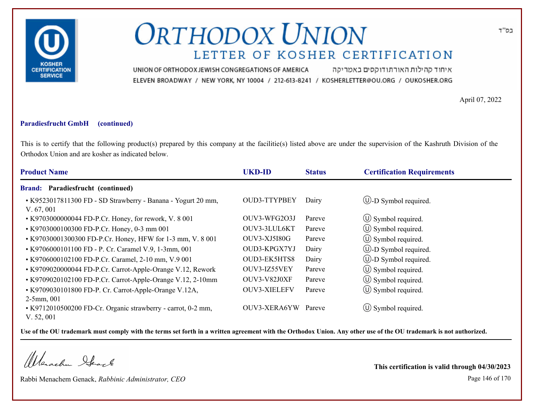

איחוד קהילות האורתודוקסים באמריקה UNION OF ORTHODOX JEWISH CONGREGATIONS OF AMERICA ELEVEN BROADWAY / NEW YORK, NY 10004 / 212-613-8241 / KOSHERLETTER@OU.ORG / OUKOSHER.ORG

April 07, 2022

### **Paradiesfrucht GmbH (continued)**

This is to certify that the following product(s) prepared by this company at the facilitie(s) listed above are under the supervision of the Kashruth Division of the Orthodox Union and are kosher as indicated below.

| <b>Product Name</b>                                                                         | <b>UKD-ID</b>       | <b>Status</b> | <b>Certification Requirements</b> |
|---------------------------------------------------------------------------------------------|---------------------|---------------|-----------------------------------|
| <b>Brand:</b><br>Paradiesfrucht (continued)                                                 |                     |               |                                   |
| • K9523017811300 FD - SD Strawberry - Banana - Yogurt 20 mm,<br>V. 67,001                   | <b>OUD3-TTYPBEY</b> | Dairy         | $\bigcirc$ -D Symbol required.    |
| • K9703000000044 FD-P.Cr. Honey, for rework, V. 8 001                                       | OUV3-WFG2O3J        | Pareve        | $\circ$ Symbol required.          |
| • K9703000100300 FD-P.Cr. Honey, 0-3 mm 001                                                 | OUV3-3LUL6KT        | Pareve        | $\circ$ Symbol required.          |
| • K97030001300300 FD-P.Cr. Honey, HFW for 1-3 mm, V. 8 001                                  | <b>OUV3-XJ5I80G</b> | Pareve        | $\circ$ Symbol required.          |
| • K9706000101100 FD - P. Cr. Caramel V.9, 1-3mm, 001                                        | OUD3-KPGX7YJ        | Dairy         | (U)-D Symbol required.            |
| • K9706000102100 FD-P.Cr. Caramel, 2-10 mm, V.9 001                                         | OUD3-EK5HTS8        | Dairy         | $\cup$ -D Symbol required.        |
| • K9709020000044 FD-P.Cr. Carrot-Apple-Orange V.12, Rework                                  | OUV3-IZ55VEY        | Pareve        | $\circ$ Symbol required.          |
| • K9709020102100 FD-P.Cr. Carrot-Apple-Orange V.12, 2-10mm                                  | OUV3-V82J0XF        | Pareve        | $\circ$ Symbol required.          |
| • K9709030101800 FD-P. Cr. Carrot-Apple-Orange V.12A,                                       | <b>OUV3-XIELEFV</b> | Pareve        | $\circ$ Symbol required.          |
| $2-5$ mm, 001<br>• K9712010500200 FD-Cr. Organic strawberry - carrot, 0-2 mm,<br>V. 52, 001 | OUV3-XERA6YW        | Pareve        | $\circ$ Symbol required.          |

**Use of the OU trademark must comply with the terms set forth in a written agreement with the Orthodox Union. Any other use of the OU trademark is not authorized.**

Werschn Heark

Rabbi Menachem Genack, *Rabbinic Administrator, CEO* Page 146 of 170

**This certification is valid through 04/30/2023**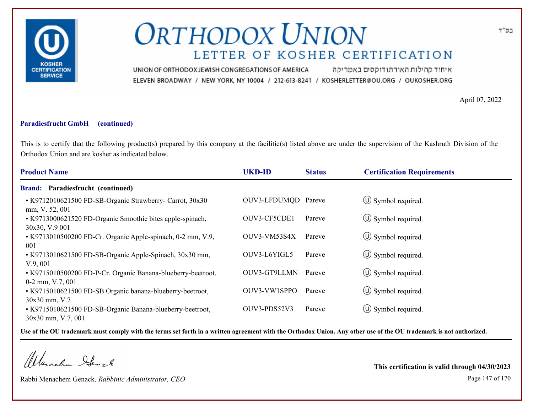

איחוד קהילות האורתודוקסים באמריקה UNION OF ORTHODOX JEWISH CONGREGATIONS OF AMERICA ELEVEN BROADWAY / NEW YORK, NY 10004 / 212-613-8241 / KOSHERLETTER@OU.ORG / OUKOSHER.ORG

April 07, 2022

### **Paradiesfrucht GmbH (continued)**

This is to certify that the following product(s) prepared by this company at the facilitie(s) listed above are under the supervision of the Kashruth Division of the Orthodox Union and are kosher as indicated below.

| <b>Product Name</b>                                                                | <b>UKD-ID</b>       | <b>Status</b> | <b>Certification Requirements</b> |
|------------------------------------------------------------------------------------|---------------------|---------------|-----------------------------------|
| Brand: Paradiesfrucht (continued)                                                  |                     |               |                                   |
| • K9712010621500 FD-SB-Organic Strawberry- Carrot, 30x30<br>mm, V. 52, 001         | OUV3-LFDUMQD Pareve |               | $\circ$ Symbol required.          |
| • K9713000621520 FD-Organic Smoothie bites apple-spinach,<br>30x30, V.9 001        | OUV3-CF5CDE1        | Pareve        | $\circ$ Symbol required.          |
| • K9713010500200 FD-Cr. Organic Apple-spinach, 0-2 mm, V.9,<br>001                 | OUV3-VM53S4X        | Pareve        | $\circ$ Symbol required.          |
| • K9713010621500 FD-SB-Organic Apple-Spinach, 30x30 mm,<br>V.9,001                 | OUV3-L6YIGL5        | Pareve        | $\circled{1}$ Symbol required.    |
| • K9715010500200 FD-P-Cr. Organic Banana-blueberry-beetroot,<br>$0-2$ mm, V.7, 001 | OUV3-GT9LLMN        | Pareve        | $\circ$ Symbol required.          |
| • K9715010621500 FD-SB Organic banana-blueberry-beetroot,<br>30x30 mm, V.7         | OUV3-VW1SPPO        | Pareve        | $\circ$ Symbol required.          |
| • K9715010621500 FD-SB-Organic Banana-blueberry-beetroot,<br>30x30 mm, V.7, 001    | OUV3-PDS52V3        | Pareve        | $\circ$ Symbol required.          |

**Use of the OU trademark must comply with the terms set forth in a written agreement with the Orthodox Union. Any other use of the OU trademark is not authorized.**

Werachen Stack

Rabbi Menachem Genack, *Rabbinic Administrator, CEO* Page 147 of 170

**This certification is valid through 04/30/2023**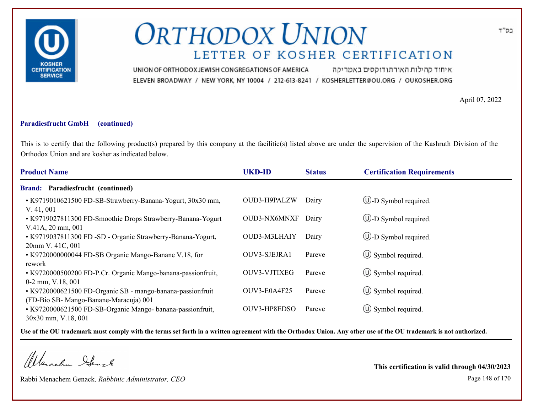

איחוד קהילות האורתודוקסים באמריקה UNION OF ORTHODOX JEWISH CONGREGATIONS OF AMERICA ELEVEN BROADWAY / NEW YORK, NY 10004 / 212-613-8241 / KOSHERLETTER@OU.ORG / OUKOSHER.ORG

April 07, 2022

### **Paradiesfrucht GmbH (continued)**

This is to certify that the following product(s) prepared by this company at the facilitie(s) listed above are under the supervision of the Kashruth Division of the Orthodox Union and are kosher as indicated below.

| <b>Product Name</b>                                                                                                        | <b>UKD-ID</b> | <b>Status</b> | <b>Certification Requirements</b> |
|----------------------------------------------------------------------------------------------------------------------------|---------------|---------------|-----------------------------------|
| Brand: Paradiesfrucht (continued)                                                                                          |               |               |                                   |
| • K9719010621500 FD-SB-Strawberry-Banana-Yogurt, 30x30 mm,<br>V. 41,001                                                    | OUD3-H9PALZW  | Dairy         | $\bigcirc$ -D Symbol required.    |
| • K9719027811300 FD-Smoothie Drops Strawberry-Banana-Yogurt<br>V.41A, 20 mm, 001                                           | OUD3-NX6MNXF  | Dairy         | $\bigcup$ -D Symbol required.     |
| • K9719037811300 FD -SD - Organic Strawberry-Banana-Yogurt,<br>20mm V. 41C, 001                                            | OUD3-M3LHAIY  | Dairy         | $\bigcup$ -D Symbol required.     |
| • K9720000000044 FD-SB Organic Mango-Banane V.18, for                                                                      | OUV3-SJEJRA1  | Pareve        | $\circ$ Symbol required.          |
| rework<br>• K9720000500200 FD-P.Cr. Organic Mango-banana-passionfruit,<br>$0-2$ mm, V.18, 001                              | OUV3-VJTIXEG  | Pareve        | $\circled{1}$ Symbol required.    |
| • K9720000621500 FD-Organic SB - mango-banana-passionfruit                                                                 | OUV3-E0A4F25  | Pareve        | $\circled{1}$ Symbol required.    |
| (FD-Bio SB- Mango-Banane-Maracuja) 001<br>• K9720000621500 FD-SB-Organic Mango-banana-passionfruit,<br>30x30 mm, V.18, 001 | OUV3-HP8EDSO  | Pareve        | $\circ$ Symbol required.          |

**Use of the OU trademark must comply with the terms set forth in a written agreement with the Orthodox Union. Any other use of the OU trademark is not authorized.**

Werschn Heark

Rabbi Menachem Genack, *Rabbinic Administrator, CEO* Page 148 of 170

**This certification is valid through 04/30/2023**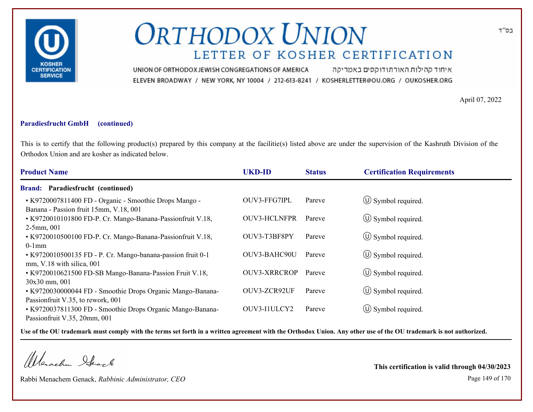

איחוד קהילות האורתודוקסים באמריקה UNION OF ORTHODOX JEWISH CONGREGATIONS OF AMERICA ELEVEN BROADWAY / NEW YORK, NY 10004 / 212-613-8241 / KOSHERLETTER@OU.ORG / OUKOSHER.ORG

April 07, 2022

### **Paradiesfrucht GmbH (continued)**

This is to certify that the following product(s) prepared by this company at the facilitie(s) listed above are under the supervision of the Kashruth Division of the Orthodox Union and are kosher as indicated below.

| <b>Product Name</b>                                                                              | <b>UKD-ID</b>       | <b>Status</b> | <b>Certification Requirements</b> |
|--------------------------------------------------------------------------------------------------|---------------------|---------------|-----------------------------------|
| <b>Brand: Paradiesfrucht (continued)</b>                                                         |                     |               |                                   |
| • K9720007811400 FD - Organic - Smoothie Drops Mango -<br>Banana - Passion fruit 15mm, V.18, 001 | OUV3-FFG7IPL        | Pareve        | $\circ$ Symbol required.          |
| • K9720010101800 FD-P. Cr. Mango-Banana-Passionfruit V.18,<br>$2-5$ mm, 001                      | <b>OUV3-HCLNFPR</b> | Pareve        | $\circ$ Symbol required.          |
| • K9720010500100 FD-P. Cr. Mango-Banana-Passionfruit V.18,                                       | OUV3-T3BF8PY        | Pareve        | $\circ$ Symbol required.          |
| $0-1$ mm<br>• K9720010500135 FD - P. Cr. Mango-banana-passion fruit 0-1                          | OUV3-BAHC90U        | Pareve        | $\circ$ Symbol required.          |
| $mm, V.18$ with silica, 001<br>• K9720010621500 FD-SB Mango-Banana-Passion Fruit V.18,           | <b>OUV3-XRRCROP</b> | Pareve        | $\circled{1}$ Symbol required.    |
| 30x30 mm, 001<br>• K9720030000044 FD - Smoothie Drops Organic Mango-Banana-                      | OUV3-ZCR92UF        | Pareve        | $\circ$ Symbol required.          |
| Passionfruit V.35, to rework, 001<br>• K9720037811300 FD - Smoothie Drops Organic Mango-Banana-  | OUV3-I1ULCY2        | Pareve        | $\circ$ Symbol required.          |
| Passionfruit V.35, 20mm, 001                                                                     |                     |               |                                   |

**Use of the OU trademark must comply with the terms set forth in a written agreement with the Orthodox Union. Any other use of the OU trademark is not authorized.**

Werachen Stack

Rabbi Menachem Genack, *Rabbinic Administrator, CEO* Page 149 of 170

**This certification is valid through 04/30/2023**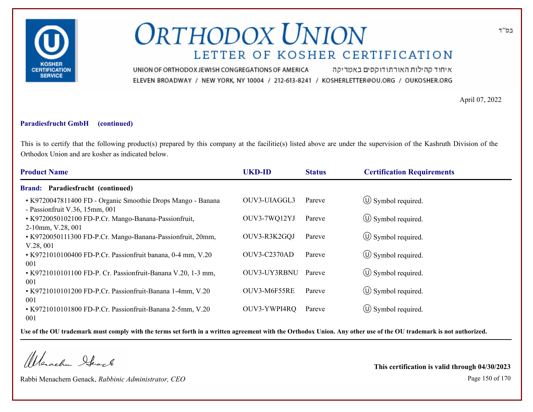

איחוד קהילות האורתודוקסים באמריקה UNION OF ORTHODOX JEWISH CONGREGATIONS OF AMERICA ELEVEN BROADWAY / NEW YORK, NY 10004 / 212-613-8241 / KOSHERLETTER@OU.ORG / OUKOSHER.ORG

April 07, 2022

### **Paradiesfrucht GmbH (continued)**

This is to certify that the following product(s) prepared by this company at the facilitie(s) listed above are under the supervision of the Kashruth Division of the Orthodox Union and are kosher as indicated below.

| <b>Product Name</b>                                                                           | <b>UKD-ID</b>       | <b>Status</b> | <b>Certification Requirements</b> |
|-----------------------------------------------------------------------------------------------|---------------------|---------------|-----------------------------------|
| Paradiesfrucht (continued)<br><b>Brand:</b>                                                   |                     |               |                                   |
| • K9720047811400 FD - Organic Smoothie Drops Mango - Banana<br>- Passionfruit V.36, 15mm, 001 | OUV3-UIAGGL3        | Pareve        | $\circ$ Symbol required.          |
| • K9720050102100 FD-P.Cr. Mango-Banana-Passionfruit,<br>$2-10$ mm, V.28, 001                  | OUV3-7WQ12YJ        | Pareve        | $\circ$ Symbol required.          |
| • K9720050111300 FD-P.Cr. Mango-Banana-Passionfruit, 20mm,<br>V.28,001                        | OUV3-R3K2GQJ        | Pareve        | $\circ$ Symbol required.          |
| • K9721010100400 FD-P.Cr. Passionfruit banana, 0-4 mm, V.20<br>001                            | <b>OUV3-C2370AD</b> | Pareve        | $\circ$ Symbol required.          |
| • K9721010101100 FD-P. Cr. Passionfruit-Banana V.20, 1-3 mm,<br>001                           | OUV3-UY3RBNU        | Pareve        | $\circled{1}$ Symbol required.    |
| • K9721010101200 FD-P.Cr. Passionfruit-Banana 1-4mm, V.20<br>001                              | OUV3-M6F55RE        | Pareve        | $\circ$ Symbol required.          |
| • K9721010101800 FD-P.Cr. Passionfruit-Banana 2-5mm, V.20<br>001                              | OUV3-YWPI4RQ        | Pareve        | $\circ$ Symbol required.          |

**Use of the OU trademark must comply with the terms set forth in a written agreement with the Orthodox Union. Any other use of the OU trademark is not authorized.**

Werachen Stack

Rabbi Menachem Genack, *Rabbinic Administrator, CEO* Page 150 of 170

**This certification is valid through 04/30/2023**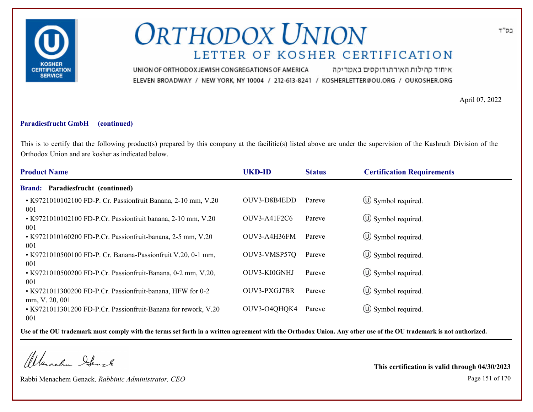

איחוד קהילות האורתודוקסים באמריקה UNION OF ORTHODOX JEWISH CONGREGATIONS OF AMERICA ELEVEN BROADWAY / NEW YORK, NY 10004 / 212-613-8241 / KOSHERLETTER@OU.ORG / OUKOSHER.ORG

April 07, 2022

### **Paradiesfrucht GmbH (continued)**

This is to certify that the following product(s) prepared by this company at the facilitie(s) listed above are under the supervision of the Kashruth Division of the Orthodox Union and are kosher as indicated below.

| <b>Product Name</b>                                                                     | <b>UKD-ID</b>  | <b>Status</b> | <b>Certification Requirements</b> |
|-----------------------------------------------------------------------------------------|----------------|---------------|-----------------------------------|
| <b>Brand: Paradiesfrucht (continued)</b>                                                |                |               |                                   |
| • K9721010102100 FD-P. Cr. Passionfruit Banana, 2-10 mm, V.20<br>001                    | OUV3-D8B4EDD   | Pareve        | $\circ$ Symbol required.          |
| • K9721010102100 FD-P.Cr. Passionfruit banana, 2-10 mm, V.20<br>001                     | $OUV3-A41F2C6$ | Pareve        | $\circ$ Symbol required.          |
| • K9721010160200 FD-P.Cr. Passionfruit-banana, 2-5 mm, V.20<br>001                      | OUV3-A4H36FM   | Pareve        | $\circ$ Symbol required.          |
| • K9721010500100 FD-P. Cr. Banana-Passionfruit V.20, 0-1 mm,                            | OUV3-VMSP57Q   | Pareve        | $\circ$ Symbol required.          |
| 001<br>• K9721010500200 FD-P.Cr. Passionfruit-Banana, 0-2 mm, V.20,<br>001              | OUV3-KI0GNHJ   | Pareve        | $\circled{1}$ Symbol required.    |
| • K9721011300200 FD-P.Cr. Passionfruit-banana, HFW for 0-2                              | OUV3-PXGJ7BR   | Pareve        | $\circ$ Symbol required.          |
| mm, V. 20, 001<br>• K9721011301200 FD-P.Cr. Passionfruit-Banana for rework, V.20<br>001 | OUV3-O4QHQK4   | Pareve        | $\circ$ Symbol required.          |

**Use of the OU trademark must comply with the terms set forth in a written agreement with the Orthodox Union. Any other use of the OU trademark is not authorized.**

Werachen Stack

Rabbi Menachem Genack, *Rabbinic Administrator, CEO* Page 151 of 170

**This certification is valid through 04/30/2023**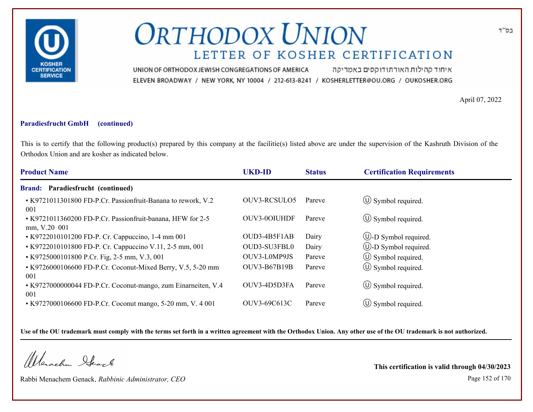

איחוד קהילות האורתודוקסים באמריקה UNION OF ORTHODOX JEWISH CONGREGATIONS OF AMERICA ELEVEN BROADWAY / NEW YORK, NY 10004 / 212-613-8241 / KOSHERLETTER@OU.ORG / OUKOSHER.ORG

April 07, 2022

### **Paradiesfrucht GmbH (continued)**

This is to certify that the following product(s) prepared by this company at the facilitie(s) listed above are under the supervision of the Kashruth Division of the Orthodox Union and are kosher as indicated below.

| <b>Product Name</b>                                                        | <b>UKD-ID</b>       | <b>Status</b> | <b>Certification Requirements</b> |
|----------------------------------------------------------------------------|---------------------|---------------|-----------------------------------|
| Brand: Paradiesfrucht (continued)                                          |                     |               |                                   |
| • K9721011301800 FD-P.Cr. Passionfruit-Banana to rework, V.2<br>001        | OUV3-RCSULO5        | Pareve        | $\circled{1}$ Symbol required.    |
| • K9721011360200 FD-P.Cr. Passionfruit-banana, HFW for 2-5<br>mm, V.20 001 | OUV3-0OIUHDF        | Pareve        | $\circ$ Symbol required.          |
| • K9722010101200 FD-P. Cr. Cappuccino, 1-4 mm 001                          | OUD3-4B5F1AB        | Dairy         | $\circled{1}$ -D Symbol required. |
| • K9722010101800 FD-P. Cr. Cappuccino V.11, 2-5 mm, 001                    | OUD3-SU3FBL0        | Dairy         | $\bigcirc$ -D Symbol required.    |
| • K9725000101800 P.Cr. Fig. 2-5 mm, V.3, 001                               | OUV3-L0MP9JS        | Pareve        | $\circ$ Symbol required.          |
| • K9726000106600 FD-P.Cr. Coconut-Mixed Berry, V.5, 5-20 mm<br>001         | <b>OUV3-B67B19B</b> | Pareve        | $\circled{1}$ Symbol required.    |
| • K9727000000044 FD-P.Cr. Coconut-mango, zum Einarneiten, V.4<br>001       | OUV3-4D5D3FA        | Pareve        | $\circ$ Symbol required.          |
| • K9727000106600 FD-P.Cr. Coconut mango, 5-20 mm, V. 4 001                 | OUV3-69C613C        | Pareve        | $\circ$ Symbol required.          |

**Use of the OU trademark must comply with the terms set forth in a written agreement with the Orthodox Union. Any other use of the OU trademark is not authorized.**

Werachen Stack

Rabbi Menachem Genack, *Rabbinic Administrator, CEO* Page 152 of 170

**This certification is valid through 04/30/2023**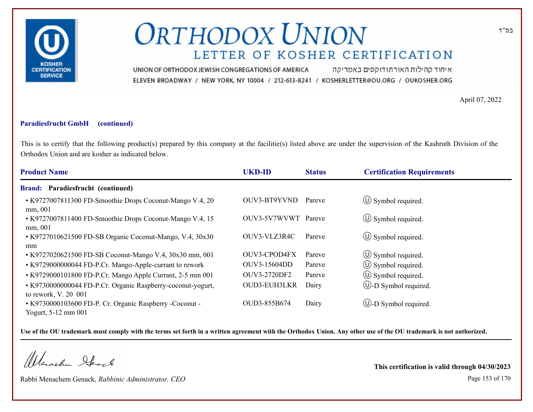

איחוד קהילות האורתודוקסים באמריקה UNION OF ORTHODOX JEWISH CONGREGATIONS OF AMERICA ELEVEN BROADWAY / NEW YORK, NY 10004 / 212-613-8241 / KOSHERLETTER@OU.ORG / OUKOSHER.ORG

April 07, 2022

### **Paradiesfrucht GmbH (continued)**

This is to certify that the following product(s) prepared by this company at the facilitie(s) listed above are under the supervision of the Kashruth Division of the Orthodox Union and are kosher as indicated below.

| <b>Product Name</b>                                                 | <b>UKD-ID</b> | <b>Status</b> | <b>Certification Requirements</b> |
|---------------------------------------------------------------------|---------------|---------------|-----------------------------------|
| Paradiesfrucht (continued)<br><b>Brand:</b>                         |               |               |                                   |
| • K9727007811300 FD-Smoothie Drops Coconut-Mango V.4, 20<br>mm, 001 | OUV3-BT9YVND  | Pareve        | $\circ$ Symbol required.          |
| • K9727007811400 FD-Smoothie Drops Coconut-Mango V.4, 15<br>mm, 001 | OUV3-5V7WVWT  | Pareve        | $\circ$ Symbol required.          |
| • K9727010621500 FD-SB Organic Coconut-Mango, V.4, 30x30            | OUV3-VLZ3R4C  | Pareve        | $\circ$ Symbol required.          |
| mm                                                                  |               |               |                                   |
| • K9727020621500 FD-SB Coconut-Mango V.4, 30x30 mm, 001             | OUV3-CPOD4FX  | Pareve        | $\circ$ Symbol required.          |
| • K9729000000044 FD-P.Cr. Mango-Apple-currant to rework             | OUV3-15604DD  | Pareve        | $\circled{1}$ Symbol required.    |
| • K9729000101800 FD-P.Cr. Mango Apple Currant, 2-5 mm 001           | OUV3-2720DF2  | Pareve        | $\circ$ Symbol required.          |
| • K9730000000044 FD-P.Cr. Organic Raspberry-coconut-yogurt,         | OUD3-EUH3LKR  | Dairy         | $\circled{1}$ -D Symbol required. |
| to rework, V. 20 001                                                |               |               |                                   |
| • K9730000103600 FD-P. Cr. Organic Raspberry -Coconut -             | OUD3-855B674  | Dairy         | $\cup$ -D Symbol required.        |
| Yogurt, 5-12 mm 001                                                 |               |               |                                   |

**Use of the OU trademark must comply with the terms set forth in a written agreement with the Orthodox Union. Any other use of the OU trademark is not authorized.**

Werachen Stack

Rabbi Menachem Genack, *Rabbinic Administrator, CEO* Page 153 of 170

**This certification is valid through 04/30/2023**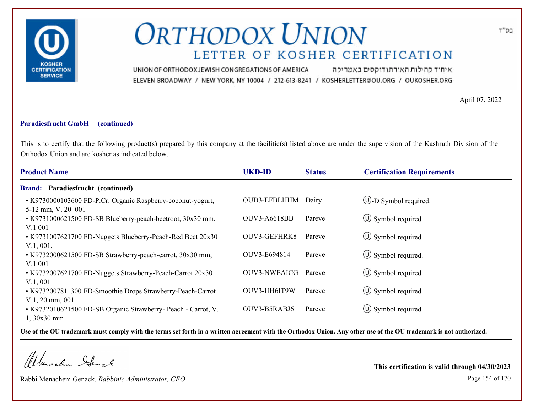

איחוד קהילות האורתודוקסים באמריקה UNION OF ORTHODOX JEWISH CONGREGATIONS OF AMERICA ELEVEN BROADWAY / NEW YORK, NY 10004 / 212-613-8241 / KOSHERLETTER@OU.ORG / OUKOSHER.ORG

April 07, 2022

### **Paradiesfrucht GmbH (continued)**

This is to certify that the following product(s) prepared by this company at the facilitie(s) listed above are under the supervision of the Kashruth Division of the Orthodox Union and are kosher as indicated below.

| <b>Product Name</b>                                                               | <b>UKD-ID</b>       | <b>Status</b> | <b>Certification Requirements</b> |
|-----------------------------------------------------------------------------------|---------------------|---------------|-----------------------------------|
| Brand: Paradiesfrucht (continued)                                                 |                     |               |                                   |
| • K9730000103600 FD-P.Cr. Organic Raspberry-coconut-yogurt,<br>5-12 mm, V. 20 001 | OUD3-EFBLHHM        | Dairy         | $\bigcirc$ -D Symbol required.    |
| • K9731000621500 FD-SB Blueberry-peach-beetroot, 30x30 mm,<br>V.1 001             | OUV3-A6618BB        | Pareve        | $\circ$ Symbol required.          |
| • K9731007621700 FD-Nuggets Blueberry-Peach-Red Beet 20x30<br>V.1, 001,           | OUV3-GEFHRK8        | Pareve        | $\circ$ Symbol required.          |
| • K9732000621500 FD-SB Strawberry-peach-carrot, 30x30 mm,<br>V.1001               | OUV3-E694814        | Pareve        | $\circ$ Symbol required.          |
| • K9732007621700 FD-Nuggets Strawberry-Peach-Carrot 20x30<br>V.1,001              | <b>OUV3-NWEAICG</b> | Pareve        | $\circ$ Symbol required.          |
| • K9732007811300 FD-Smoothie Drops Strawberry-Peach-Carrot<br>$V.1, 20$ mm, 001   | OUV3-UH6IT9W        | Pareve        | $\circled{1}$ Symbol required.    |
| • K9732010621500 FD-SB Organic Strawberry- Peach - Carrot, V.<br>$1,30x30$ mm     | OUV3-B5RABJ6        | Pareve        | $\circ$ Symbol required.          |

**Use of the OU trademark must comply with the terms set forth in a written agreement with the Orthodox Union. Any other use of the OU trademark is not authorized.**

Werschn Heark

Rabbi Menachem Genack, *Rabbinic Administrator, CEO* Page 154 of 170

**This certification is valid through 04/30/2023**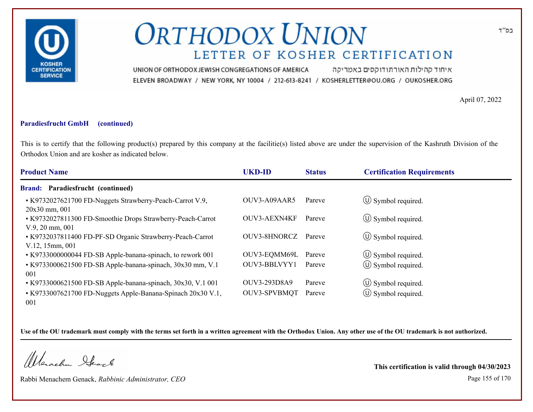

איחוד קהילות האורתודוקסים באמריקה UNION OF ORTHODOX JEWISH CONGREGATIONS OF AMERICA ELEVEN BROADWAY / NEW YORK, NY 10004 / 212-613-8241 / KOSHERLETTER@OU.ORG / OUKOSHER.ORG

April 07, 2022

### **Paradiesfrucht GmbH (continued)**

This is to certify that the following product(s) prepared by this company at the facilitie(s) listed above are under the supervision of the Kashruth Division of the Orthodox Union and are kosher as indicated below.

| <b>Product Name</b>                                                                     | <b>UKD-ID</b>       | <b>Status</b> | <b>Certification Requirements</b> |  |
|-----------------------------------------------------------------------------------------|---------------------|---------------|-----------------------------------|--|
| <b>Brand: Paradiesfrucht (continued)</b>                                                |                     |               |                                   |  |
| • K9732027621700 FD-Nuggets Strawberry-Peach-Carrot V.9,<br>20x30 mm, 001               | OUV3-A09AAR5        | Pareve        | $\circ$ Symbol required.          |  |
| • K9732027811300 FD-Smoothie Drops Strawberry-Peach-Carrot<br>$V.9, 20 \text{ mm}, 001$ | <b>OUV3-AEXN4KF</b> | Pareve        | $\circ$ Symbol required.          |  |
| • K9732037811400 FD-PF-SD Organic Strawberry-Peach-Carrot<br>$V.12, 15$ mm, 001         | OUV3-8HNORCZ        | Pareve        | $\circ$ Symbol required.          |  |
| • K9733000000044 FD-SB Apple-banana-spinach, to rework 001                              | OUV3-EQMM69L        | Pareve        | $\circ$ Symbol required.          |  |
| • K9733000621500 FD-SB Apple-banana-spinach, 30x30 mm, V.1<br>001                       | OUV3-BBLVYY1        | Pareve        | $\circled{1}$ Symbol required.    |  |
| • K9733000621500 FD-SB Apple-banana-spinach, 30x30, V.1 001                             | OUV3-293D8A9        | Pareve        | $\circled{1}$ Symbol required.    |  |
| • K9733007621700 FD-Nuggets Apple-Banana-Spinach 20x30 V.1,<br>001                      | OUV3-SPVBMQT        | Pareve        | $\circled{1}$ Symbol required.    |  |

**Use of the OU trademark must comply with the terms set forth in a written agreement with the Orthodox Union. Any other use of the OU trademark is not authorized.**

Werachen Stack

Rabbi Menachem Genack, *Rabbinic Administrator, CEO* Page 155 of 170

**This certification is valid through 04/30/2023**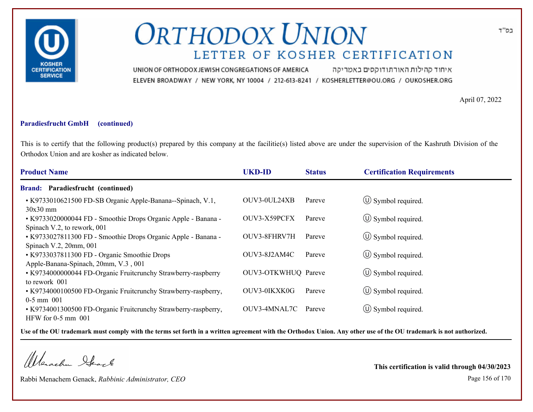

איחוד קהילות האורתודוקסים באמריקה UNION OF ORTHODOX JEWISH CONGREGATIONS OF AMERICA ELEVEN BROADWAY / NEW YORK, NY 10004 / 212-613-8241 / KOSHERLETTER@OU.ORG / OUKOSHER.ORG

April 07, 2022

### **Paradiesfrucht GmbH (continued)**

This is to certify that the following product(s) prepared by this company at the facilitie(s) listed above are under the supervision of the Kashruth Division of the Orthodox Union and are kosher as indicated below.

| <b>Product Name</b>                                                                          | <b>UKD-ID</b>       | <b>Status</b> | <b>Certification Requirements</b> |
|----------------------------------------------------------------------------------------------|---------------------|---------------|-----------------------------------|
| Brand: Paradiesfrucht (continued)                                                            |                     |               |                                   |
| • K9733010621500 FD-SB Organic Apple-Banana--Spinach, V.1,<br>$30x30$ mm                     | OUV3-0UL24XB        | Pareve        | $\circ$ Symbol required.          |
| • K9733020000044 FD - Smoothie Drops Organic Apple - Banana -<br>Spinach V.2, to rework, 001 | OUV3-X59PCFX        | Pareve        | $\circ$ Symbol required.          |
| • K9733027811300 FD - Smoothie Drops Organic Apple - Banana -<br>Spinach V.2, 20mm, 001      | OUV3-8FHRV7H        | Pareve        | $\circ$ Symbol required.          |
| • K9733037811300 FD - Organic Smoothie Drops<br>Apple-Banana-Spinach, 20mm, V.3, 001         | OUV3-8J2AM4C        | Pareve        | $\circ$ Symbol required.          |
| • K9734000000044 FD-Organic Fruitcrunchy Strawberry-raspberry<br>to rework 001               | OUV3-OTKWHUQ Pareve |               | $\circ$ Symbol required.          |
| • K9734000100500 FD-Organic Fruiterunchy Strawberry-raspberry,<br>$0-5$ mm $001$             | OUV3-0IKXK0G        | Pareve        | $\circ$ Symbol required.          |
| • K9734001300500 FD-Organic Fruiterunchy Strawberry-raspberry,<br>HFW for $0-5$ mm $001$     | OUV3-4MNAL7C        | Pareve        | $\circ$ Symbol required.          |

**Use of the OU trademark must comply with the terms set forth in a written agreement with the Orthodox Union. Any other use of the OU trademark is not authorized.**

Werachen Stack

Rabbi Menachem Genack, *Rabbinic Administrator, CEO* Page 156 of 170

**This certification is valid through 04/30/2023**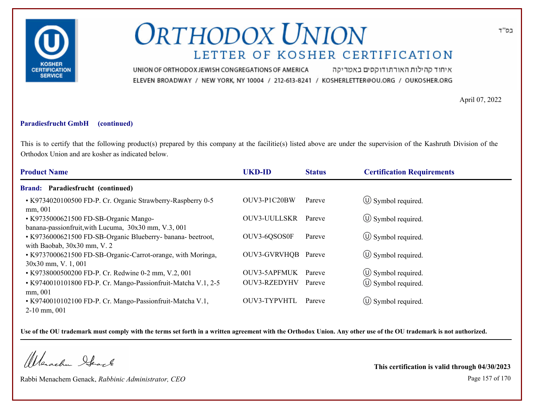

איחוד קהילות האורתודוקסים באמריקה UNION OF ORTHODOX JEWISH CONGREGATIONS OF AMERICA ELEVEN BROADWAY / NEW YORK, NY 10004 / 212-613-8241 / KOSHERLETTER@OU.ORG / OUKOSHER.ORG

April 07, 2022

### **Paradiesfrucht GmbH (continued)**

This is to certify that the following product(s) prepared by this company at the facilitie(s) listed above are under the supervision of the Kashruth Division of the Orthodox Union and are kosher as indicated below.

| <b>Product Name</b>                                                                           | <b>UKD-ID</b>       | <b>Status</b> | <b>Certification Requirements</b> |  |
|-----------------------------------------------------------------------------------------------|---------------------|---------------|-----------------------------------|--|
| <b>Brand: Paradiesfrucht (continued)</b>                                                      |                     |               |                                   |  |
| • K9734020100500 FD-P. Cr. Organic Strawberry-Raspberry 0-5<br>mm, 001                        | OUV3-P1C20BW        | Pareve        | $\circ$ Symbol required.          |  |
| • K9735000621500 FD-SB-Organic Mango-<br>banana-passionfruit, with Lucuma, 30x30 mm, V.3, 001 | <b>OUV3-UULLSKR</b> | Pareve        | $\circ$ Symbol required.          |  |
| • K9736000621500 FD-SB-Organic Blueberry- banana- beetroot,<br>with Baobab, $30x30$ mm, V. 2  | OUV3-6QSOS0F        | Pareve        | $\circ$ Symbol required.          |  |
| • K9737000621500 FD-SB-Organic-Carrot-orange, with Moringa,<br>$30x30$ mm, V. 1, 001          | OUV3-GVRVHQB Pareve |               | $\circ$ Symbol required.          |  |
| • K9738000500200 FD-P. Cr. Redwine 0-2 mm, V.2, 001                                           | <b>OUV3-5APFMUK</b> | Pareve        | $\circled{1}$ Symbol required.    |  |
| • K9740010101800 FD-P. Cr. Mango-Passionfruit-Matcha V.1, 2-5<br>mm, 001                      | OUV3-RZEDYHV        | Pareve        | $\circled{1}$ Symbol required.    |  |
| • K9740010102100 FD-P. Cr. Mango-Passionfruit-Matcha V.1,<br>$2-10$ mm, 001                   | OUV3-TYPVHTL        | Pareve        | $\circ$ Symbol required.          |  |

**Use of the OU trademark must comply with the terms set forth in a written agreement with the Orthodox Union. Any other use of the OU trademark is not authorized.**

Werschn Heark

Rabbi Menachem Genack, *Rabbinic Administrator, CEO* Page 157 of 170

**This certification is valid through 04/30/2023**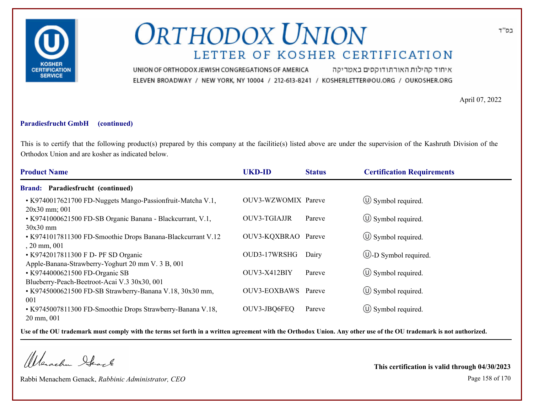

איחוד קהילות האורתודוקסים באמריקה UNION OF ORTHODOX JEWISH CONGREGATIONS OF AMERICA ELEVEN BROADWAY / NEW YORK, NY 10004 / 212-613-8241 / KOSHERLETTER@OU.ORG / OUKOSHER.ORG

April 07, 2022

### **Paradiesfrucht GmbH (continued)**

This is to certify that the following product(s) prepared by this company at the facilitie(s) listed above are under the supervision of the Kashruth Division of the Orthodox Union and are kosher as indicated below.

| <b>Product Name</b>                                                                      | <b>UKD-ID</b>       | <b>Status</b> | <b>Certification Requirements</b> |
|------------------------------------------------------------------------------------------|---------------------|---------------|-----------------------------------|
| Paradiesfrucht (continued)<br><b>Brand:</b>                                              |                     |               |                                   |
| • K9740017621700 FD-Nuggets Mango-Passionfruit-Matcha V.1,<br>20x30 mm; 001              | OUV3-WZWOMIX Pareve |               | $\circ$ Symbol required.          |
| • K9741000621500 FD-SB Organic Banana - Blackcurrant, V.1,<br>$30x30$ mm                 | <b>OUV3-TGIAJJR</b> | Pareve        | $\circ$ Symbol required.          |
| • K9741017811300 FD-Smoothie Drops Banana-Blackcurrant V.12<br>$, 20$ mm, $001$          | OUV3-KQXBRAO Pareve |               | $\circ$ Symbol required.          |
| • K9742017811300 F D- PF SD Organic<br>Apple-Banana-Strawberry-Yoghurt 20 mm V. 3 B, 001 | OUD3-17WRSHG        | Dairy         | $\cup$ -D Symbol required.        |
| • K9744000621500 FD-Organic SB<br>Blueberry-Peach-Beetroot-Acai V.3 30x30, 001           | OUV3-X412BIY        | Pareve        | $\circ$ Symbol required.          |
| • K9745000621500 FD-SB Strawberry-Banana V.18, 30x30 mm,<br>001                          | <b>OUV3-EOXBAWS</b> | Pareve        | $\circ$ Symbol required.          |
| • K9745007811300 FD-Smoothie Drops Strawberry-Banana V.18,<br>20 mm, 001                 | OUV3-JBQ6FEQ        | Pareve        | $\circ$ Symbol required.          |

**Use of the OU trademark must comply with the terms set forth in a written agreement with the Orthodox Union. Any other use of the OU trademark is not authorized.**

Werachen Stack

Rabbi Menachem Genack, *Rabbinic Administrator, CEO* Page 158 of 170

**This certification is valid through 04/30/2023**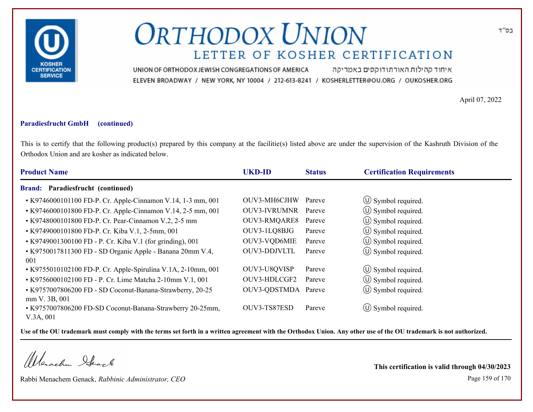

איחוד קהילות האורתודוקסים באמריקה UNION OF ORTHODOX JEWISH CONGREGATIONS OF AMERICA ELEVEN BROADWAY / NEW YORK, NY 10004 / 212-613-8241 / KOSHERLETTER@OU.ORG / OUKOSHER.ORG

April 07, 2022

### **Paradiesfrucht GmbH (continued)**

This is to certify that the following product(s) prepared by this company at the facilitie(s) listed above are under the supervision of the Kashruth Division of the Orthodox Union and are kosher as indicated below.

| <b>Product Name</b>                                                                     | <b>UKD-ID</b>       | <b>Status</b> | <b>Certification Requirements</b> |  |
|-----------------------------------------------------------------------------------------|---------------------|---------------|-----------------------------------|--|
| <b>Brand: Paradiesfrucht (continued)</b>                                                |                     |               |                                   |  |
| • K9746000101100 FD-P. Cr. Apple-Cinnamon V.14, 1-3 mm, 001                             | OUV3-MH6CJHW        | Pareve        | $\circled{1}$ Symbol required.    |  |
| • K9746000101800 FD-P. Cr. Apple-Cinnamon V.14, 2-5 mm, 001                             | OUV3-IVRUMNR        | Pareve        | $\circled{1}$ Symbol required.    |  |
| • K9748000101800 FD-P. Cr. Pear-Cinnamon V.2, 2-5 mm                                    | OUV3-RMQARE8        | Pareve        | (U) Symbol required.              |  |
| • K9749000101800 FD-P. Cr. Kiba V.1, 2-5mm, 001                                         | OUV3-1LQ8BJG        | Pareve        | $\circ$ Symbol required.          |  |
| • K9749001300100 FD - P. Cr. Kiba V.1 (for grinding), 001                               | OUV3-VQD6MIE        | Pareve        | (U) Symbol required.              |  |
| • K9750017811300 FD - SD Organic Apple - Banana 20mm V.4,<br>001                        | OUV3-DDJVLTL        | Pareve        | $\circ$ Symbol required.          |  |
| • K9755010102100 FD-P. Cr. Apple-Spirulina V.1A, 2-10mm, 001                            | OUV3-U8QVISP        | Pareve        | $\circled{1}$ Symbol required.    |  |
| • K9756000102100 FD - P. Cr. Lime Matcha 2-10mm V.1, 001                                | OUV3-HDLCGF2        | Pareve        | $\circ$ Symbol required.          |  |
| • K9757007806200 FD - SD Coconut-Banana-Strawberry, 20-25                               | OUV3-QDSTMDA Pareve |               | (U) Symbol required.              |  |
| mm V. 3B, 001<br>• K9757007806200 FD-SD Coconut-Banana-Strawberry 20-25mm,<br>V.3A, 001 | OUV3-TS87ESD        | Pareve        | $\circ$ Symbol required.          |  |

**Use of the OU trademark must comply with the terms set forth in a written agreement with the Orthodox Union. Any other use of the OU trademark is not authorized.**

Werachen Stack

Rabbi Menachem Genack, *Rabbinic Administrator, CEO* Page 159 of 170

**This certification is valid through 04/30/2023**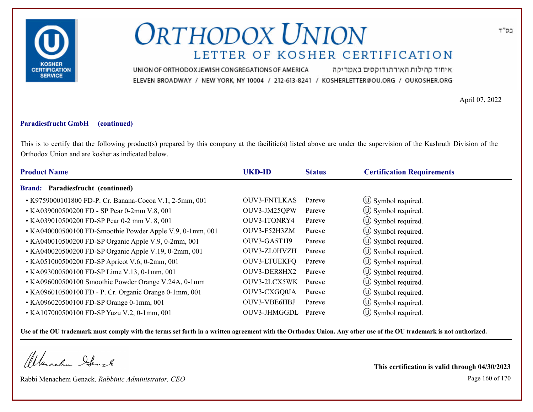

איחוד קהילות האורתודוקסים באמריקה UNION OF ORTHODOX JEWISH CONGREGATIONS OF AMERICA ELEVEN BROADWAY / NEW YORK, NY 10004 / 212-613-8241 / KOSHERLETTER@OU.ORG / OUKOSHER.ORG

April 07, 2022

### **Paradiesfrucht GmbH (continued)**

This is to certify that the following product(s) prepared by this company at the facilitie(s) listed above are under the supervision of the Kashruth Division of the Orthodox Union and are kosher as indicated below.

| <b>Product Name</b>                                       | <b>UKD-ID</b>       | <b>Status</b> | <b>Certification Requirements</b> |
|-----------------------------------------------------------|---------------------|---------------|-----------------------------------|
| Paradiesfrucht (continued)<br><b>Brand:</b>               |                     |               |                                   |
| • K9759000101800 FD-P. Cr. Banana-Cocoa V.1, 2-5mm, 001   | <b>OUV3-FNTLKAS</b> | Pareve        | $\circ$ Symbol required.          |
| • KA039000500200 FD - SP Pear 0-2mm V.8, 001              | OUV3-JM25QPW        | Pareve        | $\circled{1}$ Symbol required.    |
| • KA039010500200 FD-SP Pear 0-2 mm V. 8, 001              | OUV3-ITONRY4        | Pareve        | $\circled{1}$ Symbol required.    |
| • KA040000500100 FD-Smoothie Powder Apple V.9, 0-1mm, 001 | OUV3-F52H3ZM        | Pareve        | $\circ$ Symbol required.          |
| • KA040010500200 FD-SP Organic Apple V.9, 0-2mm, 001      | OUV3-GA5T1I9        | Pareve        | $\circ$ Symbol required.          |
| • KA040020500200 FD-SP Organic Apple V.19, 0-2mm, 001     | OUV3-ZL0HVZH        | Pareve        | $\circ$ Symbol required.          |
| • KA051000500200 FD-SP Apricot V.6, 0-2mm, 001            | OUV3-LTUEKFQ        | Pareve        | (U) Symbol required.              |
| • KA093000500100 FD-SP Lime V.13, 0-1mm, 001              | OUV3-DER8HX2        | Pareve        | (U) Symbol required.              |
| • KA096000500100 Smoothie Powder Orange V.24A, 0-1mm      | OUV3-2LCX5WK        | Pareve        | $\circled{1}$ Symbol required.    |
| • KA096010500100 FD - P. Cr. Organic Orange 0-1mm, 001    | OUV3-CXGQ0JA        | Pareve        | (U) Symbol required.              |
| • KA096020500100 FD-SP Orange 0-1mm, 001                  | OUV3-VBE6HBJ        | Pareve        | $\circ$ Symbol required.          |
| • KA107000500100 FD-SP Yuzu V.2, 0-1mm, 001               | OUV3-JHMGGDL        | Pareve        | $\circ$ Symbol required.          |

**Use of the OU trademark must comply with the terms set forth in a written agreement with the Orthodox Union. Any other use of the OU trademark is not authorized.**

Werschn Stack

Rabbi Menachem Genack, *Rabbinic Administrator, CEO* Page 160 of 170

**This certification is valid through 04/30/2023**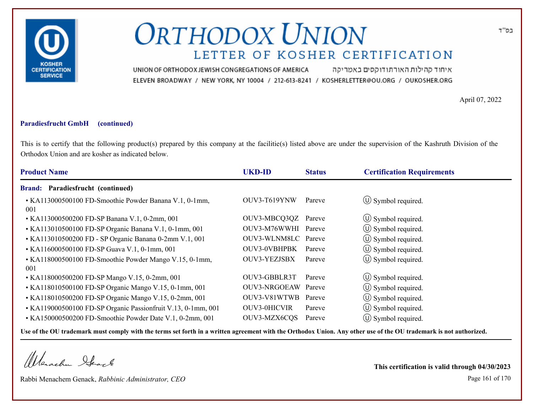

איחוד קהילות האורתודוקסים באמריקה UNION OF ORTHODOX JEWISH CONGREGATIONS OF AMERICA ELEVEN BROADWAY / NEW YORK, NY 10004 / 212-613-8241 / KOSHERLETTER@OU.ORG / OUKOSHER.ORG

April 07, 2022

### **Paradiesfrucht GmbH (continued)**

This is to certify that the following product(s) prepared by this company at the facilitie(s) listed above are under the supervision of the Kashruth Division of the Orthodox Union and are kosher as indicated below.

| <b>Product Name</b>                                           | <b>UKD-ID</b>       | <b>Status</b> | <b>Certification Requirements</b> |
|---------------------------------------------------------------|---------------------|---------------|-----------------------------------|
| Brand: Paradiesfrucht (continued)                             |                     |               |                                   |
| • KA113000500100 FD-Smoothie Powder Banana V.1, 0-1mm,<br>001 | OUV3-T619YNW        | Pareve        | $\circ$ Symbol required.          |
| • KA113000500200 FD-SP Banana V.1, 0-2mm, 001                 | OUV3-MBCQ3QZ Pareve |               | $\circ$ Symbol required.          |
| • KA113010500100 FD-SP Organic Banana V.1, 0-1mm, 001         | OUV3-M76WWHI Pareve |               | $\circled{1}$ Symbol required.    |
| • KA113010500200 FD - SP Organic Banana 0-2mm V.1, 001        | OUV3-WLNM8LC Pareve |               | (U) Symbol required.              |
| • KA116000500100 FD-SP Guava V.1, 0-1mm, 001                  | <b>OUV3-0VBHPBK</b> | Pareve        | $\circled{1}$ Symbol required.    |
| • KA118000500100 FD-Smoothie Powder Mango V.15, 0-1mm,<br>001 | <b>OUV3-YEZJSBX</b> | Pareve        | (U) Symbol required.              |
| • KA118000500200 FD-SP Mango V.15, 0-2mm, 001                 | OUV3-GBBLR3T        | Pareve        | $\circled{1}$ Symbol required.    |
| • KA118010500100 FD-SP Organic Mango V.15, 0-1mm, 001         | OUV3-NRGOEAW        | Pareve        | $\circ$ Symbol required.          |
| • KA118010500200 FD-SP Organic Mango V.15, 0-2mm, 001         | OUV3-V81WTWB        | Pareve        | (U) Symbol required.              |
| • KA119000500100 FD-SP Organic Passionfruit V.13, 0-1mm, 001  | <b>OUV3-0HICVIR</b> | Pareve        | $\circled{1}$ Symbol required.    |
| • KA150000500200 FD-Smoothie Powder Date V.1, 0-2mm, 001      | OUV3-MZX6CQS        | Pareve        | $\circ$ Symbol required.          |
|                                                               |                     |               |                                   |

**Use of the OU trademark must comply with the terms set forth in a written agreement with the Orthodox Union. Any other use of the OU trademark is not authorized.**

Werachen Stack

Rabbi Menachem Genack, *Rabbinic Administrator, CEO* Page 161 of 170

**This certification is valid through 04/30/2023**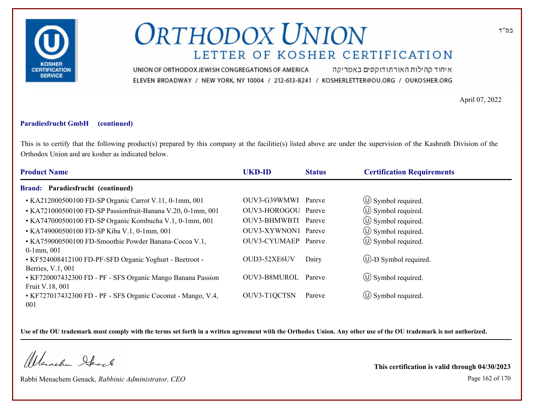

איחוד קהילות האורתודוקסים באמריקה UNION OF ORTHODOX JEWISH CONGREGATIONS OF AMERICA ELEVEN BROADWAY / NEW YORK, NY 10004 / 212-613-8241 / KOSHERLETTER@OU.ORG / OUKOSHER.ORG

April 07, 2022

### **Paradiesfrucht GmbH (continued)**

This is to certify that the following product(s) prepared by this company at the facilitie(s) listed above are under the supervision of the Kashruth Division of the Orthodox Union and are kosher as indicated below.

| <b>Product Name</b>                                                            | <b>UKD-ID</b>       | <b>Status</b> | <b>Certification Requirements</b> |
|--------------------------------------------------------------------------------|---------------------|---------------|-----------------------------------|
| <b>Brand: Paradiesfrucht (continued)</b>                                       |                     |               |                                   |
| • KA212000500100 FD-SP Organic Carrot V.11, 0-1mm, 001                         | OUV3-G39WMWI        | Pareve        | $\circ$ Symbol required.          |
| • KA721000500100 FD-SP Passionfruit-Banana V.20, 0-1mm, 001                    | OUV3-HOROGOU Pareve |               | $\circ$ Symbol required.          |
| • KA747000500100 FD-SP Organic Kombucha V.1, 0-1mm, 001                        | OUV3-BHMWBTI Pareve |               | $\circled{1}$ Symbol required.    |
| • KA749000500100 FD-SP Kiba V.1, 0-1mm, 001                                    | OUV3-XYWNON1 Pareve |               | $\circled{1}$ Symbol required.    |
| • KA759000500100 FD-Smoothie Powder Banana-Cocoa V.1,<br>$0-1$ mm, $001$       | OUV3-CYUMAEP Pareve |               | $\circ$ Symbol required.          |
| • KF524008412100 FD-PF-SFD Organic Yoghurt - Beetroot -<br>Berries, V.1, 001   | OUD3-52XE6UV        | Dairy         | $\bigcirc$ -D Symbol required.    |
| • KF720007432300 FD - PF - SFS Organic Mango Banana Passion<br>Fruit V.18, 001 | <b>OUV3-B8MUROL</b> | Pareve        | $\circ$ Symbol required.          |
| • KF727017432300 FD - PF - SFS Organic Coconut - Mango, V.4,<br>001            | OUV3-T1QCTSN        | Pareve        | $\circ$ Symbol required.          |

**Use of the OU trademark must comply with the terms set forth in a written agreement with the Orthodox Union. Any other use of the OU trademark is not authorized.**

Werachen Stack

Rabbi Menachem Genack, *Rabbinic Administrator, CEO* Page 162 of 170

**This certification is valid through 04/30/2023**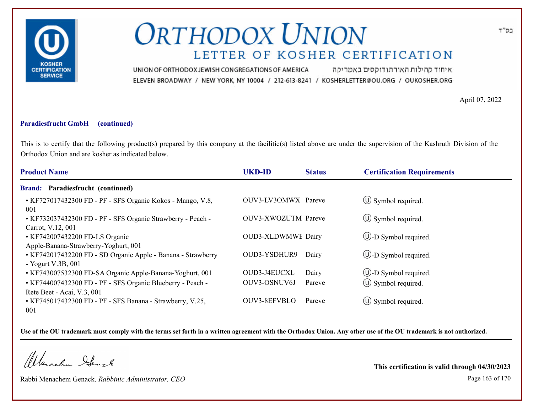

איחוד קהילות האורתודוקסים באמריקה UNION OF ORTHODOX JEWISH CONGREGATIONS OF AMERICA ELEVEN BROADWAY / NEW YORK, NY 10004 / 212-613-8241 / KOSHERLETTER@OU.ORG / OUKOSHER.ORG

April 07, 2022

### **Paradiesfrucht GmbH (continued)**

This is to certify that the following product(s) prepared by this company at the facilitie(s) listed above are under the supervision of the Kashruth Division of the Orthodox Union and are kosher as indicated below.

| <b>Product Name</b>                                                                      | <b>UKD-ID</b>             | <b>Status</b> | <b>Certification Requirements</b> |
|------------------------------------------------------------------------------------------|---------------------------|---------------|-----------------------------------|
| Paradiesfrucht (continued)<br><b>Brand:</b>                                              |                           |               |                                   |
| • KF727017432300 FD - PF - SFS Organic Kokos - Mango, V.8,<br>001                        | OUV3-LV3OMWX Pareve       |               | $\circ$ Symbol required.          |
| • KF732037432300 FD - PF - SFS Organic Strawberry - Peach -<br>Carrot, V.12, 001         | OUV3-XWOZUTM Pareve       |               | $\circ$ Symbol required.          |
| • KF742007432200 FD-LS Organic<br>Apple-Banana-Strawberry-Yoghurt, 001                   | <b>OUD3-XLDWMWE Dairy</b> |               | $\bigcirc$ -D Symbol required.    |
| • KF742017432200 FD - SD Organic Apple - Banana - Strawberry<br>- Yogurt V.3B, $001$     | OUD3-YSDHUR9              | Dairy         | $\bigcirc$ -D Symbol required.    |
| • KF743007532300 FD-SA Organic Apple-Banana-Yoghurt, 001                                 | OUD3-J4EUCXL              | Dairy         | $\circled{1}$ -D Symbol required. |
| • KF744007432300 FD - PF - SFS Organic Blueberry - Peach -<br>Rete Beet - Acai, V.3, 001 | OUV3-OSNUV6J              | Pareve        | $\circ$ Symbol required.          |
| • KF745017432300 FD - PF - SFS Banana - Strawberry, V.25,<br>001                         | OUV3-8EFVBLO              | Pareve        | $\circ$ Symbol required.          |

**Use of the OU trademark must comply with the terms set forth in a written agreement with the Orthodox Union. Any other use of the OU trademark is not authorized.**

Werachen Stack

Rabbi Menachem Genack, *Rabbinic Administrator, CEO* Page 163 of 170

**This certification is valid through 04/30/2023**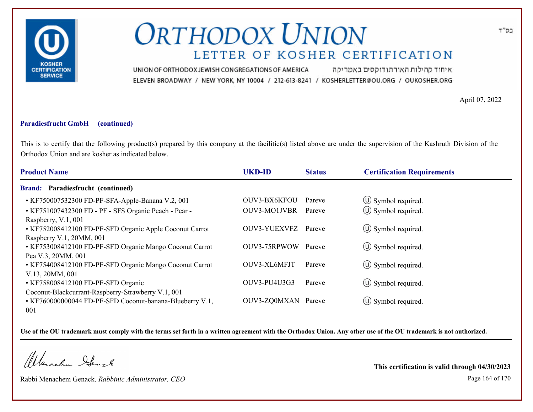

איחוד קהילות האורתודוקסים באמריקה UNION OF ORTHODOX JEWISH CONGREGATIONS OF AMERICA ELEVEN BROADWAY / NEW YORK, NY 10004 / 212-613-8241 / KOSHERLETTER@OU.ORG / OUKOSHER.ORG

April 07, 2022

### **Paradiesfrucht GmbH (continued)**

This is to certify that the following product(s) prepared by this company at the facilitie(s) listed above are under the supervision of the Kashruth Division of the Orthodox Union and are kosher as indicated below.

| <b>Product Name</b>                                                                                                   | <b>UKD-ID</b>       | <b>Status</b> | <b>Certification Requirements</b> |  |
|-----------------------------------------------------------------------------------------------------------------------|---------------------|---------------|-----------------------------------|--|
| <b>Brand: Paradiesfrucht (continued)</b>                                                                              |                     |               |                                   |  |
| • KF750007532300 FD-PF-SFA-Apple-Banana V.2, 001                                                                      | OUV3-BX6KFOU        | Pareve        | $\circled{1}$ Symbol required.    |  |
| • KF751007432300 FD - PF - SFS Organic Peach - Pear -                                                                 | <b>OUV3-MO1JVBR</b> | Pareve        | $\circled{0}$ Symbol required.    |  |
| Raspberry, V.1, 001<br>• KF752008412100 FD-PF-SFD Organic Apple Coconut Carrot<br>Raspberry V.1, 20MM, 001            | OUV3-YUEXVFZ        | Pareve        | $\circled{1}$ Symbol required.    |  |
| • KF753008412100 FD-PF-SFD Organic Mango Coconut Carrot<br>Pea V.3, 20MM, 001                                         | OUV3-75RPWOW        | Pareve        | $\circled{1}$ Symbol required.    |  |
| • KF754008412100 FD-PF-SFD Organic Mango Coconut Carrot<br>V.13, 20MM, 001                                            | OUV3-XL6MFJT        | Pareve        | $\circ$ Symbol required.          |  |
| • KF758008412100 FD-PF-SFD Organic                                                                                    | OUV3-PU4U3G3        | Pareve        | $\circ$ Symbol required.          |  |
| Coconut-Blackcurrant-Raspberry-Strawberry V.1, 001<br>• KF760000000044 FD-PF-SFD Coconut-banana-Blueberry V.1,<br>001 | OUV3-ZQ0MXAN Pareve |               | $\circ$ Symbol required.          |  |

**Use of the OU trademark must comply with the terms set forth in a written agreement with the Orthodox Union. Any other use of the OU trademark is not authorized.**

Werachen Stack

Rabbi Menachem Genack, *Rabbinic Administrator, CEO* Page 164 of 170

**This certification is valid through 04/30/2023**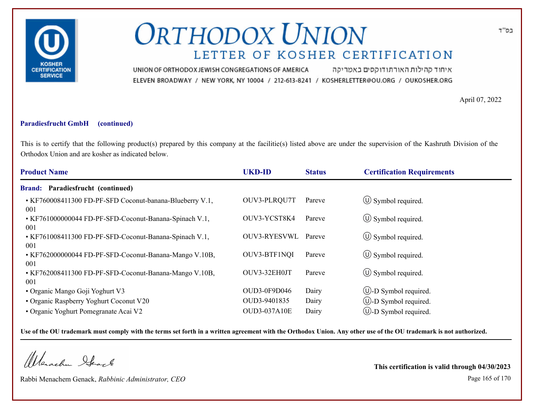

איחוד קהילות האורתודוקסים באמריקה UNION OF ORTHODOX JEWISH CONGREGATIONS OF AMERICA ELEVEN BROADWAY / NEW YORK, NY 10004 / 212-613-8241 / KOSHERLETTER@OU.ORG / OUKOSHER.ORG

April 07, 2022

### **Paradiesfrucht GmbH (continued)**

This is to certify that the following product(s) prepared by this company at the facilitie(s) listed above are under the supervision of the Kashruth Division of the Orthodox Union and are kosher as indicated below.

| <b>Product Name</b>                                           | <b>UKD-ID</b>       | <b>Status</b> | <b>Certification Requirements</b> |
|---------------------------------------------------------------|---------------------|---------------|-----------------------------------|
| Paradiesfrucht (continued)<br><b>Brand:</b>                   |                     |               |                                   |
| • KF760008411300 FD-PF-SFD Coconut-banana-Blueberry V.1,      | OUV3-PLRQU7T        | Pareve        | $\circled{1}$ Symbol required.    |
| 001<br>• KF761000000044 FD-PF-SFD-Coconut-Banana-Spinach V.1, | OUV3-YCST8K4        | Pareve        | $\circled{1}$ Symbol required.    |
| 001<br>• KF761008411300 FD-PF-SFD-Coconut-Banana-Spinach V.1, | <b>OUV3-RYESVWL</b> | Pareve        | $\circ$ Symbol required.          |
| 001<br>• KF762000000044 FD-PF-SFD-Coconut-Banana-Mango V.10B, | OUV3-BTF1NQI        | Pareve        | $\circ$ Symbol required.          |
| 001<br>• KF762008411300 FD-PF-SFD-Coconut-Banana-Mango V.10B, | OUV3-32EH0JT        | Pareve        | $\circ$ Symbol required.          |
| -001<br>• Organic Mango Goji Yoghurt V3                       | OUD3-0F9D046        | Dairy         | $\cup$ -D Symbol required.        |
| • Organic Raspberry Yoghurt Coconut V20                       | OUD3-9401835        | Dairy         | $\cup$ -D Symbol required.        |
| • Organic Yoghurt Pomegranate Acai V2                         | <b>OUD3-037A10E</b> | Dairy         | $\cup$ -D Symbol required.        |

**Use of the OU trademark must comply with the terms set forth in a written agreement with the Orthodox Union. Any other use of the OU trademark is not authorized.**

Werachen Stack

Rabbi Menachem Genack, *Rabbinic Administrator, CEO* Page 165 of 170

**This certification is valid through 04/30/2023**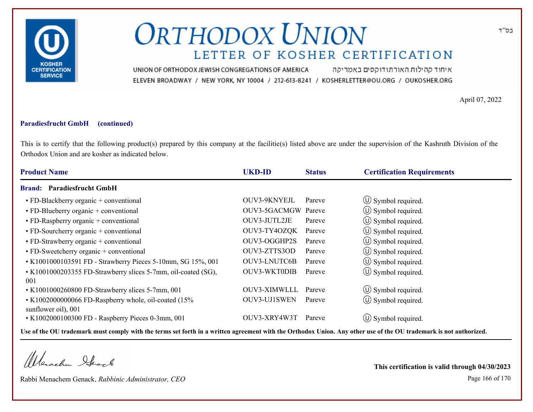

איחוד קהילות האורתודוקסים באמריקה UNION OF ORTHODOX JEWISH CONGREGATIONS OF AMERICA ELEVEN BROADWAY / NEW YORK, NY 10004 / 212-613-8241 / KOSHERLETTER@OU.ORG / OUKOSHER.ORG

April 07, 2022

### **Paradiesfrucht GmbH (continued)**

This is to certify that the following product(s) prepared by this company at the facilitie(s) listed above are under the supervision of the Kashruth Division of the Orthodox Union and are kosher as indicated below.

| <b>Product Name</b>                                           | <b>UKD-ID</b>       | <b>Status</b> | <b>Certification Requirements</b> |
|---------------------------------------------------------------|---------------------|---------------|-----------------------------------|
| <b>Paradiesfrucht GmbH</b><br><b>Brand:</b>                   |                     |               |                                   |
| • FD-Blackberry organic + conventional                        | OUV3-9KNYEJL        | Pareve        | $\circ$ Symbol required.          |
| • FD-Blueberry organic + conventional                         | OUV3-5GACMGW Pareve |               | $\circ$ Symbol required.          |
| • FD-Raspberry organic + conventional                         | OUV3-JUTL2JE        | Pareve        | $\circled{1}$ Symbol required.    |
| $\cdot$ FD-Sourcherry organic + conventional                  | OUV3-TY4OZQK        | Pareve        | $\circ$ Symbol required.          |
| $\cdot$ FD-Strawberry organic + conventional                  | OUV3-OGGHP2S        | Pareve        | $\circ$ Symbol required.          |
| $\cdot$ FD-Sweetcherry organic + conventional                 | OUV3-ZTTS3OD        | Pareve        | (U) Symbol required.              |
| • K1001000103591 FD - Strawberry Pieces 5-10mm, SG 15%, 001   | <b>OUV3-LNUTC6B</b> | Pareve        | $\circled{1}$ Symbol required.    |
| • K1001000203355 FD-Strawberry slices 5-7mm, oil-coated (SG), | <b>OUV3-WKT0DIB</b> | Pareve        | (U) Symbol required.              |
| 001                                                           |                     |               |                                   |
| • K1001000260800 FD-Strawberry slices 5-7mm, 001              | OUV3-XIMWLLL        | Pareve        | $\circled{1}$ Symbol required.    |
| • K1002000000066 FD-Raspberry whole, oil-coated (15%          | OUV3-UJ1SWEN        | Pareve        | $\circled{1}$ Symbol required.    |
| sunflower oil), 001                                           |                     |               |                                   |
| • K1002000100300 FD - Raspberry Pieces 0-3mm, 001             | OUV3-XRY4W3T        | Pareve        | $(U)$ Symbol required.            |

**Use of the OU trademark must comply with the terms set forth in a written agreement with the Orthodox Union. Any other use of the OU trademark is not authorized.**

Werachen Stack

Rabbi Menachem Genack, *Rabbinic Administrator, CEO* Page 166 of 170

**This certification is valid through 04/30/2023**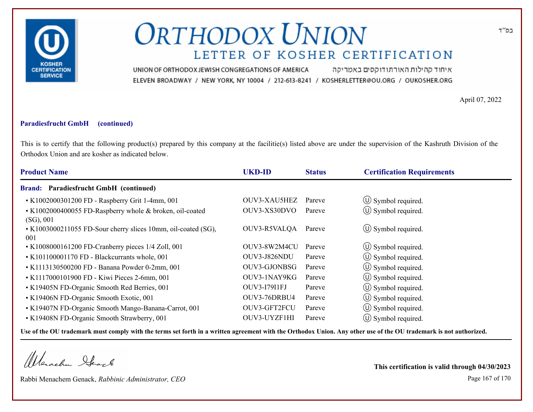

איחוד קהילות האורתודוקסים באמריקה UNION OF ORTHODOX JEWISH CONGREGATIONS OF AMERICA ELEVEN BROADWAY / NEW YORK, NY 10004 / 212-613-8241 / KOSHERLETTER@OU.ORG / OUKOSHER.ORG

April 07, 2022

### **Paradiesfrucht GmbH (continued)**

This is to certify that the following product(s) prepared by this company at the facilitie(s) listed above are under the supervision of the Kashruth Division of the Orthodox Union and are kosher as indicated below.

| <b>UKD-ID</b> | <b>Status</b> | <b>Certification Requirements</b> |
|---------------|---------------|-----------------------------------|
|               |               |                                   |
| OUV3-XAU5HEZ  | Pareve        | $\circ$ Symbol required.          |
| OUV3-XS30DVO  | Pareve        | $\circled{0}$ Symbol required.    |
| OUV3-R5VALQA  | Pareve        | $\circ$ Symbol required.          |
| OUV3-8W2M4CU  | Pareve        | (U) Symbol required.              |
| OUV3-J826NDU  | Pareve        | $\circled{1}$ Symbol required.    |
| OUV3-GJONBSG  | Pareve        | $\circled{1}$ Symbol required.    |
| OUV3-1NAY9KG  | Pareve        | $\circled{1}$ Symbol required.    |
| OUV3-17911FJ  | Pareve        | $\circ$ Symbol required.          |
| OUV3-76DRBU4  | Pareve        | $(U)$ Symbol required.            |
| OUV3-GFT2FCU  | Pareve        | $\circ$ Symbol required.          |
| OUV3-UYZF1HI  | Pareve        | $\circ$ Symbol required.          |
|               |               |                                   |

**Use of the OU trademark must comply with the terms set forth in a written agreement with the Orthodox Union. Any other use of the OU trademark is not authorized.**

Werachen Stack

Rabbi Menachem Genack, *Rabbinic Administrator, CEO* Page 167 of 170

**This certification is valid through 04/30/2023**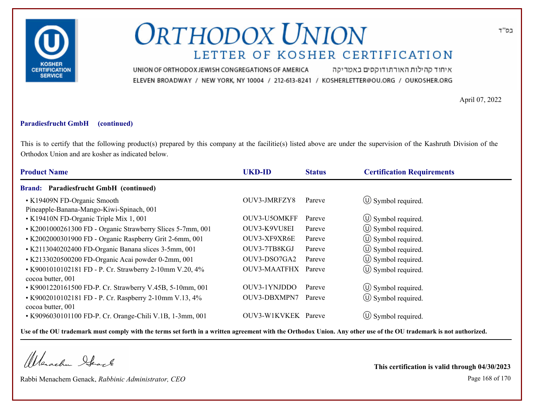

איחוד קהילות האורתודוקסים באמריקה UNION OF ORTHODOX JEWISH CONGREGATIONS OF AMERICA ELEVEN BROADWAY / NEW YORK, NY 10004 / 212-613-8241 / KOSHERLETTER@OU.ORG / OUKOSHER.ORG

April 07, 2022

### **Paradiesfrucht GmbH (continued)**

This is to certify that the following product(s) prepared by this company at the facilitie(s) listed above are under the supervision of the Kashruth Division of the Orthodox Union and are kosher as indicated below.

| <b>Product Name</b>                                                          | <b>UKD-ID</b>       | <b>Status</b> | <b>Certification Requirements</b> |
|------------------------------------------------------------------------------|---------------------|---------------|-----------------------------------|
| <b>Brand: Paradiesfrucht GmbH (continued)</b>                                |                     |               |                                   |
| • K19409N FD-Organic Smooth<br>Pineapple-Banana-Mango-Kiwi-Spinach, 001      | OUV3-JMRFZY8        | Pareve        | $\circ$ Symbol required.          |
| • K19410N FD-Organic Triple Mix 1, 001                                       | OUV3-U5OMKFF        | Pareve        | $\circ$ Symbol required.          |
| • K2001000261300 FD - Organic Strawberry Slices 5-7mm, 001                   | OUV3-K9VU8EI        | Pareve        | $\circ$ Symbol required.          |
| • K2002000301900 FD - Organic Raspberry Grit 2-6mm, 001                      | OUV3-XF9XR6E        | Pareve        | $\circled{1}$ Symbol required.    |
| • K2113040202400 FD-Organic Banana slices 3-5mm, 001                         | OUV3-7TB8KGJ        | Pareve        | $\circled{1}$ Symbol required.    |
| • K2133020500200 FD-Organic Acai powder 0-2mm, 001                           | OUV3-DSO7GA2        | Pareve        | $\circ$ Symbol required.          |
| • K9001010102181 FD - P. Cr. Strawberry 2-10mm V.20, 4%<br>cocoa butter, 001 | OUV3-MAATFHX        | Pareve        | $\circled{1}$ Symbol required.    |
| • K9001220161500 FD-P. Cr. Strawberry V.45B, 5-10mm, 001                     | OUV3-1YNJDDO        | Pareve        | $\circ$ Symbol required.          |
| • K9002010102181 FD - P. Cr. Raspberry 2-10mm V.13, 4%<br>cocoa butter, 001  | OUV3-DBXMPN7        | Pareve        | (U) Symbol required.              |
| • K9096030101100 FD-P. Cr. Orange-Chili V.1B, 1-3mm, 001                     | OUV3-W1KVKEK Pareve |               | $(U)$ Symbol required.            |

**Use of the OU trademark must comply with the terms set forth in a written agreement with the Orthodox Union. Any other use of the OU trademark is not authorized.**

Werachen Stack

Rabbi Menachem Genack, *Rabbinic Administrator, CEO* Page 168 of 170

**This certification is valid through 04/30/2023**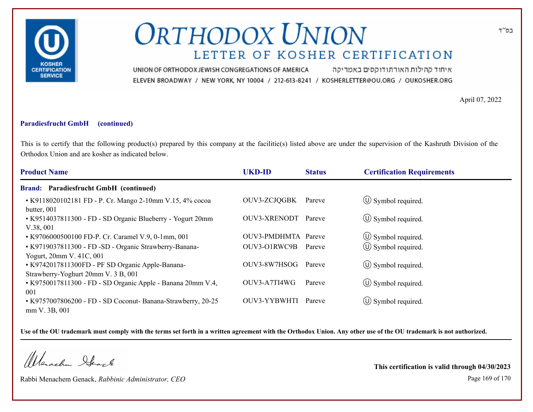

איחוד קהילות האורתודוקסים באמריקה UNION OF ORTHODOX JEWISH CONGREGATIONS OF AMERICA ELEVEN BROADWAY / NEW YORK, NY 10004 / 212-613-8241 / KOSHERLETTER@OU.ORG / OUKOSHER.ORG

April 07, 2022

### **Paradiesfrucht GmbH (continued)**

This is to certify that the following product(s) prepared by this company at the facilitie(s) listed above are under the supervision of the Kashruth Division of the Orthodox Union and are kosher as indicated below.

| <b>Product Name</b>                                                                     | <b>UKD-ID</b>       | <b>Status</b> | <b>Certification Requirements</b> |  |
|-----------------------------------------------------------------------------------------|---------------------|---------------|-----------------------------------|--|
| <b>Brand: Paradiesfrucht GmbH (continued)</b>                                           |                     |               |                                   |  |
| • K9118020102181 FD - P. Cr. Mango 2-10mm V.15, 4% cocoa<br>butter, 001                 | OUV3-ZCJQGBK        | Pareve        | $\circ$ Symbol required.          |  |
| • K9514037811300 - FD - SD Organic Blueberry - Yogurt 20mm<br>V.38,001                  | OUV3-XRENODT        | Pareve        | $\circ$ Symbol required.          |  |
| • K9706000500100 FD-P. Cr. Caramel V.9, 0-1mm, 001                                      | OUV3-PMDHMTA Pareve |               | $\circ$ Symbol required.          |  |
| • K9719037811300 - FD -SD - Organic Strawberry-Banana-<br>Yogurt, 20mm V. 41C, 001      | OUV3-O1RWC9B        | Pareve        | $\circled{0}$ Symbol required.    |  |
| • K9742017811300FD - PF SD Organic Apple-Banana-<br>Strawberry-Yoghurt 20mm V. 3 B, 001 | OUV3-8W7HSOG        | Pareve        | $\circ$ Symbol required.          |  |
| • K9750017811300 - FD - SD Organic Apple - Banana 20mm V.4,<br>001                      | OUV3-A7TI4WG        | Pareve        | $\circ$ Symbol required.          |  |
| • K9757007806200 - FD - SD Coconut- Banana-Strawberry, 20-25<br>mm V. 3B, 001           | OUV3-YYBWHTI        | Pareve        | $\circ$ Symbol required.          |  |

**Use of the OU trademark must comply with the terms set forth in a written agreement with the Orthodox Union. Any other use of the OU trademark is not authorized.**

Werschn Heark

Rabbi Menachem Genack, *Rabbinic Administrator, CEO* Page 169 of 170

**This certification is valid through 04/30/2023**